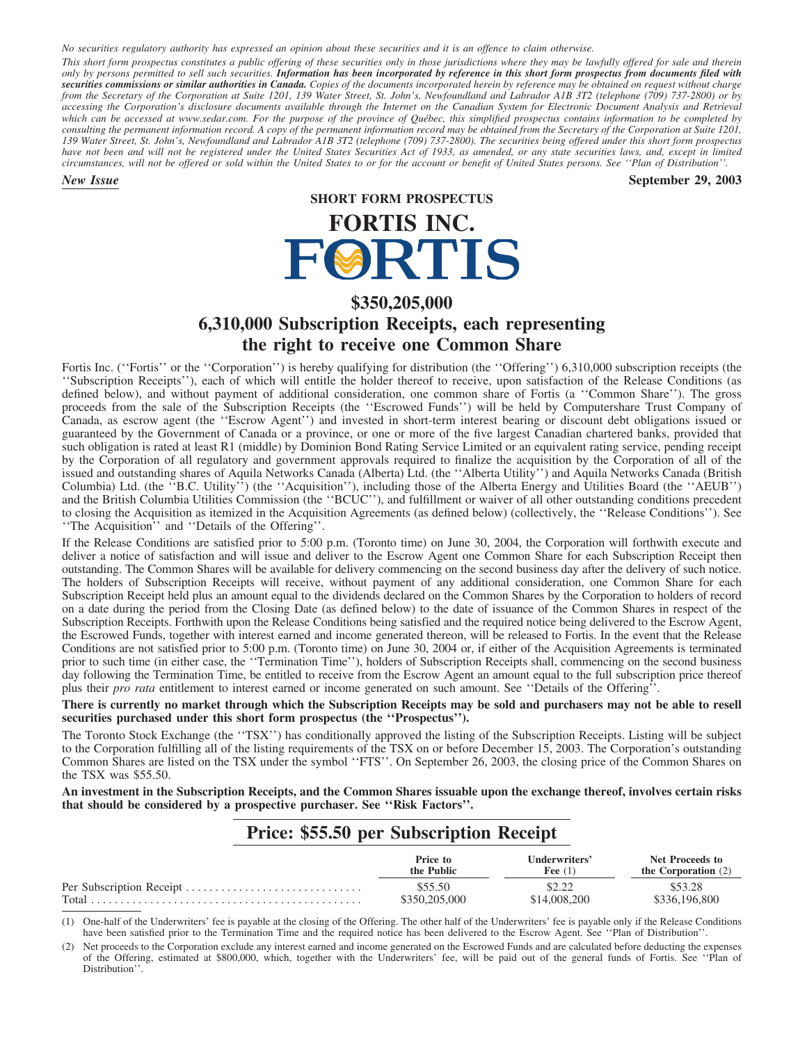*No securities regulatory authority has expressed an opinion about these securities and it is an offence to claim otherwise.*

*This short form prospectus constitutes a public offering of these securities only in those jurisdictions where they may be lawfully offered for sale and therein only by persons permitted to sell such securities. Information has been incorporated by reference in this short form prospectus from documents filed with securities commissions or similar authorities in Canada. Copies of the documents incorporated herein by reference may be obtained on request without charge from the Secretary of the Corporation at Suite 1201, 139 Water Street, St. John's, Newfoundland and Labrador A1B 3T2 (telephone (709) 737-2800) or by accessing the Corporation's disclosure documents available through the Internet on the Canadian System for Electronic Document Analysis and Retrieval* which can be accessed at www.sedar.com. For the purpose of the province of Québec, this simplified prospectus contains information to be completed by *consulting the permanent information record. A copy of the permanent information record may be obtained from the Secretary of the Corporation at Suite 1201, 139 Water Street, St. John's, Newfoundland and Labrador A1B 3T2 (telephone (709) 737-2800). The securities being offered under this short form prospectus have not been and will not be registered under the United States Securities Act of 1933, as amended, or any state securities laws, and, except in limited circumstances, will not be offered or sold within the United States to or for the account or benefit of United States persons. See ''Plan of Distribution''.*

*New Issue* **September 29, 2003**

# **SHORT FORM PROSPECTUS FORTIS INC.**<br> **FORTIS**

## **\$350,205,000 6,310,000 Subscription Receipts, each representing the right to receive one Common Share**

Fortis Inc. ("Fortis" or the "Corporation") is hereby qualifying for distribution (the "Offering") 6,310,000 subscription receipts (the ''Subscription Receipts''), each of which will entitle the holder thereof to receive, upon satisfaction of the Release Conditions (as defined below), and without payment of additional consideration, one common share of Fortis (a "Common Share"). The gross proceeds from the sale of the Subscription Receipts (the ''Escrowed Funds'') will be held by Computershare Trust Company of Canada, as escrow agent (the ''Escrow Agent'') and invested in short-term interest bearing or discount debt obligations issued or guaranteed by the Government of Canada or a province, or one or more of the five largest Canadian chartered banks, provided that such obligation is rated at least R1 (middle) by Dominion Bond Rating Service Limited or an equivalent rating service, pending receipt by the Corporation of all regulatory and government approvals required to finalize the acquisition by the Corporation of all of the issued and outstanding shares of Aquila Networks Canada (Alberta) Ltd. (the ''Alberta Utility'') and Aquila Networks Canada (British Columbia) Ltd. (the ''B.C. Utility'') (the ''Acquisition''), including those of the Alberta Energy and Utilities Board (the ''AEUB'') and the British Columbia Utilities Commission (the ''BCUC''), and fulfillment or waiver of all other outstanding conditions precedent to closing the Acquisition as itemized in the Acquisition Agreements (as defined below) (collectively, the ''Release Conditions''). See ''The Acquisition'' and ''Details of the Offering''.

If the Release Conditions are satisfied prior to 5:00 p.m. (Toronto time) on June 30, 2004, the Corporation will forthwith execute and deliver a notice of satisfaction and will issue and deliver to the Escrow Agent one Common Share for each Subscription Receipt then outstanding. The Common Shares will be available for delivery commencing on the second business day after the delivery of such notice. The holders of Subscription Receipts will receive, without payment of any additional consideration, one Common Share for each Subscription Receipt held plus an amount equal to the dividends declared on the Common Shares by the Corporation to holders of record on a date during the period from the Closing Date (as defined below) to the date of issuance of the Common Shares in respect of the Subscription Receipts. Forthwith upon the Release Conditions being satisfied and the required notice being delivered to the Escrow Agent, the Escrowed Funds, together with interest earned and income generated thereon, will be released to Fortis. In the event that the Release Conditions are not satisfied prior to 5:00 p.m. (Toronto time) on June 30, 2004 or, if either of the Acquisition Agreements is terminated prior to such time (in either case, the ''Termination Time''), holders of Subscription Receipts shall, commencing on the second business day following the Termination Time, be entitled to receive from the Escrow Agent an amount equal to the full subscription price thereof plus their *pro rata* entitlement to interest earned or income generated on such amount. See ''Details of the Offering''.

**There is currently no market through which the Subscription Receipts may be sold and purchasers may not be able to resell securities purchased under this short form prospectus (the ''Prospectus'').**

The Toronto Stock Exchange (the ''TSX'') has conditionally approved the listing of the Subscription Receipts. Listing will be subject to the Corporation fulfilling all of the listing requirements of the TSX on or before December 15, 2003. The Corporation's outstanding Common Shares are listed on the TSX under the symbol ''FTS''. On September 26, 2003, the closing price of the Common Shares on the TSX was \$55.50.

**An investment in the Subscription Receipts, and the Common Shares issuable upon the exchange thereof, involves certain risks that should be considered by a prospective purchaser. See ''Risk Factors''.**

# **Price: \$55.50 per Subscription Receipt**

|        | Price to                 | Underwriters' | Net Proceeds to          |
|--------|--------------------------|---------------|--------------------------|
|        | the Public               | Fee $(1)$     | the Corporation $(2)$    |
| Total. | \$55.50<br>\$350,205,000 | \$14,008,200  | \$53.28<br>\$336,196,800 |

(1) One-half of the Underwriters' fee is payable at the closing of the Offering. The other half of the Underwriters' fee is payable only if the Release Conditions have been satisfied prior to the Termination Time and the required notice has been delivered to the Escrow Agent. See "Plan of Distribution".

(2) Net proceeds to the Corporation exclude any interest earned and income generated on the Escrowed Funds and are calculated before deducting the expenses of the Offering, estimated at \$800,000, which, together with the Underwriters' fee, will be paid out of the general funds of Fortis. See ''Plan of Distribution''.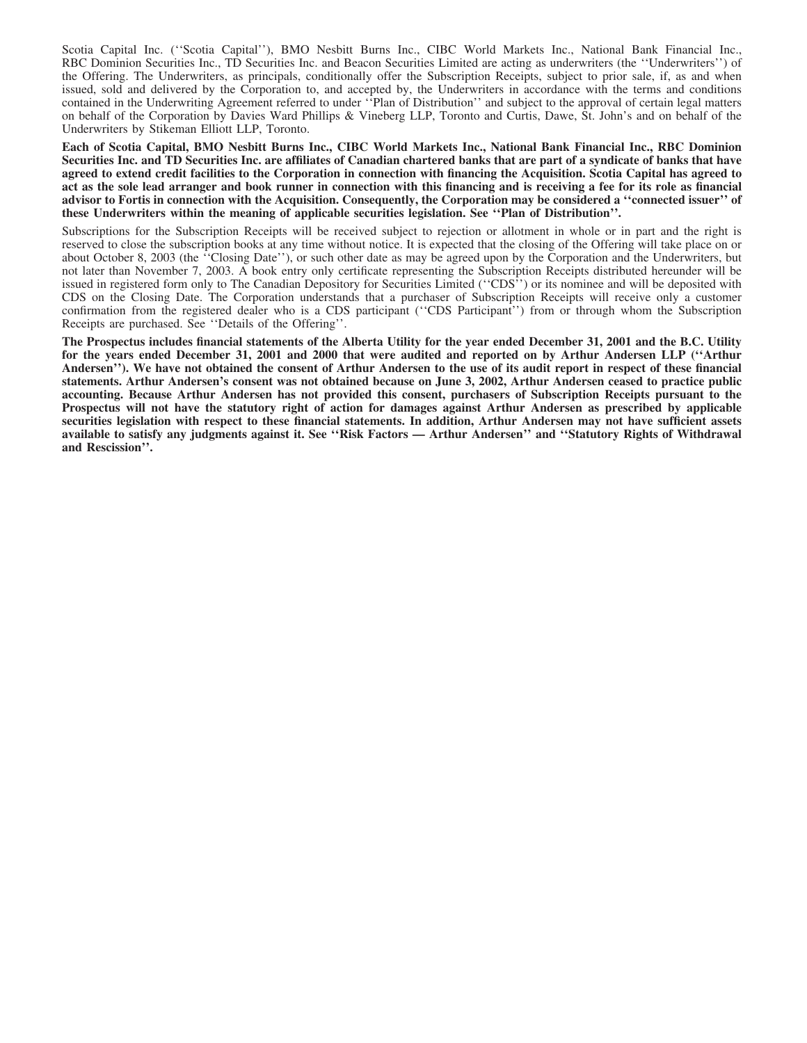Scotia Capital Inc. (''Scotia Capital''), BMO Nesbitt Burns Inc., CIBC World Markets Inc., National Bank Financial Inc., RBC Dominion Securities Inc., TD Securities Inc. and Beacon Securities Limited are acting as underwriters (the ''Underwriters'') of the Offering. The Underwriters, as principals, conditionally offer the Subscription Receipts, subject to prior sale, if, as and when issued, sold and delivered by the Corporation to, and accepted by, the Underwriters in accordance with the terms and conditions contained in the Underwriting Agreement referred to under ''Plan of Distribution'' and subject to the approval of certain legal matters on behalf of the Corporation by Davies Ward Phillips & Vineberg LLP, Toronto and Curtis, Dawe, St. John's and on behalf of the Underwriters by Stikeman Elliott LLP, Toronto.

**Each of Scotia Capital, BMO Nesbitt Burns Inc., CIBC World Markets Inc., National Bank Financial Inc., RBC Dominion Securities Inc. and TD Securities Inc. are affiliates of Canadian chartered banks that are part of a syndicate of banks that have agreed to extend credit facilities to the Corporation in connection with financing the Acquisition. Scotia Capital has agreed to act as the sole lead arranger and book runner in connection with this financing and is receiving a fee for its role as financial advisor to Fortis in connection with the Acquisition. Consequently, the Corporation may be considered a ''connected issuer'' of these Underwriters within the meaning of applicable securities legislation. See ''Plan of Distribution''.**

Subscriptions for the Subscription Receipts will be received subject to rejection or allotment in whole or in part and the right is reserved to close the subscription books at any time without notice. It is expected that the closing of the Offering will take place on or about October 8, 2003 (the ''Closing Date''), or such other date as may be agreed upon by the Corporation and the Underwriters, but not later than November 7, 2003. A book entry only certificate representing the Subscription Receipts distributed hereunder will be issued in registered form only to The Canadian Depository for Securities Limited ("CDS") or its nominee and will be deposited with CDS on the Closing Date. The Corporation understands that a purchaser of Subscription Receipts will receive only a customer confirmation from the registered dealer who is a CDS participant (''CDS Participant'') from or through whom the Subscription Receipts are purchased. See ''Details of the Offering''.

**The Prospectus includes financial statements of the Alberta Utility for the year ended December 31, 2001 and the B.C. Utility for the years ended December 31, 2001 and 2000 that were audited and reported on by Arthur Andersen LLP (''Arthur Andersen''). We have not obtained the consent of Arthur Andersen to the use of its audit report in respect of these financial statements. Arthur Andersen's consent was not obtained because on June 3, 2002, Arthur Andersen ceased to practice public accounting. Because Arthur Andersen has not provided this consent, purchasers of Subscription Receipts pursuant to the Prospectus will not have the statutory right of action for damages against Arthur Andersen as prescribed by applicable securities legislation with respect to these financial statements. In addition, Arthur Andersen may not have sufficient assets available to satisfy any judgments against it. See ''Risk Factors — Arthur Andersen'' and ''Statutory Rights of Withdrawal and Rescission''.**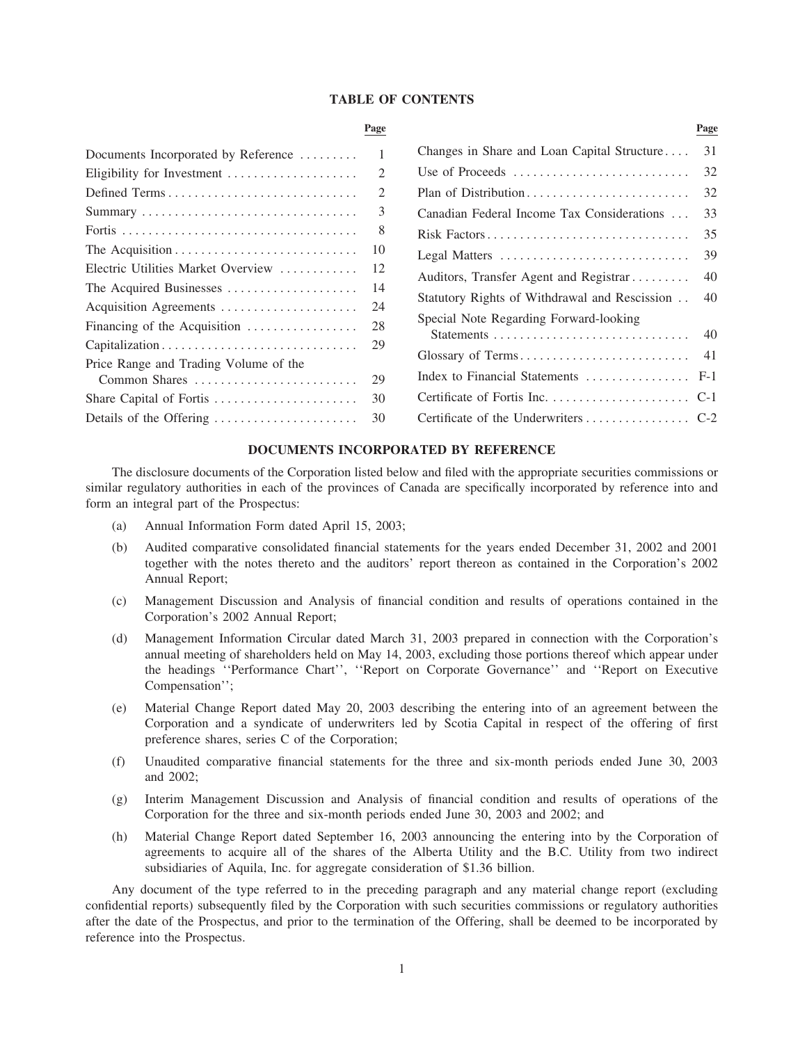## **TABLE OF CONTENTS**

|                                                               | Page |                                               | Page |
|---------------------------------------------------------------|------|-----------------------------------------------|------|
| Documents Incorporated by Reference                           |      | Changes in Share and Loan Capital Structure   | 31   |
| Eligibility for Investment                                    | 2    | Use of Proceeds                               | 32   |
| Defined Terms                                                 | 2    | Plan of Distribution                          | 32   |
|                                                               | 3    | Canadian Federal Income Tax Considerations    | 33   |
|                                                               | 8    | Risk Factors                                  | 35   |
|                                                               | 10   | Legal Matters                                 | 39   |
| Electric Utilities Market Overview                            | -12  | Auditors, Transfer Agent and Registrar        | 40   |
| The Acquired Businesses                                       | 14   | Statutory Rights of Withdrawal and Rescission | 40   |
| Acquisition Agreements                                        | 24   |                                               |      |
| Financing of the Acquisition $\ldots$                         | 28   | Special Note Regarding Forward-looking        |      |
|                                                               | 29   | Glossary of Terms                             | -41  |
| Price Range and Trading Volume of the                         |      |                                               |      |
| Common Shares                                                 | 29   | Index to Financial Statements  F-1            |      |
| Share Capital of Fortis                                       | 30   |                                               |      |
| Details of the Offering $\dots \dots \dots \dots \dots \dots$ | 30   |                                               |      |
|                                                               |      |                                               |      |

## **DOCUMENTS INCORPORATED BY REFERENCE**

The disclosure documents of the Corporation listed below and filed with the appropriate securities commissions or similar regulatory authorities in each of the provinces of Canada are specifically incorporated by reference into and form an integral part of the Prospectus:

- (a) Annual Information Form dated April 15, 2003;
- (b) Audited comparative consolidated financial statements for the years ended December 31, 2002 and 2001 together with the notes thereto and the auditors' report thereon as contained in the Corporation's 2002 Annual Report;
- (c) Management Discussion and Analysis of financial condition and results of operations contained in the Corporation's 2002 Annual Report;
- (d) Management Information Circular dated March 31, 2003 prepared in connection with the Corporation's annual meeting of shareholders held on May 14, 2003, excluding those portions thereof which appear under the headings ''Performance Chart'', ''Report on Corporate Governance'' and ''Report on Executive Compensation'';
- (e) Material Change Report dated May 20, 2003 describing the entering into of an agreement between the Corporation and a syndicate of underwriters led by Scotia Capital in respect of the offering of first preference shares, series C of the Corporation;
- (f) Unaudited comparative financial statements for the three and six-month periods ended June 30, 2003 and 2002;
- (g) Interim Management Discussion and Analysis of financial condition and results of operations of the Corporation for the three and six-month periods ended June 30, 2003 and 2002; and
- (h) Material Change Report dated September 16, 2003 announcing the entering into by the Corporation of agreements to acquire all of the shares of the Alberta Utility and the B.C. Utility from two indirect subsidiaries of Aquila, Inc. for aggregate consideration of \$1.36 billion.

Any document of the type referred to in the preceding paragraph and any material change report (excluding confidential reports) subsequently filed by the Corporation with such securities commissions or regulatory authorities after the date of the Prospectus, and prior to the termination of the Offering, shall be deemed to be incorporated by reference into the Prospectus.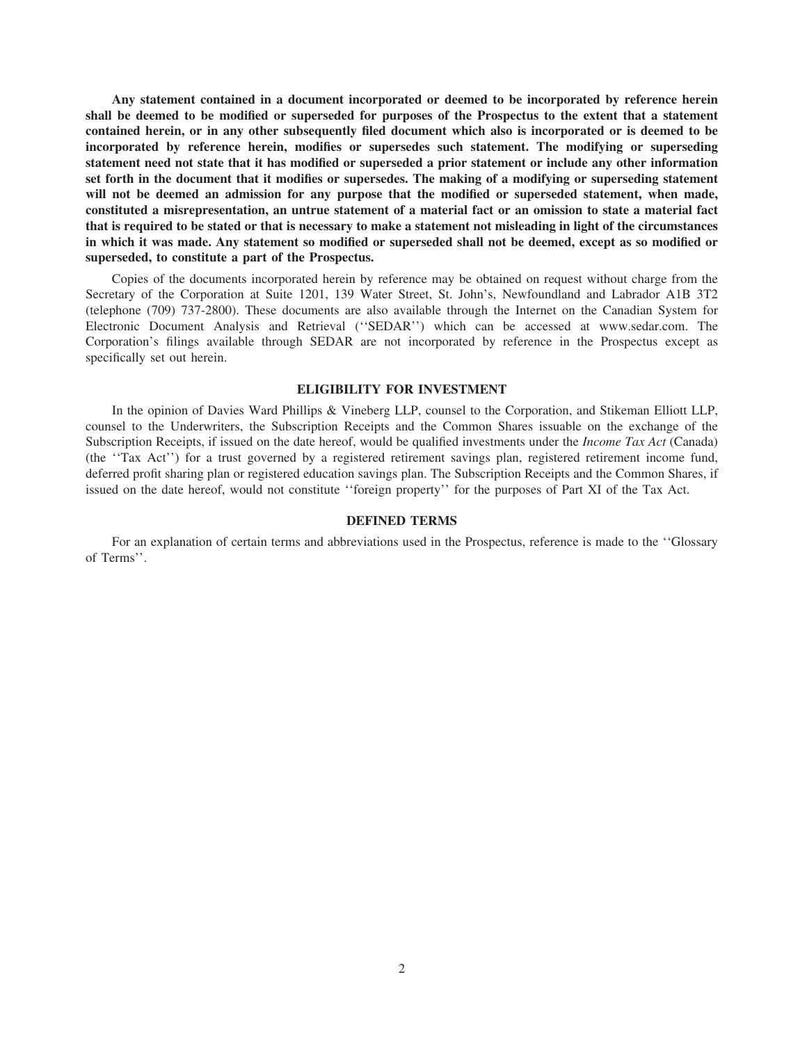**Any statement contained in a document incorporated or deemed to be incorporated by reference herein shall be deemed to be modified or superseded for purposes of the Prospectus to the extent that a statement contained herein, or in any other subsequently filed document which also is incorporated or is deemed to be incorporated by reference herein, modifies or supersedes such statement. The modifying or superseding statement need not state that it has modified or superseded a prior statement or include any other information set forth in the document that it modifies or supersedes. The making of a modifying or superseding statement will not be deemed an admission for any purpose that the modified or superseded statement, when made, constituted a misrepresentation, an untrue statement of a material fact or an omission to state a material fact that is required to be stated or that is necessary to make a statement not misleading in light of the circumstances in which it was made. Any statement so modified or superseded shall not be deemed, except as so modified or superseded, to constitute a part of the Prospectus.**

Copies of the documents incorporated herein by reference may be obtained on request without charge from the Secretary of the Corporation at Suite 1201, 139 Water Street, St. John's, Newfoundland and Labrador A1B 3T2 (telephone (709) 737-2800). These documents are also available through the Internet on the Canadian System for Electronic Document Analysis and Retrieval (''SEDAR'') which can be accessed at www.sedar.com. The Corporation's filings available through SEDAR are not incorporated by reference in the Prospectus except as specifically set out herein.

## **ELIGIBILITY FOR INVESTMENT**

In the opinion of Davies Ward Phillips & Vineberg LLP, counsel to the Corporation, and Stikeman Elliott LLP, counsel to the Underwriters, the Subscription Receipts and the Common Shares issuable on the exchange of the Subscription Receipts, if issued on the date hereof, would be qualified investments under the *Income Tax Act* (Canada) (the ''Tax Act'') for a trust governed by a registered retirement savings plan, registered retirement income fund, deferred profit sharing plan or registered education savings plan. The Subscription Receipts and the Common Shares, if issued on the date hereof, would not constitute ''foreign property'' for the purposes of Part XI of the Tax Act.

#### **DEFINED TERMS**

For an explanation of certain terms and abbreviations used in the Prospectus, reference is made to the ''Glossary of Terms''.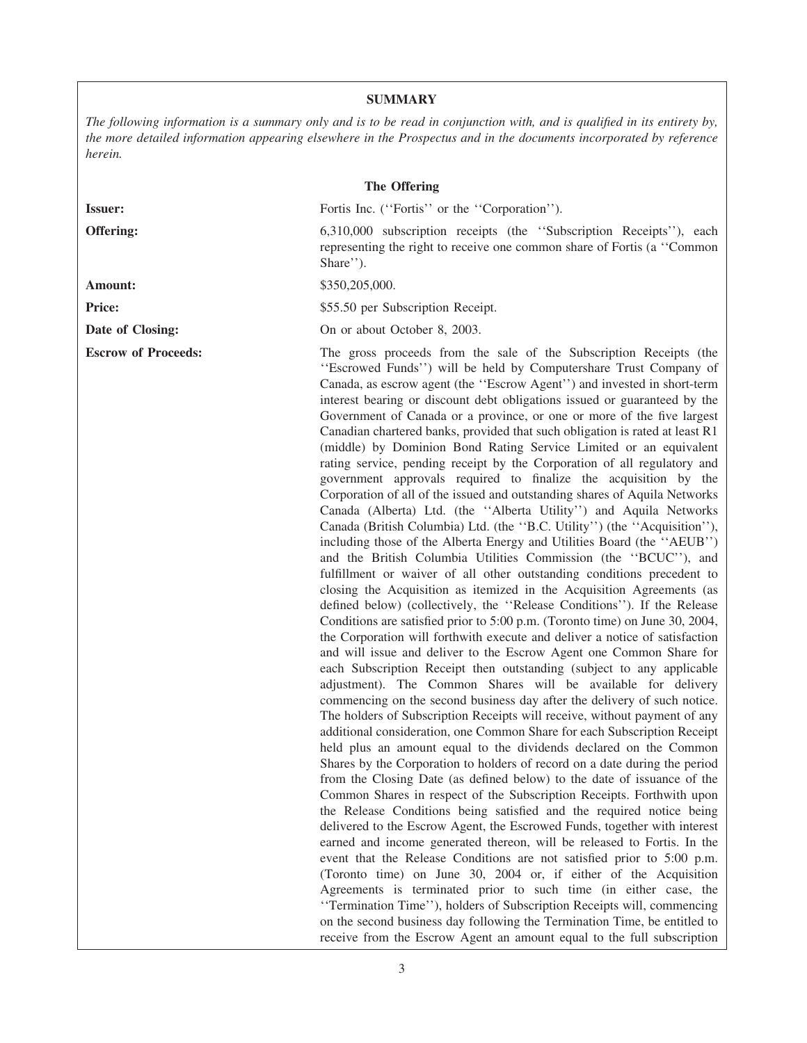## **SUMMARY**

*The following information is a summary only and is to be read in conjunction with, and is qualified in its entirety by, the more detailed information appearing elsewhere in the Prospectus and in the documents incorporated by reference herein.*

| The Offering               |                                                                                                                                                                                                                                                                                                                                                                                                                                                                                                                                                                                                                                                                                                                                                                                                                                                                                                                                                                                                                                                                                                                                                                                                                                                                                                                                                                                                                                                                                                                                                                                                                                                                                                                                                                                                                                                                                                                                                                                                                                                                                                                                                                                                                                                                                                                                                                                                                                                                                                                                                                                                                                                                                                                                                                                                                                                                                                        |  |  |  |
|----------------------------|--------------------------------------------------------------------------------------------------------------------------------------------------------------------------------------------------------------------------------------------------------------------------------------------------------------------------------------------------------------------------------------------------------------------------------------------------------------------------------------------------------------------------------------------------------------------------------------------------------------------------------------------------------------------------------------------------------------------------------------------------------------------------------------------------------------------------------------------------------------------------------------------------------------------------------------------------------------------------------------------------------------------------------------------------------------------------------------------------------------------------------------------------------------------------------------------------------------------------------------------------------------------------------------------------------------------------------------------------------------------------------------------------------------------------------------------------------------------------------------------------------------------------------------------------------------------------------------------------------------------------------------------------------------------------------------------------------------------------------------------------------------------------------------------------------------------------------------------------------------------------------------------------------------------------------------------------------------------------------------------------------------------------------------------------------------------------------------------------------------------------------------------------------------------------------------------------------------------------------------------------------------------------------------------------------------------------------------------------------------------------------------------------------------------------------------------------------------------------------------------------------------------------------------------------------------------------------------------------------------------------------------------------------------------------------------------------------------------------------------------------------------------------------------------------------------------------------------------------------------------------------------------------------|--|--|--|
| <b>Issuer:</b>             | Fortis Inc. ("Fortis" or the "Corporation").                                                                                                                                                                                                                                                                                                                                                                                                                                                                                                                                                                                                                                                                                                                                                                                                                                                                                                                                                                                                                                                                                                                                                                                                                                                                                                                                                                                                                                                                                                                                                                                                                                                                                                                                                                                                                                                                                                                                                                                                                                                                                                                                                                                                                                                                                                                                                                                                                                                                                                                                                                                                                                                                                                                                                                                                                                                           |  |  |  |
| Offering:                  | 6,310,000 subscription receipts (the "Subscription Receipts"), each<br>representing the right to receive one common share of Fortis (a "Common<br>Share").                                                                                                                                                                                                                                                                                                                                                                                                                                                                                                                                                                                                                                                                                                                                                                                                                                                                                                                                                                                                                                                                                                                                                                                                                                                                                                                                                                                                                                                                                                                                                                                                                                                                                                                                                                                                                                                                                                                                                                                                                                                                                                                                                                                                                                                                                                                                                                                                                                                                                                                                                                                                                                                                                                                                             |  |  |  |
| Amount:                    | \$350,205,000.                                                                                                                                                                                                                                                                                                                                                                                                                                                                                                                                                                                                                                                                                                                                                                                                                                                                                                                                                                                                                                                                                                                                                                                                                                                                                                                                                                                                                                                                                                                                                                                                                                                                                                                                                                                                                                                                                                                                                                                                                                                                                                                                                                                                                                                                                                                                                                                                                                                                                                                                                                                                                                                                                                                                                                                                                                                                                         |  |  |  |
| Price:                     | \$55.50 per Subscription Receipt.                                                                                                                                                                                                                                                                                                                                                                                                                                                                                                                                                                                                                                                                                                                                                                                                                                                                                                                                                                                                                                                                                                                                                                                                                                                                                                                                                                                                                                                                                                                                                                                                                                                                                                                                                                                                                                                                                                                                                                                                                                                                                                                                                                                                                                                                                                                                                                                                                                                                                                                                                                                                                                                                                                                                                                                                                                                                      |  |  |  |
| Date of Closing:           | On or about October 8, 2003.                                                                                                                                                                                                                                                                                                                                                                                                                                                                                                                                                                                                                                                                                                                                                                                                                                                                                                                                                                                                                                                                                                                                                                                                                                                                                                                                                                                                                                                                                                                                                                                                                                                                                                                                                                                                                                                                                                                                                                                                                                                                                                                                                                                                                                                                                                                                                                                                                                                                                                                                                                                                                                                                                                                                                                                                                                                                           |  |  |  |
| <b>Escrow of Proceeds:</b> | The gross proceeds from the sale of the Subscription Receipts (the<br>"Escrowed Funds") will be held by Computershare Trust Company of<br>Canada, as escrow agent (the "Escrow Agent") and invested in short-term<br>interest bearing or discount debt obligations issued or guaranteed by the<br>Government of Canada or a province, or one or more of the five largest<br>Canadian chartered banks, provided that such obligation is rated at least R1<br>(middle) by Dominion Bond Rating Service Limited or an equivalent<br>rating service, pending receipt by the Corporation of all regulatory and<br>government approvals required to finalize the acquisition by the<br>Corporation of all of the issued and outstanding shares of Aquila Networks<br>Canada (Alberta) Ltd. (the "Alberta Utility") and Aquila Networks<br>Canada (British Columbia) Ltd. (the "B.C. Utility") (the "Acquisition"),<br>including those of the Alberta Energy and Utilities Board (the "AEUB")<br>and the British Columbia Utilities Commission (the "BCUC"), and<br>fulfillment or waiver of all other outstanding conditions precedent to<br>closing the Acquisition as itemized in the Acquisition Agreements (as<br>defined below) (collectively, the "Release Conditions"). If the Release<br>Conditions are satisfied prior to 5:00 p.m. (Toronto time) on June 30, 2004,<br>the Corporation will forthwith execute and deliver a notice of satisfaction<br>and will issue and deliver to the Escrow Agent one Common Share for<br>each Subscription Receipt then outstanding (subject to any applicable<br>adjustment). The Common Shares will be available for delivery<br>commencing on the second business day after the delivery of such notice.<br>The holders of Subscription Receipts will receive, without payment of any<br>additional consideration, one Common Share for each Subscription Receipt<br>held plus an amount equal to the dividends declared on the Common<br>Shares by the Corporation to holders of record on a date during the period<br>from the Closing Date (as defined below) to the date of issuance of the<br>Common Shares in respect of the Subscription Receipts. Forthwith upon<br>the Release Conditions being satisfied and the required notice being<br>delivered to the Escrow Agent, the Escrowed Funds, together with interest<br>earned and income generated thereon, will be released to Fortis. In the<br>event that the Release Conditions are not satisfied prior to 5:00 p.m.<br>(Toronto time) on June 30, 2004 or, if either of the Acquisition<br>Agreements is terminated prior to such time (in either case, the<br>"Termination Time"), holders of Subscription Receipts will, commencing<br>on the second business day following the Termination Time, be entitled to<br>receive from the Escrow Agent an amount equal to the full subscription |  |  |  |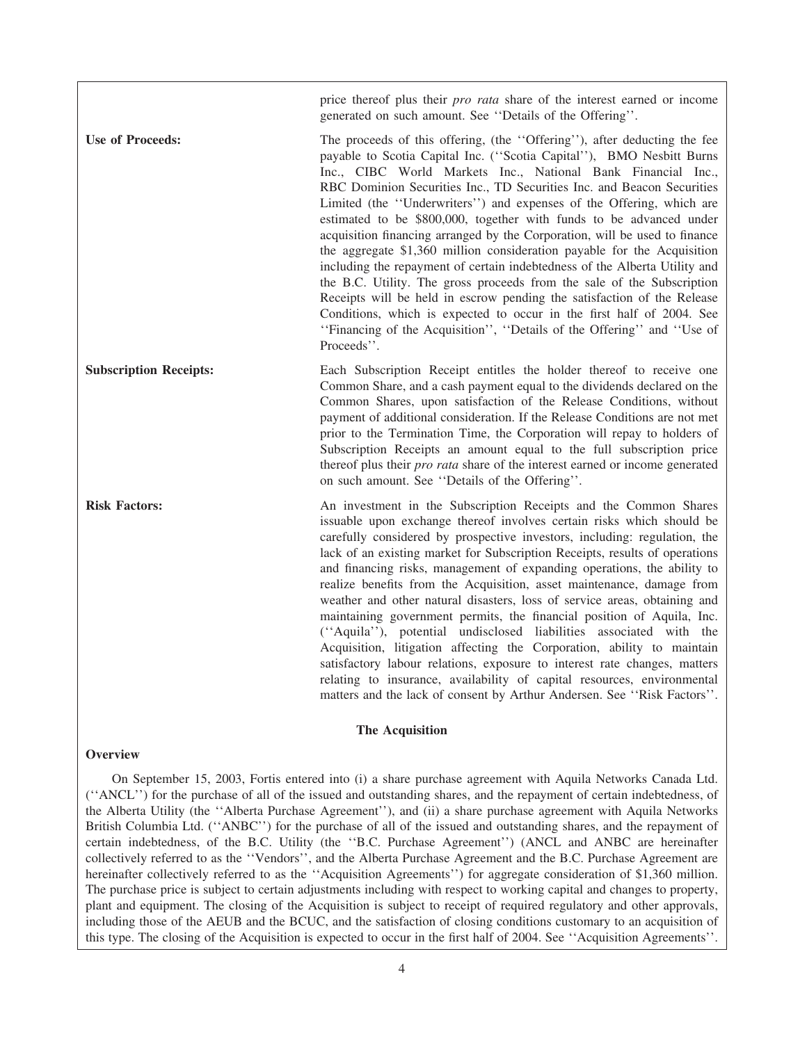price thereof plus their *pro rata* share of the interest earned or income generated on such amount. See ''Details of the Offering''.

Use of Proceeds: The proceeds of this offering, (the "Offering"), after deducting the fee payable to Scotia Capital Inc. (''Scotia Capital''), BMO Nesbitt Burns Inc., CIBC World Markets Inc., National Bank Financial Inc., RBC Dominion Securities Inc., TD Securities Inc. and Beacon Securities Limited (the ''Underwriters'') and expenses of the Offering, which are estimated to be \$800,000, together with funds to be advanced under acquisition financing arranged by the Corporation, will be used to finance the aggregate \$1,360 million consideration payable for the Acquisition including the repayment of certain indebtedness of the Alberta Utility and the B.C. Utility. The gross proceeds from the sale of the Subscription Receipts will be held in escrow pending the satisfaction of the Release Conditions, which is expected to occur in the first half of 2004. See ''Financing of the Acquisition'', ''Details of the Offering'' and ''Use of Proceeds''.

**Subscription Receipts:** Each Subscription Receipt entitles the holder thereof to receive one Common Share, and a cash payment equal to the dividends declared on the Common Shares, upon satisfaction of the Release Conditions, without payment of additional consideration. If the Release Conditions are not met prior to the Termination Time, the Corporation will repay to holders of Subscription Receipts an amount equal to the full subscription price thereof plus their *pro rata* share of the interest earned or income generated on such amount. See ''Details of the Offering''.

**Risk Factors:** An investment in the Subscription Receipts and the Common Shares issuable upon exchange thereof involves certain risks which should be carefully considered by prospective investors, including: regulation, the lack of an existing market for Subscription Receipts, results of operations and financing risks, management of expanding operations, the ability to realize benefits from the Acquisition, asset maintenance, damage from weather and other natural disasters, loss of service areas, obtaining and maintaining government permits, the financial position of Aquila, Inc. (''Aquila''), potential undisclosed liabilities associated with the Acquisition, litigation affecting the Corporation, ability to maintain satisfactory labour relations, exposure to interest rate changes, matters relating to insurance, availability of capital resources, environmental matters and the lack of consent by Arthur Andersen. See ''Risk Factors''.

## **The Acquisition**

## **Overview**

On September 15, 2003, Fortis entered into (i) a share purchase agreement with Aquila Networks Canada Ltd. (''ANCL'') for the purchase of all of the issued and outstanding shares, and the repayment of certain indebtedness, of the Alberta Utility (the ''Alberta Purchase Agreement''), and (ii) a share purchase agreement with Aquila Networks British Columbia Ltd. (''ANBC'') for the purchase of all of the issued and outstanding shares, and the repayment of certain indebtedness, of the B.C. Utility (the ''B.C. Purchase Agreement'') (ANCL and ANBC are hereinafter collectively referred to as the ''Vendors'', and the Alberta Purchase Agreement and the B.C. Purchase Agreement are hereinafter collectively referred to as the "Acquisition Agreements") for aggregate consideration of \$1,360 million. The purchase price is subject to certain adjustments including with respect to working capital and changes to property, plant and equipment. The closing of the Acquisition is subject to receipt of required regulatory and other approvals, including those of the AEUB and the BCUC, and the satisfaction of closing conditions customary to an acquisition of this type. The closing of the Acquisition is expected to occur in the first half of 2004. See ''Acquisition Agreements''.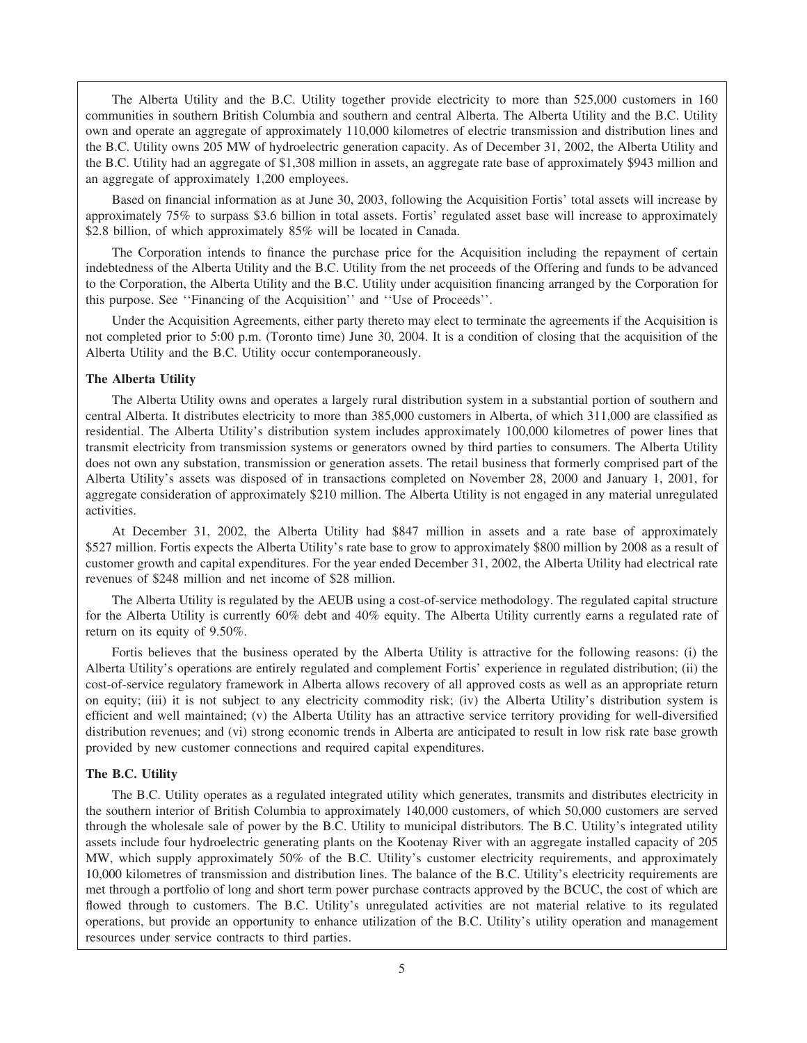The Alberta Utility and the B.C. Utility together provide electricity to more than 525,000 customers in 160 communities in southern British Columbia and southern and central Alberta. The Alberta Utility and the B.C. Utility own and operate an aggregate of approximately 110,000 kilometres of electric transmission and distribution lines and the B.C. Utility owns 205 MW of hydroelectric generation capacity. As of December 31, 2002, the Alberta Utility and the B.C. Utility had an aggregate of \$1,308 million in assets, an aggregate rate base of approximately \$943 million and an aggregate of approximately 1,200 employees.

Based on financial information as at June 30, 2003, following the Acquisition Fortis' total assets will increase by approximately 75% to surpass \$3.6 billion in total assets. Fortis' regulated asset base will increase to approximately \$2.8 billion, of which approximately 85% will be located in Canada.

The Corporation intends to finance the purchase price for the Acquisition including the repayment of certain indebtedness of the Alberta Utility and the B.C. Utility from the net proceeds of the Offering and funds to be advanced to the Corporation, the Alberta Utility and the B.C. Utility under acquisition financing arranged by the Corporation for this purpose. See ''Financing of the Acquisition'' and ''Use of Proceeds''.

Under the Acquisition Agreements, either party thereto may elect to terminate the agreements if the Acquisition is not completed prior to 5:00 p.m. (Toronto time) June 30, 2004. It is a condition of closing that the acquisition of the Alberta Utility and the B.C. Utility occur contemporaneously.

## **The Alberta Utility**

The Alberta Utility owns and operates a largely rural distribution system in a substantial portion of southern and central Alberta. It distributes electricity to more than 385,000 customers in Alberta, of which 311,000 are classified as residential. The Alberta Utility's distribution system includes approximately 100,000 kilometres of power lines that transmit electricity from transmission systems or generators owned by third parties to consumers. The Alberta Utility does not own any substation, transmission or generation assets. The retail business that formerly comprised part of the Alberta Utility's assets was disposed of in transactions completed on November 28, 2000 and January 1, 2001, for aggregate consideration of approximately \$210 million. The Alberta Utility is not engaged in any material unregulated activities.

At December 31, 2002, the Alberta Utility had \$847 million in assets and a rate base of approximately \$527 million. Fortis expects the Alberta Utility's rate base to grow to approximately \$800 million by 2008 as a result of customer growth and capital expenditures. For the year ended December 31, 2002, the Alberta Utility had electrical rate revenues of \$248 million and net income of \$28 million.

The Alberta Utility is regulated by the AEUB using a cost-of-service methodology. The regulated capital structure for the Alberta Utility is currently 60% debt and 40% equity. The Alberta Utility currently earns a regulated rate of return on its equity of 9.50%.

Fortis believes that the business operated by the Alberta Utility is attractive for the following reasons: (i) the Alberta Utility's operations are entirely regulated and complement Fortis' experience in regulated distribution; (ii) the cost-of-service regulatory framework in Alberta allows recovery of all approved costs as well as an appropriate return on equity; (iii) it is not subject to any electricity commodity risk; (iv) the Alberta Utility's distribution system is efficient and well maintained; (v) the Alberta Utility has an attractive service territory providing for well-diversified distribution revenues; and (vi) strong economic trends in Alberta are anticipated to result in low risk rate base growth provided by new customer connections and required capital expenditures.

## **The B.C. Utility**

The B.C. Utility operates as a regulated integrated utility which generates, transmits and distributes electricity in the southern interior of British Columbia to approximately 140,000 customers, of which 50,000 customers are served through the wholesale sale of power by the B.C. Utility to municipal distributors. The B.C. Utility's integrated utility assets include four hydroelectric generating plants on the Kootenay River with an aggregate installed capacity of 205 MW, which supply approximately 50% of the B.C. Utility's customer electricity requirements, and approximately 10,000 kilometres of transmission and distribution lines. The balance of the B.C. Utility's electricity requirements are met through a portfolio of long and short term power purchase contracts approved by the BCUC, the cost of which are flowed through to customers. The B.C. Utility's unregulated activities are not material relative to its regulated operations, but provide an opportunity to enhance utilization of the B.C. Utility's utility operation and management resources under service contracts to third parties.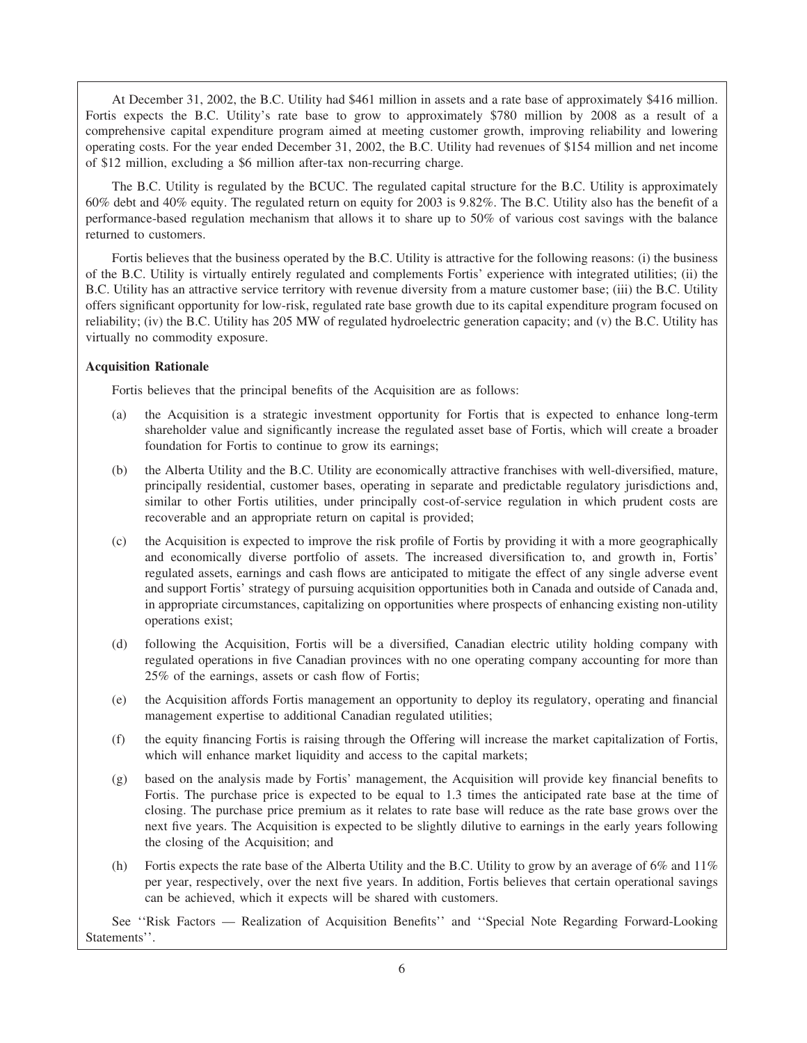At December 31, 2002, the B.C. Utility had \$461 million in assets and a rate base of approximately \$416 million. Fortis expects the B.C. Utility's rate base to grow to approximately \$780 million by 2008 as a result of a comprehensive capital expenditure program aimed at meeting customer growth, improving reliability and lowering operating costs. For the year ended December 31, 2002, the B.C. Utility had revenues of \$154 million and net income of \$12 million, excluding a \$6 million after-tax non-recurring charge.

The B.C. Utility is regulated by the BCUC. The regulated capital structure for the B.C. Utility is approximately 60% debt and 40% equity. The regulated return on equity for 2003 is 9.82%. The B.C. Utility also has the benefit of a performance-based regulation mechanism that allows it to share up to 50% of various cost savings with the balance returned to customers.

Fortis believes that the business operated by the B.C. Utility is attractive for the following reasons: (i) the business of the B.C. Utility is virtually entirely regulated and complements Fortis' experience with integrated utilities; (ii) the B.C. Utility has an attractive service territory with revenue diversity from a mature customer base; (iii) the B.C. Utility offers significant opportunity for low-risk, regulated rate base growth due to its capital expenditure program focused on reliability; (iv) the B.C. Utility has 205 MW of regulated hydroelectric generation capacity; and (v) the B.C. Utility has virtually no commodity exposure.

## **Acquisition Rationale**

Fortis believes that the principal benefits of the Acquisition are as follows:

- (a) the Acquisition is a strategic investment opportunity for Fortis that is expected to enhance long-term shareholder value and significantly increase the regulated asset base of Fortis, which will create a broader foundation for Fortis to continue to grow its earnings;
- (b) the Alberta Utility and the B.C. Utility are economically attractive franchises with well-diversified, mature, principally residential, customer bases, operating in separate and predictable regulatory jurisdictions and, similar to other Fortis utilities, under principally cost-of-service regulation in which prudent costs are recoverable and an appropriate return on capital is provided;
- (c) the Acquisition is expected to improve the risk profile of Fortis by providing it with a more geographically and economically diverse portfolio of assets. The increased diversification to, and growth in, Fortis' regulated assets, earnings and cash flows are anticipated to mitigate the effect of any single adverse event and support Fortis' strategy of pursuing acquisition opportunities both in Canada and outside of Canada and, in appropriate circumstances, capitalizing on opportunities where prospects of enhancing existing non-utility operations exist;
- (d) following the Acquisition, Fortis will be a diversified, Canadian electric utility holding company with regulated operations in five Canadian provinces with no one operating company accounting for more than 25% of the earnings, assets or cash flow of Fortis;
- (e) the Acquisition affords Fortis management an opportunity to deploy its regulatory, operating and financial management expertise to additional Canadian regulated utilities;
- (f) the equity financing Fortis is raising through the Offering will increase the market capitalization of Fortis, which will enhance market liquidity and access to the capital markets;
- (g) based on the analysis made by Fortis' management, the Acquisition will provide key financial benefits to Fortis. The purchase price is expected to be equal to 1.3 times the anticipated rate base at the time of closing. The purchase price premium as it relates to rate base will reduce as the rate base grows over the next five years. The Acquisition is expected to be slightly dilutive to earnings in the early years following the closing of the Acquisition; and
- (h) Fortis expects the rate base of the Alberta Utility and the B.C. Utility to grow by an average of 6% and  $11\%$ per year, respectively, over the next five years. In addition, Fortis believes that certain operational savings can be achieved, which it expects will be shared with customers.

See ''Risk Factors — Realization of Acquisition Benefits'' and ''Special Note Regarding Forward-Looking Statements''.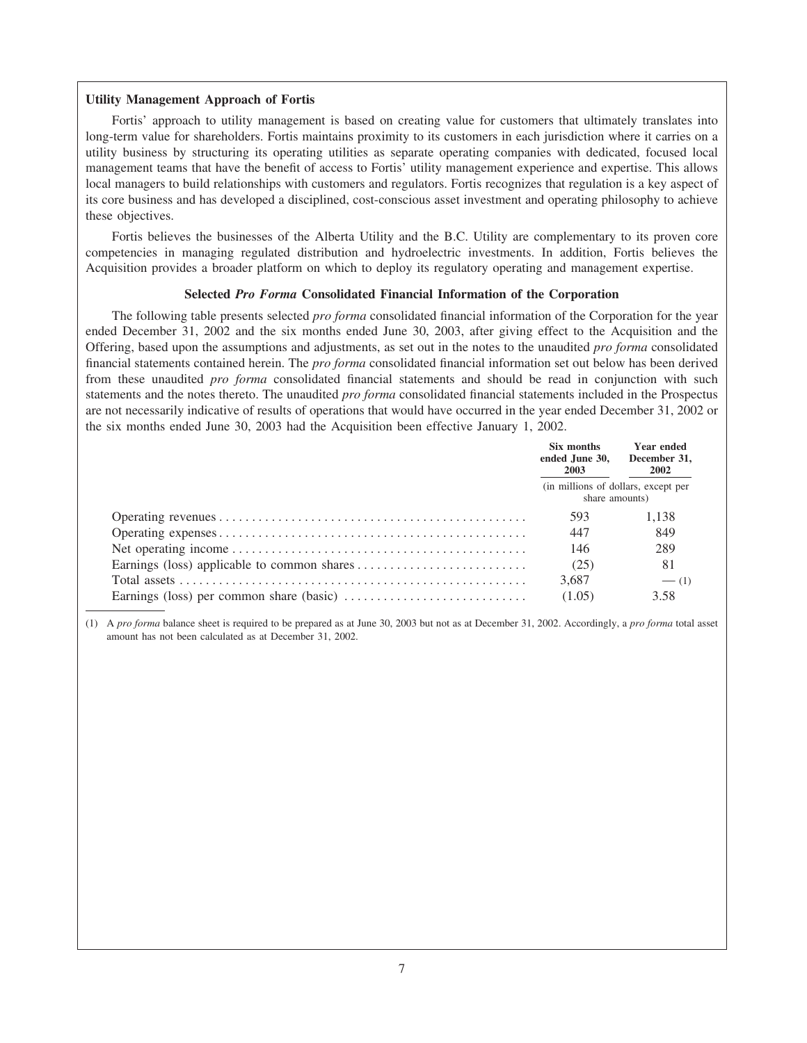## **Utility Management Approach of Fortis**

Fortis' approach to utility management is based on creating value for customers that ultimately translates into long-term value for shareholders. Fortis maintains proximity to its customers in each jurisdiction where it carries on a utility business by structuring its operating utilities as separate operating companies with dedicated, focused local management teams that have the benefit of access to Fortis' utility management experience and expertise. This allows local managers to build relationships with customers and regulators. Fortis recognizes that regulation is a key aspect of its core business and has developed a disciplined, cost-conscious asset investment and operating philosophy to achieve these objectives.

Fortis believes the businesses of the Alberta Utility and the B.C. Utility are complementary to its proven core competencies in managing regulated distribution and hydroelectric investments. In addition, Fortis believes the Acquisition provides a broader platform on which to deploy its regulatory operating and management expertise.

## **Selected** *Pro Forma* **Consolidated Financial Information of the Corporation**

The following table presents selected *pro forma* consolidated financial information of the Corporation for the year ended December 31, 2002 and the six months ended June 30, 2003, after giving effect to the Acquisition and the Offering, based upon the assumptions and adjustments, as set out in the notes to the unaudited *pro forma* consolidated financial statements contained herein. The *pro forma* consolidated financial information set out below has been derived from these unaudited *pro forma* consolidated financial statements and should be read in conjunction with such statements and the notes thereto. The unaudited *pro forma* consolidated financial statements included in the Prospectus are not necessarily indicative of results of operations that would have occurred in the year ended December 31, 2002 or the six months ended June 30, 2003 had the Acquisition been effective January 1, 2002.

| Six months<br>ended June 30.<br>2003                  | <b>Year ended</b><br>December 31.<br>2002 |  |
|-------------------------------------------------------|-------------------------------------------|--|
| (in millions of dollars, except per<br>share amounts) |                                           |  |
| 593                                                   | 1.138                                     |  |
| 447                                                   | 849                                       |  |
| 146                                                   | 289                                       |  |
| (25)                                                  | 81                                        |  |
| 3.687                                                 | $- (1)$                                   |  |
| (1.05)                                                | 3.58                                      |  |

(1) A *pro forma* balance sheet is required to be prepared as at June 30, 2003 but not as at December 31, 2002. Accordingly, a *pro forma* total asset amount has not been calculated as at December 31, 2002.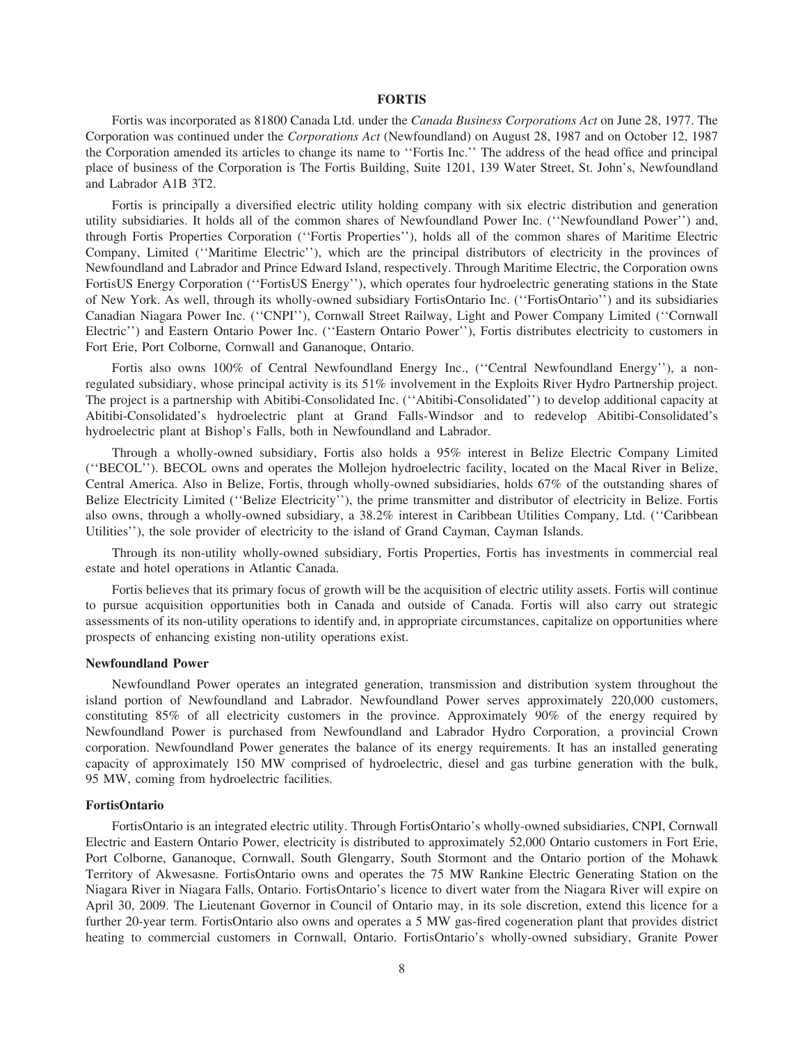## **FORTIS**

Fortis was incorporated as 81800 Canada Ltd. under the *Canada Business Corporations Act* on June 28, 1977. The Corporation was continued under the *Corporations Act* (Newfoundland) on August 28, 1987 and on October 12, 1987 the Corporation amended its articles to change its name to ''Fortis Inc.'' The address of the head office and principal place of business of the Corporation is The Fortis Building, Suite 1201, 139 Water Street, St. John's, Newfoundland and Labrador A1B 3T2.

Fortis is principally a diversified electric utility holding company with six electric distribution and generation utility subsidiaries. It holds all of the common shares of Newfoundland Power Inc. (''Newfoundland Power'') and, through Fortis Properties Corporation (''Fortis Properties''), holds all of the common shares of Maritime Electric Company, Limited (''Maritime Electric''), which are the principal distributors of electricity in the provinces of Newfoundland and Labrador and Prince Edward Island, respectively. Through Maritime Electric, the Corporation owns FortisUS Energy Corporation (''FortisUS Energy''), which operates four hydroelectric generating stations in the State of New York. As well, through its wholly-owned subsidiary FortisOntario Inc. (''FortisOntario'') and its subsidiaries Canadian Niagara Power Inc. (''CNPI''), Cornwall Street Railway, Light and Power Company Limited (''Cornwall Electric'') and Eastern Ontario Power Inc. (''Eastern Ontario Power''), Fortis distributes electricity to customers in Fort Erie, Port Colborne, Cornwall and Gananoque, Ontario.

Fortis also owns 100% of Central Newfoundland Energy Inc., (''Central Newfoundland Energy''), a nonregulated subsidiary, whose principal activity is its 51% involvement in the Exploits River Hydro Partnership project. The project is a partnership with Abitibi-Consolidated Inc. (''Abitibi-Consolidated'') to develop additional capacity at Abitibi-Consolidated's hydroelectric plant at Grand Falls-Windsor and to redevelop Abitibi-Consolidated's hydroelectric plant at Bishop's Falls, both in Newfoundland and Labrador.

Through a wholly-owned subsidiary, Fortis also holds a 95% interest in Belize Electric Company Limited (''BECOL''). BECOL owns and operates the Mollejon hydroelectric facility, located on the Macal River in Belize, Central America. Also in Belize, Fortis, through wholly-owned subsidiaries, holds 67% of the outstanding shares of Belize Electricity Limited (''Belize Electricity''), the prime transmitter and distributor of electricity in Belize. Fortis also owns, through a wholly-owned subsidiary, a 38.2% interest in Caribbean Utilities Company, Ltd. (''Caribbean Utilities''), the sole provider of electricity to the island of Grand Cayman, Cayman Islands.

Through its non-utility wholly-owned subsidiary, Fortis Properties, Fortis has investments in commercial real estate and hotel operations in Atlantic Canada.

Fortis believes that its primary focus of growth will be the acquisition of electric utility assets. Fortis will continue to pursue acquisition opportunities both in Canada and outside of Canada. Fortis will also carry out strategic assessments of its non-utility operations to identify and, in appropriate circumstances, capitalize on opportunities where prospects of enhancing existing non-utility operations exist.

#### **Newfoundland Power**

Newfoundland Power operates an integrated generation, transmission and distribution system throughout the island portion of Newfoundland and Labrador. Newfoundland Power serves approximately 220,000 customers, constituting 85% of all electricity customers in the province. Approximately 90% of the energy required by Newfoundland Power is purchased from Newfoundland and Labrador Hydro Corporation, a provincial Crown corporation. Newfoundland Power generates the balance of its energy requirements. It has an installed generating capacity of approximately 150 MW comprised of hydroelectric, diesel and gas turbine generation with the bulk, 95 MW, coming from hydroelectric facilities.

#### **FortisOntario**

FortisOntario is an integrated electric utility. Through FortisOntario's wholly-owned subsidiaries, CNPI, Cornwall Electric and Eastern Ontario Power, electricity is distributed to approximately 52,000 Ontario customers in Fort Erie, Port Colborne, Gananoque, Cornwall, South Glengarry, South Stormont and the Ontario portion of the Mohawk Territory of Akwesasne. FortisOntario owns and operates the 75 MW Rankine Electric Generating Station on the Niagara River in Niagara Falls, Ontario. FortisOntario's licence to divert water from the Niagara River will expire on April 30, 2009. The Lieutenant Governor in Council of Ontario may, in its sole discretion, extend this licence for a further 20-year term. FortisOntario also owns and operates a 5 MW gas-fired cogeneration plant that provides district heating to commercial customers in Cornwall, Ontario. FortisOntario's wholly-owned subsidiary, Granite Power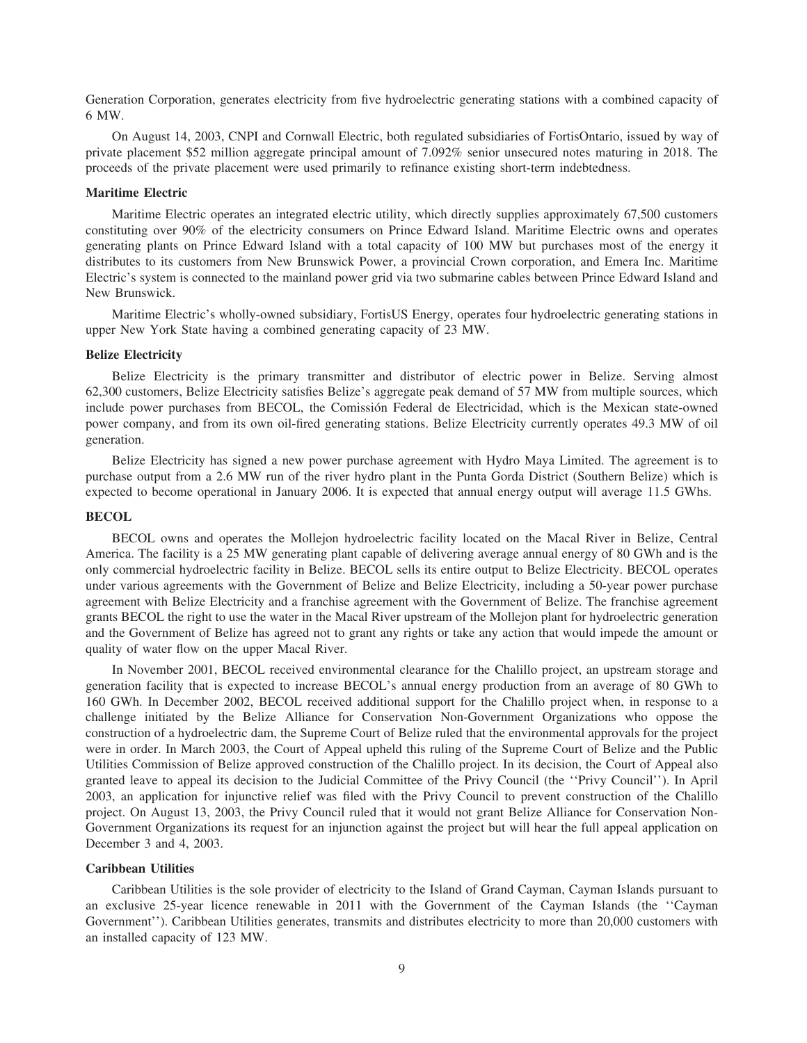Generation Corporation, generates electricity from five hydroelectric generating stations with a combined capacity of 6 MW.

On August 14, 2003, CNPI and Cornwall Electric, both regulated subsidiaries of FortisOntario, issued by way of private placement \$52 million aggregate principal amount of 7.092% senior unsecured notes maturing in 2018. The proceeds of the private placement were used primarily to refinance existing short-term indebtedness.

## **Maritime Electric**

Maritime Electric operates an integrated electric utility, which directly supplies approximately 67,500 customers constituting over 90% of the electricity consumers on Prince Edward Island. Maritime Electric owns and operates generating plants on Prince Edward Island with a total capacity of 100 MW but purchases most of the energy it distributes to its customers from New Brunswick Power, a provincial Crown corporation, and Emera Inc. Maritime Electric's system is connected to the mainland power grid via two submarine cables between Prince Edward Island and New Brunswick.

Maritime Electric's wholly-owned subsidiary, FortisUS Energy, operates four hydroelectric generating stations in upper New York State having a combined generating capacity of 23 MW.

## **Belize Electricity**

Belize Electricity is the primary transmitter and distributor of electric power in Belize. Serving almost 62,300 customers, Belize Electricity satisfies Belize's aggregate peak demand of 57 MW from multiple sources, which include power purchases from BECOL, the Comissión Federal de Electricidad, which is the Mexican state-owned power company, and from its own oil-fired generating stations. Belize Electricity currently operates 49.3 MW of oil generation.

Belize Electricity has signed a new power purchase agreement with Hydro Maya Limited. The agreement is to purchase output from a 2.6 MW run of the river hydro plant in the Punta Gorda District (Southern Belize) which is expected to become operational in January 2006. It is expected that annual energy output will average 11.5 GWhs.

#### **BECOL**

BECOL owns and operates the Mollejon hydroelectric facility located on the Macal River in Belize, Central America. The facility is a 25 MW generating plant capable of delivering average annual energy of 80 GWh and is the only commercial hydroelectric facility in Belize. BECOL sells its entire output to Belize Electricity. BECOL operates under various agreements with the Government of Belize and Belize Electricity, including a 50-year power purchase agreement with Belize Electricity and a franchise agreement with the Government of Belize. The franchise agreement grants BECOL the right to use the water in the Macal River upstream of the Mollejon plant for hydroelectric generation and the Government of Belize has agreed not to grant any rights or take any action that would impede the amount or quality of water flow on the upper Macal River.

In November 2001, BECOL received environmental clearance for the Chalillo project, an upstream storage and generation facility that is expected to increase BECOL's annual energy production from an average of 80 GWh to 160 GWh. In December 2002, BECOL received additional support for the Chalillo project when, in response to a challenge initiated by the Belize Alliance for Conservation Non-Government Organizations who oppose the construction of a hydroelectric dam, the Supreme Court of Belize ruled that the environmental approvals for the project were in order. In March 2003, the Court of Appeal upheld this ruling of the Supreme Court of Belize and the Public Utilities Commission of Belize approved construction of the Chalillo project. In its decision, the Court of Appeal also granted leave to appeal its decision to the Judicial Committee of the Privy Council (the ''Privy Council''). In April 2003, an application for injunctive relief was filed with the Privy Council to prevent construction of the Chalillo project. On August 13, 2003, the Privy Council ruled that it would not grant Belize Alliance for Conservation Non-Government Organizations its request for an injunction against the project but will hear the full appeal application on December 3 and 4, 2003.

## **Caribbean Utilities**

Caribbean Utilities is the sole provider of electricity to the Island of Grand Cayman, Cayman Islands pursuant to an exclusive 25-year licence renewable in 2011 with the Government of the Cayman Islands (the ''Cayman Government''). Caribbean Utilities generates, transmits and distributes electricity to more than 20,000 customers with an installed capacity of 123 MW.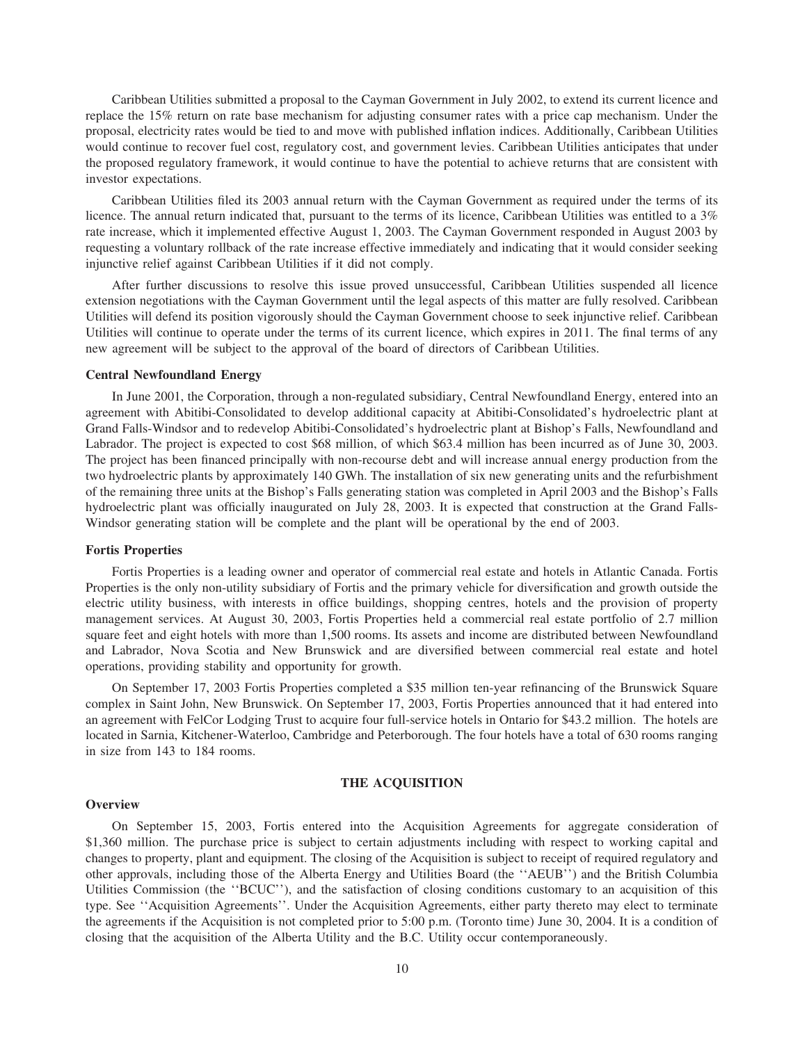Caribbean Utilities submitted a proposal to the Cayman Government in July 2002, to extend its current licence and replace the 15% return on rate base mechanism for adjusting consumer rates with a price cap mechanism. Under the proposal, electricity rates would be tied to and move with published inflation indices. Additionally, Caribbean Utilities would continue to recover fuel cost, regulatory cost, and government levies. Caribbean Utilities anticipates that under the proposed regulatory framework, it would continue to have the potential to achieve returns that are consistent with investor expectations.

Caribbean Utilities filed its 2003 annual return with the Cayman Government as required under the terms of its licence. The annual return indicated that, pursuant to the terms of its licence, Caribbean Utilities was entitled to a 3% rate increase, which it implemented effective August 1, 2003. The Cayman Government responded in August 2003 by requesting a voluntary rollback of the rate increase effective immediately and indicating that it would consider seeking injunctive relief against Caribbean Utilities if it did not comply.

After further discussions to resolve this issue proved unsuccessful, Caribbean Utilities suspended all licence extension negotiations with the Cayman Government until the legal aspects of this matter are fully resolved. Caribbean Utilities will defend its position vigorously should the Cayman Government choose to seek injunctive relief. Caribbean Utilities will continue to operate under the terms of its current licence, which expires in 2011. The final terms of any new agreement will be subject to the approval of the board of directors of Caribbean Utilities.

## **Central Newfoundland Energy**

In June 2001, the Corporation, through a non-regulated subsidiary, Central Newfoundland Energy, entered into an agreement with Abitibi-Consolidated to develop additional capacity at Abitibi-Consolidated's hydroelectric plant at Grand Falls-Windsor and to redevelop Abitibi-Consolidated's hydroelectric plant at Bishop's Falls, Newfoundland and Labrador. The project is expected to cost \$68 million, of which \$63.4 million has been incurred as of June 30, 2003. The project has been financed principally with non-recourse debt and will increase annual energy production from the two hydroelectric plants by approximately 140 GWh. The installation of six new generating units and the refurbishment of the remaining three units at the Bishop's Falls generating station was completed in April 2003 and the Bishop's Falls hydroelectric plant was officially inaugurated on July 28, 2003. It is expected that construction at the Grand Falls-Windsor generating station will be complete and the plant will be operational by the end of 2003.

## **Fortis Properties**

Fortis Properties is a leading owner and operator of commercial real estate and hotels in Atlantic Canada. Fortis Properties is the only non-utility subsidiary of Fortis and the primary vehicle for diversification and growth outside the electric utility business, with interests in office buildings, shopping centres, hotels and the provision of property management services. At August 30, 2003, Fortis Properties held a commercial real estate portfolio of 2.7 million square feet and eight hotels with more than 1,500 rooms. Its assets and income are distributed between Newfoundland and Labrador, Nova Scotia and New Brunswick and are diversified between commercial real estate and hotel operations, providing stability and opportunity for growth.

On September 17, 2003 Fortis Properties completed a \$35 million ten-year refinancing of the Brunswick Square complex in Saint John, New Brunswick. On September 17, 2003, Fortis Properties announced that it had entered into an agreement with FelCor Lodging Trust to acquire four full-service hotels in Ontario for \$43.2 million. The hotels are located in Sarnia, Kitchener-Waterloo, Cambridge and Peterborough. The four hotels have a total of 630 rooms ranging in size from 143 to 184 rooms.

## **THE ACQUISITION**

## **Overview**

On September 15, 2003, Fortis entered into the Acquisition Agreements for aggregate consideration of \$1,360 million. The purchase price is subject to certain adjustments including with respect to working capital and changes to property, plant and equipment. The closing of the Acquisition is subject to receipt of required regulatory and other approvals, including those of the Alberta Energy and Utilities Board (the ''AEUB'') and the British Columbia Utilities Commission (the ''BCUC''), and the satisfaction of closing conditions customary to an acquisition of this type. See ''Acquisition Agreements''. Under the Acquisition Agreements, either party thereto may elect to terminate the agreements if the Acquisition is not completed prior to 5:00 p.m. (Toronto time) June 30, 2004. It is a condition of closing that the acquisition of the Alberta Utility and the B.C. Utility occur contemporaneously.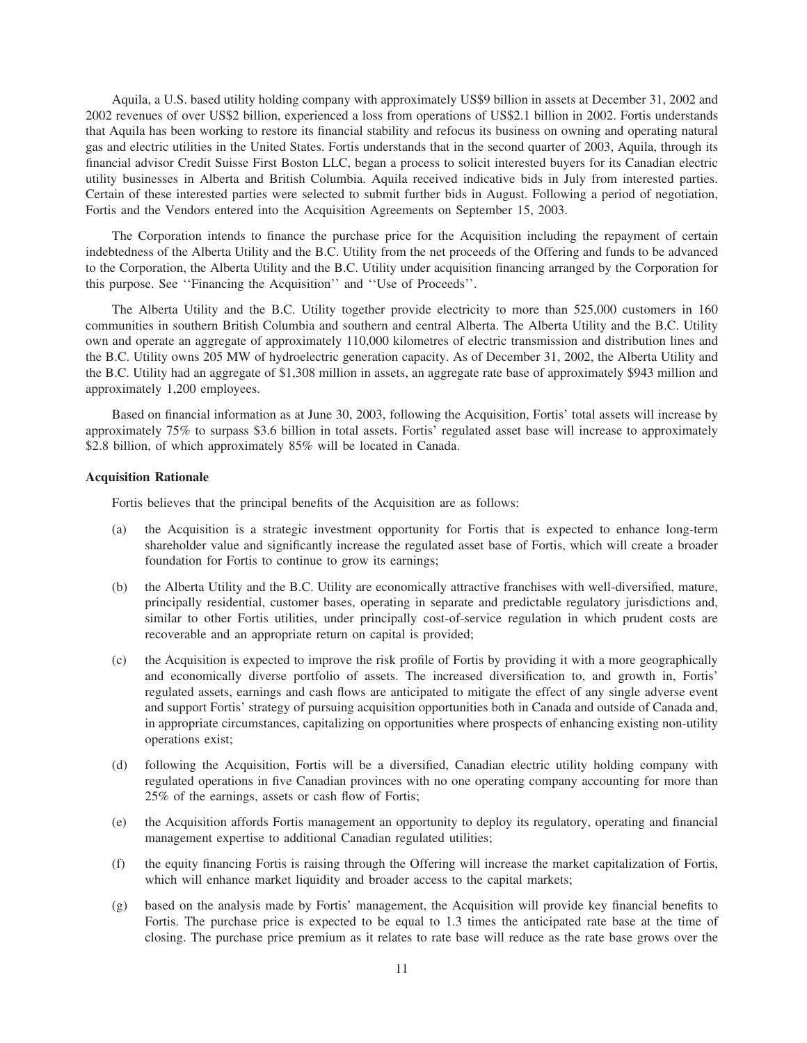Aquila, a U.S. based utility holding company with approximately US\$9 billion in assets at December 31, 2002 and 2002 revenues of over US\$2 billion, experienced a loss from operations of US\$2.1 billion in 2002. Fortis understands that Aquila has been working to restore its financial stability and refocus its business on owning and operating natural gas and electric utilities in the United States. Fortis understands that in the second quarter of 2003, Aquila, through its financial advisor Credit Suisse First Boston LLC, began a process to solicit interested buyers for its Canadian electric utility businesses in Alberta and British Columbia. Aquila received indicative bids in July from interested parties. Certain of these interested parties were selected to submit further bids in August. Following a period of negotiation, Fortis and the Vendors entered into the Acquisition Agreements on September 15, 2003.

The Corporation intends to finance the purchase price for the Acquisition including the repayment of certain indebtedness of the Alberta Utility and the B.C. Utility from the net proceeds of the Offering and funds to be advanced to the Corporation, the Alberta Utility and the B.C. Utility under acquisition financing arranged by the Corporation for this purpose. See ''Financing the Acquisition'' and ''Use of Proceeds''.

The Alberta Utility and the B.C. Utility together provide electricity to more than 525,000 customers in 160 communities in southern British Columbia and southern and central Alberta. The Alberta Utility and the B.C. Utility own and operate an aggregate of approximately 110,000 kilometres of electric transmission and distribution lines and the B.C. Utility owns 205 MW of hydroelectric generation capacity. As of December 31, 2002, the Alberta Utility and the B.C. Utility had an aggregate of \$1,308 million in assets, an aggregate rate base of approximately \$943 million and approximately 1,200 employees.

Based on financial information as at June 30, 2003, following the Acquisition, Fortis' total assets will increase by approximately 75% to surpass \$3.6 billion in total assets. Fortis' regulated asset base will increase to approximately \$2.8 billion, of which approximately 85% will be located in Canada.

## **Acquisition Rationale**

Fortis believes that the principal benefits of the Acquisition are as follows:

- (a) the Acquisition is a strategic investment opportunity for Fortis that is expected to enhance long-term shareholder value and significantly increase the regulated asset base of Fortis, which will create a broader foundation for Fortis to continue to grow its earnings;
- (b) the Alberta Utility and the B.C. Utility are economically attractive franchises with well-diversified, mature, principally residential, customer bases, operating in separate and predictable regulatory jurisdictions and, similar to other Fortis utilities, under principally cost-of-service regulation in which prudent costs are recoverable and an appropriate return on capital is provided;
- (c) the Acquisition is expected to improve the risk profile of Fortis by providing it with a more geographically and economically diverse portfolio of assets. The increased diversification to, and growth in, Fortis' regulated assets, earnings and cash flows are anticipated to mitigate the effect of any single adverse event and support Fortis' strategy of pursuing acquisition opportunities both in Canada and outside of Canada and, in appropriate circumstances, capitalizing on opportunities where prospects of enhancing existing non-utility operations exist;
- (d) following the Acquisition, Fortis will be a diversified, Canadian electric utility holding company with regulated operations in five Canadian provinces with no one operating company accounting for more than 25% of the earnings, assets or cash flow of Fortis;
- (e) the Acquisition affords Fortis management an opportunity to deploy its regulatory, operating and financial management expertise to additional Canadian regulated utilities;
- (f) the equity financing Fortis is raising through the Offering will increase the market capitalization of Fortis, which will enhance market liquidity and broader access to the capital markets;
- (g) based on the analysis made by Fortis' management, the Acquisition will provide key financial benefits to Fortis. The purchase price is expected to be equal to 1.3 times the anticipated rate base at the time of closing. The purchase price premium as it relates to rate base will reduce as the rate base grows over the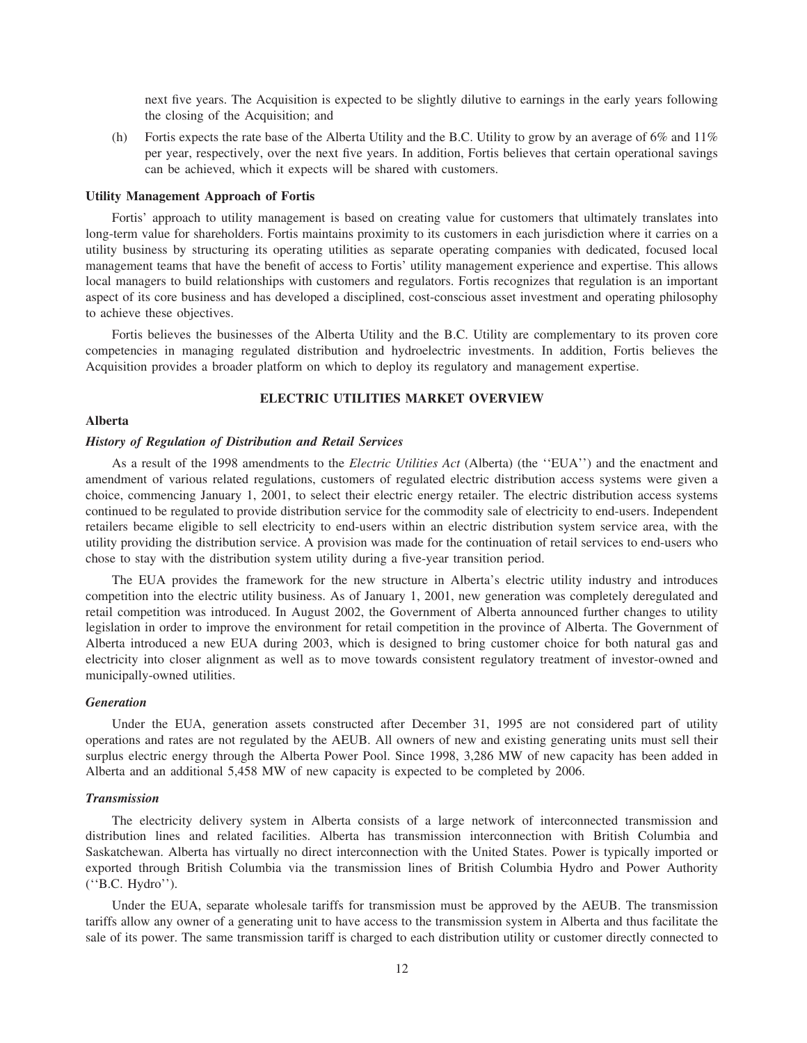next five years. The Acquisition is expected to be slightly dilutive to earnings in the early years following the closing of the Acquisition; and

(h) Fortis expects the rate base of the Alberta Utility and the B.C. Utility to grow by an average of 6% and  $11\%$ per year, respectively, over the next five years. In addition, Fortis believes that certain operational savings can be achieved, which it expects will be shared with customers.

## **Utility Management Approach of Fortis**

Fortis' approach to utility management is based on creating value for customers that ultimately translates into long-term value for shareholders. Fortis maintains proximity to its customers in each jurisdiction where it carries on a utility business by structuring its operating utilities as separate operating companies with dedicated, focused local management teams that have the benefit of access to Fortis' utility management experience and expertise. This allows local managers to build relationships with customers and regulators. Fortis recognizes that regulation is an important aspect of its core business and has developed a disciplined, cost-conscious asset investment and operating philosophy to achieve these objectives.

Fortis believes the businesses of the Alberta Utility and the B.C. Utility are complementary to its proven core competencies in managing regulated distribution and hydroelectric investments. In addition, Fortis believes the Acquisition provides a broader platform on which to deploy its regulatory and management expertise.

## **ELECTRIC UTILITIES MARKET OVERVIEW**

## **Alberta**

## *History of Regulation of Distribution and Retail Services*

As a result of the 1998 amendments to the *Electric Utilities Act* (Alberta) (the ''EUA'') and the enactment and amendment of various related regulations, customers of regulated electric distribution access systems were given a choice, commencing January 1, 2001, to select their electric energy retailer. The electric distribution access systems continued to be regulated to provide distribution service for the commodity sale of electricity to end-users. Independent retailers became eligible to sell electricity to end-users within an electric distribution system service area, with the utility providing the distribution service. A provision was made for the continuation of retail services to end-users who chose to stay with the distribution system utility during a five-year transition period.

The EUA provides the framework for the new structure in Alberta's electric utility industry and introduces competition into the electric utility business. As of January 1, 2001, new generation was completely deregulated and retail competition was introduced. In August 2002, the Government of Alberta announced further changes to utility legislation in order to improve the environment for retail competition in the province of Alberta. The Government of Alberta introduced a new EUA during 2003, which is designed to bring customer choice for both natural gas and electricity into closer alignment as well as to move towards consistent regulatory treatment of investor-owned and municipally-owned utilities.

## *Generation*

Under the EUA, generation assets constructed after December 31, 1995 are not considered part of utility operations and rates are not regulated by the AEUB. All owners of new and existing generating units must sell their surplus electric energy through the Alberta Power Pool. Since 1998, 3,286 MW of new capacity has been added in Alberta and an additional 5,458 MW of new capacity is expected to be completed by 2006.

#### *Transmission*

The electricity delivery system in Alberta consists of a large network of interconnected transmission and distribution lines and related facilities. Alberta has transmission interconnection with British Columbia and Saskatchewan. Alberta has virtually no direct interconnection with the United States. Power is typically imported or exported through British Columbia via the transmission lines of British Columbia Hydro and Power Authority (''B.C. Hydro'').

Under the EUA, separate wholesale tariffs for transmission must be approved by the AEUB. The transmission tariffs allow any owner of a generating unit to have access to the transmission system in Alberta and thus facilitate the sale of its power. The same transmission tariff is charged to each distribution utility or customer directly connected to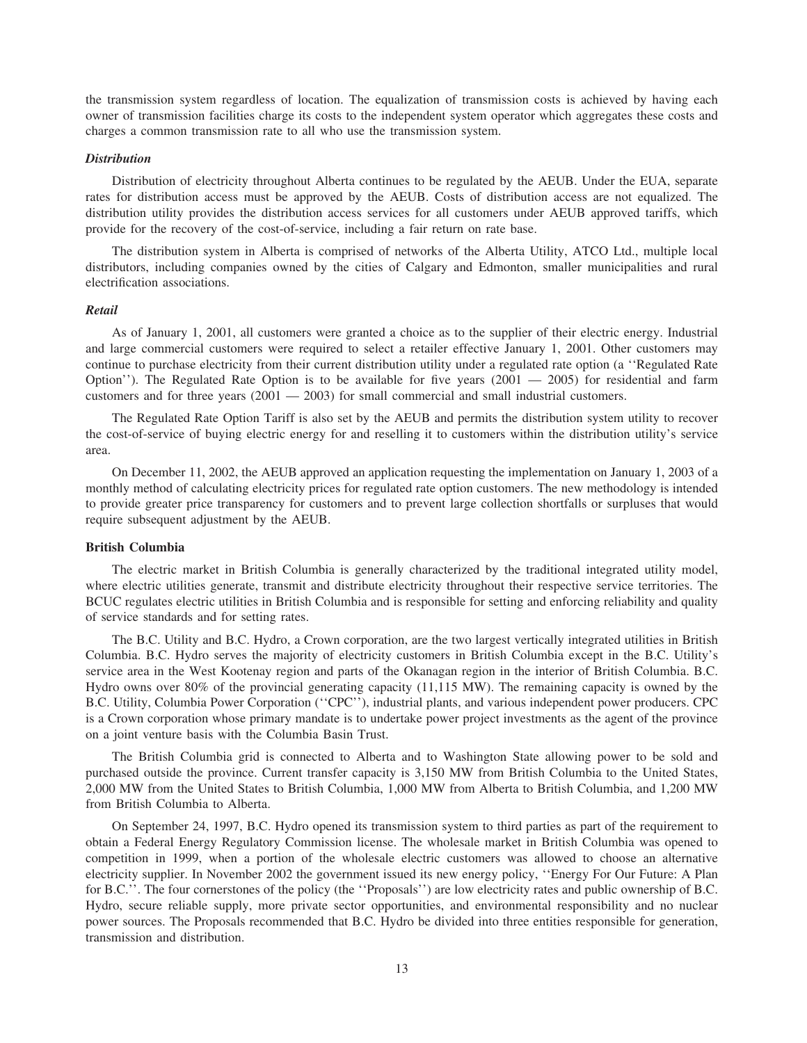the transmission system regardless of location. The equalization of transmission costs is achieved by having each owner of transmission facilities charge its costs to the independent system operator which aggregates these costs and charges a common transmission rate to all who use the transmission system.

## *Distribution*

Distribution of electricity throughout Alberta continues to be regulated by the AEUB. Under the EUA, separate rates for distribution access must be approved by the AEUB. Costs of distribution access are not equalized. The distribution utility provides the distribution access services for all customers under AEUB approved tariffs, which provide for the recovery of the cost-of-service, including a fair return on rate base.

The distribution system in Alberta is comprised of networks of the Alberta Utility, ATCO Ltd., multiple local distributors, including companies owned by the cities of Calgary and Edmonton, smaller municipalities and rural electrification associations.

## *Retail*

As of January 1, 2001, all customers were granted a choice as to the supplier of their electric energy. Industrial and large commercial customers were required to select a retailer effective January 1, 2001. Other customers may continue to purchase electricity from their current distribution utility under a regulated rate option (a ''Regulated Rate Option''). The Regulated Rate Option is to be available for five years  $(2001 - 2005)$  for residential and farm customers and for three years  $(2001 - 2003)$  for small commercial and small industrial customers.

The Regulated Rate Option Tariff is also set by the AEUB and permits the distribution system utility to recover the cost-of-service of buying electric energy for and reselling it to customers within the distribution utility's service area.

On December 11, 2002, the AEUB approved an application requesting the implementation on January 1, 2003 of a monthly method of calculating electricity prices for regulated rate option customers. The new methodology is intended to provide greater price transparency for customers and to prevent large collection shortfalls or surpluses that would require subsequent adjustment by the AEUB.

## **British Columbia**

The electric market in British Columbia is generally characterized by the traditional integrated utility model, where electric utilities generate, transmit and distribute electricity throughout their respective service territories. The BCUC regulates electric utilities in British Columbia and is responsible for setting and enforcing reliability and quality of service standards and for setting rates.

The B.C. Utility and B.C. Hydro, a Crown corporation, are the two largest vertically integrated utilities in British Columbia. B.C. Hydro serves the majority of electricity customers in British Columbia except in the B.C. Utility's service area in the West Kootenay region and parts of the Okanagan region in the interior of British Columbia. B.C. Hydro owns over 80% of the provincial generating capacity (11,115 MW). The remaining capacity is owned by the B.C. Utility, Columbia Power Corporation (''CPC''), industrial plants, and various independent power producers. CPC is a Crown corporation whose primary mandate is to undertake power project investments as the agent of the province on a joint venture basis with the Columbia Basin Trust.

The British Columbia grid is connected to Alberta and to Washington State allowing power to be sold and purchased outside the province. Current transfer capacity is 3,150 MW from British Columbia to the United States, 2,000 MW from the United States to British Columbia, 1,000 MW from Alberta to British Columbia, and 1,200 MW from British Columbia to Alberta.

On September 24, 1997, B.C. Hydro opened its transmission system to third parties as part of the requirement to obtain a Federal Energy Regulatory Commission license. The wholesale market in British Columbia was opened to competition in 1999, when a portion of the wholesale electric customers was allowed to choose an alternative electricity supplier. In November 2002 the government issued its new energy policy, ''Energy For Our Future: A Plan for B.C.''. The four cornerstones of the policy (the ''Proposals'') are low electricity rates and public ownership of B.C. Hydro, secure reliable supply, more private sector opportunities, and environmental responsibility and no nuclear power sources. The Proposals recommended that B.C. Hydro be divided into three entities responsible for generation, transmission and distribution.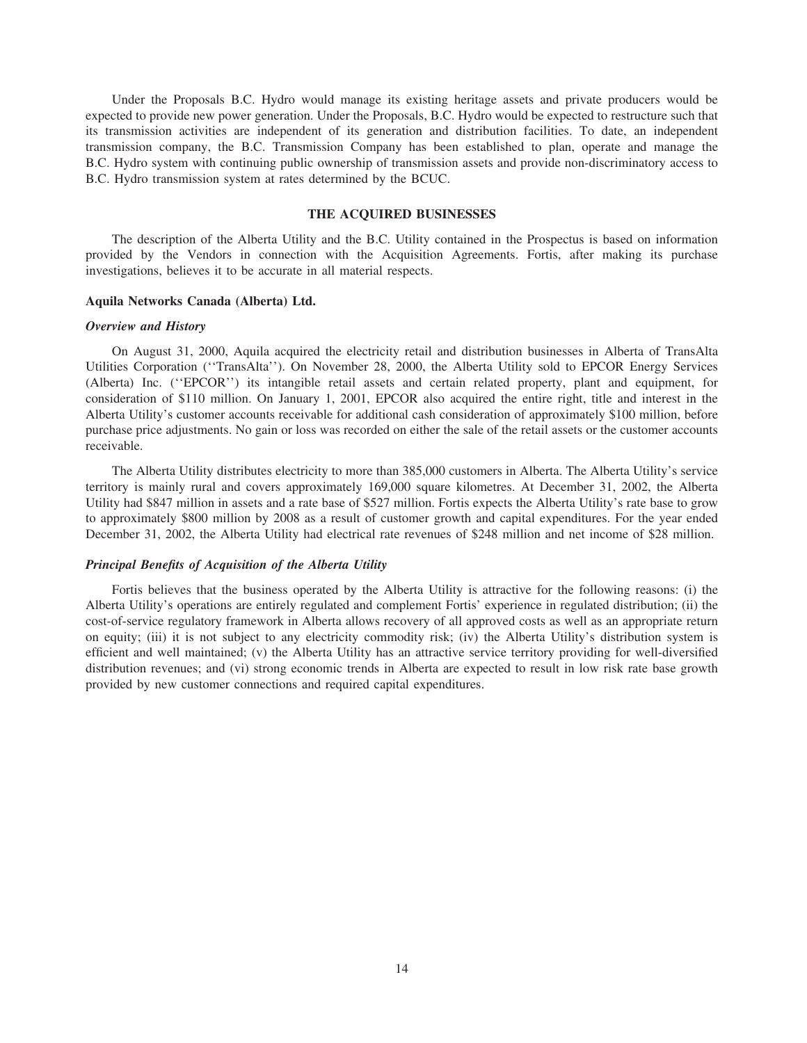Under the Proposals B.C. Hydro would manage its existing heritage assets and private producers would be expected to provide new power generation. Under the Proposals, B.C. Hydro would be expected to restructure such that its transmission activities are independent of its generation and distribution facilities. To date, an independent transmission company, the B.C. Transmission Company has been established to plan, operate and manage the B.C. Hydro system with continuing public ownership of transmission assets and provide non-discriminatory access to B.C. Hydro transmission system at rates determined by the BCUC.

## **THE ACQUIRED BUSINESSES**

The description of the Alberta Utility and the B.C. Utility contained in the Prospectus is based on information provided by the Vendors in connection with the Acquisition Agreements. Fortis, after making its purchase investigations, believes it to be accurate in all material respects.

#### **Aquila Networks Canada (Alberta) Ltd.**

## *Overview and History*

On August 31, 2000, Aquila acquired the electricity retail and distribution businesses in Alberta of TransAlta Utilities Corporation (''TransAlta''). On November 28, 2000, the Alberta Utility sold to EPCOR Energy Services (Alberta) Inc. (''EPCOR'') its intangible retail assets and certain related property, plant and equipment, for consideration of \$110 million. On January 1, 2001, EPCOR also acquired the entire right, title and interest in the Alberta Utility's customer accounts receivable for additional cash consideration of approximately \$100 million, before purchase price adjustments. No gain or loss was recorded on either the sale of the retail assets or the customer accounts receivable.

The Alberta Utility distributes electricity to more than 385,000 customers in Alberta. The Alberta Utility's service territory is mainly rural and covers approximately 169,000 square kilometres. At December 31, 2002, the Alberta Utility had \$847 million in assets and a rate base of \$527 million. Fortis expects the Alberta Utility's rate base to grow to approximately \$800 million by 2008 as a result of customer growth and capital expenditures. For the year ended December 31, 2002, the Alberta Utility had electrical rate revenues of \$248 million and net income of \$28 million.

## *Principal Benefits of Acquisition of the Alberta Utility*

Fortis believes that the business operated by the Alberta Utility is attractive for the following reasons: (i) the Alberta Utility's operations are entirely regulated and complement Fortis' experience in regulated distribution; (ii) the cost-of-service regulatory framework in Alberta allows recovery of all approved costs as well as an appropriate return on equity; (iii) it is not subject to any electricity commodity risk; (iv) the Alberta Utility's distribution system is efficient and well maintained; (v) the Alberta Utility has an attractive service territory providing for well-diversified distribution revenues; and (vi) strong economic trends in Alberta are expected to result in low risk rate base growth provided by new customer connections and required capital expenditures.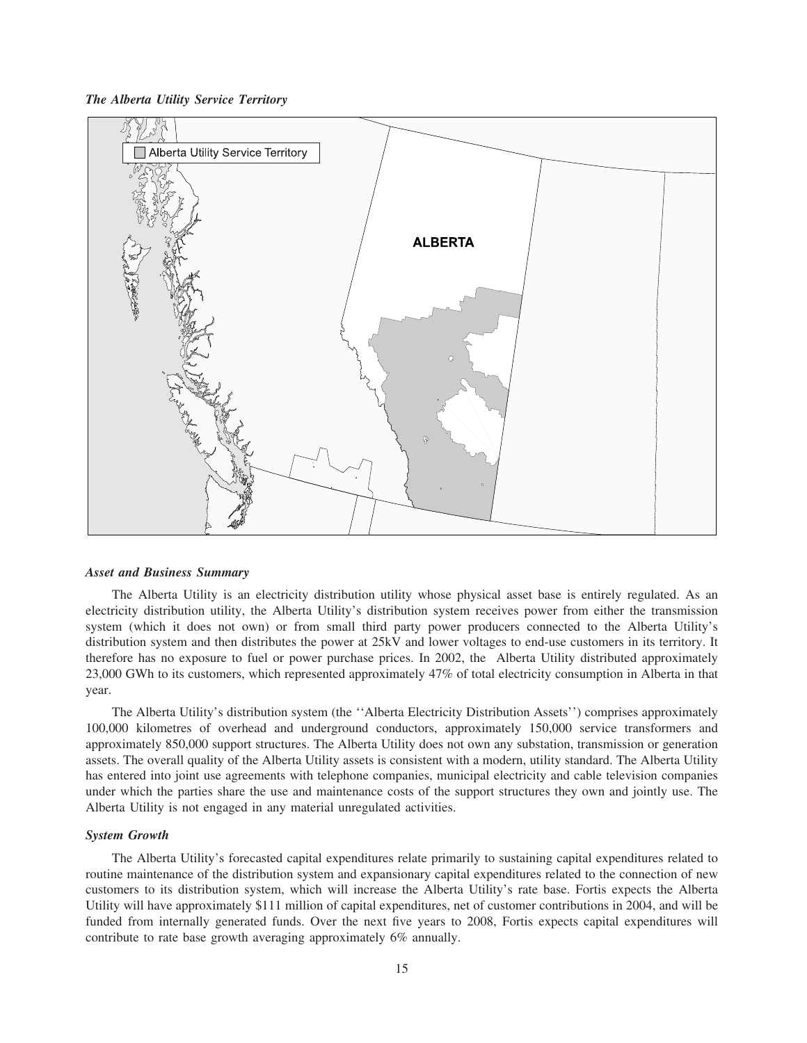



## *Asset and Business Summary*

The Alberta Utility is an electricity distribution utility whose physical asset base is entirely regulated. As an electricity distribution utility, the Alberta Utility's distribution system receives power from either the transmission system (which it does not own) or from small third party power producers connected to the Alberta Utility's distribution system and then distributes the power at 25kV and lower voltages to end-use customers in its territory. It therefore has no exposure to fuel or power purchase prices. In 2002, the Alberta Utility distributed approximately 23,000 GWh to its customers, which represented approximately 47% of total electricity consumption in Alberta in that year.

The Alberta Utility's distribution system (the ''Alberta Electricity Distribution Assets'') comprises approximately 100,000 kilometres of overhead and underground conductors, approximately 150,000 service transformers and approximately 850,000 support structures. The Alberta Utility does not own any substation, transmission or generation assets. The overall quality of the Alberta Utility assets is consistent with a modern, utility standard. The Alberta Utility has entered into joint use agreements with telephone companies, municipal electricity and cable television companies under which the parties share the use and maintenance costs of the support structures they own and jointly use. The Alberta Utility is not engaged in any material unregulated activities.

## *System Growth*

The Alberta Utility's forecasted capital expenditures relate primarily to sustaining capital expenditures related to routine maintenance of the distribution system and expansionary capital expenditures related to the connection of new customers to its distribution system, which will increase the Alberta Utility's rate base. Fortis expects the Alberta Utility will have approximately \$111 million of capital expenditures, net of customer contributions in 2004, and will be funded from internally generated funds. Over the next five years to 2008, Fortis expects capital expenditures will contribute to rate base growth averaging approximately 6% annually.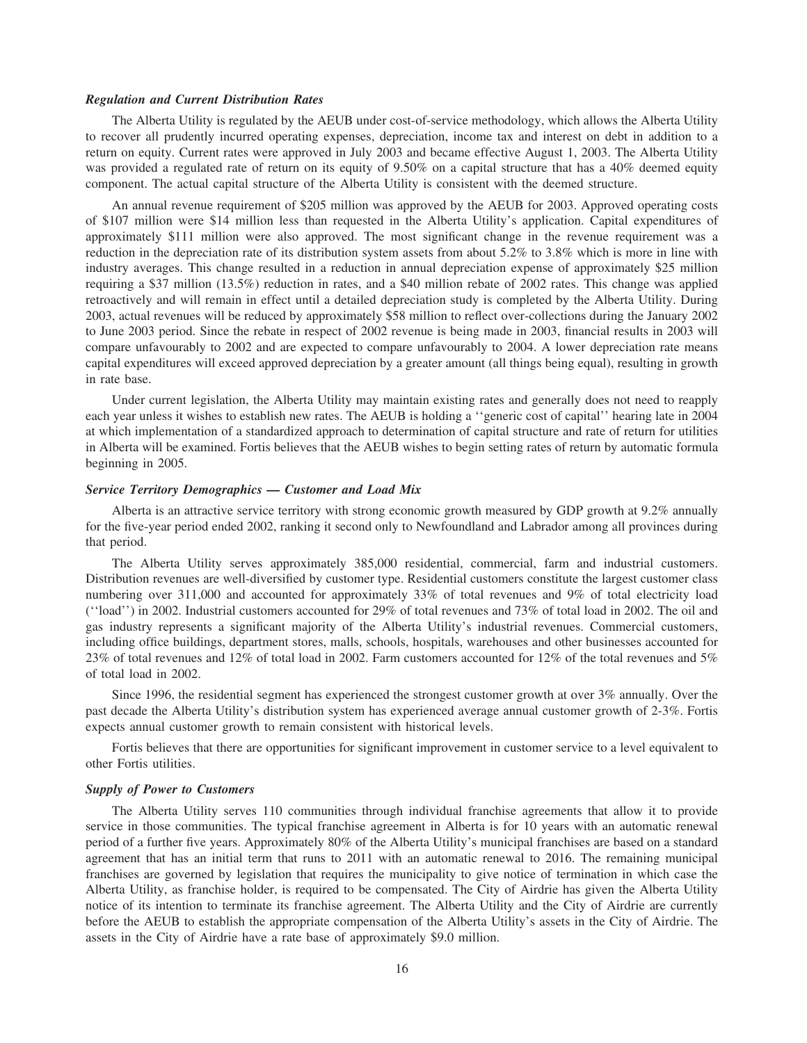## *Regulation and Current Distribution Rates*

The Alberta Utility is regulated by the AEUB under cost-of-service methodology, which allows the Alberta Utility to recover all prudently incurred operating expenses, depreciation, income tax and interest on debt in addition to a return on equity. Current rates were approved in July 2003 and became effective August 1, 2003. The Alberta Utility was provided a regulated rate of return on its equity of 9.50% on a capital structure that has a 40% deemed equity component. The actual capital structure of the Alberta Utility is consistent with the deemed structure.

An annual revenue requirement of \$205 million was approved by the AEUB for 2003. Approved operating costs of \$107 million were \$14 million less than requested in the Alberta Utility's application. Capital expenditures of approximately \$111 million were also approved. The most significant change in the revenue requirement was a reduction in the depreciation rate of its distribution system assets from about 5.2% to 3.8% which is more in line with industry averages. This change resulted in a reduction in annual depreciation expense of approximately \$25 million requiring a \$37 million (13.5%) reduction in rates, and a \$40 million rebate of 2002 rates. This change was applied retroactively and will remain in effect until a detailed depreciation study is completed by the Alberta Utility. During 2003, actual revenues will be reduced by approximately \$58 million to reflect over-collections during the January 2002 to June 2003 period. Since the rebate in respect of 2002 revenue is being made in 2003, financial results in 2003 will compare unfavourably to 2002 and are expected to compare unfavourably to 2004. A lower depreciation rate means capital expenditures will exceed approved depreciation by a greater amount (all things being equal), resulting in growth in rate base.

Under current legislation, the Alberta Utility may maintain existing rates and generally does not need to reapply each year unless it wishes to establish new rates. The AEUB is holding a ''generic cost of capital'' hearing late in 2004 at which implementation of a standardized approach to determination of capital structure and rate of return for utilities in Alberta will be examined. Fortis believes that the AEUB wishes to begin setting rates of return by automatic formula beginning in 2005.

#### *Service Territory Demographics — Customer and Load Mix*

Alberta is an attractive service territory with strong economic growth measured by GDP growth at 9.2% annually for the five-year period ended 2002, ranking it second only to Newfoundland and Labrador among all provinces during that period.

The Alberta Utility serves approximately 385,000 residential, commercial, farm and industrial customers. Distribution revenues are well-diversified by customer type. Residential customers constitute the largest customer class numbering over 311,000 and accounted for approximately 33% of total revenues and 9% of total electricity load (''load'') in 2002. Industrial customers accounted for 29% of total revenues and 73% of total load in 2002. The oil and gas industry represents a significant majority of the Alberta Utility's industrial revenues. Commercial customers, including office buildings, department stores, malls, schools, hospitals, warehouses and other businesses accounted for 23% of total revenues and 12% of total load in 2002. Farm customers accounted for 12% of the total revenues and 5% of total load in 2002.

Since 1996, the residential segment has experienced the strongest customer growth at over 3% annually. Over the past decade the Alberta Utility's distribution system has experienced average annual customer growth of 2-3%. Fortis expects annual customer growth to remain consistent with historical levels.

Fortis believes that there are opportunities for significant improvement in customer service to a level equivalent to other Fortis utilities.

## *Supply of Power to Customers*

The Alberta Utility serves 110 communities through individual franchise agreements that allow it to provide service in those communities. The typical franchise agreement in Alberta is for 10 years with an automatic renewal period of a further five years. Approximately 80% of the Alberta Utility's municipal franchises are based on a standard agreement that has an initial term that runs to 2011 with an automatic renewal to 2016. The remaining municipal franchises are governed by legislation that requires the municipality to give notice of termination in which case the Alberta Utility, as franchise holder, is required to be compensated. The City of Airdrie has given the Alberta Utility notice of its intention to terminate its franchise agreement. The Alberta Utility and the City of Airdrie are currently before the AEUB to establish the appropriate compensation of the Alberta Utility's assets in the City of Airdrie. The assets in the City of Airdrie have a rate base of approximately \$9.0 million.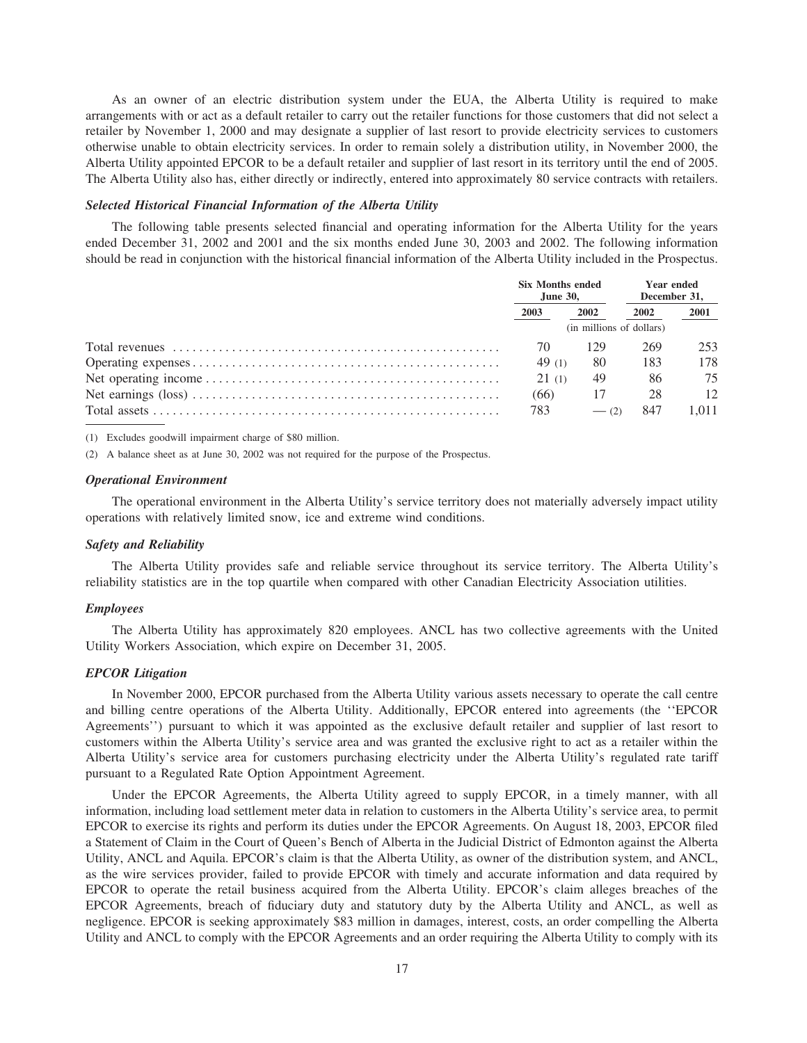As an owner of an electric distribution system under the EUA, the Alberta Utility is required to make arrangements with or act as a default retailer to carry out the retailer functions for those customers that did not select a retailer by November 1, 2000 and may designate a supplier of last resort to provide electricity services to customers otherwise unable to obtain electricity services. In order to remain solely a distribution utility, in November 2000, the Alberta Utility appointed EPCOR to be a default retailer and supplier of last resort in its territory until the end of 2005. The Alberta Utility also has, either directly or indirectly, entered into approximately 80 service contracts with retailers.

## *Selected Historical Financial Information of the Alberta Utility*

The following table presents selected financial and operating information for the Alberta Utility for the years ended December 31, 2002 and 2001 and the six months ended June 30, 2003 and 2002. The following information should be read in conjunction with the historical financial information of the Alberta Utility included in the Prospectus.

| <b>Six Months ended</b><br><b>June 30,</b> |      | Year ended<br>December 31. |       |
|--------------------------------------------|------|----------------------------|-------|
| 2003                                       | 2002 | 2002                       | 2001  |
| (in millions of dollars)                   |      |                            |       |
| 70                                         | 129  | 269                        | 253   |
| 49 $(1)$                                   | 80   | 183                        | 178   |
| 21(1)                                      | 49   | 86                         | 75    |
| (66)                                       | 17   | 28                         | 12    |
| 783                                        |      | 847                        | 1.011 |

(1) Excludes goodwill impairment charge of \$80 million.

(2) A balance sheet as at June 30, 2002 was not required for the purpose of the Prospectus.

#### *Operational Environment*

The operational environment in the Alberta Utility's service territory does not materially adversely impact utility operations with relatively limited snow, ice and extreme wind conditions.

#### *Safety and Reliability*

The Alberta Utility provides safe and reliable service throughout its service territory. The Alberta Utility's reliability statistics are in the top quartile when compared with other Canadian Electricity Association utilities.

## *Employees*

The Alberta Utility has approximately 820 employees. ANCL has two collective agreements with the United Utility Workers Association, which expire on December 31, 2005.

## *EPCOR Litigation*

In November 2000, EPCOR purchased from the Alberta Utility various assets necessary to operate the call centre and billing centre operations of the Alberta Utility. Additionally, EPCOR entered into agreements (the ''EPCOR Agreements'') pursuant to which it was appointed as the exclusive default retailer and supplier of last resort to customers within the Alberta Utility's service area and was granted the exclusive right to act as a retailer within the Alberta Utility's service area for customers purchasing electricity under the Alberta Utility's regulated rate tariff pursuant to a Regulated Rate Option Appointment Agreement.

Under the EPCOR Agreements, the Alberta Utility agreed to supply EPCOR, in a timely manner, with all information, including load settlement meter data in relation to customers in the Alberta Utility's service area, to permit EPCOR to exercise its rights and perform its duties under the EPCOR Agreements. On August 18, 2003, EPCOR filed a Statement of Claim in the Court of Queen's Bench of Alberta in the Judicial District of Edmonton against the Alberta Utility, ANCL and Aquila. EPCOR's claim is that the Alberta Utility, as owner of the distribution system, and ANCL, as the wire services provider, failed to provide EPCOR with timely and accurate information and data required by EPCOR to operate the retail business acquired from the Alberta Utility. EPCOR's claim alleges breaches of the EPCOR Agreements, breach of fiduciary duty and statutory duty by the Alberta Utility and ANCL, as well as negligence. EPCOR is seeking approximately \$83 million in damages, interest, costs, an order compelling the Alberta Utility and ANCL to comply with the EPCOR Agreements and an order requiring the Alberta Utility to comply with its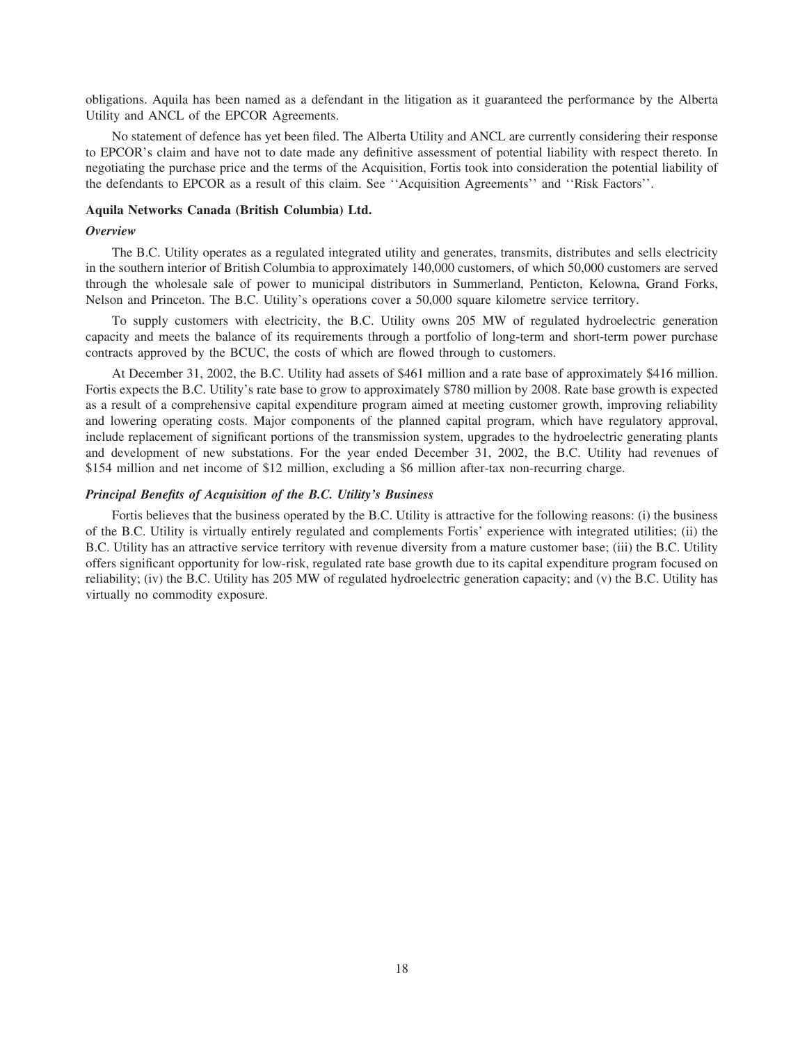obligations. Aquila has been named as a defendant in the litigation as it guaranteed the performance by the Alberta Utility and ANCL of the EPCOR Agreements.

No statement of defence has yet been filed. The Alberta Utility and ANCL are currently considering their response to EPCOR's claim and have not to date made any definitive assessment of potential liability with respect thereto. In negotiating the purchase price and the terms of the Acquisition, Fortis took into consideration the potential liability of the defendants to EPCOR as a result of this claim. See ''Acquisition Agreements'' and ''Risk Factors''.

## **Aquila Networks Canada (British Columbia) Ltd.**

#### *Overview*

The B.C. Utility operates as a regulated integrated utility and generates, transmits, distributes and sells electricity in the southern interior of British Columbia to approximately 140,000 customers, of which 50,000 customers are served through the wholesale sale of power to municipal distributors in Summerland, Penticton, Kelowna, Grand Forks, Nelson and Princeton. The B.C. Utility's operations cover a 50,000 square kilometre service territory.

To supply customers with electricity, the B.C. Utility owns 205 MW of regulated hydroelectric generation capacity and meets the balance of its requirements through a portfolio of long-term and short-term power purchase contracts approved by the BCUC, the costs of which are flowed through to customers.

At December 31, 2002, the B.C. Utility had assets of \$461 million and a rate base of approximately \$416 million. Fortis expects the B.C. Utility's rate base to grow to approximately \$780 million by 2008. Rate base growth is expected as a result of a comprehensive capital expenditure program aimed at meeting customer growth, improving reliability and lowering operating costs. Major components of the planned capital program, which have regulatory approval, include replacement of significant portions of the transmission system, upgrades to the hydroelectric generating plants and development of new substations. For the year ended December 31, 2002, the B.C. Utility had revenues of \$154 million and net income of \$12 million, excluding a \$6 million after-tax non-recurring charge.

## *Principal Benefits of Acquisition of the B.C. Utility's Business*

Fortis believes that the business operated by the B.C. Utility is attractive for the following reasons: (i) the business of the B.C. Utility is virtually entirely regulated and complements Fortis' experience with integrated utilities; (ii) the B.C. Utility has an attractive service territory with revenue diversity from a mature customer base; (iii) the B.C. Utility offers significant opportunity for low-risk, regulated rate base growth due to its capital expenditure program focused on reliability; (iv) the B.C. Utility has 205 MW of regulated hydroelectric generation capacity; and (v) the B.C. Utility has virtually no commodity exposure.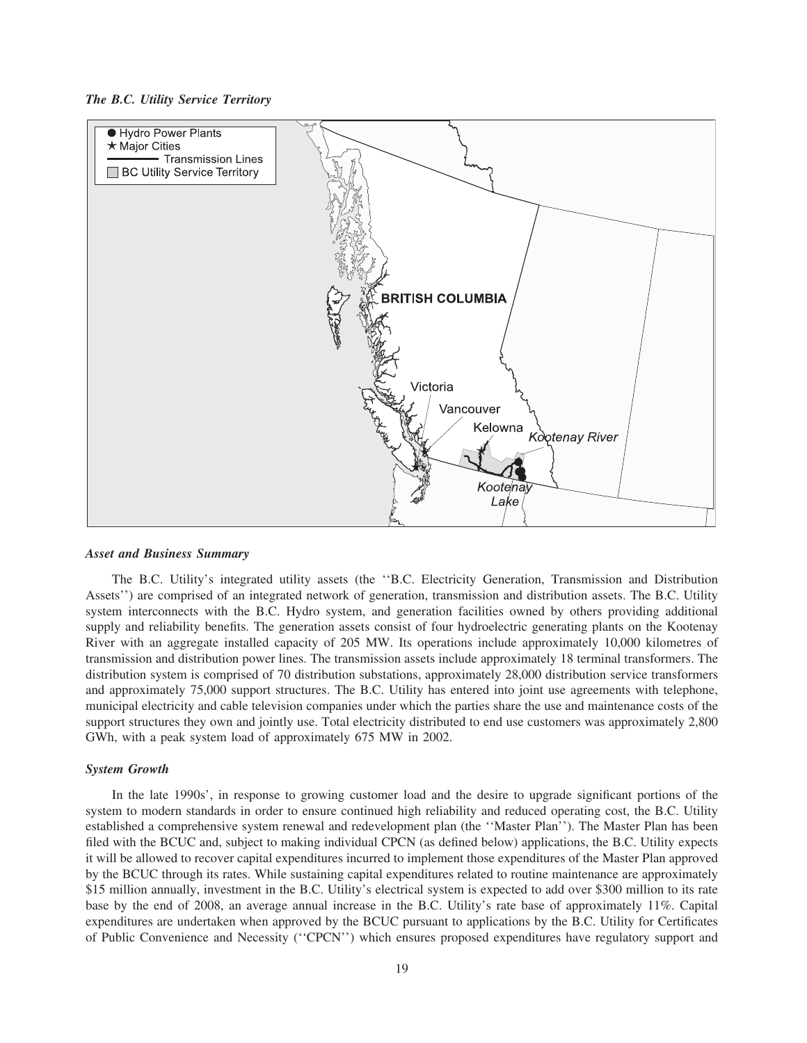## *The B.C. Utility Service Territory*



#### *Asset and Business Summary*

The B.C. Utility's integrated utility assets (the ''B.C. Electricity Generation, Transmission and Distribution Assets'') are comprised of an integrated network of generation, transmission and distribution assets. The B.C. Utility system interconnects with the B.C. Hydro system, and generation facilities owned by others providing additional supply and reliability benefits. The generation assets consist of four hydroelectric generating plants on the Kootenay River with an aggregate installed capacity of 205 MW. Its operations include approximately 10,000 kilometres of transmission and distribution power lines. The transmission assets include approximately 18 terminal transformers. The distribution system is comprised of 70 distribution substations, approximately 28,000 distribution service transformers and approximately 75,000 support structures. The B.C. Utility has entered into joint use agreements with telephone, municipal electricity and cable television companies under which the parties share the use and maintenance costs of the support structures they own and jointly use. Total electricity distributed to end use customers was approximately 2,800 GWh, with a peak system load of approximately 675 MW in 2002.

## *System Growth*

In the late 1990s', in response to growing customer load and the desire to upgrade significant portions of the system to modern standards in order to ensure continued high reliability and reduced operating cost, the B.C. Utility established a comprehensive system renewal and redevelopment plan (the ''Master Plan''). The Master Plan has been filed with the BCUC and, subject to making individual CPCN (as defined below) applications, the B.C. Utility expects it will be allowed to recover capital expenditures incurred to implement those expenditures of the Master Plan approved by the BCUC through its rates. While sustaining capital expenditures related to routine maintenance are approximately \$15 million annually, investment in the B.C. Utility's electrical system is expected to add over \$300 million to its rate base by the end of 2008, an average annual increase in the B.C. Utility's rate base of approximately 11%. Capital expenditures are undertaken when approved by the BCUC pursuant to applications by the B.C. Utility for Certificates of Public Convenience and Necessity (''CPCN'') which ensures proposed expenditures have regulatory support and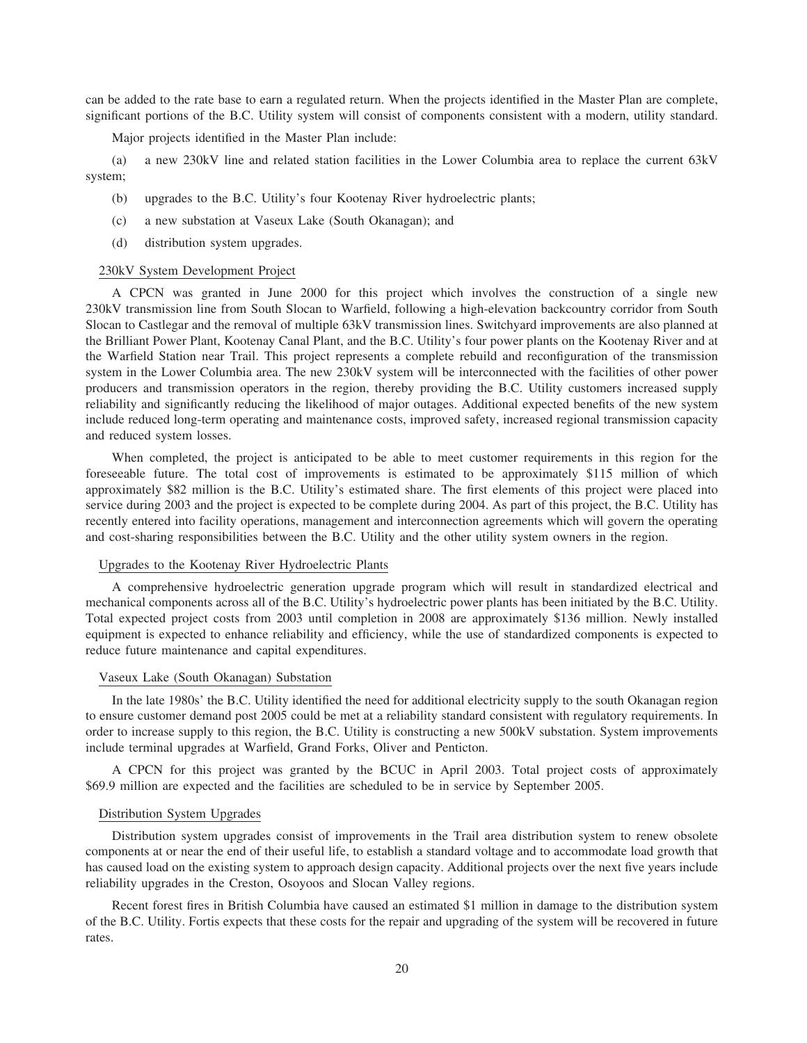can be added to the rate base to earn a regulated return. When the projects identified in the Master Plan are complete, significant portions of the B.C. Utility system will consist of components consistent with a modern, utility standard.

Major projects identified in the Master Plan include:

(a) a new 230kV line and related station facilities in the Lower Columbia area to replace the current 63kV system;

- (b) upgrades to the B.C. Utility's four Kootenay River hydroelectric plants;
- (c) a new substation at Vaseux Lake (South Okanagan); and
- (d) distribution system upgrades.

## 230kV System Development Project

A CPCN was granted in June 2000 for this project which involves the construction of a single new 230kV transmission line from South Slocan to Warfield, following a high-elevation backcountry corridor from South Slocan to Castlegar and the removal of multiple 63kV transmission lines. Switchyard improvements are also planned at the Brilliant Power Plant, Kootenay Canal Plant, and the B.C. Utility's four power plants on the Kootenay River and at the Warfield Station near Trail. This project represents a complete rebuild and reconfiguration of the transmission system in the Lower Columbia area. The new 230kV system will be interconnected with the facilities of other power producers and transmission operators in the region, thereby providing the B.C. Utility customers increased supply reliability and significantly reducing the likelihood of major outages. Additional expected benefits of the new system include reduced long-term operating and maintenance costs, improved safety, increased regional transmission capacity and reduced system losses.

When completed, the project is anticipated to be able to meet customer requirements in this region for the foreseeable future. The total cost of improvements is estimated to be approximately \$115 million of which approximately \$82 million is the B.C. Utility's estimated share. The first elements of this project were placed into service during 2003 and the project is expected to be complete during 2004. As part of this project, the B.C. Utility has recently entered into facility operations, management and interconnection agreements which will govern the operating and cost-sharing responsibilities between the B.C. Utility and the other utility system owners in the region.

## Upgrades to the Kootenay River Hydroelectric Plants

A comprehensive hydroelectric generation upgrade program which will result in standardized electrical and mechanical components across all of the B.C. Utility's hydroelectric power plants has been initiated by the B.C. Utility. Total expected project costs from 2003 until completion in 2008 are approximately \$136 million. Newly installed equipment is expected to enhance reliability and efficiency, while the use of standardized components is expected to reduce future maintenance and capital expenditures.

#### Vaseux Lake (South Okanagan) Substation

In the late 1980s' the B.C. Utility identified the need for additional electricity supply to the south Okanagan region to ensure customer demand post 2005 could be met at a reliability standard consistent with regulatory requirements. In order to increase supply to this region, the B.C. Utility is constructing a new 500kV substation. System improvements include terminal upgrades at Warfield, Grand Forks, Oliver and Penticton.

A CPCN for this project was granted by the BCUC in April 2003. Total project costs of approximately \$69.9 million are expected and the facilities are scheduled to be in service by September 2005.

#### Distribution System Upgrades

Distribution system upgrades consist of improvements in the Trail area distribution system to renew obsolete components at or near the end of their useful life, to establish a standard voltage and to accommodate load growth that has caused load on the existing system to approach design capacity. Additional projects over the next five years include reliability upgrades in the Creston, Osoyoos and Slocan Valley regions.

Recent forest fires in British Columbia have caused an estimated \$1 million in damage to the distribution system of the B.C. Utility. Fortis expects that these costs for the repair and upgrading of the system will be recovered in future rates.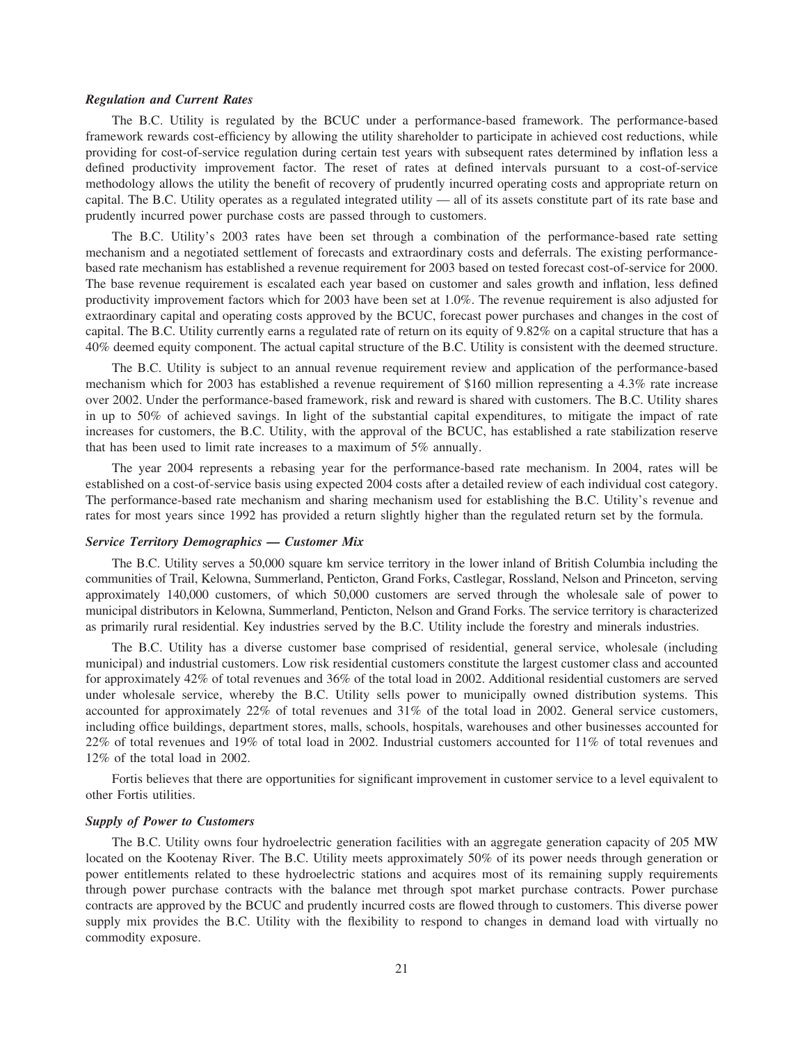## *Regulation and Current Rates*

The B.C. Utility is regulated by the BCUC under a performance-based framework. The performance-based framework rewards cost-efficiency by allowing the utility shareholder to participate in achieved cost reductions, while providing for cost-of-service regulation during certain test years with subsequent rates determined by inflation less a defined productivity improvement factor. The reset of rates at defined intervals pursuant to a cost-of-service methodology allows the utility the benefit of recovery of prudently incurred operating costs and appropriate return on capital. The B.C. Utility operates as a regulated integrated utility — all of its assets constitute part of its rate base and prudently incurred power purchase costs are passed through to customers.

The B.C. Utility's 2003 rates have been set through a combination of the performance-based rate setting mechanism and a negotiated settlement of forecasts and extraordinary costs and deferrals. The existing performancebased rate mechanism has established a revenue requirement for 2003 based on tested forecast cost-of-service for 2000. The base revenue requirement is escalated each year based on customer and sales growth and inflation, less defined productivity improvement factors which for 2003 have been set at 1.0%. The revenue requirement is also adjusted for extraordinary capital and operating costs approved by the BCUC, forecast power purchases and changes in the cost of capital. The B.C. Utility currently earns a regulated rate of return on its equity of 9.82% on a capital structure that has a 40% deemed equity component. The actual capital structure of the B.C. Utility is consistent with the deemed structure.

The B.C. Utility is subject to an annual revenue requirement review and application of the performance-based mechanism which for 2003 has established a revenue requirement of \$160 million representing a 4.3% rate increase over 2002. Under the performance-based framework, risk and reward is shared with customers. The B.C. Utility shares in up to 50% of achieved savings. In light of the substantial capital expenditures, to mitigate the impact of rate increases for customers, the B.C. Utility, with the approval of the BCUC, has established a rate stabilization reserve that has been used to limit rate increases to a maximum of 5% annually.

The year 2004 represents a rebasing year for the performance-based rate mechanism. In 2004, rates will be established on a cost-of-service basis using expected 2004 costs after a detailed review of each individual cost category. The performance-based rate mechanism and sharing mechanism used for establishing the B.C. Utility's revenue and rates for most years since 1992 has provided a return slightly higher than the regulated return set by the formula.

#### *Service Territory Demographics — Customer Mix*

The B.C. Utility serves a 50,000 square km service territory in the lower inland of British Columbia including the communities of Trail, Kelowna, Summerland, Penticton, Grand Forks, Castlegar, Rossland, Nelson and Princeton, serving approximately 140,000 customers, of which 50,000 customers are served through the wholesale sale of power to municipal distributors in Kelowna, Summerland, Penticton, Nelson and Grand Forks. The service territory is characterized as primarily rural residential. Key industries served by the B.C. Utility include the forestry and minerals industries.

The B.C. Utility has a diverse customer base comprised of residential, general service, wholesale (including municipal) and industrial customers. Low risk residential customers constitute the largest customer class and accounted for approximately 42% of total revenues and 36% of the total load in 2002. Additional residential customers are served under wholesale service, whereby the B.C. Utility sells power to municipally owned distribution systems. This accounted for approximately 22% of total revenues and 31% of the total load in 2002. General service customers, including office buildings, department stores, malls, schools, hospitals, warehouses and other businesses accounted for 22% of total revenues and 19% of total load in 2002. Industrial customers accounted for 11% of total revenues and 12% of the total load in 2002.

Fortis believes that there are opportunities for significant improvement in customer service to a level equivalent to other Fortis utilities.

#### *Supply of Power to Customers*

The B.C. Utility owns four hydroelectric generation facilities with an aggregate generation capacity of 205 MW located on the Kootenay River. The B.C. Utility meets approximately 50% of its power needs through generation or power entitlements related to these hydroelectric stations and acquires most of its remaining supply requirements through power purchase contracts with the balance met through spot market purchase contracts. Power purchase contracts are approved by the BCUC and prudently incurred costs are flowed through to customers. This diverse power supply mix provides the B.C. Utility with the flexibility to respond to changes in demand load with virtually no commodity exposure.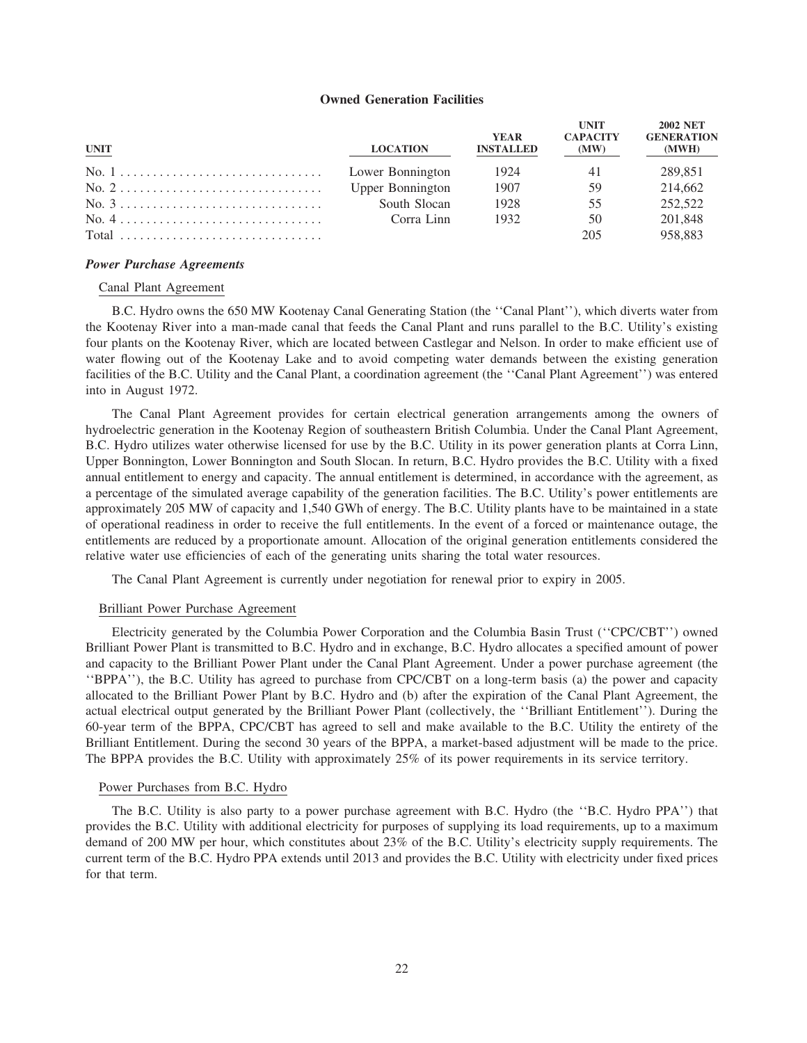## **Owned Generation Facilities**

| <b>UNIT</b> | <b>LOCATION</b>         | <b>YEAR</b><br><b>INSTALLED</b> | <b>UNIT</b><br><b>CAPACITY</b><br>(MW) | <b>2002 NET</b><br><b>GENERATION</b><br>(MWH) |
|-------------|-------------------------|---------------------------------|----------------------------------------|-----------------------------------------------|
|             | Lower Bonnington        | 1924                            | 41                                     | 289.851                                       |
|             | <b>Upper Bonnington</b> | 1907                            | 59                                     | 214,662                                       |
|             | South Slocan            | 1928                            | 55                                     | 252,522                                       |
|             | Corra Linn              | 1932                            | 50                                     | 201,848                                       |
|             |                         |                                 | 205                                    | 958.883                                       |

#### *Power Purchase Agreements*

## Canal Plant Agreement

B.C. Hydro owns the 650 MW Kootenay Canal Generating Station (the ''Canal Plant''), which diverts water from the Kootenay River into a man-made canal that feeds the Canal Plant and runs parallel to the B.C. Utility's existing four plants on the Kootenay River, which are located between Castlegar and Nelson. In order to make efficient use of water flowing out of the Kootenay Lake and to avoid competing water demands between the existing generation facilities of the B.C. Utility and the Canal Plant, a coordination agreement (the ''Canal Plant Agreement'') was entered into in August 1972.

The Canal Plant Agreement provides for certain electrical generation arrangements among the owners of hydroelectric generation in the Kootenay Region of southeastern British Columbia. Under the Canal Plant Agreement, B.C. Hydro utilizes water otherwise licensed for use by the B.C. Utility in its power generation plants at Corra Linn, Upper Bonnington, Lower Bonnington and South Slocan. In return, B.C. Hydro provides the B.C. Utility with a fixed annual entitlement to energy and capacity. The annual entitlement is determined, in accordance with the agreement, as a percentage of the simulated average capability of the generation facilities. The B.C. Utility's power entitlements are approximately 205 MW of capacity and 1,540 GWh of energy. The B.C. Utility plants have to be maintained in a state of operational readiness in order to receive the full entitlements. In the event of a forced or maintenance outage, the entitlements are reduced by a proportionate amount. Allocation of the original generation entitlements considered the relative water use efficiencies of each of the generating units sharing the total water resources.

The Canal Plant Agreement is currently under negotiation for renewal prior to expiry in 2005.

## Brilliant Power Purchase Agreement

Electricity generated by the Columbia Power Corporation and the Columbia Basin Trust (''CPC/CBT'') owned Brilliant Power Plant is transmitted to B.C. Hydro and in exchange, B.C. Hydro allocates a specified amount of power and capacity to the Brilliant Power Plant under the Canal Plant Agreement. Under a power purchase agreement (the ''BPPA''), the B.C. Utility has agreed to purchase from CPC/CBT on a long-term basis (a) the power and capacity allocated to the Brilliant Power Plant by B.C. Hydro and (b) after the expiration of the Canal Plant Agreement, the actual electrical output generated by the Brilliant Power Plant (collectively, the ''Brilliant Entitlement''). During the 60-year term of the BPPA, CPC/CBT has agreed to sell and make available to the B.C. Utility the entirety of the Brilliant Entitlement. During the second 30 years of the BPPA, a market-based adjustment will be made to the price. The BPPA provides the B.C. Utility with approximately 25% of its power requirements in its service territory.

## Power Purchases from B.C. Hydro

The B.C. Utility is also party to a power purchase agreement with B.C. Hydro (the ''B.C. Hydro PPA'') that provides the B.C. Utility with additional electricity for purposes of supplying its load requirements, up to a maximum demand of 200 MW per hour, which constitutes about 23% of the B.C. Utility's electricity supply requirements. The current term of the B.C. Hydro PPA extends until 2013 and provides the B.C. Utility with electricity under fixed prices for that term.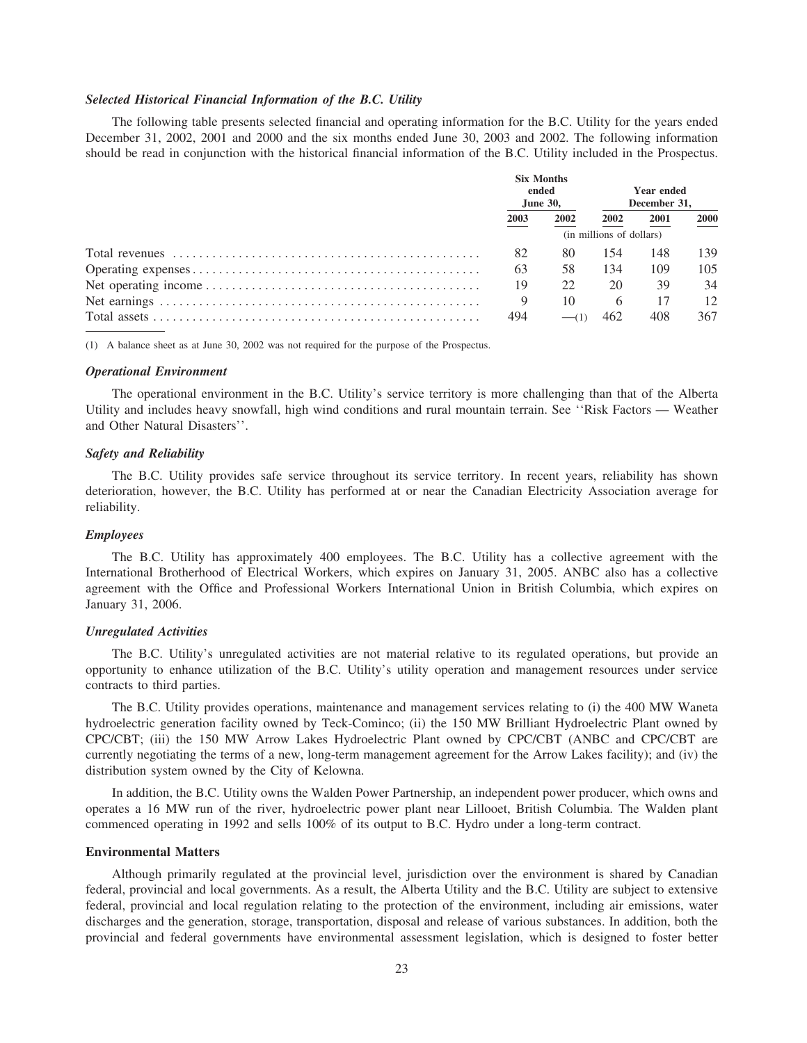## *Selected Historical Financial Information of the B.C. Utility*

The following table presents selected financial and operating information for the B.C. Utility for the years ended December 31, 2002, 2001 and 2000 and the six months ended June 30, 2003 and 2002. The following information should be read in conjunction with the historical financial information of the B.C. Utility included in the Prospectus.

| <b>Six Months</b><br>ended<br><b>June 30,</b> |      | Year ended<br>December 31. |      |      |
|-----------------------------------------------|------|----------------------------|------|------|
| 2003                                          | 2002 | 2002                       | 2001 | 2000 |
| (in millions of dollars)                      |      |                            |      |      |
| 82                                            | 80   | 154                        | 148  | 139  |
| 63                                            | 58   | 134                        | 109  | 105  |
| 19                                            | 22   | 20                         | 39   | 34   |
|                                               | 10   |                            | 17   | 12   |
| 494                                           |      | 462                        | 408  | 367  |

(1) A balance sheet as at June 30, 2002 was not required for the purpose of the Prospectus.

## *Operational Environment*

The operational environment in the B.C. Utility's service territory is more challenging than that of the Alberta Utility and includes heavy snowfall, high wind conditions and rural mountain terrain. See ''Risk Factors — Weather and Other Natural Disasters''.

## *Safety and Reliability*

The B.C. Utility provides safe service throughout its service territory. In recent years, reliability has shown deterioration, however, the B.C. Utility has performed at or near the Canadian Electricity Association average for reliability.

## *Employees*

The B.C. Utility has approximately 400 employees. The B.C. Utility has a collective agreement with the International Brotherhood of Electrical Workers, which expires on January 31, 2005. ANBC also has a collective agreement with the Office and Professional Workers International Union in British Columbia, which expires on January 31, 2006.

#### *Unregulated Activities*

The B.C. Utility's unregulated activities are not material relative to its regulated operations, but provide an opportunity to enhance utilization of the B.C. Utility's utility operation and management resources under service contracts to third parties.

The B.C. Utility provides operations, maintenance and management services relating to (i) the 400 MW Waneta hydroelectric generation facility owned by Teck-Cominco; (ii) the 150 MW Brilliant Hydroelectric Plant owned by CPC/CBT; (iii) the 150 MW Arrow Lakes Hydroelectric Plant owned by CPC/CBT (ANBC and CPC/CBT are currently negotiating the terms of a new, long-term management agreement for the Arrow Lakes facility); and (iv) the distribution system owned by the City of Kelowna.

In addition, the B.C. Utility owns the Walden Power Partnership, an independent power producer, which owns and operates a 16 MW run of the river, hydroelectric power plant near Lillooet, British Columbia. The Walden plant commenced operating in 1992 and sells 100% of its output to B.C. Hydro under a long-term contract.

## **Environmental Matters**

Although primarily regulated at the provincial level, jurisdiction over the environment is shared by Canadian federal, provincial and local governments. As a result, the Alberta Utility and the B.C. Utility are subject to extensive federal, provincial and local regulation relating to the protection of the environment, including air emissions, water discharges and the generation, storage, transportation, disposal and release of various substances. In addition, both the provincial and federal governments have environmental assessment legislation, which is designed to foster better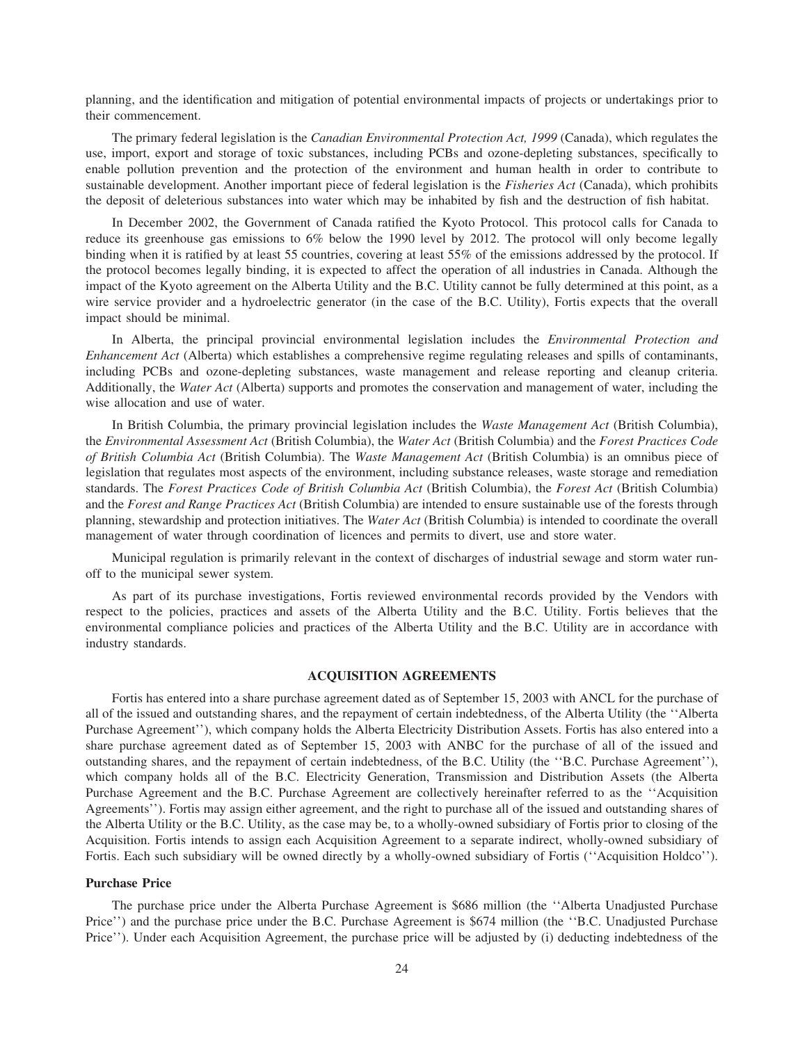planning, and the identification and mitigation of potential environmental impacts of projects or undertakings prior to their commencement.

The primary federal legislation is the *Canadian Environmental Protection Act, 1999* (Canada), which regulates the use, import, export and storage of toxic substances, including PCBs and ozone-depleting substances, specifically to enable pollution prevention and the protection of the environment and human health in order to contribute to sustainable development. Another important piece of federal legislation is the *Fisheries Act* (Canada), which prohibits the deposit of deleterious substances into water which may be inhabited by fish and the destruction of fish habitat.

In December 2002, the Government of Canada ratified the Kyoto Protocol. This protocol calls for Canada to reduce its greenhouse gas emissions to 6% below the 1990 level by 2012. The protocol will only become legally binding when it is ratified by at least 55 countries, covering at least 55% of the emissions addressed by the protocol. If the protocol becomes legally binding, it is expected to affect the operation of all industries in Canada. Although the impact of the Kyoto agreement on the Alberta Utility and the B.C. Utility cannot be fully determined at this point, as a wire service provider and a hydroelectric generator (in the case of the B.C. Utility), Fortis expects that the overall impact should be minimal.

In Alberta, the principal provincial environmental legislation includes the *Environmental Protection and Enhancement Act* (Alberta) which establishes a comprehensive regime regulating releases and spills of contaminants, including PCBs and ozone-depleting substances, waste management and release reporting and cleanup criteria. Additionally, the *Water Act* (Alberta) supports and promotes the conservation and management of water, including the wise allocation and use of water.

In British Columbia, the primary provincial legislation includes the *Waste Management Act* (British Columbia), the *Environmental Assessment Act* (British Columbia), the *Water Act* (British Columbia) and the *Forest Practices Code of British Columbia Act* (British Columbia). The *Waste Management Act* (British Columbia) is an omnibus piece of legislation that regulates most aspects of the environment, including substance releases, waste storage and remediation standards. The *Forest Practices Code of British Columbia Act* (British Columbia), the *Forest Act* (British Columbia) and the *Forest and Range Practices Act* (British Columbia) are intended to ensure sustainable use of the forests through planning, stewardship and protection initiatives. The *Water Act* (British Columbia) is intended to coordinate the overall management of water through coordination of licences and permits to divert, use and store water.

Municipal regulation is primarily relevant in the context of discharges of industrial sewage and storm water runoff to the municipal sewer system.

As part of its purchase investigations, Fortis reviewed environmental records provided by the Vendors with respect to the policies, practices and assets of the Alberta Utility and the B.C. Utility. Fortis believes that the environmental compliance policies and practices of the Alberta Utility and the B.C. Utility are in accordance with industry standards.

## **ACQUISITION AGREEMENTS**

Fortis has entered into a share purchase agreement dated as of September 15, 2003 with ANCL for the purchase of all of the issued and outstanding shares, and the repayment of certain indebtedness, of the Alberta Utility (the ''Alberta Purchase Agreement''), which company holds the Alberta Electricity Distribution Assets. Fortis has also entered into a share purchase agreement dated as of September 15, 2003 with ANBC for the purchase of all of the issued and outstanding shares, and the repayment of certain indebtedness, of the B.C. Utility (the ''B.C. Purchase Agreement''), which company holds all of the B.C. Electricity Generation, Transmission and Distribution Assets (the Alberta Purchase Agreement and the B.C. Purchase Agreement are collectively hereinafter referred to as the ''Acquisition Agreements''). Fortis may assign either agreement, and the right to purchase all of the issued and outstanding shares of the Alberta Utility or the B.C. Utility, as the case may be, to a wholly-owned subsidiary of Fortis prior to closing of the Acquisition. Fortis intends to assign each Acquisition Agreement to a separate indirect, wholly-owned subsidiary of Fortis. Each such subsidiary will be owned directly by a wholly-owned subsidiary of Fortis (''Acquisition Holdco'').

## **Purchase Price**

The purchase price under the Alberta Purchase Agreement is \$686 million (the ''Alberta Unadjusted Purchase Price'') and the purchase price under the B.C. Purchase Agreement is \$674 million (the ''B.C. Unadjusted Purchase Price''). Under each Acquisition Agreement, the purchase price will be adjusted by (i) deducting indebtedness of the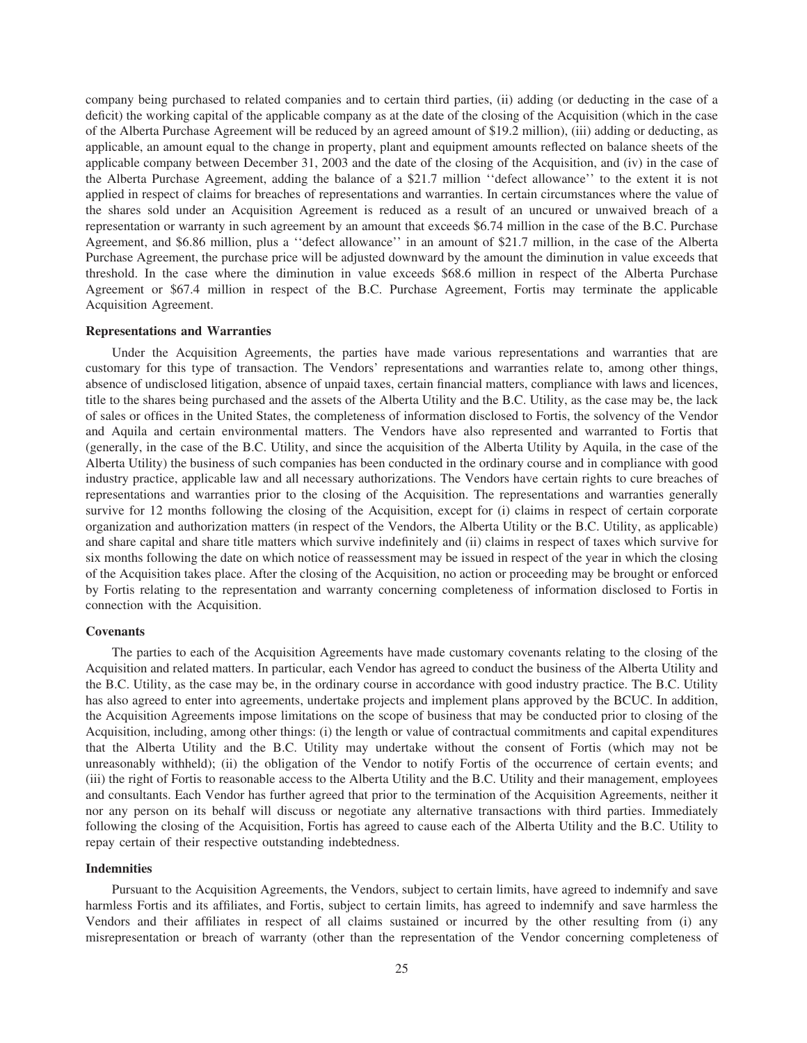company being purchased to related companies and to certain third parties, (ii) adding (or deducting in the case of a deficit) the working capital of the applicable company as at the date of the closing of the Acquisition (which in the case of the Alberta Purchase Agreement will be reduced by an agreed amount of \$19.2 million), (iii) adding or deducting, as applicable, an amount equal to the change in property, plant and equipment amounts reflected on balance sheets of the applicable company between December 31, 2003 and the date of the closing of the Acquisition, and (iv) in the case of the Alberta Purchase Agreement, adding the balance of a \$21.7 million ''defect allowance'' to the extent it is not applied in respect of claims for breaches of representations and warranties. In certain circumstances where the value of the shares sold under an Acquisition Agreement is reduced as a result of an uncured or unwaived breach of a representation or warranty in such agreement by an amount that exceeds \$6.74 million in the case of the B.C. Purchase Agreement, and \$6.86 million, plus a ''defect allowance'' in an amount of \$21.7 million, in the case of the Alberta Purchase Agreement, the purchase price will be adjusted downward by the amount the diminution in value exceeds that threshold. In the case where the diminution in value exceeds \$68.6 million in respect of the Alberta Purchase Agreement or \$67.4 million in respect of the B.C. Purchase Agreement, Fortis may terminate the applicable Acquisition Agreement.

## **Representations and Warranties**

Under the Acquisition Agreements, the parties have made various representations and warranties that are customary for this type of transaction. The Vendors' representations and warranties relate to, among other things, absence of undisclosed litigation, absence of unpaid taxes, certain financial matters, compliance with laws and licences, title to the shares being purchased and the assets of the Alberta Utility and the B.C. Utility, as the case may be, the lack of sales or offices in the United States, the completeness of information disclosed to Fortis, the solvency of the Vendor and Aquila and certain environmental matters. The Vendors have also represented and warranted to Fortis that (generally, in the case of the B.C. Utility, and since the acquisition of the Alberta Utility by Aquila, in the case of the Alberta Utility) the business of such companies has been conducted in the ordinary course and in compliance with good industry practice, applicable law and all necessary authorizations. The Vendors have certain rights to cure breaches of representations and warranties prior to the closing of the Acquisition. The representations and warranties generally survive for 12 months following the closing of the Acquisition, except for (i) claims in respect of certain corporate organization and authorization matters (in respect of the Vendors, the Alberta Utility or the B.C. Utility, as applicable) and share capital and share title matters which survive indefinitely and (ii) claims in respect of taxes which survive for six months following the date on which notice of reassessment may be issued in respect of the year in which the closing of the Acquisition takes place. After the closing of the Acquisition, no action or proceeding may be brought or enforced by Fortis relating to the representation and warranty concerning completeness of information disclosed to Fortis in connection with the Acquisition.

#### **Covenants**

The parties to each of the Acquisition Agreements have made customary covenants relating to the closing of the Acquisition and related matters. In particular, each Vendor has agreed to conduct the business of the Alberta Utility and the B.C. Utility, as the case may be, in the ordinary course in accordance with good industry practice. The B.C. Utility has also agreed to enter into agreements, undertake projects and implement plans approved by the BCUC. In addition, the Acquisition Agreements impose limitations on the scope of business that may be conducted prior to closing of the Acquisition, including, among other things: (i) the length or value of contractual commitments and capital expenditures that the Alberta Utility and the B.C. Utility may undertake without the consent of Fortis (which may not be unreasonably withheld); (ii) the obligation of the Vendor to notify Fortis of the occurrence of certain events; and (iii) the right of Fortis to reasonable access to the Alberta Utility and the B.C. Utility and their management, employees and consultants. Each Vendor has further agreed that prior to the termination of the Acquisition Agreements, neither it nor any person on its behalf will discuss or negotiate any alternative transactions with third parties. Immediately following the closing of the Acquisition, Fortis has agreed to cause each of the Alberta Utility and the B.C. Utility to repay certain of their respective outstanding indebtedness.

## **Indemnities**

Pursuant to the Acquisition Agreements, the Vendors, subject to certain limits, have agreed to indemnify and save harmless Fortis and its affiliates, and Fortis, subject to certain limits, has agreed to indemnify and save harmless the Vendors and their affiliates in respect of all claims sustained or incurred by the other resulting from (i) any misrepresentation or breach of warranty (other than the representation of the Vendor concerning completeness of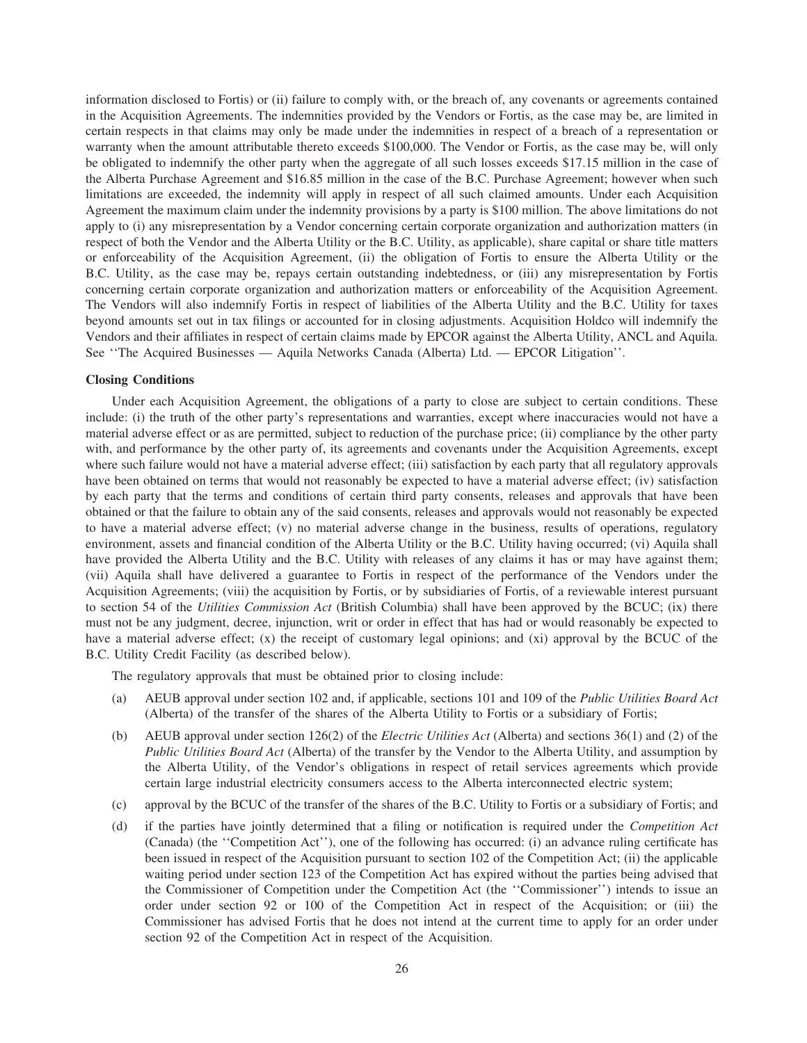information disclosed to Fortis) or (ii) failure to comply with, or the breach of, any covenants or agreements contained in the Acquisition Agreements. The indemnities provided by the Vendors or Fortis, as the case may be, are limited in certain respects in that claims may only be made under the indemnities in respect of a breach of a representation or warranty when the amount attributable thereto exceeds \$100,000. The Vendor or Fortis, as the case may be, will only be obligated to indemnify the other party when the aggregate of all such losses exceeds \$17.15 million in the case of the Alberta Purchase Agreement and \$16.85 million in the case of the B.C. Purchase Agreement; however when such limitations are exceeded, the indemnity will apply in respect of all such claimed amounts. Under each Acquisition Agreement the maximum claim under the indemnity provisions by a party is \$100 million. The above limitations do not apply to (i) any misrepresentation by a Vendor concerning certain corporate organization and authorization matters (in respect of both the Vendor and the Alberta Utility or the B.C. Utility, as applicable), share capital or share title matters or enforceability of the Acquisition Agreement, (ii) the obligation of Fortis to ensure the Alberta Utility or the B.C. Utility, as the case may be, repays certain outstanding indebtedness, or (iii) any misrepresentation by Fortis concerning certain corporate organization and authorization matters or enforceability of the Acquisition Agreement. The Vendors will also indemnify Fortis in respect of liabilities of the Alberta Utility and the B.C. Utility for taxes beyond amounts set out in tax filings or accounted for in closing adjustments. Acquisition Holdco will indemnify the Vendors and their affiliates in respect of certain claims made by EPCOR against the Alberta Utility, ANCL and Aquila. See ''The Acquired Businesses — Aquila Networks Canada (Alberta) Ltd. — EPCOR Litigation''.

## **Closing Conditions**

Under each Acquisition Agreement, the obligations of a party to close are subject to certain conditions. These include: (i) the truth of the other party's representations and warranties, except where inaccuracies would not have a material adverse effect or as are permitted, subject to reduction of the purchase price; (ii) compliance by the other party with, and performance by the other party of, its agreements and covenants under the Acquisition Agreements, except where such failure would not have a material adverse effect; (iii) satisfaction by each party that all regulatory approvals have been obtained on terms that would not reasonably be expected to have a material adverse effect; (iv) satisfaction by each party that the terms and conditions of certain third party consents, releases and approvals that have been obtained or that the failure to obtain any of the said consents, releases and approvals would not reasonably be expected to have a material adverse effect; (v) no material adverse change in the business, results of operations, regulatory environment, assets and financial condition of the Alberta Utility or the B.C. Utility having occurred; (vi) Aquila shall have provided the Alberta Utility and the B.C. Utility with releases of any claims it has or may have against them; (vii) Aquila shall have delivered a guarantee to Fortis in respect of the performance of the Vendors under the Acquisition Agreements; (viii) the acquisition by Fortis, or by subsidiaries of Fortis, of a reviewable interest pursuant to section 54 of the *Utilities Commission Act* (British Columbia) shall have been approved by the BCUC; (ix) there must not be any judgment, decree, injunction, writ or order in effect that has had or would reasonably be expected to have a material adverse effect; (x) the receipt of customary legal opinions; and (xi) approval by the BCUC of the B.C. Utility Credit Facility (as described below).

The regulatory approvals that must be obtained prior to closing include:

- (a) AEUB approval under section 102 and, if applicable, sections 101 and 109 of the *Public Utilities Board Act* (Alberta) of the transfer of the shares of the Alberta Utility to Fortis or a subsidiary of Fortis;
- (b) AEUB approval under section 126(2) of the *Electric Utilities Act* (Alberta) and sections 36(1) and (2) of the *Public Utilities Board Act* (Alberta) of the transfer by the Vendor to the Alberta Utility, and assumption by the Alberta Utility, of the Vendor's obligations in respect of retail services agreements which provide certain large industrial electricity consumers access to the Alberta interconnected electric system;
- (c) approval by the BCUC of the transfer of the shares of the B.C. Utility to Fortis or a subsidiary of Fortis; and
- (d) if the parties have jointly determined that a filing or notification is required under the *Competition Act* (Canada) (the ''Competition Act''), one of the following has occurred: (i) an advance ruling certificate has been issued in respect of the Acquisition pursuant to section 102 of the Competition Act; (ii) the applicable waiting period under section 123 of the Competition Act has expired without the parties being advised that the Commissioner of Competition under the Competition Act (the ''Commissioner'') intends to issue an order under section 92 or 100 of the Competition Act in respect of the Acquisition; or (iii) the Commissioner has advised Fortis that he does not intend at the current time to apply for an order under section 92 of the Competition Act in respect of the Acquisition.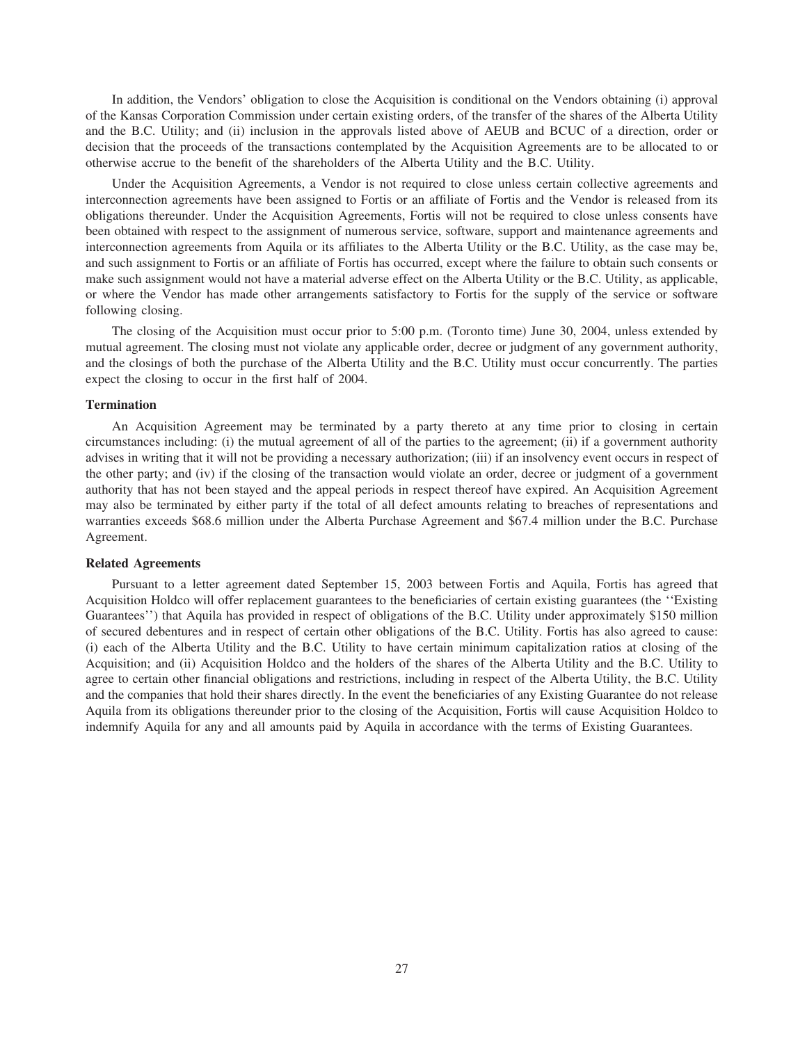In addition, the Vendors' obligation to close the Acquisition is conditional on the Vendors obtaining (i) approval of the Kansas Corporation Commission under certain existing orders, of the transfer of the shares of the Alberta Utility and the B.C. Utility; and (ii) inclusion in the approvals listed above of AEUB and BCUC of a direction, order or decision that the proceeds of the transactions contemplated by the Acquisition Agreements are to be allocated to or otherwise accrue to the benefit of the shareholders of the Alberta Utility and the B.C. Utility.

Under the Acquisition Agreements, a Vendor is not required to close unless certain collective agreements and interconnection agreements have been assigned to Fortis or an affiliate of Fortis and the Vendor is released from its obligations thereunder. Under the Acquisition Agreements, Fortis will not be required to close unless consents have been obtained with respect to the assignment of numerous service, software, support and maintenance agreements and interconnection agreements from Aquila or its affiliates to the Alberta Utility or the B.C. Utility, as the case may be, and such assignment to Fortis or an affiliate of Fortis has occurred, except where the failure to obtain such consents or make such assignment would not have a material adverse effect on the Alberta Utility or the B.C. Utility, as applicable, or where the Vendor has made other arrangements satisfactory to Fortis for the supply of the service or software following closing.

The closing of the Acquisition must occur prior to 5:00 p.m. (Toronto time) June 30, 2004, unless extended by mutual agreement. The closing must not violate any applicable order, decree or judgment of any government authority, and the closings of both the purchase of the Alberta Utility and the B.C. Utility must occur concurrently. The parties expect the closing to occur in the first half of 2004.

## **Termination**

An Acquisition Agreement may be terminated by a party thereto at any time prior to closing in certain circumstances including: (i) the mutual agreement of all of the parties to the agreement; (ii) if a government authority advises in writing that it will not be providing a necessary authorization; (iii) if an insolvency event occurs in respect of the other party; and (iv) if the closing of the transaction would violate an order, decree or judgment of a government authority that has not been stayed and the appeal periods in respect thereof have expired. An Acquisition Agreement may also be terminated by either party if the total of all defect amounts relating to breaches of representations and warranties exceeds \$68.6 million under the Alberta Purchase Agreement and \$67.4 million under the B.C. Purchase Agreement.

## **Related Agreements**

Pursuant to a letter agreement dated September 15, 2003 between Fortis and Aquila, Fortis has agreed that Acquisition Holdco will offer replacement guarantees to the beneficiaries of certain existing guarantees (the ''Existing Guarantees'') that Aquila has provided in respect of obligations of the B.C. Utility under approximately \$150 million of secured debentures and in respect of certain other obligations of the B.C. Utility. Fortis has also agreed to cause: (i) each of the Alberta Utility and the B.C. Utility to have certain minimum capitalization ratios at closing of the Acquisition; and (ii) Acquisition Holdco and the holders of the shares of the Alberta Utility and the B.C. Utility to agree to certain other financial obligations and restrictions, including in respect of the Alberta Utility, the B.C. Utility and the companies that hold their shares directly. In the event the beneficiaries of any Existing Guarantee do not release Aquila from its obligations thereunder prior to the closing of the Acquisition, Fortis will cause Acquisition Holdco to indemnify Aquila for any and all amounts paid by Aquila in accordance with the terms of Existing Guarantees.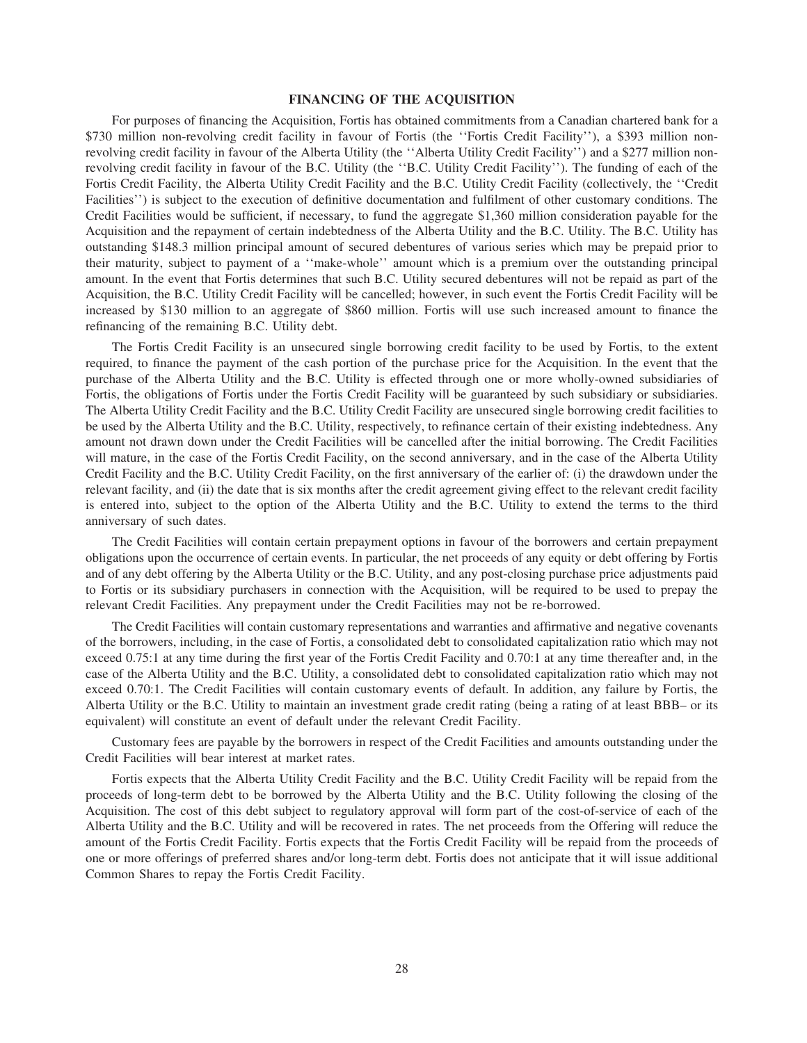## **FINANCING OF THE ACQUISITION**

For purposes of financing the Acquisition, Fortis has obtained commitments from a Canadian chartered bank for a \$730 million non-revolving credit facility in favour of Fortis (the ''Fortis Credit Facility''), a \$393 million nonrevolving credit facility in favour of the Alberta Utility (the ''Alberta Utility Credit Facility'') and a \$277 million nonrevolving credit facility in favour of the B.C. Utility (the ''B.C. Utility Credit Facility''). The funding of each of the Fortis Credit Facility, the Alberta Utility Credit Facility and the B.C. Utility Credit Facility (collectively, the ''Credit Facilities'') is subject to the execution of definitive documentation and fulfilment of other customary conditions. The Credit Facilities would be sufficient, if necessary, to fund the aggregate \$1,360 million consideration payable for the Acquisition and the repayment of certain indebtedness of the Alberta Utility and the B.C. Utility. The B.C. Utility has outstanding \$148.3 million principal amount of secured debentures of various series which may be prepaid prior to their maturity, subject to payment of a ''make-whole'' amount which is a premium over the outstanding principal amount. In the event that Fortis determines that such B.C. Utility secured debentures will not be repaid as part of the Acquisition, the B.C. Utility Credit Facility will be cancelled; however, in such event the Fortis Credit Facility will be increased by \$130 million to an aggregate of \$860 million. Fortis will use such increased amount to finance the refinancing of the remaining B.C. Utility debt.

The Fortis Credit Facility is an unsecured single borrowing credit facility to be used by Fortis, to the extent required, to finance the payment of the cash portion of the purchase price for the Acquisition. In the event that the purchase of the Alberta Utility and the B.C. Utility is effected through one or more wholly-owned subsidiaries of Fortis, the obligations of Fortis under the Fortis Credit Facility will be guaranteed by such subsidiary or subsidiaries. The Alberta Utility Credit Facility and the B.C. Utility Credit Facility are unsecured single borrowing credit facilities to be used by the Alberta Utility and the B.C. Utility, respectively, to refinance certain of their existing indebtedness. Any amount not drawn down under the Credit Facilities will be cancelled after the initial borrowing. The Credit Facilities will mature, in the case of the Fortis Credit Facility, on the second anniversary, and in the case of the Alberta Utility Credit Facility and the B.C. Utility Credit Facility, on the first anniversary of the earlier of: (i) the drawdown under the relevant facility, and (ii) the date that is six months after the credit agreement giving effect to the relevant credit facility is entered into, subject to the option of the Alberta Utility and the B.C. Utility to extend the terms to the third anniversary of such dates.

The Credit Facilities will contain certain prepayment options in favour of the borrowers and certain prepayment obligations upon the occurrence of certain events. In particular, the net proceeds of any equity or debt offering by Fortis and of any debt offering by the Alberta Utility or the B.C. Utility, and any post-closing purchase price adjustments paid to Fortis or its subsidiary purchasers in connection with the Acquisition, will be required to be used to prepay the relevant Credit Facilities. Any prepayment under the Credit Facilities may not be re-borrowed.

The Credit Facilities will contain customary representations and warranties and affirmative and negative covenants of the borrowers, including, in the case of Fortis, a consolidated debt to consolidated capitalization ratio which may not exceed 0.75:1 at any time during the first year of the Fortis Credit Facility and 0.70:1 at any time thereafter and, in the case of the Alberta Utility and the B.C. Utility, a consolidated debt to consolidated capitalization ratio which may not exceed 0.70:1. The Credit Facilities will contain customary events of default. In addition, any failure by Fortis, the Alberta Utility or the B.C. Utility to maintain an investment grade credit rating (being a rating of at least BBB– or its equivalent) will constitute an event of default under the relevant Credit Facility.

Customary fees are payable by the borrowers in respect of the Credit Facilities and amounts outstanding under the Credit Facilities will bear interest at market rates.

Fortis expects that the Alberta Utility Credit Facility and the B.C. Utility Credit Facility will be repaid from the proceeds of long-term debt to be borrowed by the Alberta Utility and the B.C. Utility following the closing of the Acquisition. The cost of this debt subject to regulatory approval will form part of the cost-of-service of each of the Alberta Utility and the B.C. Utility and will be recovered in rates. The net proceeds from the Offering will reduce the amount of the Fortis Credit Facility. Fortis expects that the Fortis Credit Facility will be repaid from the proceeds of one or more offerings of preferred shares and/or long-term debt. Fortis does not anticipate that it will issue additional Common Shares to repay the Fortis Credit Facility.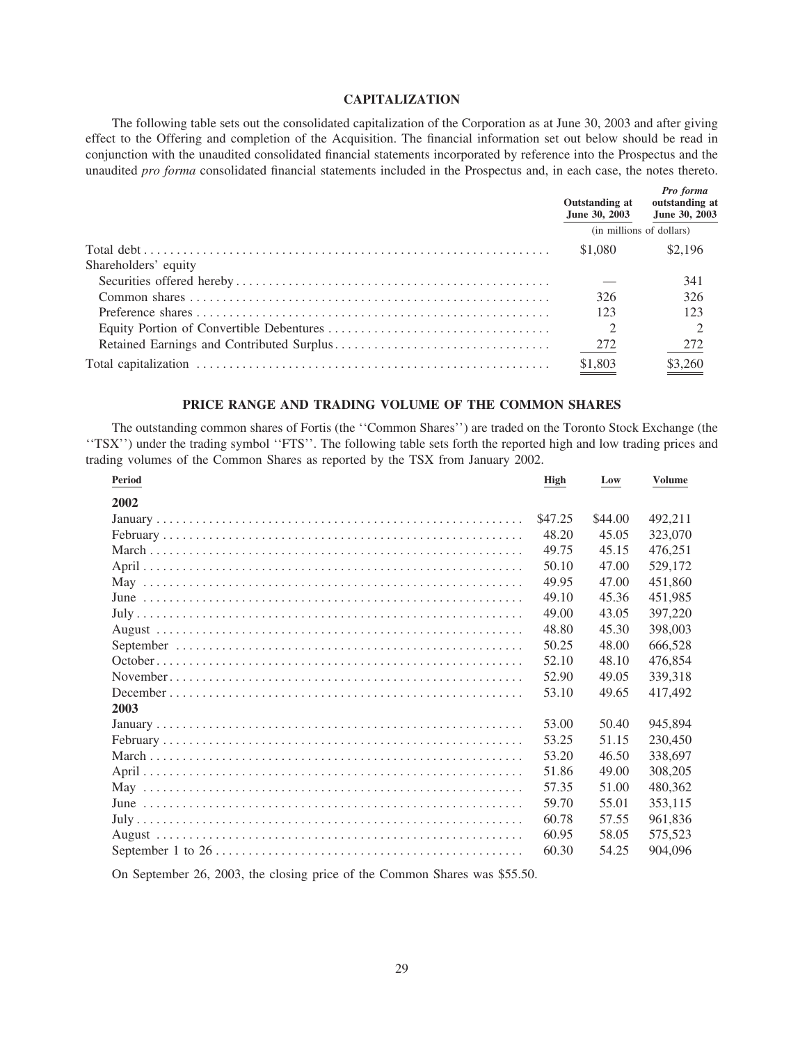## **CAPITALIZATION**

The following table sets out the consolidated capitalization of the Corporation as at June 30, 2003 and after giving effect to the Offering and completion of the Acquisition. The financial information set out below should be read in conjunction with the unaudited consolidated financial statements incorporated by reference into the Prospectus and the unaudited *pro forma* consolidated financial statements included in the Prospectus and, in each case, the notes thereto.

|                      | Outstanding at<br>June 30, 2003 | Pro forma<br>outstanding at<br>June 30, 2003 |  |
|----------------------|---------------------------------|----------------------------------------------|--|
|                      | (in millions of dollars)        |                                              |  |
|                      | \$1.080                         | \$2.196                                      |  |
| Shareholders' equity |                                 |                                              |  |
|                      |                                 | 341                                          |  |
|                      | 326                             | 326                                          |  |
|                      | 123                             | 123                                          |  |
|                      |                                 |                                              |  |
|                      | 272                             | 272                                          |  |
|                      | \$1,803                         | \$3,260                                      |  |
|                      |                                 |                                              |  |

## **PRICE RANGE AND TRADING VOLUME OF THE COMMON SHARES**

The outstanding common shares of Fortis (the ''Common Shares'') are traded on the Toronto Stock Exchange (the ''TSX'') under the trading symbol ''FTS''. The following table sets forth the reported high and low trading prices and trading volumes of the Common Shares as reported by the TSX from January 2002.

| Period | <b>High</b> | Low     | <b>Volume</b> |
|--------|-------------|---------|---------------|
| 2002   |             |         |               |
|        | \$47.25     | \$44.00 | 492,211       |
|        | 48.20       | 45.05   | 323,070       |
|        | 49.75       | 45.15   | 476,251       |
|        | 50.10       | 47.00   | 529,172       |
|        | 49.95       | 47.00   | 451,860       |
|        | 49.10       | 45.36   | 451,985       |
|        | 49.00       | 43.05   | 397,220       |
|        | 48.80       | 45.30   | 398,003       |
|        | 50.25       | 48.00   | 666,528       |
|        | 52.10       | 48.10   | 476,854       |
|        | 52.90       | 49.05   | 339,318       |
|        | 53.10       | 49.65   | 417,492       |
| 2003   |             |         |               |
|        | 53.00       | 50.40   | 945,894       |
|        | 53.25       | 51.15   | 230,450       |
|        | 53.20       | 46.50   | 338,697       |
|        | 51.86       | 49.00   | 308,205       |
|        | 57.35       | 51.00   | 480,362       |
|        | 59.70       | 55.01   | 353,115       |
|        | 60.78       | 57.55   | 961,836       |
|        | 60.95       | 58.05   | 575,523       |
|        | 60.30       | 54.25   | 904,096       |
|        |             |         |               |

On September 26, 2003, the closing price of the Common Shares was \$55.50.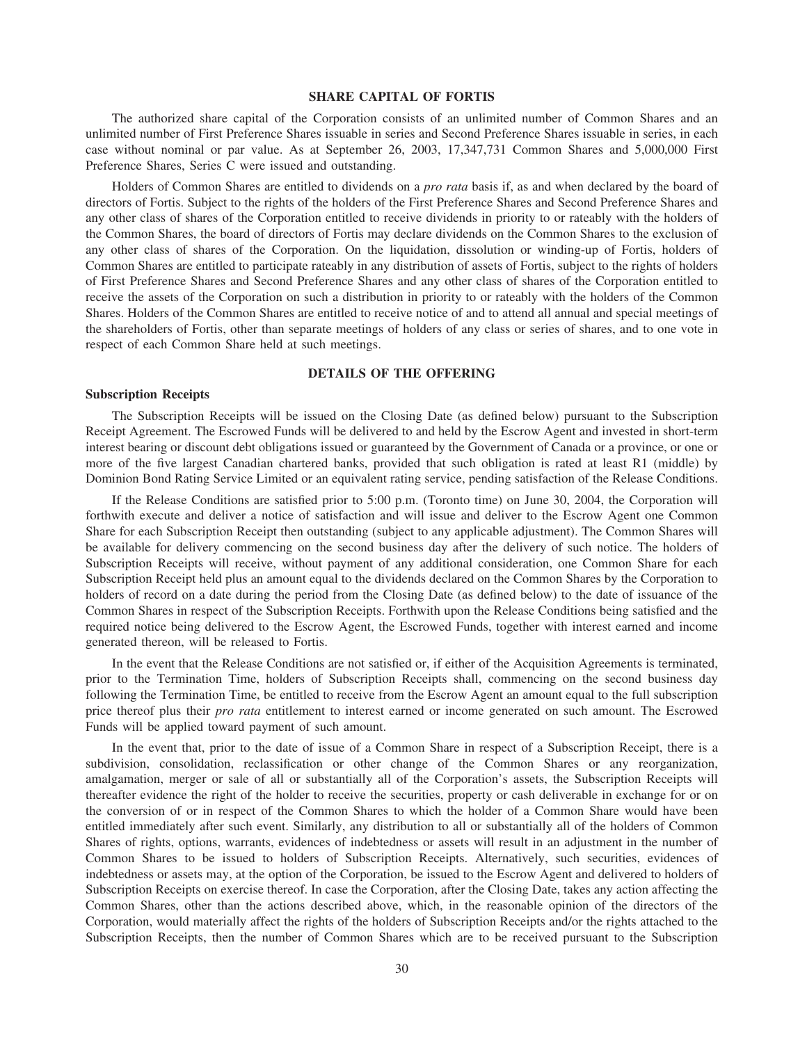## **SHARE CAPITAL OF FORTIS**

The authorized share capital of the Corporation consists of an unlimited number of Common Shares and an unlimited number of First Preference Shares issuable in series and Second Preference Shares issuable in series, in each case without nominal or par value. As at September 26, 2003, 17,347,731 Common Shares and 5,000,000 First Preference Shares, Series C were issued and outstanding.

Holders of Common Shares are entitled to dividends on a *pro rata* basis if, as and when declared by the board of directors of Fortis. Subject to the rights of the holders of the First Preference Shares and Second Preference Shares and any other class of shares of the Corporation entitled to receive dividends in priority to or rateably with the holders of the Common Shares, the board of directors of Fortis may declare dividends on the Common Shares to the exclusion of any other class of shares of the Corporation. On the liquidation, dissolution or winding-up of Fortis, holders of Common Shares are entitled to participate rateably in any distribution of assets of Fortis, subject to the rights of holders of First Preference Shares and Second Preference Shares and any other class of shares of the Corporation entitled to receive the assets of the Corporation on such a distribution in priority to or rateably with the holders of the Common Shares. Holders of the Common Shares are entitled to receive notice of and to attend all annual and special meetings of the shareholders of Fortis, other than separate meetings of holders of any class or series of shares, and to one vote in respect of each Common Share held at such meetings.

## **DETAILS OF THE OFFERING**

#### **Subscription Receipts**

The Subscription Receipts will be issued on the Closing Date (as defined below) pursuant to the Subscription Receipt Agreement. The Escrowed Funds will be delivered to and held by the Escrow Agent and invested in short-term interest bearing or discount debt obligations issued or guaranteed by the Government of Canada or a province, or one or more of the five largest Canadian chartered banks, provided that such obligation is rated at least R1 (middle) by Dominion Bond Rating Service Limited or an equivalent rating service, pending satisfaction of the Release Conditions.

If the Release Conditions are satisfied prior to 5:00 p.m. (Toronto time) on June 30, 2004, the Corporation will forthwith execute and deliver a notice of satisfaction and will issue and deliver to the Escrow Agent one Common Share for each Subscription Receipt then outstanding (subject to any applicable adjustment). The Common Shares will be available for delivery commencing on the second business day after the delivery of such notice. The holders of Subscription Receipts will receive, without payment of any additional consideration, one Common Share for each Subscription Receipt held plus an amount equal to the dividends declared on the Common Shares by the Corporation to holders of record on a date during the period from the Closing Date (as defined below) to the date of issuance of the Common Shares in respect of the Subscription Receipts. Forthwith upon the Release Conditions being satisfied and the required notice being delivered to the Escrow Agent, the Escrowed Funds, together with interest earned and income generated thereon, will be released to Fortis.

In the event that the Release Conditions are not satisfied or, if either of the Acquisition Agreements is terminated, prior to the Termination Time, holders of Subscription Receipts shall, commencing on the second business day following the Termination Time, be entitled to receive from the Escrow Agent an amount equal to the full subscription price thereof plus their *pro rata* entitlement to interest earned or income generated on such amount. The Escrowed Funds will be applied toward payment of such amount.

In the event that, prior to the date of issue of a Common Share in respect of a Subscription Receipt, there is a subdivision, consolidation, reclassification or other change of the Common Shares or any reorganization, amalgamation, merger or sale of all or substantially all of the Corporation's assets, the Subscription Receipts will thereafter evidence the right of the holder to receive the securities, property or cash deliverable in exchange for or on the conversion of or in respect of the Common Shares to which the holder of a Common Share would have been entitled immediately after such event. Similarly, any distribution to all or substantially all of the holders of Common Shares of rights, options, warrants, evidences of indebtedness or assets will result in an adjustment in the number of Common Shares to be issued to holders of Subscription Receipts. Alternatively, such securities, evidences of indebtedness or assets may, at the option of the Corporation, be issued to the Escrow Agent and delivered to holders of Subscription Receipts on exercise thereof. In case the Corporation, after the Closing Date, takes any action affecting the Common Shares, other than the actions described above, which, in the reasonable opinion of the directors of the Corporation, would materially affect the rights of the holders of Subscription Receipts and/or the rights attached to the Subscription Receipts, then the number of Common Shares which are to be received pursuant to the Subscription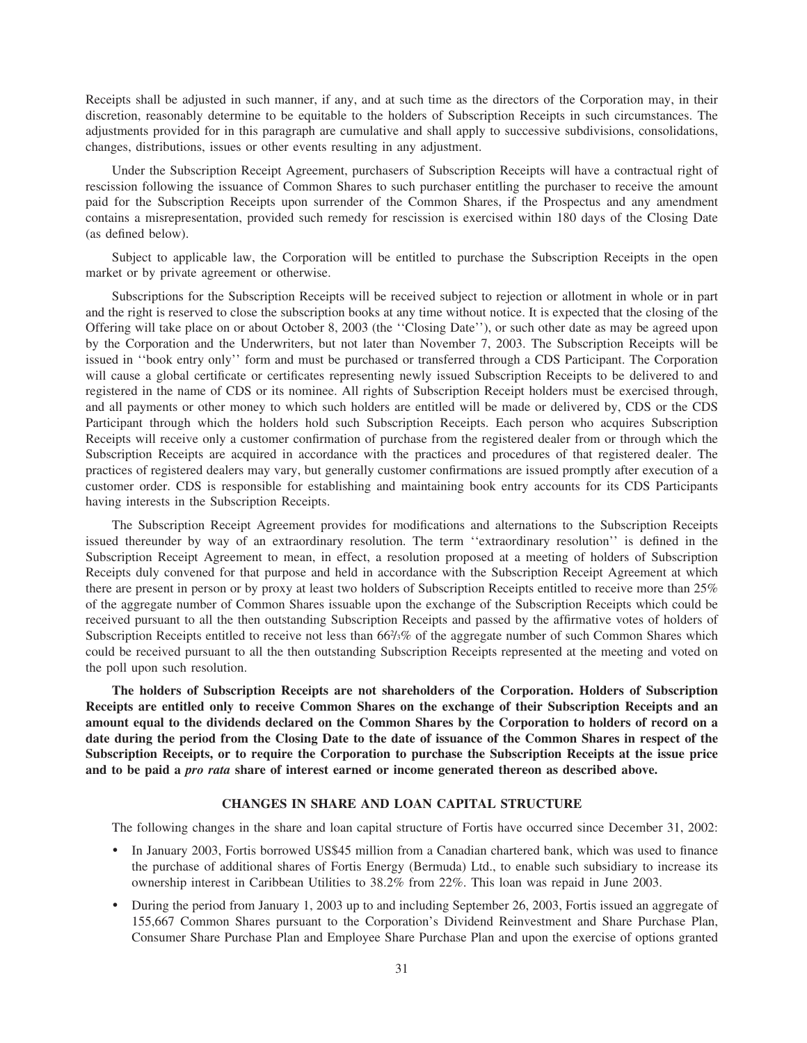Receipts shall be adjusted in such manner, if any, and at such time as the directors of the Corporation may, in their discretion, reasonably determine to be equitable to the holders of Subscription Receipts in such circumstances. The adjustments provided for in this paragraph are cumulative and shall apply to successive subdivisions, consolidations, changes, distributions, issues or other events resulting in any adjustment.

Under the Subscription Receipt Agreement, purchasers of Subscription Receipts will have a contractual right of rescission following the issuance of Common Shares to such purchaser entitling the purchaser to receive the amount paid for the Subscription Receipts upon surrender of the Common Shares, if the Prospectus and any amendment contains a misrepresentation, provided such remedy for rescission is exercised within 180 days of the Closing Date (as defined below).

Subject to applicable law, the Corporation will be entitled to purchase the Subscription Receipts in the open market or by private agreement or otherwise.

Subscriptions for the Subscription Receipts will be received subject to rejection or allotment in whole or in part and the right is reserved to close the subscription books at any time without notice. It is expected that the closing of the Offering will take place on or about October 8, 2003 (the ''Closing Date''), or such other date as may be agreed upon by the Corporation and the Underwriters, but not later than November 7, 2003. The Subscription Receipts will be issued in ''book entry only'' form and must be purchased or transferred through a CDS Participant. The Corporation will cause a global certificate or certificates representing newly issued Subscription Receipts to be delivered to and registered in the name of CDS or its nominee. All rights of Subscription Receipt holders must be exercised through, and all payments or other money to which such holders are entitled will be made or delivered by, CDS or the CDS Participant through which the holders hold such Subscription Receipts. Each person who acquires Subscription Receipts will receive only a customer confirmation of purchase from the registered dealer from or through which the Subscription Receipts are acquired in accordance with the practices and procedures of that registered dealer. The practices of registered dealers may vary, but generally customer confirmations are issued promptly after execution of a customer order. CDS is responsible for establishing and maintaining book entry accounts for its CDS Participants having interests in the Subscription Receipts.

The Subscription Receipt Agreement provides for modifications and alternations to the Subscription Receipts issued thereunder by way of an extraordinary resolution. The term ''extraordinary resolution'' is defined in the Subscription Receipt Agreement to mean, in effect, a resolution proposed at a meeting of holders of Subscription Receipts duly convened for that purpose and held in accordance with the Subscription Receipt Agreement at which there are present in person or by proxy at least two holders of Subscription Receipts entitled to receive more than 25% of the aggregate number of Common Shares issuable upon the exchange of the Subscription Receipts which could be received pursuant to all the then outstanding Subscription Receipts and passed by the affirmative votes of holders of Subscription Receipts entitled to receive not less than 66<sup>2</sup>/<sub>3</sub>% of the aggregate number of such Common Shares which could be received pursuant to all the then outstanding Subscription Receipts represented at the meeting and voted on the poll upon such resolution.

**The holders of Subscription Receipts are not shareholders of the Corporation. Holders of Subscription Receipts are entitled only to receive Common Shares on the exchange of their Subscription Receipts and an amount equal to the dividends declared on the Common Shares by the Corporation to holders of record on a date during the period from the Closing Date to the date of issuance of the Common Shares in respect of the Subscription Receipts, or to require the Corporation to purchase the Subscription Receipts at the issue price and to be paid a** *pro rata* **share of interest earned or income generated thereon as described above.**

## **CHANGES IN SHARE AND LOAN CAPITAL STRUCTURE**

The following changes in the share and loan capital structure of Fortis have occurred since December 31, 2002:

- In January 2003, Fortis borrowed US\$45 million from a Canadian chartered bank, which was used to finance the purchase of additional shares of Fortis Energy (Bermuda) Ltd., to enable such subsidiary to increase its ownership interest in Caribbean Utilities to 38.2% from 22%. This loan was repaid in June 2003.
- ) During the period from January 1, 2003 up to and including September 26, 2003, Fortis issued an aggregate of 155,667 Common Shares pursuant to the Corporation's Dividend Reinvestment and Share Purchase Plan, Consumer Share Purchase Plan and Employee Share Purchase Plan and upon the exercise of options granted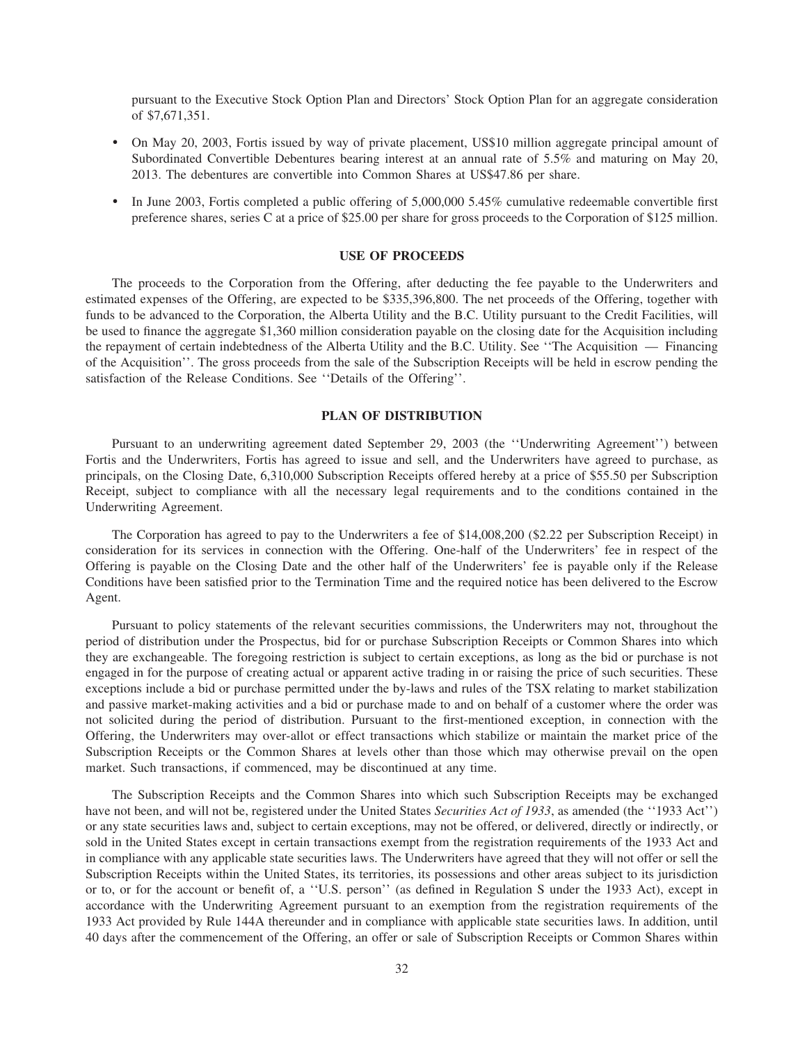pursuant to the Executive Stock Option Plan and Directors' Stock Option Plan for an aggregate consideration of \$7,671,351.

- ) On May 20, 2003, Fortis issued by way of private placement, US\$10 million aggregate principal amount of Subordinated Convertible Debentures bearing interest at an annual rate of 5.5% and maturing on May 20, 2013. The debentures are convertible into Common Shares at US\$47.86 per share.
- In June 2003, Fortis completed a public offering of 5,000,000 5.45% cumulative redeemable convertible first preference shares, series C at a price of \$25.00 per share for gross proceeds to the Corporation of \$125 million.

#### **USE OF PROCEEDS**

The proceeds to the Corporation from the Offering, after deducting the fee payable to the Underwriters and estimated expenses of the Offering, are expected to be \$335,396,800. The net proceeds of the Offering, together with funds to be advanced to the Corporation, the Alberta Utility and the B.C. Utility pursuant to the Credit Facilities, will be used to finance the aggregate \$1,360 million consideration payable on the closing date for the Acquisition including the repayment of certain indebtedness of the Alberta Utility and the B.C. Utility. See ''The Acquisition — Financing of the Acquisition''. The gross proceeds from the sale of the Subscription Receipts will be held in escrow pending the satisfaction of the Release Conditions. See ''Details of the Offering''.

## **PLAN OF DISTRIBUTION**

Pursuant to an underwriting agreement dated September 29, 2003 (the ''Underwriting Agreement'') between Fortis and the Underwriters, Fortis has agreed to issue and sell, and the Underwriters have agreed to purchase, as principals, on the Closing Date, 6,310,000 Subscription Receipts offered hereby at a price of \$55.50 per Subscription Receipt, subject to compliance with all the necessary legal requirements and to the conditions contained in the Underwriting Agreement.

The Corporation has agreed to pay to the Underwriters a fee of \$14,008,200 (\$2.22 per Subscription Receipt) in consideration for its services in connection with the Offering. One-half of the Underwriters' fee in respect of the Offering is payable on the Closing Date and the other half of the Underwriters' fee is payable only if the Release Conditions have been satisfied prior to the Termination Time and the required notice has been delivered to the Escrow Agent.

Pursuant to policy statements of the relevant securities commissions, the Underwriters may not, throughout the period of distribution under the Prospectus, bid for or purchase Subscription Receipts or Common Shares into which they are exchangeable. The foregoing restriction is subject to certain exceptions, as long as the bid or purchase is not engaged in for the purpose of creating actual or apparent active trading in or raising the price of such securities. These exceptions include a bid or purchase permitted under the by-laws and rules of the TSX relating to market stabilization and passive market-making activities and a bid or purchase made to and on behalf of a customer where the order was not solicited during the period of distribution. Pursuant to the first-mentioned exception, in connection with the Offering, the Underwriters may over-allot or effect transactions which stabilize or maintain the market price of the Subscription Receipts or the Common Shares at levels other than those which may otherwise prevail on the open market. Such transactions, if commenced, may be discontinued at any time.

The Subscription Receipts and the Common Shares into which such Subscription Receipts may be exchanged have not been, and will not be, registered under the United States *Securities Act of 1933*, as amended (the ''1933 Act'') or any state securities laws and, subject to certain exceptions, may not be offered, or delivered, directly or indirectly, or sold in the United States except in certain transactions exempt from the registration requirements of the 1933 Act and in compliance with any applicable state securities laws. The Underwriters have agreed that they will not offer or sell the Subscription Receipts within the United States, its territories, its possessions and other areas subject to its jurisdiction or to, or for the account or benefit of, a ''U.S. person'' (as defined in Regulation S under the 1933 Act), except in accordance with the Underwriting Agreement pursuant to an exemption from the registration requirements of the 1933 Act provided by Rule 144A thereunder and in compliance with applicable state securities laws. In addition, until 40 days after the commencement of the Offering, an offer or sale of Subscription Receipts or Common Shares within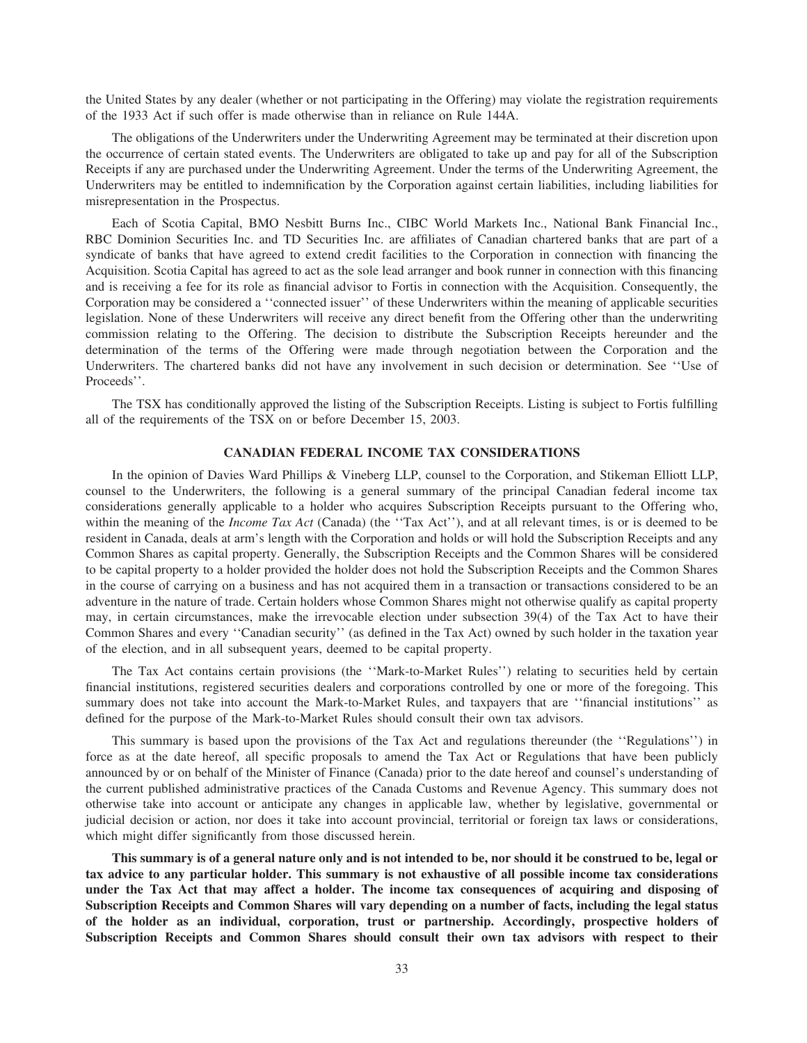the United States by any dealer (whether or not participating in the Offering) may violate the registration requirements of the 1933 Act if such offer is made otherwise than in reliance on Rule 144A.

The obligations of the Underwriters under the Underwriting Agreement may be terminated at their discretion upon the occurrence of certain stated events. The Underwriters are obligated to take up and pay for all of the Subscription Receipts if any are purchased under the Underwriting Agreement. Under the terms of the Underwriting Agreement, the Underwriters may be entitled to indemnification by the Corporation against certain liabilities, including liabilities for misrepresentation in the Prospectus.

Each of Scotia Capital, BMO Nesbitt Burns Inc., CIBC World Markets Inc., National Bank Financial Inc., RBC Dominion Securities Inc. and TD Securities Inc. are affiliates of Canadian chartered banks that are part of a syndicate of banks that have agreed to extend credit facilities to the Corporation in connection with financing the Acquisition. Scotia Capital has agreed to act as the sole lead arranger and book runner in connection with this financing and is receiving a fee for its role as financial advisor to Fortis in connection with the Acquisition. Consequently, the Corporation may be considered a ''connected issuer'' of these Underwriters within the meaning of applicable securities legislation. None of these Underwriters will receive any direct benefit from the Offering other than the underwriting commission relating to the Offering. The decision to distribute the Subscription Receipts hereunder and the determination of the terms of the Offering were made through negotiation between the Corporation and the Underwriters. The chartered banks did not have any involvement in such decision or determination. See ''Use of Proceeds''.

The TSX has conditionally approved the listing of the Subscription Receipts. Listing is subject to Fortis fulfilling all of the requirements of the TSX on or before December 15, 2003.

## **CANADIAN FEDERAL INCOME TAX CONSIDERATIONS**

In the opinion of Davies Ward Phillips & Vineberg LLP, counsel to the Corporation, and Stikeman Elliott LLP, counsel to the Underwriters, the following is a general summary of the principal Canadian federal income tax considerations generally applicable to a holder who acquires Subscription Receipts pursuant to the Offering who, within the meaning of the *Income Tax Act* (Canada) (the "Tax Act"), and at all relevant times, is or is deemed to be resident in Canada, deals at arm's length with the Corporation and holds or will hold the Subscription Receipts and any Common Shares as capital property. Generally, the Subscription Receipts and the Common Shares will be considered to be capital property to a holder provided the holder does not hold the Subscription Receipts and the Common Shares in the course of carrying on a business and has not acquired them in a transaction or transactions considered to be an adventure in the nature of trade. Certain holders whose Common Shares might not otherwise qualify as capital property may, in certain circumstances, make the irrevocable election under subsection 39(4) of the Tax Act to have their Common Shares and every ''Canadian security'' (as defined in the Tax Act) owned by such holder in the taxation year of the election, and in all subsequent years, deemed to be capital property.

The Tax Act contains certain provisions (the ''Mark-to-Market Rules'') relating to securities held by certain financial institutions, registered securities dealers and corporations controlled by one or more of the foregoing. This summary does not take into account the Mark-to-Market Rules, and taxpayers that are "financial institutions" as defined for the purpose of the Mark-to-Market Rules should consult their own tax advisors.

This summary is based upon the provisions of the Tax Act and regulations thereunder (the ''Regulations'') in force as at the date hereof, all specific proposals to amend the Tax Act or Regulations that have been publicly announced by or on behalf of the Minister of Finance (Canada) prior to the date hereof and counsel's understanding of the current published administrative practices of the Canada Customs and Revenue Agency. This summary does not otherwise take into account or anticipate any changes in applicable law, whether by legislative, governmental or judicial decision or action, nor does it take into account provincial, territorial or foreign tax laws or considerations, which might differ significantly from those discussed herein.

**This summary is of a general nature only and is not intended to be, nor should it be construed to be, legal or tax advice to any particular holder. This summary is not exhaustive of all possible income tax considerations under the Tax Act that may affect a holder. The income tax consequences of acquiring and disposing of Subscription Receipts and Common Shares will vary depending on a number of facts, including the legal status of the holder as an individual, corporation, trust or partnership. Accordingly, prospective holders of Subscription Receipts and Common Shares should consult their own tax advisors with respect to their**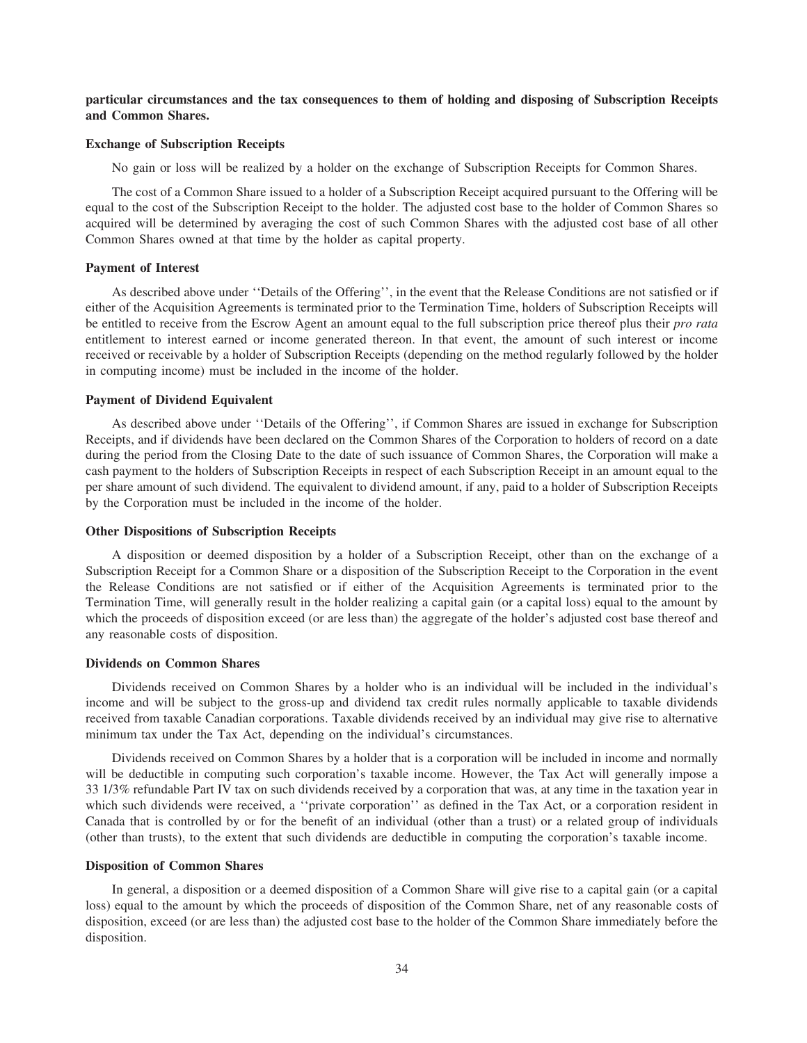## **particular circumstances and the tax consequences to them of holding and disposing of Subscription Receipts and Common Shares.**

## **Exchange of Subscription Receipts**

No gain or loss will be realized by a holder on the exchange of Subscription Receipts for Common Shares.

The cost of a Common Share issued to a holder of a Subscription Receipt acquired pursuant to the Offering will be equal to the cost of the Subscription Receipt to the holder. The adjusted cost base to the holder of Common Shares so acquired will be determined by averaging the cost of such Common Shares with the adjusted cost base of all other Common Shares owned at that time by the holder as capital property.

## **Payment of Interest**

As described above under ''Details of the Offering'', in the event that the Release Conditions are not satisfied or if either of the Acquisition Agreements is terminated prior to the Termination Time, holders of Subscription Receipts will be entitled to receive from the Escrow Agent an amount equal to the full subscription price thereof plus their *pro rata* entitlement to interest earned or income generated thereon. In that event, the amount of such interest or income received or receivable by a holder of Subscription Receipts (depending on the method regularly followed by the holder in computing income) must be included in the income of the holder.

## **Payment of Dividend Equivalent**

As described above under ''Details of the Offering'', if Common Shares are issued in exchange for Subscription Receipts, and if dividends have been declared on the Common Shares of the Corporation to holders of record on a date during the period from the Closing Date to the date of such issuance of Common Shares, the Corporation will make a cash payment to the holders of Subscription Receipts in respect of each Subscription Receipt in an amount equal to the per share amount of such dividend. The equivalent to dividend amount, if any, paid to a holder of Subscription Receipts by the Corporation must be included in the income of the holder.

## **Other Dispositions of Subscription Receipts**

A disposition or deemed disposition by a holder of a Subscription Receipt, other than on the exchange of a Subscription Receipt for a Common Share or a disposition of the Subscription Receipt to the Corporation in the event the Release Conditions are not satisfied or if either of the Acquisition Agreements is terminated prior to the Termination Time, will generally result in the holder realizing a capital gain (or a capital loss) equal to the amount by which the proceeds of disposition exceed (or are less than) the aggregate of the holder's adjusted cost base thereof and any reasonable costs of disposition.

#### **Dividends on Common Shares**

Dividends received on Common Shares by a holder who is an individual will be included in the individual's income and will be subject to the gross-up and dividend tax credit rules normally applicable to taxable dividends received from taxable Canadian corporations. Taxable dividends received by an individual may give rise to alternative minimum tax under the Tax Act, depending on the individual's circumstances.

Dividends received on Common Shares by a holder that is a corporation will be included in income and normally will be deductible in computing such corporation's taxable income. However, the Tax Act will generally impose a 33 1/3% refundable Part IV tax on such dividends received by a corporation that was, at any time in the taxation year in which such dividends were received, a ''private corporation'' as defined in the Tax Act, or a corporation resident in Canada that is controlled by or for the benefit of an individual (other than a trust) or a related group of individuals (other than trusts), to the extent that such dividends are deductible in computing the corporation's taxable income.

## **Disposition of Common Shares**

In general, a disposition or a deemed disposition of a Common Share will give rise to a capital gain (or a capital loss) equal to the amount by which the proceeds of disposition of the Common Share, net of any reasonable costs of disposition, exceed (or are less than) the adjusted cost base to the holder of the Common Share immediately before the disposition.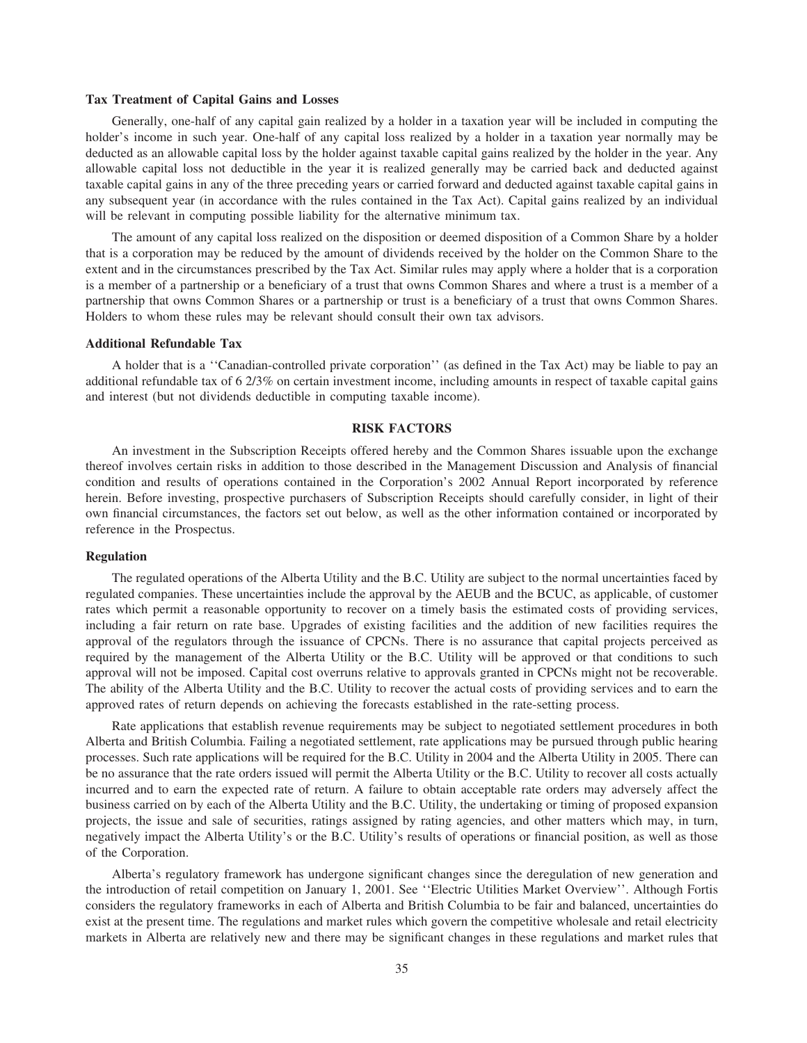## **Tax Treatment of Capital Gains and Losses**

Generally, one-half of any capital gain realized by a holder in a taxation year will be included in computing the holder's income in such year. One-half of any capital loss realized by a holder in a taxation year normally may be deducted as an allowable capital loss by the holder against taxable capital gains realized by the holder in the year. Any allowable capital loss not deductible in the year it is realized generally may be carried back and deducted against taxable capital gains in any of the three preceding years or carried forward and deducted against taxable capital gains in any subsequent year (in accordance with the rules contained in the Tax Act). Capital gains realized by an individual will be relevant in computing possible liability for the alternative minimum tax.

The amount of any capital loss realized on the disposition or deemed disposition of a Common Share by a holder that is a corporation may be reduced by the amount of dividends received by the holder on the Common Share to the extent and in the circumstances prescribed by the Tax Act. Similar rules may apply where a holder that is a corporation is a member of a partnership or a beneficiary of a trust that owns Common Shares and where a trust is a member of a partnership that owns Common Shares or a partnership or trust is a beneficiary of a trust that owns Common Shares. Holders to whom these rules may be relevant should consult their own tax advisors.

#### **Additional Refundable Tax**

A holder that is a ''Canadian-controlled private corporation'' (as defined in the Tax Act) may be liable to pay an additional refundable tax of 6 2/3% on certain investment income, including amounts in respect of taxable capital gains and interest (but not dividends deductible in computing taxable income).

## **RISK FACTORS**

An investment in the Subscription Receipts offered hereby and the Common Shares issuable upon the exchange thereof involves certain risks in addition to those described in the Management Discussion and Analysis of financial condition and results of operations contained in the Corporation's 2002 Annual Report incorporated by reference herein. Before investing, prospective purchasers of Subscription Receipts should carefully consider, in light of their own financial circumstances, the factors set out below, as well as the other information contained or incorporated by reference in the Prospectus.

## **Regulation**

The regulated operations of the Alberta Utility and the B.C. Utility are subject to the normal uncertainties faced by regulated companies. These uncertainties include the approval by the AEUB and the BCUC, as applicable, of customer rates which permit a reasonable opportunity to recover on a timely basis the estimated costs of providing services, including a fair return on rate base. Upgrades of existing facilities and the addition of new facilities requires the approval of the regulators through the issuance of CPCNs. There is no assurance that capital projects perceived as required by the management of the Alberta Utility or the B.C. Utility will be approved or that conditions to such approval will not be imposed. Capital cost overruns relative to approvals granted in CPCNs might not be recoverable. The ability of the Alberta Utility and the B.C. Utility to recover the actual costs of providing services and to earn the approved rates of return depends on achieving the forecasts established in the rate-setting process.

Rate applications that establish revenue requirements may be subject to negotiated settlement procedures in both Alberta and British Columbia. Failing a negotiated settlement, rate applications may be pursued through public hearing processes. Such rate applications will be required for the B.C. Utility in 2004 and the Alberta Utility in 2005. There can be no assurance that the rate orders issued will permit the Alberta Utility or the B.C. Utility to recover all costs actually incurred and to earn the expected rate of return. A failure to obtain acceptable rate orders may adversely affect the business carried on by each of the Alberta Utility and the B.C. Utility, the undertaking or timing of proposed expansion projects, the issue and sale of securities, ratings assigned by rating agencies, and other matters which may, in turn, negatively impact the Alberta Utility's or the B.C. Utility's results of operations or financial position, as well as those of the Corporation.

Alberta's regulatory framework has undergone significant changes since the deregulation of new generation and the introduction of retail competition on January 1, 2001. See ''Electric Utilities Market Overview''. Although Fortis considers the regulatory frameworks in each of Alberta and British Columbia to be fair and balanced, uncertainties do exist at the present time. The regulations and market rules which govern the competitive wholesale and retail electricity markets in Alberta are relatively new and there may be significant changes in these regulations and market rules that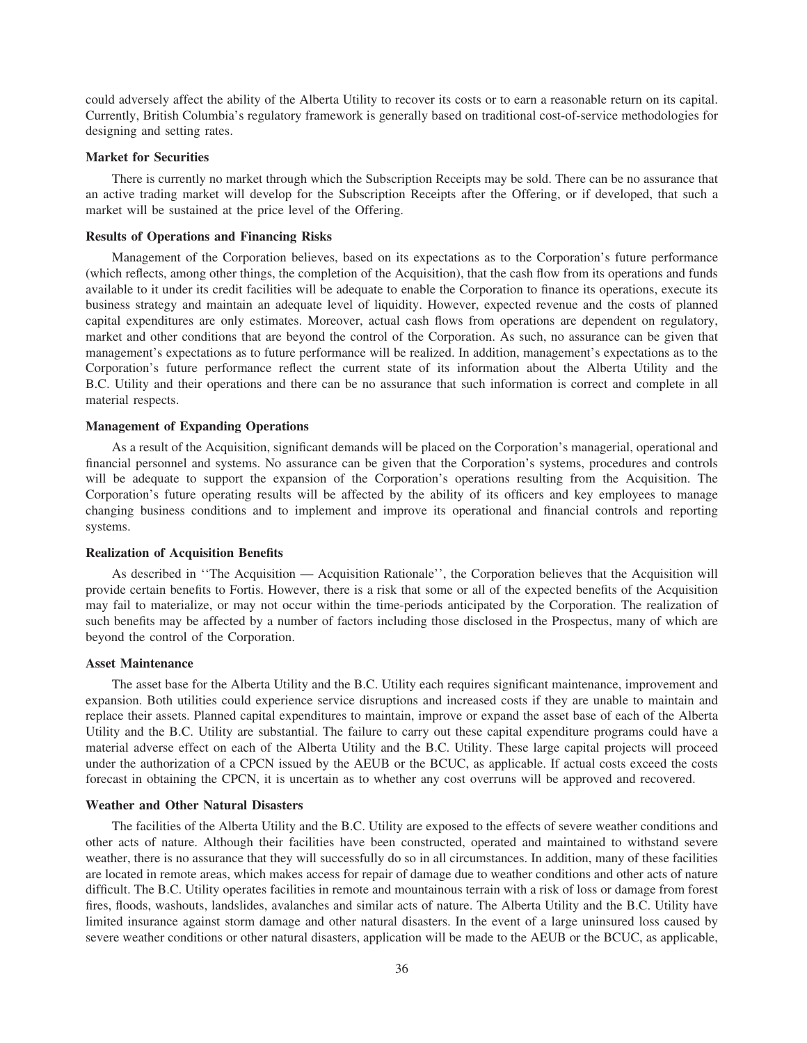could adversely affect the ability of the Alberta Utility to recover its costs or to earn a reasonable return on its capital. Currently, British Columbia's regulatory framework is generally based on traditional cost-of-service methodologies for designing and setting rates.

# **Market for Securities**

There is currently no market through which the Subscription Receipts may be sold. There can be no assurance that an active trading market will develop for the Subscription Receipts after the Offering, or if developed, that such a market will be sustained at the price level of the Offering.

# **Results of Operations and Financing Risks**

Management of the Corporation believes, based on its expectations as to the Corporation's future performance (which reflects, among other things, the completion of the Acquisition), that the cash flow from its operations and funds available to it under its credit facilities will be adequate to enable the Corporation to finance its operations, execute its business strategy and maintain an adequate level of liquidity. However, expected revenue and the costs of planned capital expenditures are only estimates. Moreover, actual cash flows from operations are dependent on regulatory, market and other conditions that are beyond the control of the Corporation. As such, no assurance can be given that management's expectations as to future performance will be realized. In addition, management's expectations as to the Corporation's future performance reflect the current state of its information about the Alberta Utility and the B.C. Utility and their operations and there can be no assurance that such information is correct and complete in all material respects.

# **Management of Expanding Operations**

As a result of the Acquisition, significant demands will be placed on the Corporation's managerial, operational and financial personnel and systems. No assurance can be given that the Corporation's systems, procedures and controls will be adequate to support the expansion of the Corporation's operations resulting from the Acquisition. The Corporation's future operating results will be affected by the ability of its officers and key employees to manage changing business conditions and to implement and improve its operational and financial controls and reporting systems.

### **Realization of Acquisition Benefits**

As described in ''The Acquisition — Acquisition Rationale'', the Corporation believes that the Acquisition will provide certain benefits to Fortis. However, there is a risk that some or all of the expected benefits of the Acquisition may fail to materialize, or may not occur within the time-periods anticipated by the Corporation. The realization of such benefits may be affected by a number of factors including those disclosed in the Prospectus, many of which are beyond the control of the Corporation.

### **Asset Maintenance**

The asset base for the Alberta Utility and the B.C. Utility each requires significant maintenance, improvement and expansion. Both utilities could experience service disruptions and increased costs if they are unable to maintain and replace their assets. Planned capital expenditures to maintain, improve or expand the asset base of each of the Alberta Utility and the B.C. Utility are substantial. The failure to carry out these capital expenditure programs could have a material adverse effect on each of the Alberta Utility and the B.C. Utility. These large capital projects will proceed under the authorization of a CPCN issued by the AEUB or the BCUC, as applicable. If actual costs exceed the costs forecast in obtaining the CPCN, it is uncertain as to whether any cost overruns will be approved and recovered.

#### **Weather and Other Natural Disasters**

The facilities of the Alberta Utility and the B.C. Utility are exposed to the effects of severe weather conditions and other acts of nature. Although their facilities have been constructed, operated and maintained to withstand severe weather, there is no assurance that they will successfully do so in all circumstances. In addition, many of these facilities are located in remote areas, which makes access for repair of damage due to weather conditions and other acts of nature difficult. The B.C. Utility operates facilities in remote and mountainous terrain with a risk of loss or damage from forest fires, floods, washouts, landslides, avalanches and similar acts of nature. The Alberta Utility and the B.C. Utility have limited insurance against storm damage and other natural disasters. In the event of a large uninsured loss caused by severe weather conditions or other natural disasters, application will be made to the AEUB or the BCUC, as applicable,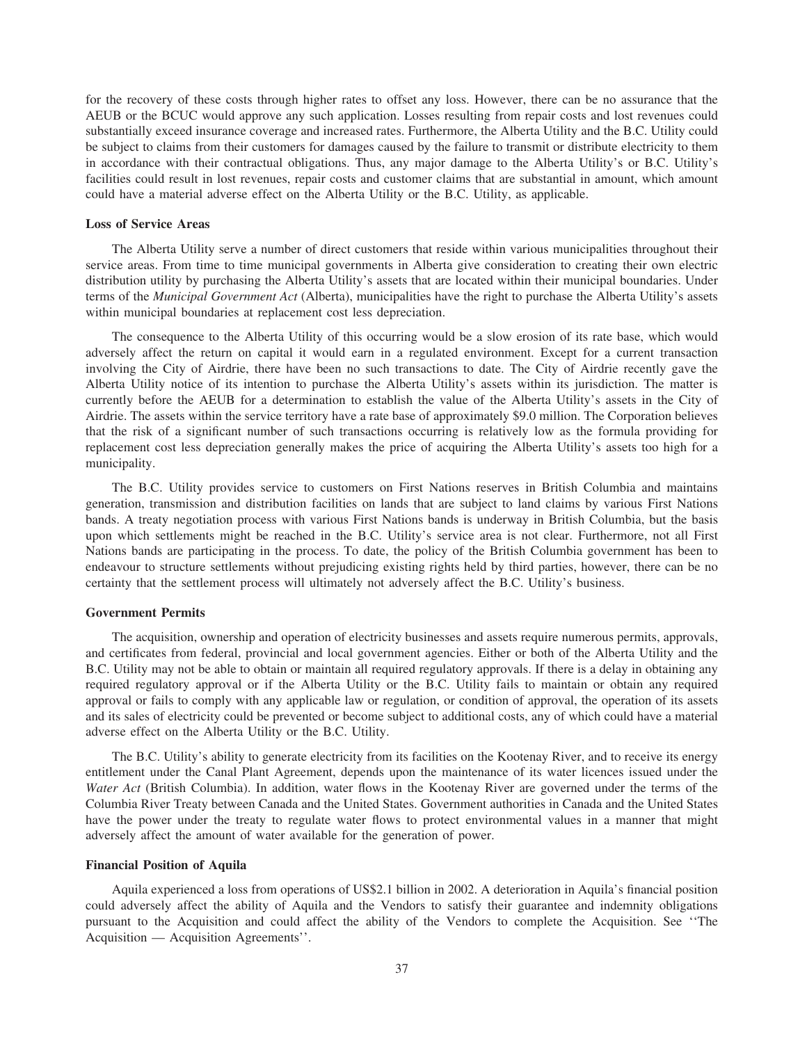for the recovery of these costs through higher rates to offset any loss. However, there can be no assurance that the AEUB or the BCUC would approve any such application. Losses resulting from repair costs and lost revenues could substantially exceed insurance coverage and increased rates. Furthermore, the Alberta Utility and the B.C. Utility could be subject to claims from their customers for damages caused by the failure to transmit or distribute electricity to them in accordance with their contractual obligations. Thus, any major damage to the Alberta Utility's or B.C. Utility's facilities could result in lost revenues, repair costs and customer claims that are substantial in amount, which amount could have a material adverse effect on the Alberta Utility or the B.C. Utility, as applicable.

## **Loss of Service Areas**

The Alberta Utility serve a number of direct customers that reside within various municipalities throughout their service areas. From time to time municipal governments in Alberta give consideration to creating their own electric distribution utility by purchasing the Alberta Utility's assets that are located within their municipal boundaries. Under terms of the *Municipal Government Act* (Alberta), municipalities have the right to purchase the Alberta Utility's assets within municipal boundaries at replacement cost less depreciation.

The consequence to the Alberta Utility of this occurring would be a slow erosion of its rate base, which would adversely affect the return on capital it would earn in a regulated environment. Except for a current transaction involving the City of Airdrie, there have been no such transactions to date. The City of Airdrie recently gave the Alberta Utility notice of its intention to purchase the Alberta Utility's assets within its jurisdiction. The matter is currently before the AEUB for a determination to establish the value of the Alberta Utility's assets in the City of Airdrie. The assets within the service territory have a rate base of approximately \$9.0 million. The Corporation believes that the risk of a significant number of such transactions occurring is relatively low as the formula providing for replacement cost less depreciation generally makes the price of acquiring the Alberta Utility's assets too high for a municipality.

The B.C. Utility provides service to customers on First Nations reserves in British Columbia and maintains generation, transmission and distribution facilities on lands that are subject to land claims by various First Nations bands. A treaty negotiation process with various First Nations bands is underway in British Columbia, but the basis upon which settlements might be reached in the B.C. Utility's service area is not clear. Furthermore, not all First Nations bands are participating in the process. To date, the policy of the British Columbia government has been to endeavour to structure settlements without prejudicing existing rights held by third parties, however, there can be no certainty that the settlement process will ultimately not adversely affect the B.C. Utility's business.

## **Government Permits**

The acquisition, ownership and operation of electricity businesses and assets require numerous permits, approvals, and certificates from federal, provincial and local government agencies. Either or both of the Alberta Utility and the B.C. Utility may not be able to obtain or maintain all required regulatory approvals. If there is a delay in obtaining any required regulatory approval or if the Alberta Utility or the B.C. Utility fails to maintain or obtain any required approval or fails to comply with any applicable law or regulation, or condition of approval, the operation of its assets and its sales of electricity could be prevented or become subject to additional costs, any of which could have a material adverse effect on the Alberta Utility or the B.C. Utility.

The B.C. Utility's ability to generate electricity from its facilities on the Kootenay River, and to receive its energy entitlement under the Canal Plant Agreement, depends upon the maintenance of its water licences issued under the *Water Act* (British Columbia). In addition, water flows in the Kootenay River are governed under the terms of the Columbia River Treaty between Canada and the United States. Government authorities in Canada and the United States have the power under the treaty to regulate water flows to protect environmental values in a manner that might adversely affect the amount of water available for the generation of power.

#### **Financial Position of Aquila**

Aquila experienced a loss from operations of US\$2.1 billion in 2002. A deterioration in Aquila's financial position could adversely affect the ability of Aquila and the Vendors to satisfy their guarantee and indemnity obligations pursuant to the Acquisition and could affect the ability of the Vendors to complete the Acquisition. See ''The Acquisition — Acquisition Agreements''.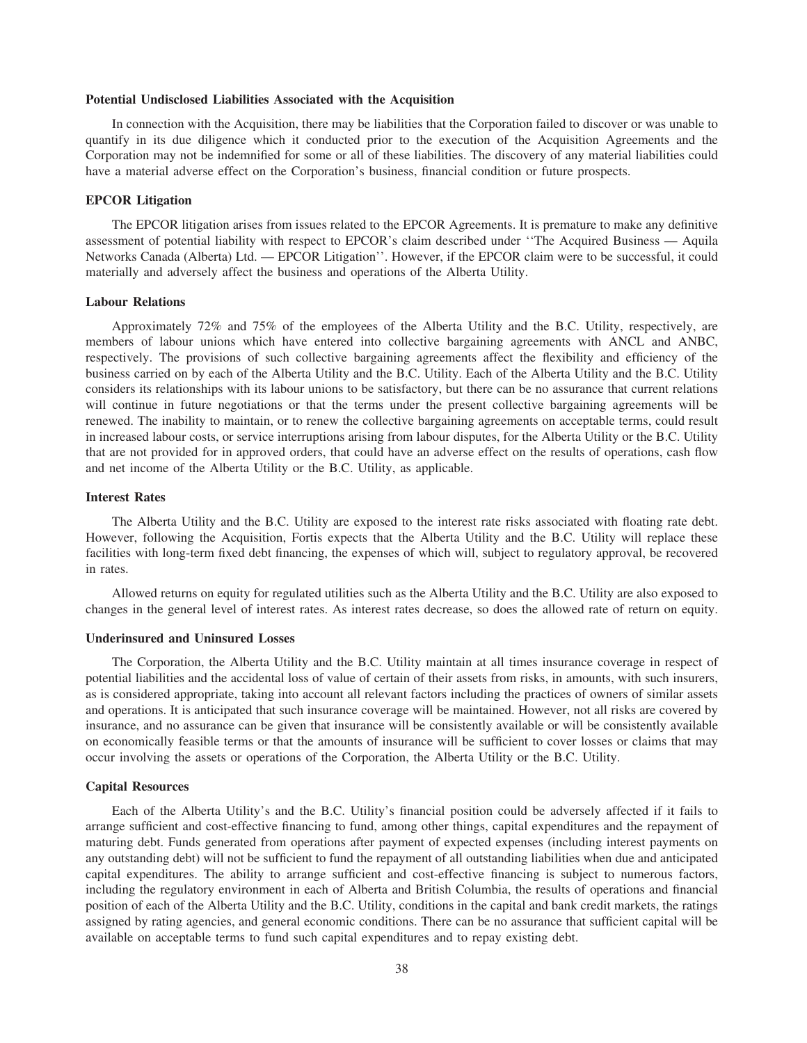## **Potential Undisclosed Liabilities Associated with the Acquisition**

In connection with the Acquisition, there may be liabilities that the Corporation failed to discover or was unable to quantify in its due diligence which it conducted prior to the execution of the Acquisition Agreements and the Corporation may not be indemnified for some or all of these liabilities. The discovery of any material liabilities could have a material adverse effect on the Corporation's business, financial condition or future prospects.

# **EPCOR Litigation**

The EPCOR litigation arises from issues related to the EPCOR Agreements. It is premature to make any definitive assessment of potential liability with respect to EPCOR's claim described under ''The Acquired Business — Aquila Networks Canada (Alberta) Ltd. — EPCOR Litigation''. However, if the EPCOR claim were to be successful, it could materially and adversely affect the business and operations of the Alberta Utility.

## **Labour Relations**

Approximately 72% and 75% of the employees of the Alberta Utility and the B.C. Utility, respectively, are members of labour unions which have entered into collective bargaining agreements with ANCL and ANBC, respectively. The provisions of such collective bargaining agreements affect the flexibility and efficiency of the business carried on by each of the Alberta Utility and the B.C. Utility. Each of the Alberta Utility and the B.C. Utility considers its relationships with its labour unions to be satisfactory, but there can be no assurance that current relations will continue in future negotiations or that the terms under the present collective bargaining agreements will be renewed. The inability to maintain, or to renew the collective bargaining agreements on acceptable terms, could result in increased labour costs, or service interruptions arising from labour disputes, for the Alberta Utility or the B.C. Utility that are not provided for in approved orders, that could have an adverse effect on the results of operations, cash flow and net income of the Alberta Utility or the B.C. Utility, as applicable.

# **Interest Rates**

The Alberta Utility and the B.C. Utility are exposed to the interest rate risks associated with floating rate debt. However, following the Acquisition, Fortis expects that the Alberta Utility and the B.C. Utility will replace these facilities with long-term fixed debt financing, the expenses of which will, subject to regulatory approval, be recovered in rates.

Allowed returns on equity for regulated utilities such as the Alberta Utility and the B.C. Utility are also exposed to changes in the general level of interest rates. As interest rates decrease, so does the allowed rate of return on equity.

## **Underinsured and Uninsured Losses**

The Corporation, the Alberta Utility and the B.C. Utility maintain at all times insurance coverage in respect of potential liabilities and the accidental loss of value of certain of their assets from risks, in amounts, with such insurers, as is considered appropriate, taking into account all relevant factors including the practices of owners of similar assets and operations. It is anticipated that such insurance coverage will be maintained. However, not all risks are covered by insurance, and no assurance can be given that insurance will be consistently available or will be consistently available on economically feasible terms or that the amounts of insurance will be sufficient to cover losses or claims that may occur involving the assets or operations of the Corporation, the Alberta Utility or the B.C. Utility.

## **Capital Resources**

Each of the Alberta Utility's and the B.C. Utility's financial position could be adversely affected if it fails to arrange sufficient and cost-effective financing to fund, among other things, capital expenditures and the repayment of maturing debt. Funds generated from operations after payment of expected expenses (including interest payments on any outstanding debt) will not be sufficient to fund the repayment of all outstanding liabilities when due and anticipated capital expenditures. The ability to arrange sufficient and cost-effective financing is subject to numerous factors, including the regulatory environment in each of Alberta and British Columbia, the results of operations and financial position of each of the Alberta Utility and the B.C. Utility, conditions in the capital and bank credit markets, the ratings assigned by rating agencies, and general economic conditions. There can be no assurance that sufficient capital will be available on acceptable terms to fund such capital expenditures and to repay existing debt.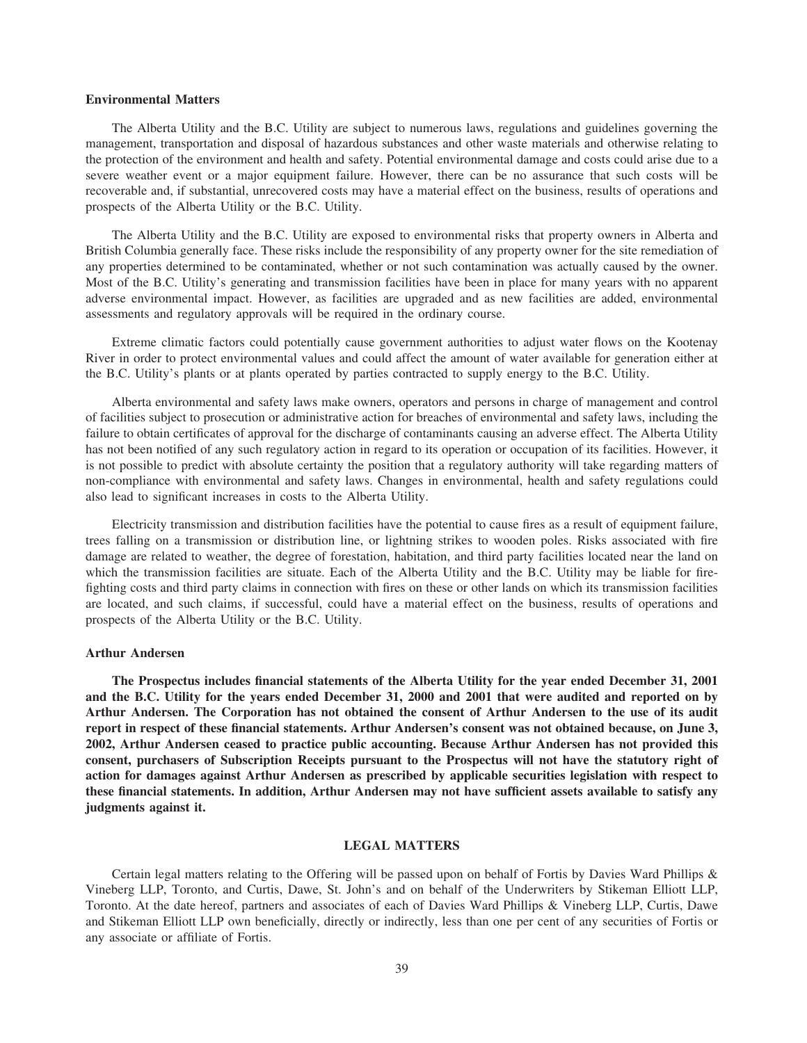## **Environmental Matters**

The Alberta Utility and the B.C. Utility are subject to numerous laws, regulations and guidelines governing the management, transportation and disposal of hazardous substances and other waste materials and otherwise relating to the protection of the environment and health and safety. Potential environmental damage and costs could arise due to a severe weather event or a major equipment failure. However, there can be no assurance that such costs will be recoverable and, if substantial, unrecovered costs may have a material effect on the business, results of operations and prospects of the Alberta Utility or the B.C. Utility.

The Alberta Utility and the B.C. Utility are exposed to environmental risks that property owners in Alberta and British Columbia generally face. These risks include the responsibility of any property owner for the site remediation of any properties determined to be contaminated, whether or not such contamination was actually caused by the owner. Most of the B.C. Utility's generating and transmission facilities have been in place for many years with no apparent adverse environmental impact. However, as facilities are upgraded and as new facilities are added, environmental assessments and regulatory approvals will be required in the ordinary course.

Extreme climatic factors could potentially cause government authorities to adjust water flows on the Kootenay River in order to protect environmental values and could affect the amount of water available for generation either at the B.C. Utility's plants or at plants operated by parties contracted to supply energy to the B.C. Utility.

Alberta environmental and safety laws make owners, operators and persons in charge of management and control of facilities subject to prosecution or administrative action for breaches of environmental and safety laws, including the failure to obtain certificates of approval for the discharge of contaminants causing an adverse effect. The Alberta Utility has not been notified of any such regulatory action in regard to its operation or occupation of its facilities. However, it is not possible to predict with absolute certainty the position that a regulatory authority will take regarding matters of non-compliance with environmental and safety laws. Changes in environmental, health and safety regulations could also lead to significant increases in costs to the Alberta Utility.

Electricity transmission and distribution facilities have the potential to cause fires as a result of equipment failure, trees falling on a transmission or distribution line, or lightning strikes to wooden poles. Risks associated with fire damage are related to weather, the degree of forestation, habitation, and third party facilities located near the land on which the transmission facilities are situate. Each of the Alberta Utility and the B.C. Utility may be liable for firefighting costs and third party claims in connection with fires on these or other lands on which its transmission facilities are located, and such claims, if successful, could have a material effect on the business, results of operations and prospects of the Alberta Utility or the B.C. Utility.

### **Arthur Andersen**

**The Prospectus includes financial statements of the Alberta Utility for the year ended December 31, 2001 and the B.C. Utility for the years ended December 31, 2000 and 2001 that were audited and reported on by Arthur Andersen. The Corporation has not obtained the consent of Arthur Andersen to the use of its audit report in respect of these financial statements. Arthur Andersen's consent was not obtained because, on June 3, 2002, Arthur Andersen ceased to practice public accounting. Because Arthur Andersen has not provided this consent, purchasers of Subscription Receipts pursuant to the Prospectus will not have the statutory right of action for damages against Arthur Andersen as prescribed by applicable securities legislation with respect to these financial statements. In addition, Arthur Andersen may not have sufficient assets available to satisfy any judgments against it.**

# **LEGAL MATTERS**

Certain legal matters relating to the Offering will be passed upon on behalf of Fortis by Davies Ward Phillips & Vineberg LLP, Toronto, and Curtis, Dawe, St. John's and on behalf of the Underwriters by Stikeman Elliott LLP, Toronto. At the date hereof, partners and associates of each of Davies Ward Phillips & Vineberg LLP, Curtis, Dawe and Stikeman Elliott LLP own beneficially, directly or indirectly, less than one per cent of any securities of Fortis or any associate or affiliate of Fortis.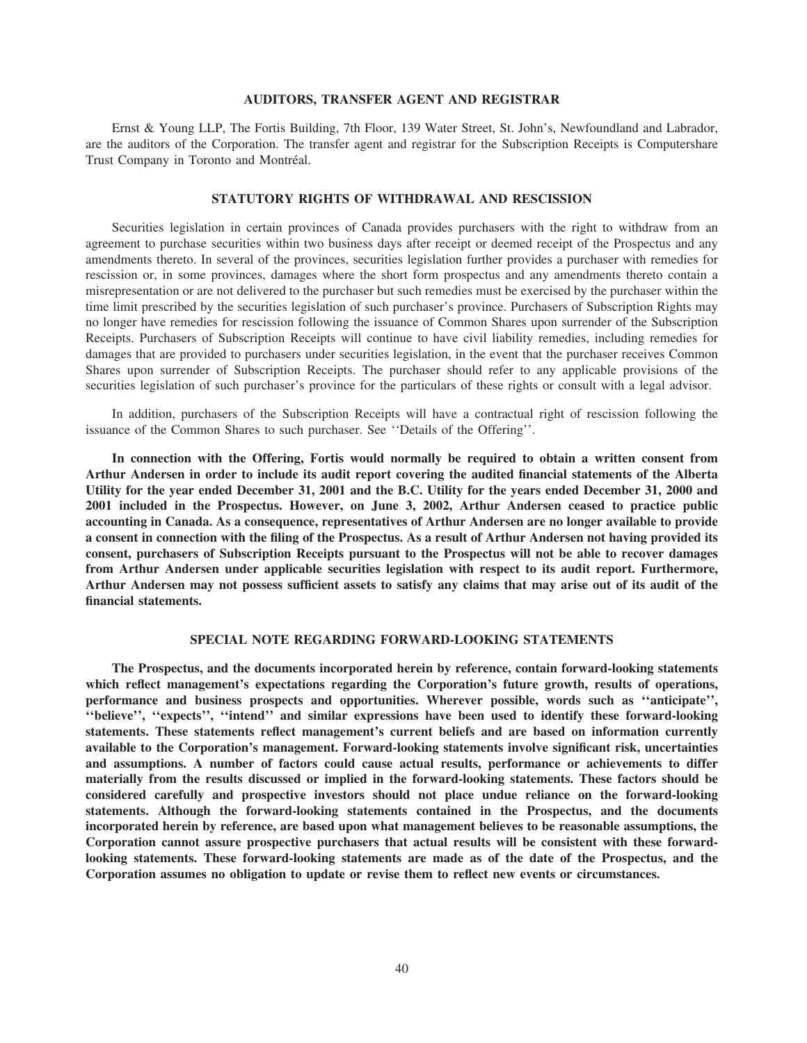### **AUDITORS, TRANSFER AGENT AND REGISTRAR**

Ernst & Young LLP, The Fortis Building, 7th Floor, 139 Water Street, St. John's, Newfoundland and Labrador, are the auditors of the Corporation. The transfer agent and registrar for the Subscription Receipts is Computershare Trust Company in Toronto and Montréal.

## **STATUTORY RIGHTS OF WITHDRAWAL AND RESCISSION**

Securities legislation in certain provinces of Canada provides purchasers with the right to withdraw from an agreement to purchase securities within two business days after receipt or deemed receipt of the Prospectus and any amendments thereto. In several of the provinces, securities legislation further provides a purchaser with remedies for rescission or, in some provinces, damages where the short form prospectus and any amendments thereto contain a misrepresentation or are not delivered to the purchaser but such remedies must be exercised by the purchaser within the time limit prescribed by the securities legislation of such purchaser's province. Purchasers of Subscription Rights may no longer have remedies for rescission following the issuance of Common Shares upon surrender of the Subscription Receipts. Purchasers of Subscription Receipts will continue to have civil liability remedies, including remedies for damages that are provided to purchasers under securities legislation, in the event that the purchaser receives Common Shares upon surrender of Subscription Receipts. The purchaser should refer to any applicable provisions of the securities legislation of such purchaser's province for the particulars of these rights or consult with a legal advisor.

In addition, purchasers of the Subscription Receipts will have a contractual right of rescission following the issuance of the Common Shares to such purchaser. See ''Details of the Offering''.

**In connection with the Offering, Fortis would normally be required to obtain a written consent from Arthur Andersen in order to include its audit report covering the audited financial statements of the Alberta Utility for the year ended December 31, 2001 and the B.C. Utility for the years ended December 31, 2000 and 2001 included in the Prospectus. However, on June 3, 2002, Arthur Andersen ceased to practice public accounting in Canada. As a consequence, representatives of Arthur Andersen are no longer available to provide a consent in connection with the filing of the Prospectus. As a result of Arthur Andersen not having provided its consent, purchasers of Subscription Receipts pursuant to the Prospectus will not be able to recover damages from Arthur Andersen under applicable securities legislation with respect to its audit report. Furthermore, Arthur Andersen may not possess sufficient assets to satisfy any claims that may arise out of its audit of the financial statements.**

## **SPECIAL NOTE REGARDING FORWARD-LOOKING STATEMENTS**

**The Prospectus, and the documents incorporated herein by reference, contain forward-looking statements which reflect management's expectations regarding the Corporation's future growth, results of operations, performance and business prospects and opportunities. Wherever possible, words such as ''anticipate'', ''believe'', ''expects'', ''intend'' and similar expressions have been used to identify these forward-looking statements. These statements reflect management's current beliefs and are based on information currently available to the Corporation's management. Forward-looking statements involve significant risk, uncertainties and assumptions. A number of factors could cause actual results, performance or achievements to differ materially from the results discussed or implied in the forward-looking statements. These factors should be considered carefully and prospective investors should not place undue reliance on the forward-looking statements. Although the forward-looking statements contained in the Prospectus, and the documents incorporated herein by reference, are based upon what management believes to be reasonable assumptions, the Corporation cannot assure prospective purchasers that actual results will be consistent with these forwardlooking statements. These forward-looking statements are made as of the date of the Prospectus, and the Corporation assumes no obligation to update or revise them to reflect new events or circumstances.**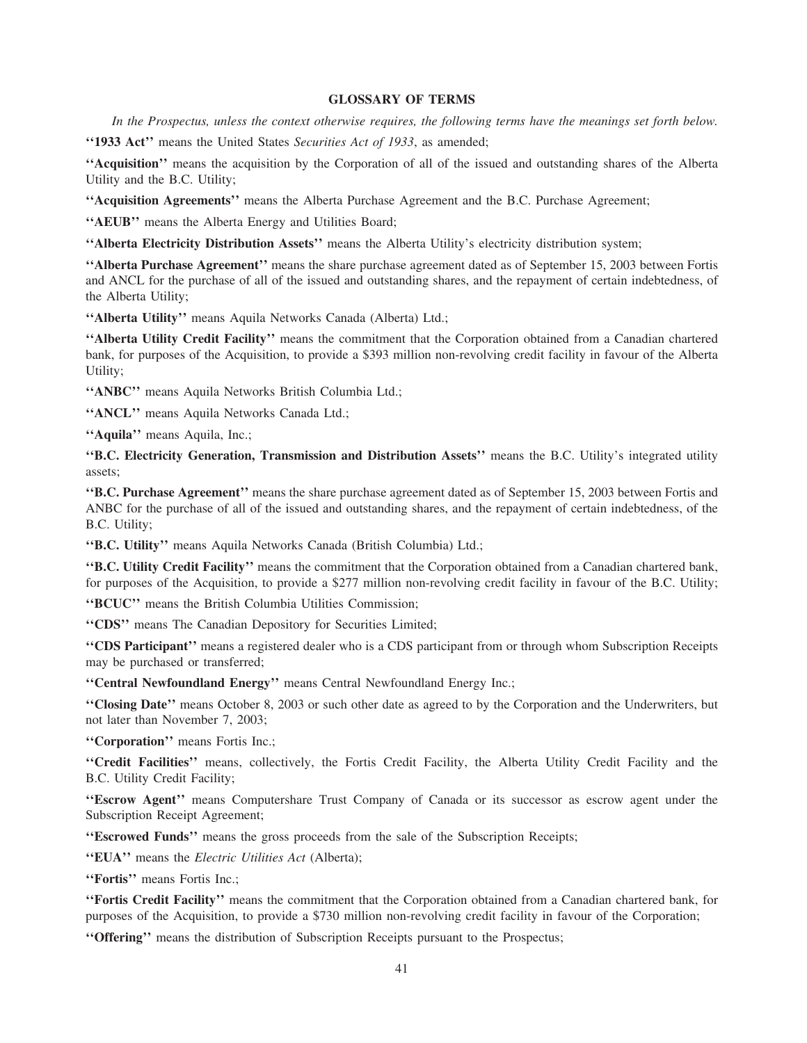# **GLOSSARY OF TERMS**

*In the Prospectus, unless the context otherwise requires, the following terms have the meanings set forth below.*

**''1933 Act''** means the United States *Securities Act of 1933*, as amended;

**''Acquisition''** means the acquisition by the Corporation of all of the issued and outstanding shares of the Alberta Utility and the B.C. Utility;

**''Acquisition Agreements''** means the Alberta Purchase Agreement and the B.C. Purchase Agreement;

**''AEUB''** means the Alberta Energy and Utilities Board;

**''Alberta Electricity Distribution Assets''** means the Alberta Utility's electricity distribution system;

**''Alberta Purchase Agreement''** means the share purchase agreement dated as of September 15, 2003 between Fortis and ANCL for the purchase of all of the issued and outstanding shares, and the repayment of certain indebtedness, of the Alberta Utility;

**''Alberta Utility''** means Aquila Networks Canada (Alberta) Ltd.;

**''Alberta Utility Credit Facility''** means the commitment that the Corporation obtained from a Canadian chartered bank, for purposes of the Acquisition, to provide a \$393 million non-revolving credit facility in favour of the Alberta Utility;

**''ANBC''** means Aquila Networks British Columbia Ltd.;

**''ANCL''** means Aquila Networks Canada Ltd.;

**''Aquila''** means Aquila, Inc.;

**''B.C. Electricity Generation, Transmission and Distribution Assets''** means the B.C. Utility's integrated utility assets;

**''B.C. Purchase Agreement''** means the share purchase agreement dated as of September 15, 2003 between Fortis and ANBC for the purchase of all of the issued and outstanding shares, and the repayment of certain indebtedness, of the B.C. Utility;

**''B.C. Utility''** means Aquila Networks Canada (British Columbia) Ltd.;

**''B.C. Utility Credit Facility''** means the commitment that the Corporation obtained from a Canadian chartered bank, for purposes of the Acquisition, to provide a \$277 million non-revolving credit facility in favour of the B.C. Utility;

**''BCUC''** means the British Columbia Utilities Commission;

**''CDS''** means The Canadian Depository for Securities Limited;

**''CDS Participant''** means a registered dealer who is a CDS participant from or through whom Subscription Receipts may be purchased or transferred;

**''Central Newfoundland Energy''** means Central Newfoundland Energy Inc.;

**''Closing Date''** means October 8, 2003 or such other date as agreed to by the Corporation and the Underwriters, but not later than November 7, 2003;

**''Corporation''** means Fortis Inc.;

**''Credit Facilities''** means, collectively, the Fortis Credit Facility, the Alberta Utility Credit Facility and the B.C. Utility Credit Facility;

**''Escrow Agent''** means Computershare Trust Company of Canada or its successor as escrow agent under the Subscription Receipt Agreement;

**''Escrowed Funds''** means the gross proceeds from the sale of the Subscription Receipts;

**''EUA''** means the *Electric Utilities Act* (Alberta);

**''Fortis''** means Fortis Inc.;

**''Fortis Credit Facility''** means the commitment that the Corporation obtained from a Canadian chartered bank, for purposes of the Acquisition, to provide a \$730 million non-revolving credit facility in favour of the Corporation;

**''Offering''** means the distribution of Subscription Receipts pursuant to the Prospectus;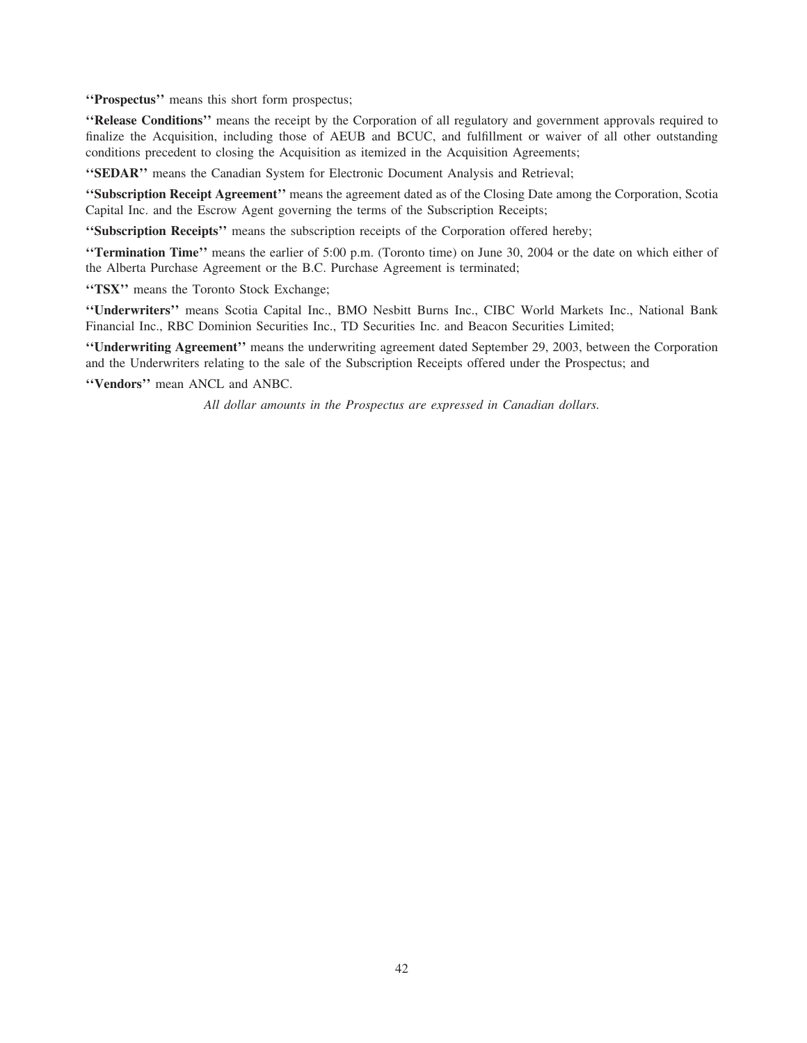**''Prospectus''** means this short form prospectus;

**''Release Conditions''** means the receipt by the Corporation of all regulatory and government approvals required to finalize the Acquisition, including those of AEUB and BCUC, and fulfillment or waiver of all other outstanding conditions precedent to closing the Acquisition as itemized in the Acquisition Agreements;

**''SEDAR''** means the Canadian System for Electronic Document Analysis and Retrieval;

**''Subscription Receipt Agreement''** means the agreement dated as of the Closing Date among the Corporation, Scotia Capital Inc. and the Escrow Agent governing the terms of the Subscription Receipts;

**''Subscription Receipts''** means the subscription receipts of the Corporation offered hereby;

**''Termination Time''** means the earlier of 5:00 p.m. (Toronto time) on June 30, 2004 or the date on which either of the Alberta Purchase Agreement or the B.C. Purchase Agreement is terminated;

**''TSX''** means the Toronto Stock Exchange;

**''Underwriters''** means Scotia Capital Inc., BMO Nesbitt Burns Inc., CIBC World Markets Inc., National Bank Financial Inc., RBC Dominion Securities Inc., TD Securities Inc. and Beacon Securities Limited;

**''Underwriting Agreement''** means the underwriting agreement dated September 29, 2003, between the Corporation and the Underwriters relating to the sale of the Subscription Receipts offered under the Prospectus; and

**''Vendors''** mean ANCL and ANBC.

*All dollar amounts in the Prospectus are expressed in Canadian dollars.*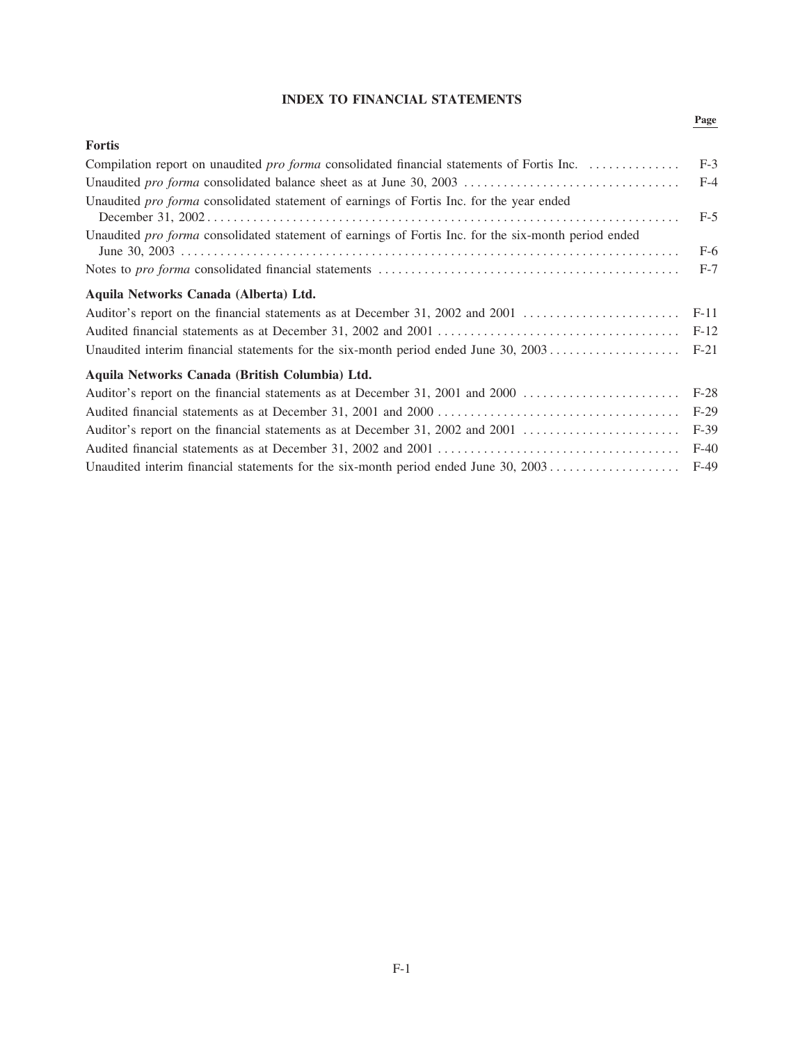# **INDEX TO FINANCIAL STATEMENTS**

# Page

| <b>Fortis</b>                                                                                        |        |
|------------------------------------------------------------------------------------------------------|--------|
| Compilation report on unaudited <i>pro forma</i> consolidated financial statements of Fortis Inc.    | $F-3$  |
|                                                                                                      | $F-4$  |
| Unaudited <i>pro forma</i> consolidated statement of earnings of Fortis Inc. for the year ended      |        |
|                                                                                                      | $F-5$  |
| Unaudited pro forma consolidated statement of earnings of Fortis Inc. for the six-month period ended |        |
|                                                                                                      | $F-6$  |
|                                                                                                      | $F-7$  |
| Aquila Networks Canada (Alberta) Ltd.                                                                |        |
|                                                                                                      |        |
|                                                                                                      |        |
|                                                                                                      |        |
| Aquila Networks Canada (British Columbia) Ltd.                                                       |        |
|                                                                                                      | $F-28$ |
|                                                                                                      | $F-29$ |
|                                                                                                      | F-39   |
|                                                                                                      | $F-40$ |
|                                                                                                      | $F-49$ |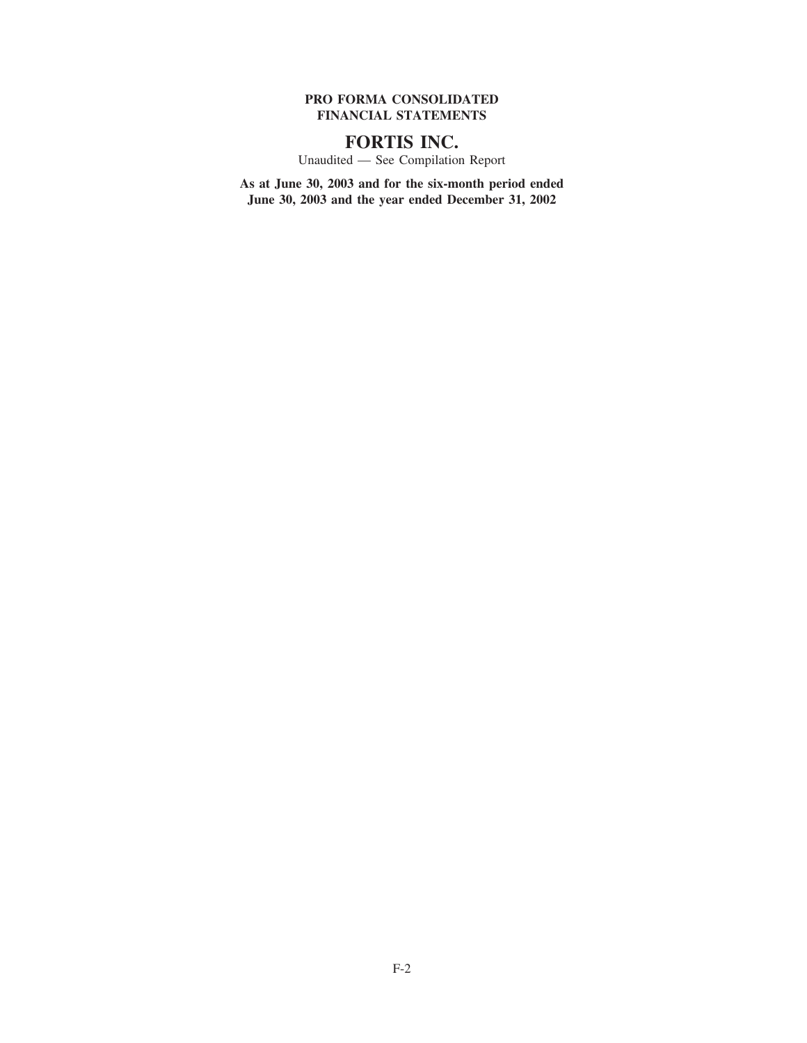# **PRO FORMA CONSOLIDATED FINANCIAL STATEMENTS**

# **FORTIS INC.**

Unaudited — See Compilation Report

**As at June 30, 2003 and for the six-month period ended June 30, 2003 and the year ended December 31, 2002**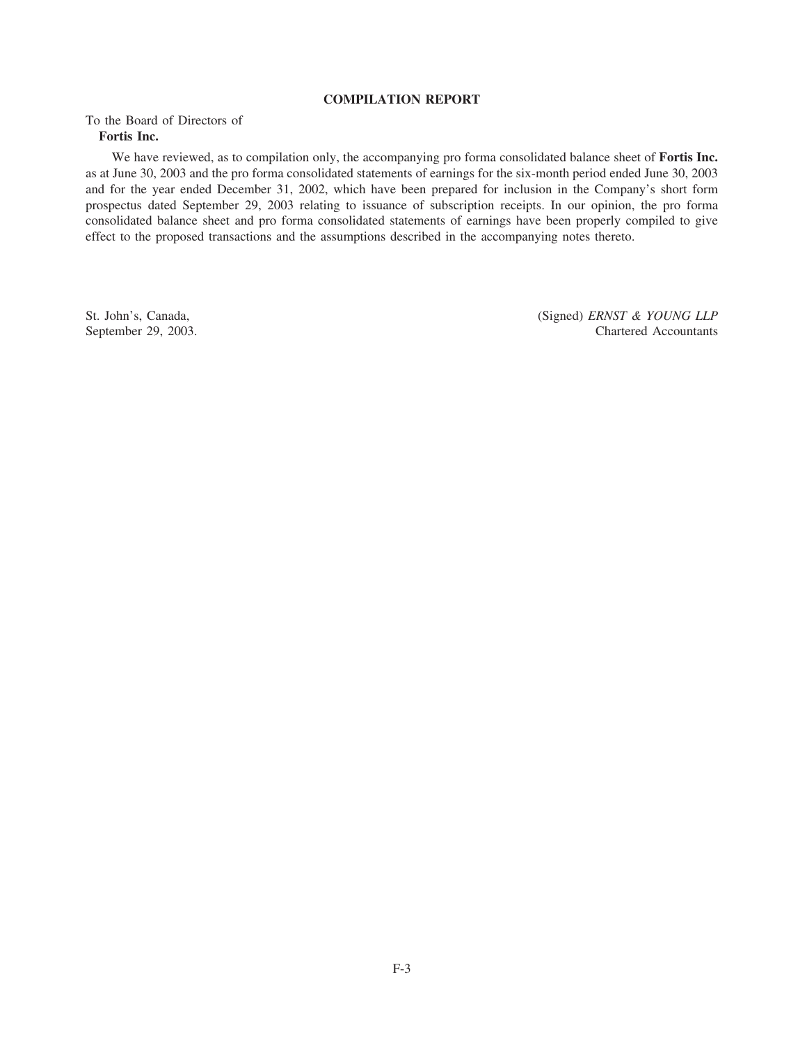# **COMPILATION REPORT**

To the Board of Directors of **Fortis Inc.**

We have reviewed, as to compilation only, the accompanying pro forma consolidated balance sheet of **Fortis Inc.** as at June 30, 2003 and the pro forma consolidated statements of earnings for the six-month period ended June 30, 2003 and for the year ended December 31, 2002, which have been prepared for inclusion in the Company's short form prospectus dated September 29, 2003 relating to issuance of subscription receipts. In our opinion, the pro forma consolidated balance sheet and pro forma consolidated statements of earnings have been properly compiled to give effect to the proposed transactions and the assumptions described in the accompanying notes thereto.

St. John's, Canada, (Signed) *ERNST & YOUNG LLP* September 29, 2003. Chartered Accountants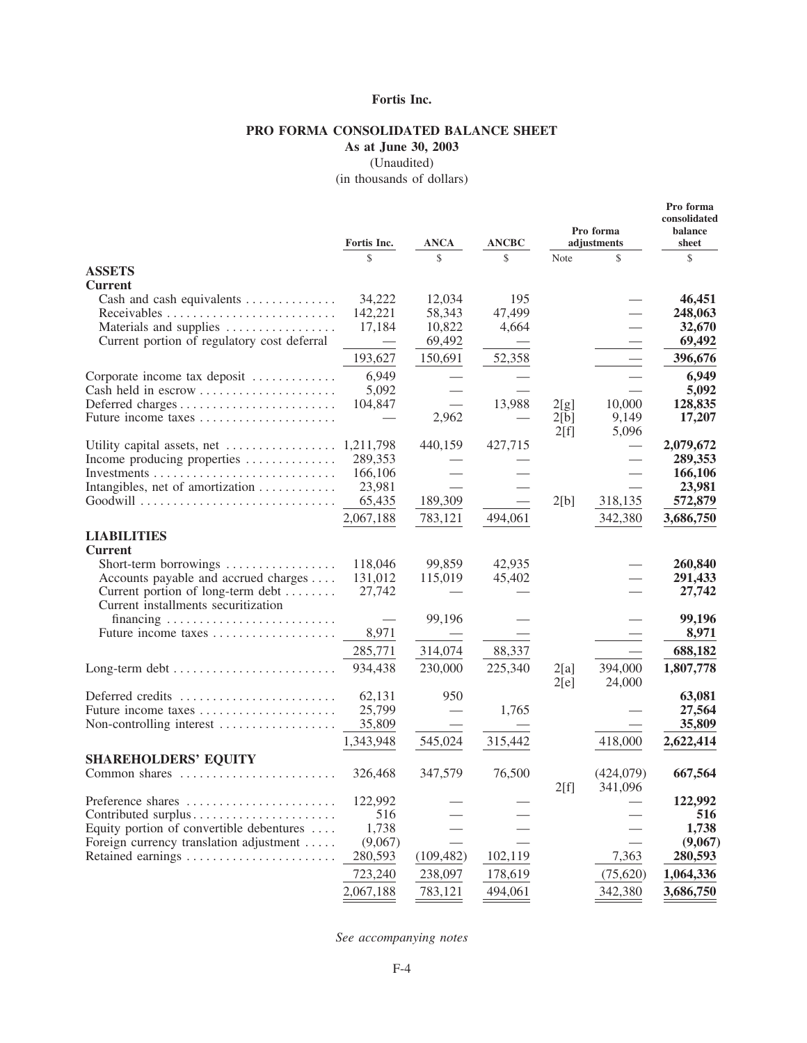# **PRO FORMA CONSOLIDATED BALANCE SHEET As at June 30, 2003** (Unaudited)

(in thousands of dollars)

|                                                         | Fortis Inc.      | <b>ANCA</b>                         | <b>ANCBC</b>  |              | Pro forma<br>adjustments | Pro forma<br>consolidated<br>balance<br>sheet |
|---------------------------------------------------------|------------------|-------------------------------------|---------------|--------------|--------------------------|-----------------------------------------------|
| <b>ASSETS</b>                                           | \$               | $\mathcal{S}$                       | $\mathcal{S}$ | Note         | \$                       | \$                                            |
| <b>Current</b>                                          |                  |                                     |               |              |                          |                                               |
| Cash and cash equivalents                               | 34,222           | 12,034                              | 195           |              |                          | 46,451                                        |
|                                                         | 142,221          | 58,343                              | 47,499        |              |                          | 248,063                                       |
| Materials and supplies                                  | 17,184           | 10,822                              | 4,664         |              |                          | 32,670                                        |
| Current portion of regulatory cost deferral             |                  | 69,492                              |               |              |                          | 69,492                                        |
|                                                         | 193,627          | 150,691                             | 52,358        |              |                          | 396,676                                       |
| Corporate income tax deposit                            | 6,949            |                                     |               |              |                          | 6,949                                         |
| Cash held in escrow                                     | 5,092            |                                     |               |              |                          | 5,092                                         |
| Deferred charges<br>Future income taxes                 | 104,847          | 2,962                               | 13,988        | 2[g]<br>2[b] | 10,000<br>9,149          | 128,835<br>17,207                             |
|                                                         |                  |                                     |               | 2[f]         | 5,096                    |                                               |
| Utility capital assets, net $\dots\dots\dots\dots\dots$ | 1,211,798        | 440,159                             | 427,715       |              |                          | 2,079,672                                     |
| Income producing properties                             | 289,353          |                                     |               |              |                          | 289,353                                       |
|                                                         | 166,106          |                                     |               |              |                          | 166,106                                       |
| Intangibles, net of amortization                        | 23,981           |                                     |               |              |                          | 23,981                                        |
|                                                         | 65,435           | 189,309                             |               | 2[b]         | 318,135                  | 572,879                                       |
|                                                         | 2,067,188        | 783,121                             | 494,061       |              | 342,380                  | 3,686,750                                     |
| <b>LIABILITIES</b>                                      |                  |                                     |               |              |                          |                                               |
| <b>Current</b><br>Short-term borrowings                 | 118,046          | 99,859                              | 42,935        |              |                          | 260,840                                       |
| Accounts payable and accrued charges                    | 131,012          | 115,019                             | 45,402        |              |                          | 291,433                                       |
| Current portion of long-term debt                       | 27,742           |                                     |               |              |                          | 27,742                                        |
| Current installments securitization                     |                  |                                     |               |              |                          |                                               |
| financing                                               |                  | 99,196                              |               |              |                          | 99,196                                        |
| Future income taxes                                     | 8,971            |                                     |               |              |                          | 8,971                                         |
|                                                         | 285,771          | 314,074                             | 88,337        |              |                          | 688,182                                       |
|                                                         | 934,438          | 230,000                             | 225,340       | 2[a]         | 394,000                  | 1,807,778                                     |
|                                                         |                  |                                     |               | 2[e]         | 24,000                   |                                               |
| Deferred credits                                        | 62,131<br>25,799 | 950                                 | 1.765         |              |                          | 63,081                                        |
| Future income taxes<br>Non-controlling interest         | 35,809           |                                     |               |              |                          | 27,564<br>35,809                              |
|                                                         | 1,343,948        | $\overline{\phantom{0}}$<br>545,024 | 315,442       |              | 418,000                  | 2,622,414                                     |
|                                                         |                  |                                     |               |              |                          |                                               |
| <b>SHAREHOLDERS' EQUITY</b><br>Common shares            | 326,468          | 347,579                             | 76,500        |              | (424,079)                | 667,564                                       |
|                                                         |                  |                                     |               | 2[f]         | 341,096                  |                                               |
| Preference shares                                       | 122,992          |                                     |               |              |                          | 122,992                                       |
|                                                         | 516              |                                     |               |              |                          | 516                                           |
| Equity portion of convertible debentures                | 1,738            |                                     |               |              |                          | 1,738                                         |
| Foreign currency translation adjustment                 | (9,067)          |                                     | 102,119       |              |                          | (9,067)                                       |
|                                                         | 280,593          | (109, 482)                          |               |              | 7,363                    | 280,593                                       |
|                                                         | 723,240          | 238,097                             | 178,619       |              | (75,620)                 | 1,064,336                                     |
|                                                         | 2,067,188        | 783,121                             | 494,061       |              | 342,380                  | 3,686,750                                     |

*See accompanying notes*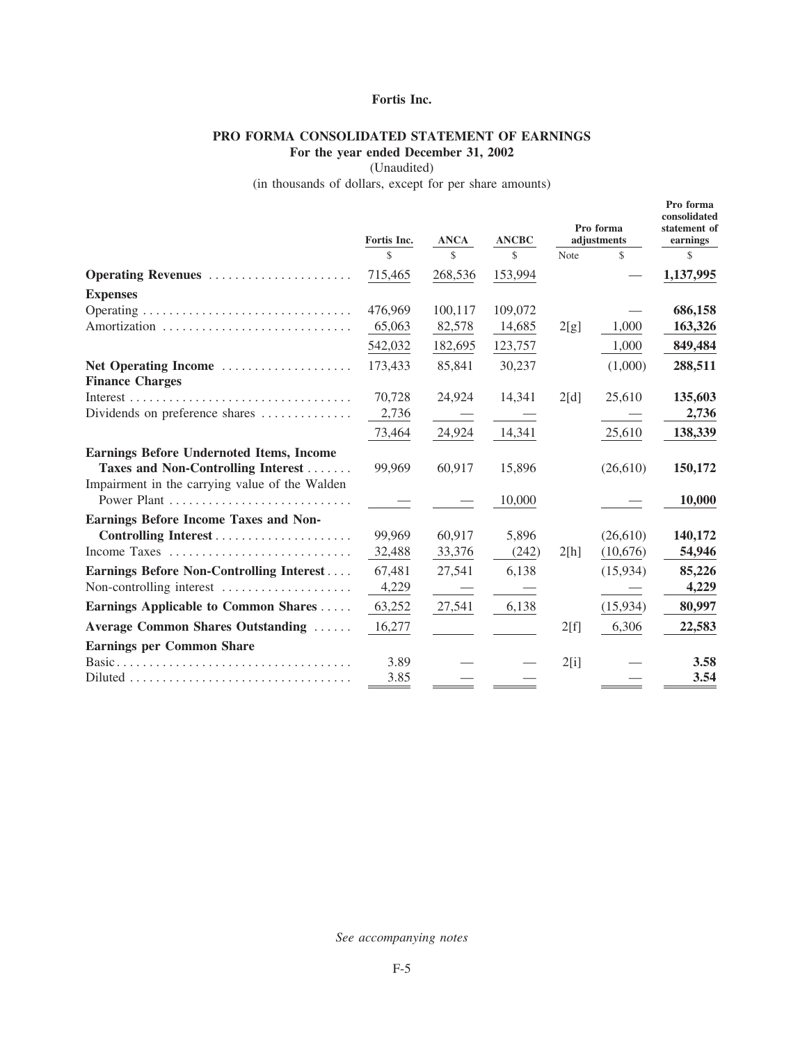# **PRO FORMA CONSOLIDATED STATEMENT OF EARNINGS For the year ended December 31, 2002**

(Unaudited)

(in thousands of dollars, except for per share amounts)

|                                                                                                                                         | Fortis Inc. | <b>ANCA</b> | <b>ANCBC</b>  |      | Pro forma<br>adjustments | Pro forma<br>consolidated<br>statement of<br>earnings |
|-----------------------------------------------------------------------------------------------------------------------------------------|-------------|-------------|---------------|------|--------------------------|-------------------------------------------------------|
|                                                                                                                                         | \$          | \$          | $\mathcal{S}$ | Note | \$                       | \$                                                    |
| Operating Revenues                                                                                                                      | 715,465     | 268,536     | 153,994       |      |                          | 1,137,995                                             |
| <b>Expenses</b>                                                                                                                         |             |             |               |      |                          |                                                       |
| Operating                                                                                                                               | 476,969     | 100,117     | 109,072       |      |                          | 686,158                                               |
| Amortization                                                                                                                            | 65,063      | 82,578      | 14,685        | 2[g] | 1,000                    | 163,326                                               |
|                                                                                                                                         | 542,032     | 182,695     | 123,757       |      | 1,000                    | 849,484                                               |
| Net Operating Income                                                                                                                    | 173,433     | 85,841      | 30,237        |      | (1,000)                  | 288,511                                               |
| <b>Finance Charges</b>                                                                                                                  |             |             |               |      |                          |                                                       |
|                                                                                                                                         | 70,728      | 24,924      | 14,341        | 2[d] | 25,610                   | 135,603                                               |
| Dividends on preference shares                                                                                                          | 2,736       |             |               |      |                          | 2,736                                                 |
|                                                                                                                                         | 73,464      | 24,924      | 14,341        |      | 25,610                   | 138,339                                               |
| <b>Earnings Before Undernoted Items, Income</b><br>Taxes and Non-Controlling Interest<br>Impairment in the carrying value of the Walden | 99,969      | 60,917      | 15,896        |      | (26,610)                 | 150,172                                               |
|                                                                                                                                         |             |             | 10,000        |      |                          | 10,000                                                |
| Earnings Before Income Taxes and Non-                                                                                                   |             |             |               |      |                          |                                                       |
|                                                                                                                                         | 99,969      | 60,917      | 5,896         |      | (26,610)                 | 140,172                                               |
| Income Taxes                                                                                                                            | 32,488      | 33,376      | (242)         | 2[h] | (10,676)                 | 54,946                                                |
| Earnings Before Non-Controlling Interest                                                                                                | 67,481      | 27,541      | 6,138         |      | (15,934)                 | 85,226                                                |
| Non-controlling interest                                                                                                                | 4,229       |             |               |      |                          | 4,229                                                 |
| Earnings Applicable to Common Shares                                                                                                    | 63,252      | 27,541      | 6,138         |      | (15, 934)                | 80,997                                                |
| Average Common Shares Outstanding                                                                                                       | 16,277      |             |               | 2[f] | 6,306                    | 22,583                                                |
| <b>Earnings per Common Share</b>                                                                                                        |             |             |               |      |                          |                                                       |
|                                                                                                                                         | 3.89        |             |               | 2[i] |                          | 3.58                                                  |
|                                                                                                                                         | 3.85        |             |               |      |                          | 3.54                                                  |

*See accompanying notes*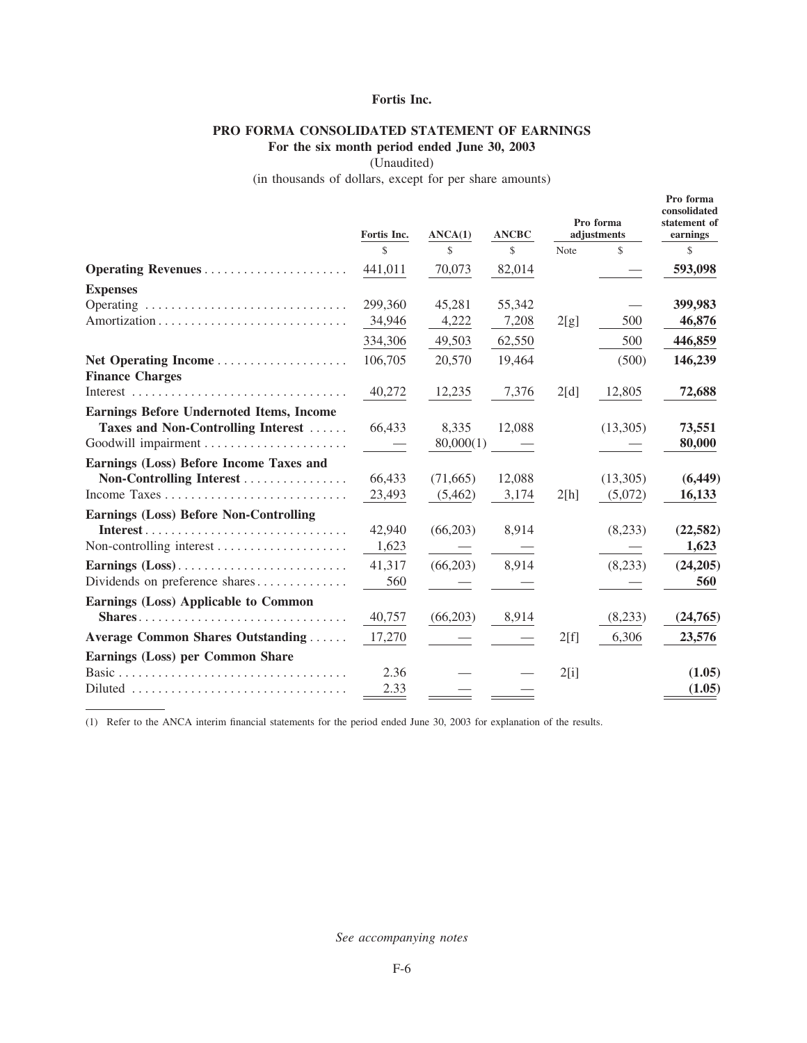# **PRO FORMA CONSOLIDATED STATEMENT OF EARNINGS**

**For the six month period ended June 30, 2003**

(Unaudited)

(in thousands of dollars, except for per share amounts)

|                                                 | Fortis Inc. | ANCA(1)   | <b>ANCBC</b> |      | Pro forma<br>adjustments | Pro forma<br>consolidated<br>statement of<br>earnings |
|-------------------------------------------------|-------------|-----------|--------------|------|--------------------------|-------------------------------------------------------|
|                                                 | \$          | \$        | $\mathbb{S}$ | Note | \$                       | $\mathbb{S}$                                          |
|                                                 | 441,011     | 70,073    | 82,014       |      |                          | 593,098                                               |
| <b>Expenses</b>                                 |             |           |              |      |                          |                                                       |
| Operating                                       | 299,360     | 45,281    | 55,342       |      |                          | 399,983                                               |
|                                                 | 34,946      | 4,222     | 7,208        | 2[g] | 500                      | 46,876                                                |
|                                                 | 334,306     | 49,503    | 62,550       |      | 500                      | 446,859                                               |
| Net Operating Income                            | 106,705     | 20,570    | 19,464       |      | (500)                    | 146,239                                               |
| <b>Finance Charges</b>                          |             |           |              |      |                          |                                                       |
|                                                 | 40,272      | 12,235    | 7,376        | 2[d] | 12,805                   | 72,688                                                |
| <b>Earnings Before Undernoted Items, Income</b> |             |           |              |      |                          |                                                       |
| Taxes and Non-Controlling Interest              | 66,433      | 8,335     | 12,088       |      | (13, 305)                | 73,551                                                |
|                                                 |             | 80,000(1) |              |      |                          | 80,000                                                |
| Earnings (Loss) Before Income Taxes and         |             |           |              |      |                          |                                                       |
| Non-Controlling Interest                        | 66,433      | (71,665)  | 12,088       |      | (13,305)                 | (6,449)                                               |
|                                                 | 23,493      | (5,462)   | 3,174        | 2[h] | (5,072)                  | 16,133                                                |
| <b>Earnings (Loss) Before Non-Controlling</b>   |             |           |              |      |                          |                                                       |
|                                                 | 42,940      | (66,203)  | 8,914        |      | (8,233)                  | (22, 582)                                             |
|                                                 | 1,623       |           |              |      |                          | 1,623                                                 |
|                                                 | 41,317      | (66,203)  | 8,914        |      | (8,233)                  | (24,205)                                              |
| Dividends on preference shares                  | 560         |           |              |      |                          | 560                                                   |
| Earnings (Loss) Applicable to Common            |             |           |              |      |                          |                                                       |
| Shares                                          | 40,757      | (66,203)  | 8,914        |      | (8,233)                  | (24,765)                                              |
| <b>Average Common Shares Outstanding</b>        | 17,270      |           |              | 2[f] | 6,306                    | 23,576                                                |
| Earnings (Loss) per Common Share                |             |           |              |      |                          |                                                       |
|                                                 | 2.36        |           |              | 2[i] |                          | (1.05)                                                |
|                                                 | 2.33        |           |              |      |                          | (1.05)                                                |

(1) Refer to the ANCA interim financial statements for the period ended June 30, 2003 for explanation of the results.

*See accompanying notes*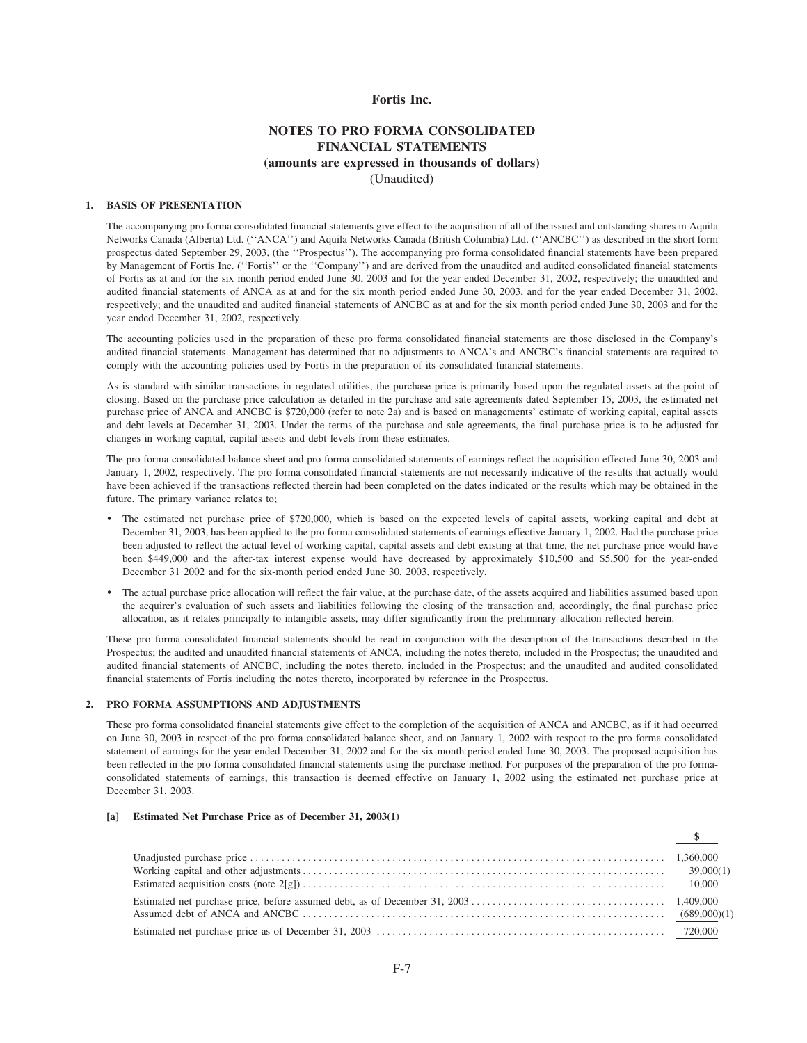# **NOTES TO PRO FORMA CONSOLIDATED FINANCIAL STATEMENTS (amounts are expressed in thousands of dollars)** (Unaudited)

## **1. BASIS OF PRESENTATION**

The accompanying pro forma consolidated financial statements give effect to the acquisition of all of the issued and outstanding shares in Aquila Networks Canada (Alberta) Ltd. (''ANCA'') and Aquila Networks Canada (British Columbia) Ltd. (''ANCBC'') as described in the short form prospectus dated September 29, 2003, (the ''Prospectus''). The accompanying pro forma consolidated financial statements have been prepared by Management of Fortis Inc. (''Fortis'' or the ''Company'') and are derived from the unaudited and audited consolidated financial statements of Fortis as at and for the six month period ended June 30, 2003 and for the year ended December 31, 2002, respectively; the unaudited and audited financial statements of ANCA as at and for the six month period ended June 30, 2003, and for the year ended December 31, 2002, respectively; and the unaudited and audited financial statements of ANCBC as at and for the six month period ended June 30, 2003 and for the year ended December 31, 2002, respectively.

The accounting policies used in the preparation of these pro forma consolidated financial statements are those disclosed in the Company's audited financial statements. Management has determined that no adjustments to ANCA's and ANCBC's financial statements are required to comply with the accounting policies used by Fortis in the preparation of its consolidated financial statements.

As is standard with similar transactions in regulated utilities, the purchase price is primarily based upon the regulated assets at the point of closing. Based on the purchase price calculation as detailed in the purchase and sale agreements dated September 15, 2003, the estimated net purchase price of ANCA and ANCBC is \$720,000 (refer to note 2a) and is based on managements' estimate of working capital, capital assets and debt levels at December 31, 2003. Under the terms of the purchase and sale agreements, the final purchase price is to be adjusted for changes in working capital, capital assets and debt levels from these estimates.

The pro forma consolidated balance sheet and pro forma consolidated statements of earnings reflect the acquisition effected June 30, 2003 and January 1, 2002, respectively. The pro forma consolidated financial statements are not necessarily indicative of the results that actually would have been achieved if the transactions reflected therein had been completed on the dates indicated or the results which may be obtained in the future. The primary variance relates to;

- ) The estimated net purchase price of \$720,000, which is based on the expected levels of capital assets, working capital and debt at December 31, 2003, has been applied to the pro forma consolidated statements of earnings effective January 1, 2002. Had the purchase price been adjusted to reflect the actual level of working capital, capital assets and debt existing at that time, the net purchase price would have been \$449,000 and the after-tax interest expense would have decreased by approximately \$10,500 and \$5,500 for the year-ended December 31 2002 and for the six-month period ended June 30, 2003, respectively.
- ) The actual purchase price allocation will reflect the fair value, at the purchase date, of the assets acquired and liabilities assumed based upon the acquirer's evaluation of such assets and liabilities following the closing of the transaction and, accordingly, the final purchase price allocation, as it relates principally to intangible assets, may differ significantly from the preliminary allocation reflected herein.

These pro forma consolidated financial statements should be read in conjunction with the description of the transactions described in the Prospectus; the audited and unaudited financial statements of ANCA, including the notes thereto, included in the Prospectus; the unaudited and audited financial statements of ANCBC, including the notes thereto, included in the Prospectus; and the unaudited and audited consolidated financial statements of Fortis including the notes thereto, incorporated by reference in the Prospectus.

#### **2. PRO FORMA ASSUMPTIONS AND ADJUSTMENTS**

These pro forma consolidated financial statements give effect to the completion of the acquisition of ANCA and ANCBC, as if it had occurred on June 30, 2003 in respect of the pro forma consolidated balance sheet, and on January 1, 2002 with respect to the pro forma consolidated statement of earnings for the year ended December 31, 2002 and for the six-month period ended June 30, 2003. The proposed acquisition has been reflected in the pro forma consolidated financial statements using the purchase method. For purposes of the preparation of the pro formaconsolidated statements of earnings, this transaction is deemed effective on January 1, 2002 using the estimated net purchase price at December 31, 2003.

#### **[a] Estimated Net Purchase Price as of December 31, 2003(1)**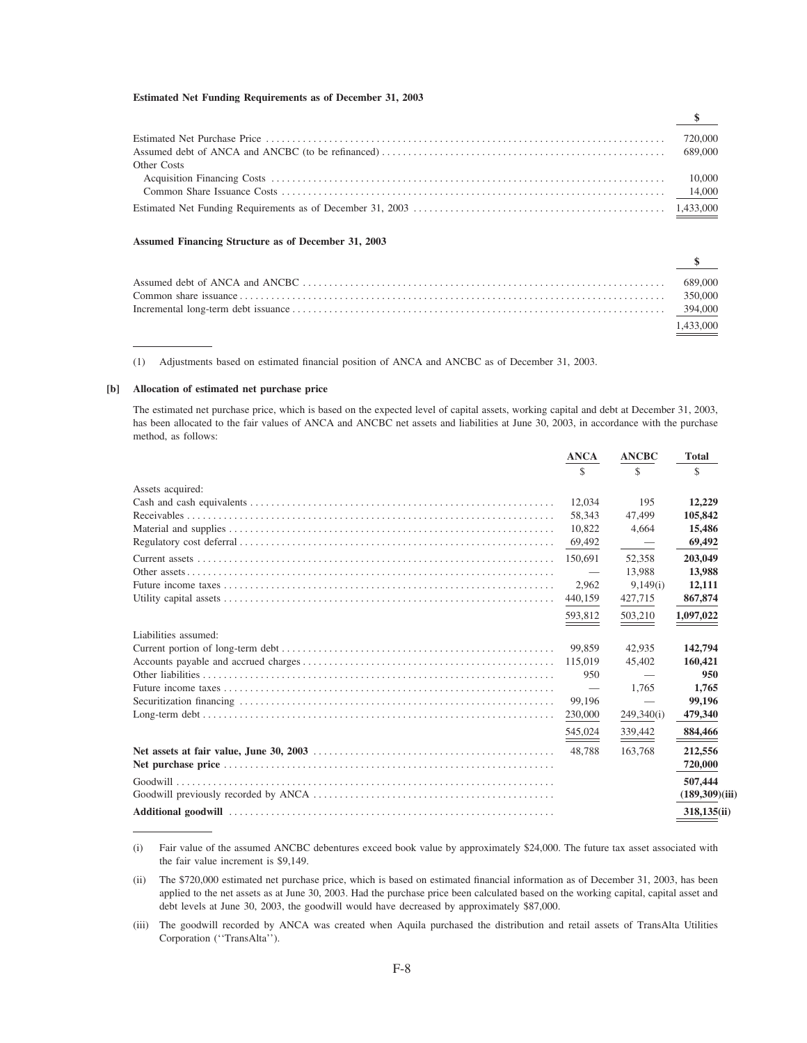#### Estimated Net Funding Requirements as of December 31, 2003

|             | 720,000 |
|-------------|---------|
|             |         |
| Other Costs |         |
|             | 10,000  |
|             |         |
|             |         |

¢

ሐ

#### Assumed Financing Structure as of December 31, 2003

| 1.433.000 |
|-----------|

Adjustments based on estimated financial position of ANCA and ANCBC as of December 31, 2003.  $(1)$ 

#### [b] Allocation of estimated net purchase price

The estimated net purchase price, which is based on the expected level of capital assets, working capital and debt at December 31, 2003, has been allocated to the fair values of ANCA and ANCBC net assets and liabilities at June 30, 2003, in accordance with the purchase method, as follows:

|                      | <b>ANCA</b>              | <b>ANCBC</b>                    | <b>Total</b>   |
|----------------------|--------------------------|---------------------------------|----------------|
|                      | \$.                      | \$.                             | \$             |
| Assets acquired:     |                          |                                 |                |
|                      | 12.034                   | 195                             | 12,229         |
|                      | 58.343                   | 47,499                          | 105,842        |
|                      | 10,822                   | 4,664                           | 15,486         |
|                      | 69,492                   | $\hspace{0.1mm}-\hspace{0.1mm}$ | 69,492         |
|                      | 150.691                  | 52,358                          | 203,049        |
|                      | $\overline{\phantom{m}}$ | 13.988                          | 13,988         |
|                      | 2.962                    | 9,149(i)                        | 12,111         |
|                      | 440,159                  | 427,715                         | 867,874        |
|                      | 593,812                  | 503,210                         | 1,097,022      |
| Liabilities assumed: |                          |                                 |                |
|                      | 99,859                   | 42,935                          | 142,794        |
|                      | 115,019                  | 45,402                          | 160,421        |
|                      | 950                      |                                 | 950            |
|                      |                          | 1.765                           | 1.765          |
|                      | 99,196                   |                                 | 99,196         |
|                      | 230,000                  | 249,340(i)                      | 479,340        |
|                      | 545,024                  | 339,442                         | 884,466        |
|                      | 48,788                   | 163,768                         | 212,556        |
|                      |                          |                                 | 720,000        |
|                      |                          |                                 | 507,444        |
|                      |                          |                                 | (189,309)(iii) |
|                      |                          |                                 | 318,135(ii)    |

 $(i)$ Fair value of the assumed ANCBC debentures exceed book value by approximately \$24,000. The future tax asset associated with the fair value increment is \$9,149.

The \$720,000 estimated net purchase price, which is based on estimated financial information as of December 31, 2003, has been  $(ii)$ applied to the net assets as at June 30, 2003. Had the purchase price been calculated based on the working capital, capital asset and debt levels at June 30, 2003, the goodwill would have decreased by approximately \$87,000.

<sup>(</sup>iii) The goodwill recorded by ANCA was created when Aquila purchased the distribution and retail assets of TransAlta Utilities Corporation ("TransAlta").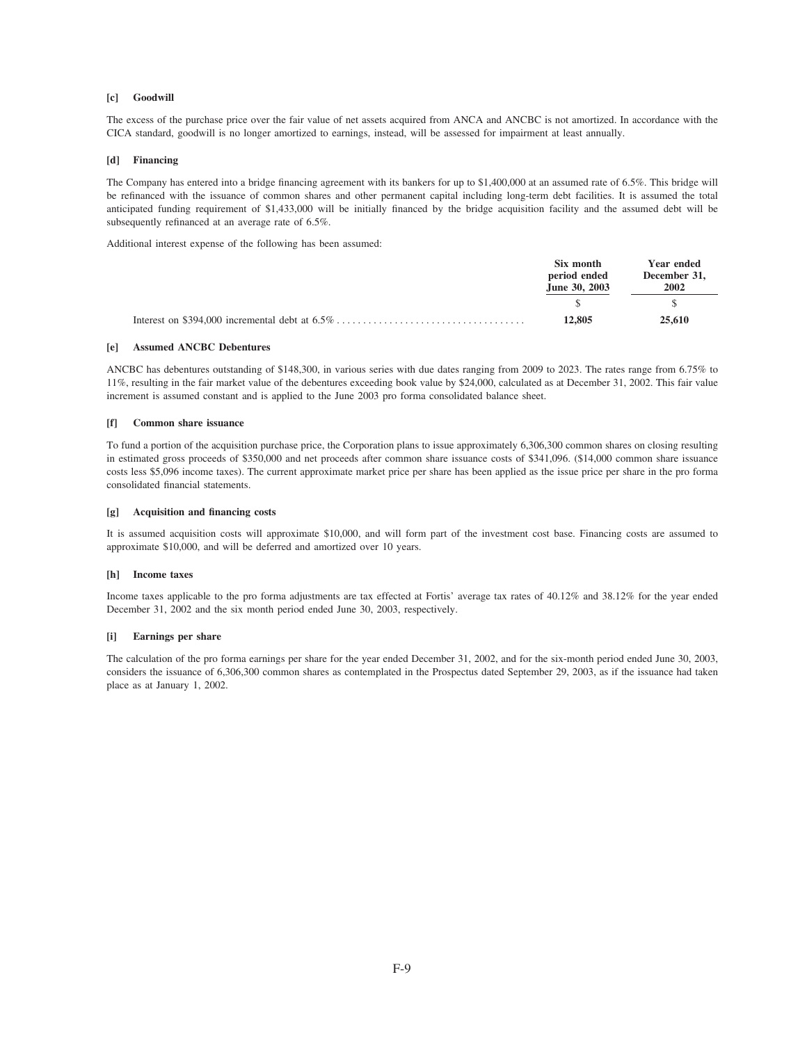## **[c] Goodwill**

The excess of the purchase price over the fair value of net assets acquired from ANCA and ANCBC is not amortized. In accordance with the CICA standard, goodwill is no longer amortized to earnings, instead, will be assessed for impairment at least annually.

#### **[d] Financing**

The Company has entered into a bridge financing agreement with its bankers for up to \$1,400,000 at an assumed rate of 6.5%. This bridge will be refinanced with the issuance of common shares and other permanent capital including long-term debt facilities. It is assumed the total anticipated funding requirement of \$1,433,000 will be initially financed by the bridge acquisition facility and the assumed debt will be subsequently refinanced at an average rate of 6.5%.

Additional interest expense of the following has been assumed:

| Six month     | Year ended   |
|---------------|--------------|
| period ended  | December 31, |
| June 30, 2003 | 2002         |
|               |              |
| 12,805        | 25,610       |

## **[e] Assumed ANCBC Debentures**

ANCBC has debentures outstanding of \$148,300, in various series with due dates ranging from 2009 to 2023. The rates range from 6.75% to 11%, resulting in the fair market value of the debentures exceeding book value by \$24,000, calculated as at December 31, 2002. This fair value increment is assumed constant and is applied to the June 2003 pro forma consolidated balance sheet.

#### **[f] Common share issuance**

To fund a portion of the acquisition purchase price, the Corporation plans to issue approximately 6,306,300 common shares on closing resulting in estimated gross proceeds of \$350,000 and net proceeds after common share issuance costs of \$341,096. (\$14,000 common share issuance costs less \$5,096 income taxes). The current approximate market price per share has been applied as the issue price per share in the pro forma consolidated financial statements.

#### **[g] Acquisition and financing costs**

It is assumed acquisition costs will approximate \$10,000, and will form part of the investment cost base. Financing costs are assumed to approximate \$10,000, and will be deferred and amortized over 10 years.

#### **[h] Income taxes**

Income taxes applicable to the pro forma adjustments are tax effected at Fortis' average tax rates of 40.12% and 38.12% for the year ended December 31, 2002 and the six month period ended June 30, 2003, respectively.

#### **[i] Earnings per share**

The calculation of the pro forma earnings per share for the year ended December 31, 2002, and for the six-month period ended June 30, 2003, considers the issuance of 6,306,300 common shares as contemplated in the Prospectus dated September 29, 2003, as if the issuance had taken place as at January 1, 2002.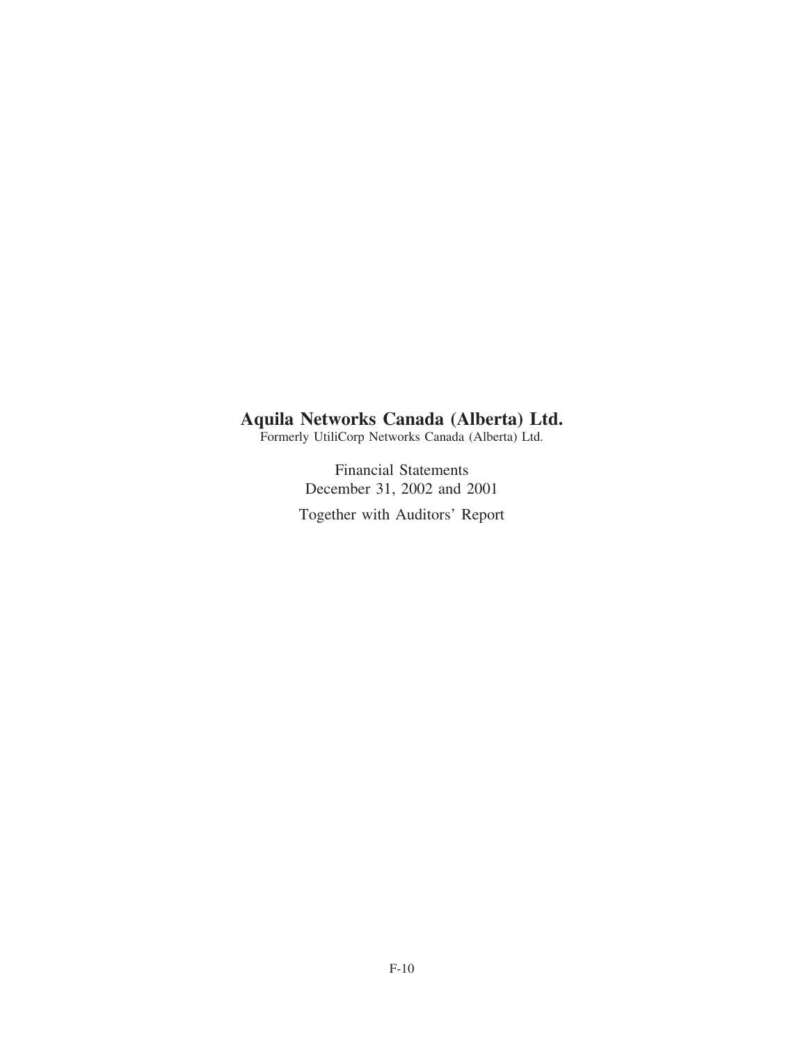Formerly UtiliCorp Networks Canada (Alberta) Ltd.

Financial Statements December 31, 2002 and 2001

Together with Auditors' Report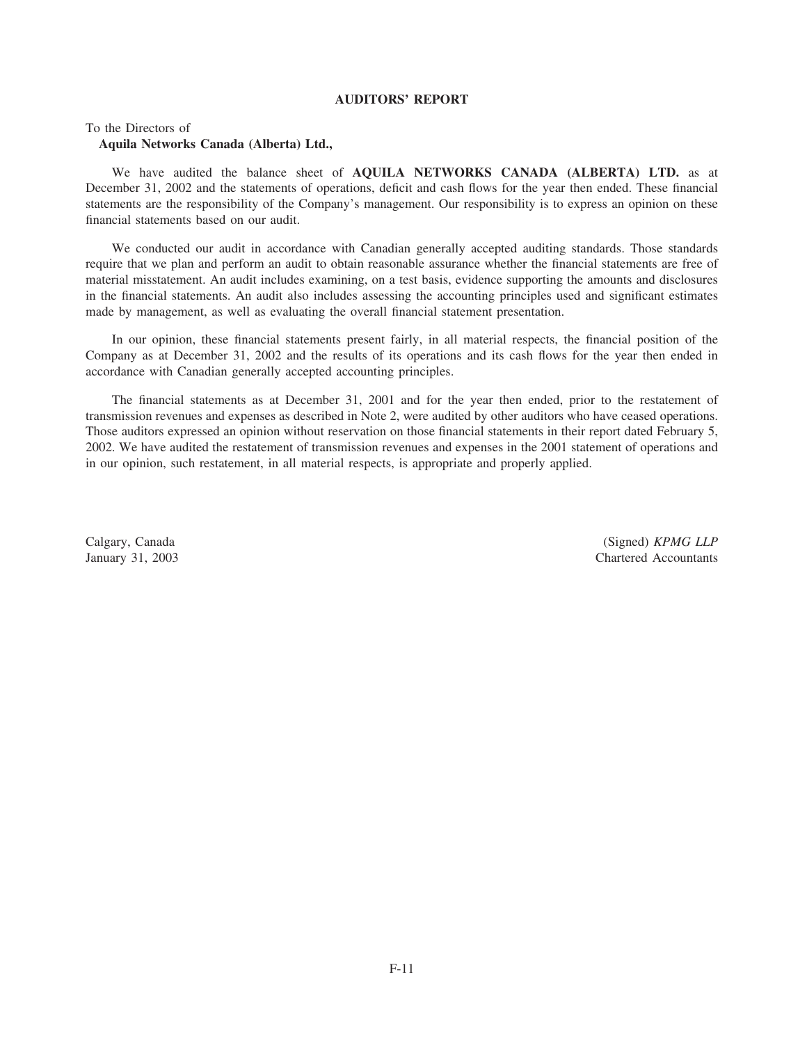## **AUDITORS' REPORT**

# To the Directors of **Aquila Networks Canada (Alberta) Ltd.,**

We have audited the balance sheet of **AQUILA NETWORKS CANADA (ALBERTA) LTD.** as at December 31, 2002 and the statements of operations, deficit and cash flows for the year then ended. These financial statements are the responsibility of the Company's management. Our responsibility is to express an opinion on these financial statements based on our audit.

We conducted our audit in accordance with Canadian generally accepted auditing standards. Those standards require that we plan and perform an audit to obtain reasonable assurance whether the financial statements are free of material misstatement. An audit includes examining, on a test basis, evidence supporting the amounts and disclosures in the financial statements. An audit also includes assessing the accounting principles used and significant estimates made by management, as well as evaluating the overall financial statement presentation.

In our opinion, these financial statements present fairly, in all material respects, the financial position of the Company as at December 31, 2002 and the results of its operations and its cash flows for the year then ended in accordance with Canadian generally accepted accounting principles.

The financial statements as at December 31, 2001 and for the year then ended, prior to the restatement of transmission revenues and expenses as described in Note 2, were audited by other auditors who have ceased operations. Those auditors expressed an opinion without reservation on those financial statements in their report dated February 5, 2002. We have audited the restatement of transmission revenues and expenses in the 2001 statement of operations and in our opinion, such restatement, in all material respects, is appropriate and properly applied.

Calgary, Canada (Signed) *KPMG LLP* January 31, 2003 Chartered Accountants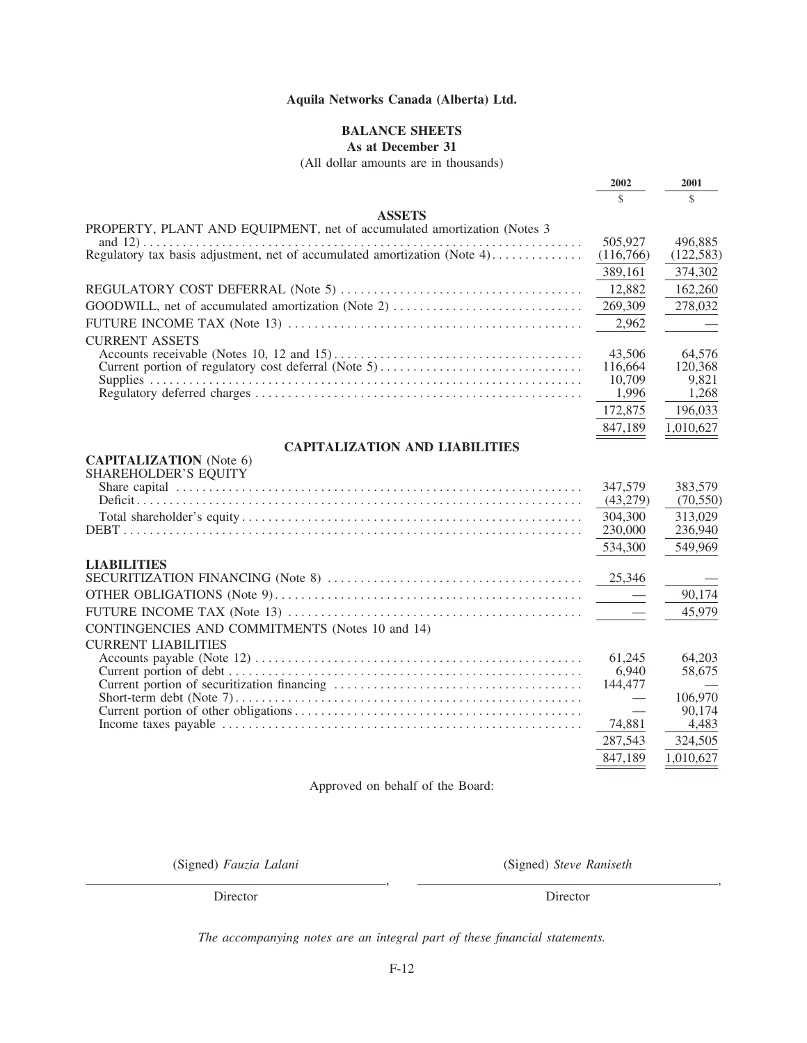# **BALANCE SHEETS**

**As at December 31**

(All dollar amounts are in thousands)

|                                                                           | 2002          | 2001          |
|---------------------------------------------------------------------------|---------------|---------------|
|                                                                           | $\mathcal{S}$ | $\mathcal{S}$ |
| <b>ASSETS</b>                                                             |               |               |
| PROPERTY, PLANT AND EQUIPMENT, net of accumulated amortization (Notes 3   |               |               |
|                                                                           | 505,927       | 496,885       |
| Regulatory tax basis adjustment, net of accumulated amortization (Note 4) | (116,766)     | (122, 583)    |
|                                                                           | 389,161       | 374,302       |
|                                                                           | 12,882        | 162,260       |
| GOODWILL, net of accumulated amortization (Note 2)                        | 269,309       | 278,032       |
|                                                                           | 2,962         |               |
| <b>CURRENT ASSETS</b>                                                     |               |               |
|                                                                           | 43,506        | 64,576        |
|                                                                           | 116,664       | 120,368       |
|                                                                           | 10,709        | 9.821         |
|                                                                           | 1,996         | 1,268         |
|                                                                           | 172,875       | 196,033       |
|                                                                           | 847,189       | 1,010,627     |
| <b>CAPITALIZATION AND LIABILITIES</b>                                     |               |               |
| <b>CAPITALIZATION</b> (Note 6)                                            |               |               |
| <b>SHAREHOLDER'S EQUITY</b>                                               |               |               |
|                                                                           | 347,579       | 383,579       |
|                                                                           | (43,279)      | (70, 550)     |
|                                                                           | 304,300       | 313,029       |
|                                                                           | 230,000       | 236,940       |
|                                                                           | 534,300       | 549,969       |
| <b>LIABILITIES</b>                                                        |               |               |
|                                                                           | 25,346        |               |
|                                                                           |               | 90,174        |
|                                                                           |               | 45,979        |
| CONTINGENCIES AND COMMITMENTS (Notes 10 and 14)                           |               |               |
| <b>CURRENT LIABILITIES</b>                                                |               |               |
|                                                                           | 61,245        | 64,203        |
|                                                                           | 6,940         | 58,675        |
|                                                                           | 144,477       |               |
|                                                                           |               | 106,970       |
|                                                                           |               | 90,174        |
|                                                                           | 74,881        | 4,483         |
|                                                                           | 287,543       | 324,505       |
|                                                                           | 847,189       | 1,010,627     |

Approved on behalf of the Board:

(Signed) *Fauzia Lalani* (Signed) *Steve Raniseth*

, ,

Director Director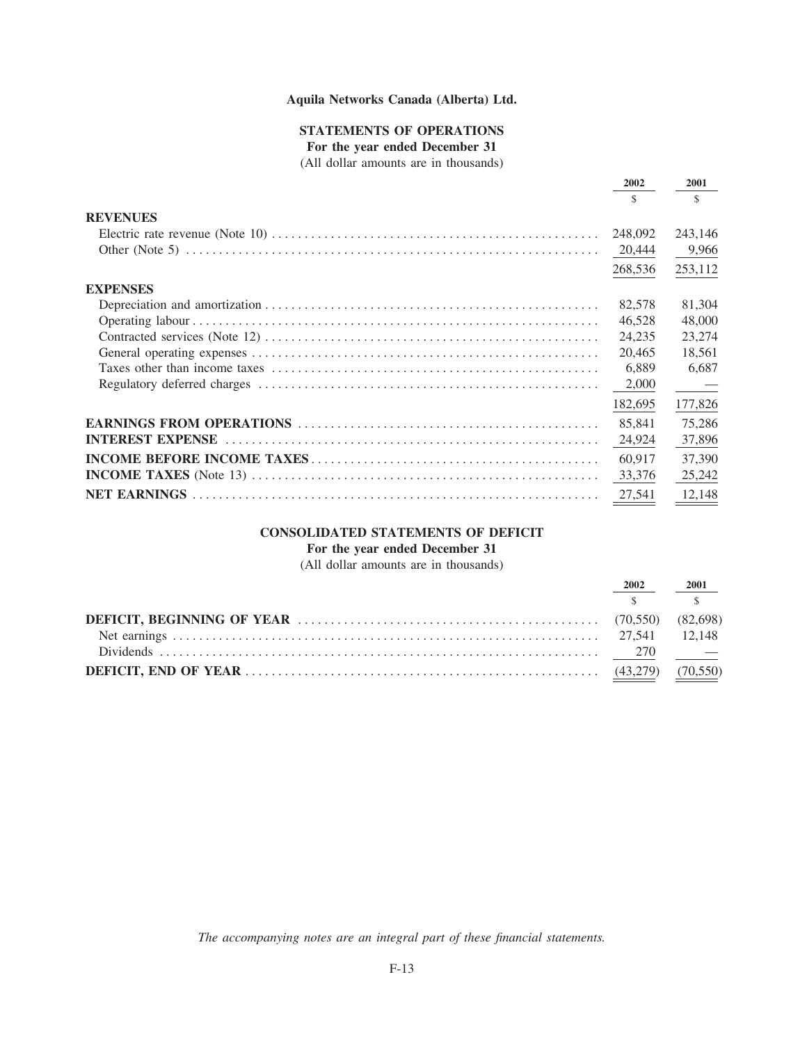# STATEMENTS OF OPERATIONS

For the year ended December 31

(All dollar amounts are in thousands)

|                                                                                                                                         | 2002<br>\$ | 2001<br>$\mathcal{L}$ |
|-----------------------------------------------------------------------------------------------------------------------------------------|------------|-----------------------|
| <b>REVENUES</b>                                                                                                                         |            |                       |
|                                                                                                                                         | 248,092    | 243,146               |
|                                                                                                                                         | 20,444     | 9,966                 |
|                                                                                                                                         | 268,536    | 253,112               |
| <b>EXPENSES</b>                                                                                                                         |            |                       |
|                                                                                                                                         | 82,578     | 81,304                |
|                                                                                                                                         | 46.528     | 48,000                |
|                                                                                                                                         | 24,235     | 23,274                |
|                                                                                                                                         | 20,465     | 18,561                |
|                                                                                                                                         | 6.889      | 6.687                 |
|                                                                                                                                         | 2,000      |                       |
|                                                                                                                                         | 182,695    | 177,826               |
|                                                                                                                                         | 85.841     | 75,286                |
| <b>INTEREST EXPENSE</b>                                                                                                                 |            | 37,896                |
|                                                                                                                                         | 60.917     | 37.390                |
| <b>INCOME TAXES</b> (Note 13) $\ldots$ $\ldots$ $\ldots$ $\ldots$ $\ldots$ $\ldots$ $\ldots$ $\ldots$ $\ldots$ $\ldots$ $\ldots$ 33,376 |            | 25,242                |
|                                                                                                                                         | 27,541     | 12,148                |

# **CONSOLIDATED STATEMENTS OF DEFICIT**

For the year ended December 31

(All dollar amounts are in thousands)

2002

2001

| $\sim$ $\sim$ |  |
|---------------|--|
|               |  |
|               |  |
|               |  |
|               |  |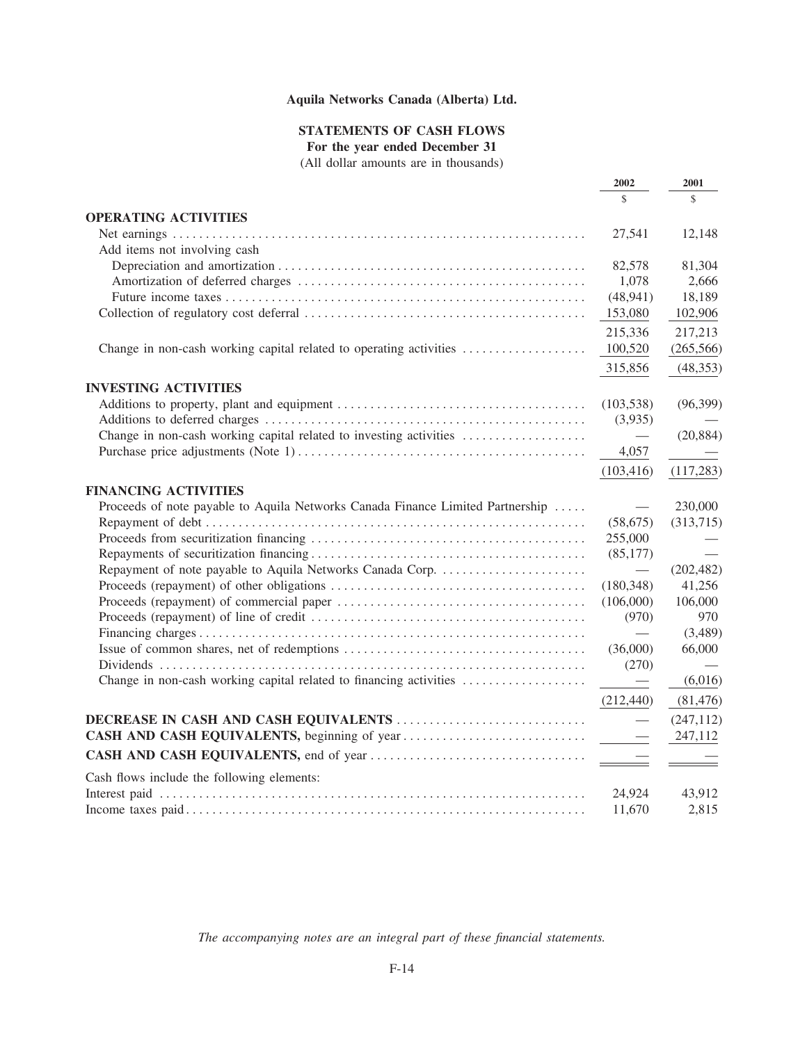# **STATEMENTS OF CASH FLOWS**

**For the year ended December 31**

(All dollar amounts are in thousands)

|                                                                                | 2002                             | 2001                 |
|--------------------------------------------------------------------------------|----------------------------------|----------------------|
|                                                                                | $\hat{\mathbf{S}}$               | \$                   |
| <b>OPERATING ACTIVITIES</b>                                                    |                                  |                      |
|                                                                                | 27,541                           | 12,148               |
| Add items not involving cash                                                   |                                  |                      |
|                                                                                | 82,578                           | 81,304               |
|                                                                                | 1,078                            | 2,666                |
|                                                                                | (48, 941)                        | 18,189               |
|                                                                                | 153,080                          | 102,906              |
|                                                                                | 215,336                          | 217,213              |
| Change in non-cash working capital related to operating activities             | 100,520                          | (265, 566)           |
|                                                                                | 315,856                          | (48, 353)            |
| <b>INVESTING ACTIVITIES</b>                                                    |                                  |                      |
|                                                                                | (103, 538)                       | (96,399)             |
|                                                                                | (3,935)                          |                      |
| Change in non-cash working capital related to investing activities             | $\overbrace{\qquad \qquad }^{ }$ | (20, 884)            |
|                                                                                | 4,057                            |                      |
|                                                                                | (103, 416)                       | (117, 283)           |
|                                                                                |                                  |                      |
| <b>FINANCING ACTIVITIES</b>                                                    |                                  |                      |
| Proceeds of note payable to Aquila Networks Canada Finance Limited Partnership |                                  | 230,000              |
|                                                                                | (58, 675)                        | (313,715)            |
|                                                                                | 255,000                          |                      |
|                                                                                | (85,177)                         |                      |
| Repayment of note payable to Aquila Networks Canada Corp.                      | (180, 348)                       | (202, 482)<br>41,256 |
|                                                                                | (106,000)                        | 106,000              |
|                                                                                | (970)                            | 970                  |
|                                                                                |                                  | (3,489)              |
|                                                                                | (36,000)                         | 66,000               |
|                                                                                | (270)                            |                      |
| Change in non-cash working capital related to financing activities             |                                  | (6,016)              |
|                                                                                | (212, 440)                       |                      |
|                                                                                |                                  | (81, 476)            |
|                                                                                |                                  | (247, 112)           |
| CASH AND CASH EQUIVALENTS, beginning of year                                   |                                  | 247,112              |
|                                                                                |                                  |                      |
| Cash flows include the following elements:                                     |                                  |                      |
|                                                                                | 24,924                           | 43,912               |
|                                                                                | 11.670                           | 2,815                |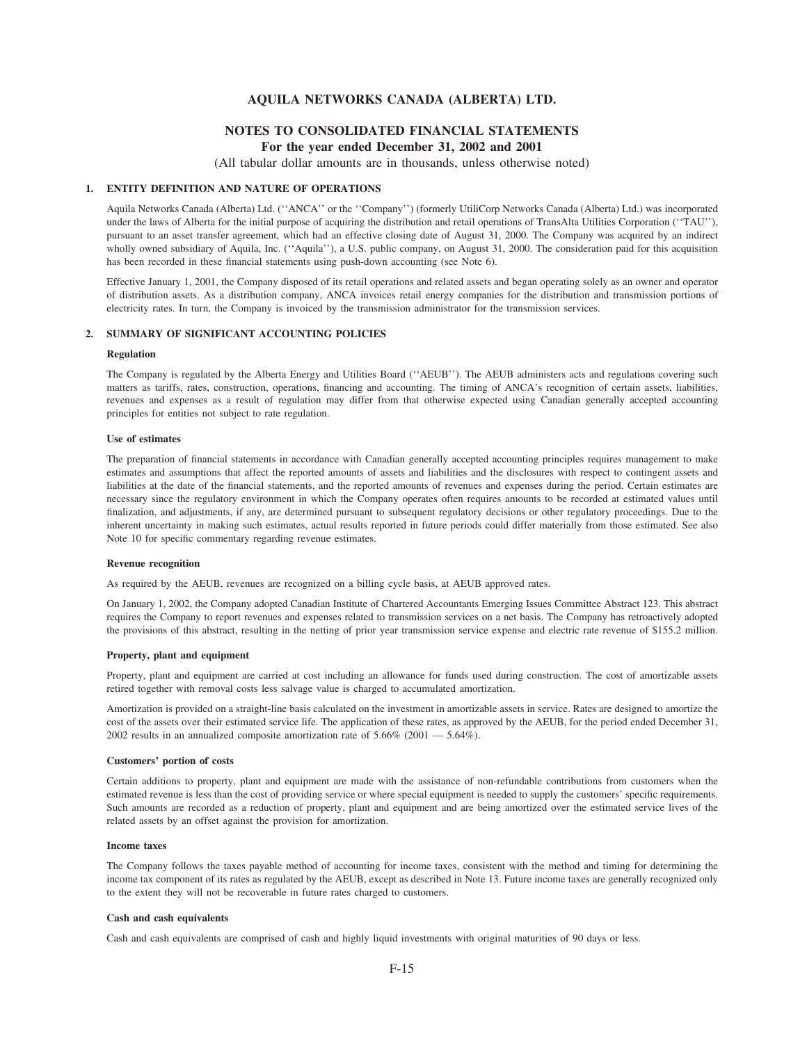# **NOTES TO CONSOLIDATED FINANCIAL STATEMENTS**

**For the year ended December 31, 2002 and 2001**

(All tabular dollar amounts are in thousands, unless otherwise noted)

## **1. ENTITY DEFINITION AND NATURE OF OPERATIONS**

Aquila Networks Canada (Alberta) Ltd. (''ANCA'' or the ''Company'') (formerly UtiliCorp Networks Canada (Alberta) Ltd.) was incorporated under the laws of Alberta for the initial purpose of acquiring the distribution and retail operations of TransAlta Utilities Corporation (''TAU''), pursuant to an asset transfer agreement, which had an effective closing date of August 31, 2000. The Company was acquired by an indirect wholly owned subsidiary of Aquila, Inc. ("Aquila''), a U.S. public company, on August 31, 2000. The consideration paid for this acquisition has been recorded in these financial statements using push-down accounting (see Note 6).

Effective January 1, 2001, the Company disposed of its retail operations and related assets and began operating solely as an owner and operator of distribution assets. As a distribution company, ANCA invoices retail energy companies for the distribution and transmission portions of electricity rates. In turn, the Company is invoiced by the transmission administrator for the transmission services.

### **2. SUMMARY OF SIGNIFICANT ACCOUNTING POLICIES**

#### **Regulation**

The Company is regulated by the Alberta Energy and Utilities Board (''AEUB''). The AEUB administers acts and regulations covering such matters as tariffs, rates, construction, operations, financing and accounting. The timing of ANCA's recognition of certain assets, liabilities, revenues and expenses as a result of regulation may differ from that otherwise expected using Canadian generally accepted accounting principles for entities not subject to rate regulation.

#### **Use of estimates**

The preparation of financial statements in accordance with Canadian generally accepted accounting principles requires management to make estimates and assumptions that affect the reported amounts of assets and liabilities and the disclosures with respect to contingent assets and liabilities at the date of the financial statements, and the reported amounts of revenues and expenses during the period. Certain estimates are necessary since the regulatory environment in which the Company operates often requires amounts to be recorded at estimated values until finalization, and adjustments, if any, are determined pursuant to subsequent regulatory decisions or other regulatory proceedings. Due to the inherent uncertainty in making such estimates, actual results reported in future periods could differ materially from those estimated. See also Note 10 for specific commentary regarding revenue estimates.

#### **Revenue recognition**

As required by the AEUB, revenues are recognized on a billing cycle basis, at AEUB approved rates.

On January 1, 2002, the Company adopted Canadian Institute of Chartered Accountants Emerging Issues Committee Abstract 123. This abstract requires the Company to report revenues and expenses related to transmission services on a net basis. The Company has retroactively adopted the provisions of this abstract, resulting in the netting of prior year transmission service expense and electric rate revenue of \$155.2 million.

#### **Property, plant and equipment**

Property, plant and equipment are carried at cost including an allowance for funds used during construction. The cost of amortizable assets retired together with removal costs less salvage value is charged to accumulated amortization.

Amortization is provided on a straight-line basis calculated on the investment in amortizable assets in service. Rates are designed to amortize the cost of the assets over their estimated service life. The application of these rates, as approved by the AEUB, for the period ended December 31, 2002 results in an annualized composite amortization rate of 5.66% (2001 — 5.64%).

#### **Customers' portion of costs**

Certain additions to property, plant and equipment are made with the assistance of non-refundable contributions from customers when the estimated revenue is less than the cost of providing service or where special equipment is needed to supply the customers' specific requirements. Such amounts are recorded as a reduction of property, plant and equipment and are being amortized over the estimated service lives of the related assets by an offset against the provision for amortization.

### **Income taxes**

The Company follows the taxes payable method of accounting for income taxes, consistent with the method and timing for determining the income tax component of its rates as regulated by the AEUB, except as described in Note 13. Future income taxes are generally recognized only to the extent they will not be recoverable in future rates charged to customers.

#### **Cash and cash equivalents**

Cash and cash equivalents are comprised of cash and highly liquid investments with original maturities of 90 days or less.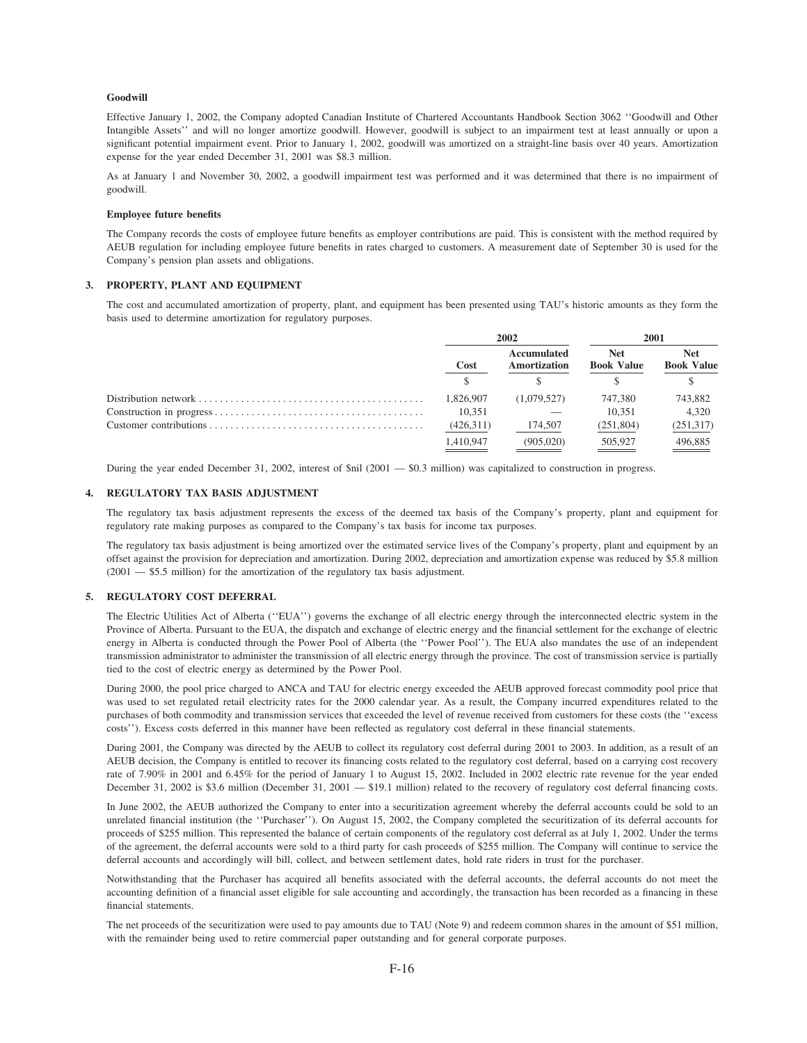#### **Goodwill**

Effective January 1, 2002, the Company adopted Canadian Institute of Chartered Accountants Handbook Section 3062 ''Goodwill and Other Intangible Assets'' and will no longer amortize goodwill. However, goodwill is subject to an impairment test at least annually or upon a significant potential impairment event. Prior to January 1, 2002, goodwill was amortized on a straight-line basis over 40 years. Amortization expense for the year ended December 31, 2001 was \$8.3 million.

As at January 1 and November 30, 2002, a goodwill impairment test was performed and it was determined that there is no impairment of goodwill.

#### **Employee future benefits**

The Company records the costs of employee future benefits as employer contributions are paid. This is consistent with the method required by AEUB regulation for including employee future benefits in rates charged to customers. A measurement date of September 30 is used for the Company's pension plan assets and obligations.

#### **3. PROPERTY, PLANT AND EQUIPMENT**

The cost and accumulated amortization of property, plant, and equipment has been presented using TAU's historic amounts as they form the basis used to determine amortization for regulatory purposes.

| 2002      |                             |                                 | 2001                            |  |
|-----------|-----------------------------|---------------------------------|---------------------------------|--|
| Cost      | Accumulated<br>Amortization | <b>Net</b><br><b>Book Value</b> | <b>Net</b><br><b>Book Value</b> |  |
|           |                             |                                 |                                 |  |
| 1.826.907 | (1,079,527)                 | 747.380                         | 743,882                         |  |
| 10.351    |                             | 10.351                          | 4.320                           |  |
| (426,311) | 174,507                     | (251, 804)                      | (251,317)                       |  |
| 1.410.947 | (905,020)                   | 505,927                         | 496,885                         |  |

During the year ended December 31, 2002, interest of \$nil (2001 — \$0.3 million) was capitalized to construction in progress.

#### **4. REGULATORY TAX BASIS ADJUSTMENT**

The regulatory tax basis adjustment represents the excess of the deemed tax basis of the Company's property, plant and equipment for regulatory rate making purposes as compared to the Company's tax basis for income tax purposes.

The regulatory tax basis adjustment is being amortized over the estimated service lives of the Company's property, plant and equipment by an offset against the provision for depreciation and amortization. During 2002, depreciation and amortization expense was reduced by \$5.8 million (2001 — \$5.5 million) for the amortization of the regulatory tax basis adjustment.

#### **5. REGULATORY COST DEFERRAL**

The Electric Utilities Act of Alberta (''EUA'') governs the exchange of all electric energy through the interconnected electric system in the Province of Alberta. Pursuant to the EUA, the dispatch and exchange of electric energy and the financial settlement for the exchange of electric energy in Alberta is conducted through the Power Pool of Alberta (the ''Power Pool''). The EUA also mandates the use of an independent transmission administrator to administer the transmission of all electric energy through the province. The cost of transmission service is partially tied to the cost of electric energy as determined by the Power Pool.

During 2000, the pool price charged to ANCA and TAU for electric energy exceeded the AEUB approved forecast commodity pool price that was used to set regulated retail electricity rates for the 2000 calendar year. As a result, the Company incurred expenditures related to the purchases of both commodity and transmission services that exceeded the level of revenue received from customers for these costs (the ''excess costs''). Excess costs deferred in this manner have been reflected as regulatory cost deferral in these financial statements.

During 2001, the Company was directed by the AEUB to collect its regulatory cost deferral during 2001 to 2003. In addition, as a result of an AEUB decision, the Company is entitled to recover its financing costs related to the regulatory cost deferral, based on a carrying cost recovery rate of 7.90% in 2001 and 6.45% for the period of January 1 to August 15, 2002. Included in 2002 electric rate revenue for the year ended December 31, 2002 is \$3.6 million (December 31, 2001 — \$19.1 million) related to the recovery of regulatory cost deferral financing costs.

In June 2002, the AEUB authorized the Company to enter into a securitization agreement whereby the deferral accounts could be sold to an unrelated financial institution (the ''Purchaser''). On August 15, 2002, the Company completed the securitization of its deferral accounts for proceeds of \$255 million. This represented the balance of certain components of the regulatory cost deferral as at July 1, 2002. Under the terms of the agreement, the deferral accounts were sold to a third party for cash proceeds of \$255 million. The Company will continue to service the deferral accounts and accordingly will bill, collect, and between settlement dates, hold rate riders in trust for the purchaser.

Notwithstanding that the Purchaser has acquired all benefits associated with the deferral accounts, the deferral accounts do not meet the accounting definition of a financial asset eligible for sale accounting and accordingly, the transaction has been recorded as a financing in these financial statements.

The net proceeds of the securitization were used to pay amounts due to TAU (Note 9) and redeem common shares in the amount of \$51 million, with the remainder being used to retire commercial paper outstanding and for general corporate purposes.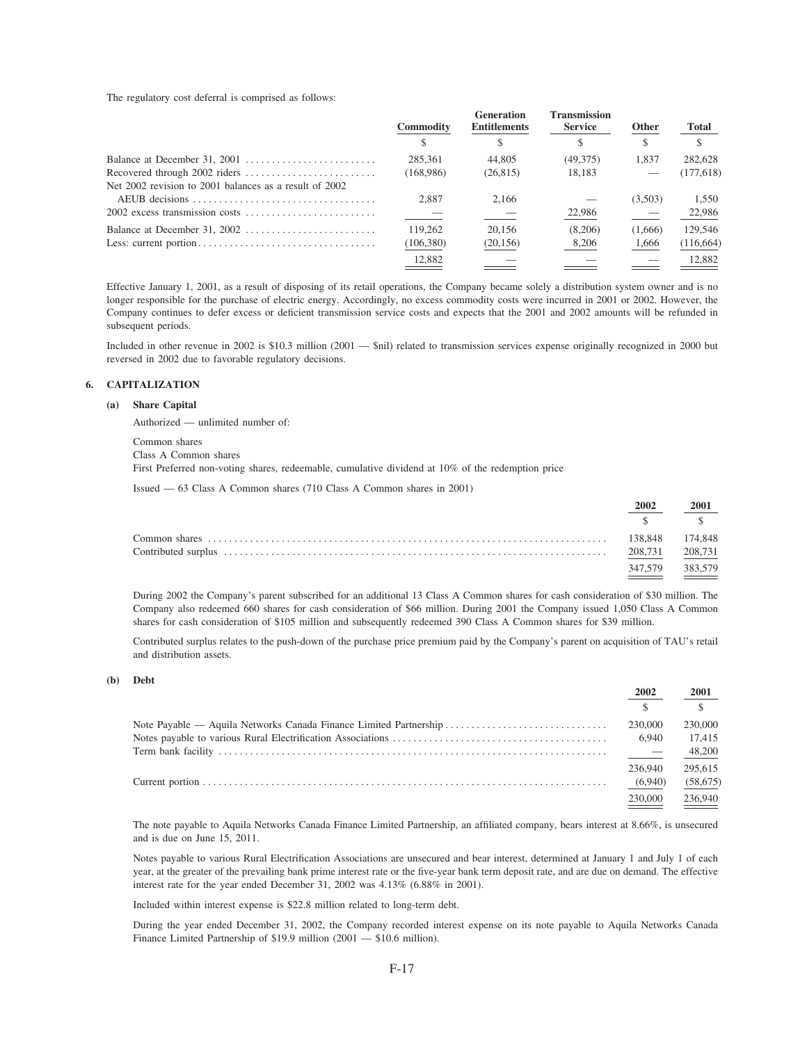The regulatory cost deferral is comprised as follows:

|                                                        | <b>Commodity</b> | <b>Generation</b><br><b>Entitlements</b> | <b>Transmission</b><br><b>Service</b> | <b>Other</b> | Total      |
|--------------------------------------------------------|------------------|------------------------------------------|---------------------------------------|--------------|------------|
|                                                        |                  |                                          |                                       |              |            |
|                                                        | 285,361          | 44,805                                   | (49,375)                              | 1,837        | 282,628    |
|                                                        | (168,986)        | (26, 815)                                | 18.183                                |              | (177, 618) |
| Net 2002 revision to 2001 balances as a result of 2002 |                  |                                          |                                       |              |            |
|                                                        | 2.887            | 2.166                                    |                                       | (3,503)      | 1.550      |
| 2002 excess transmission costs                         |                  |                                          | 22,986                                |              | 22,986     |
|                                                        | 119,262          | 20.156                                   | (8,206)                               | (1,666)      | 129,546    |
|                                                        | (106, 380)       | (20, 156)                                | 8,206                                 | 1,666        | (116, 664) |
|                                                        | 12,882           |                                          |                                       |              | 12,882     |

Effective January 1, 2001, as a result of disposing of its retail operations, the Company became solely a distribution system owner and is no longer responsible for the purchase of electric energy. Accordingly, no excess commodity costs were incurred in 2001 or 2002. However, the Company continues to defer excess or deficient transmission service costs and expects that the 2001 and 2002 amounts will be refunded in subsequent periods.

Included in other revenue in 2002 is \$10.3 million (2001 — \$nil) related to transmission services expense originally recognized in 2000 but reversed in 2002 due to favorable regulatory decisions.

#### **6. CAPITALIZATION**

### **(a) Share Capital**

Authorized — unlimited number of:

Common shares Class A Common shares First Preferred non-voting shares, redeemable, cumulative dividend at 10% of the redemption price

Issued — 63 Class A Common shares (710 Class A Common shares in 2001)

|                 | $\mathcal{S}$ $\mathcal{S}$ |
|-----------------|-----------------------------|
| 138.848 174.848 |                             |
| 208,731 208,731 |                             |
| 347.579         | 383,579                     |

During 2002 the Company's parent subscribed for an additional 13 Class A Common shares for cash consideration of \$30 million. The Company also redeemed 660 shares for cash consideration of \$66 million. During 2001 the Company issued 1,050 Class A Common shares for cash consideration of \$105 million and subsequently redeemed 390 Class A Common shares for \$39 million.

Contributed surplus relates to the push-down of the purchase price premium paid by the Company's parent on acquisition of TAU's retail and distribution assets.

#### **(b) Debt**

|                                                                   | 2002    | 2001         |
|-------------------------------------------------------------------|---------|--------------|
|                                                                   |         | $\mathbb{S}$ |
| Note Payable — Aquila Networks Canada Finance Limited Partnership | 230,000 | 230,000      |
|                                                                   | 6.940   | 17.415       |
|                                                                   |         | 48,200       |
|                                                                   | 236.940 | 295.615      |
|                                                                   | (6,940) | (58, 675)    |
|                                                                   | 230,000 | 236,940      |

The note payable to Aquila Networks Canada Finance Limited Partnership, an affiliated company, bears interest at 8.66%, is unsecured and is due on June 15, 2011.

Notes payable to various Rural Electrification Associations are unsecured and bear interest, determined at January 1 and July 1 of each year, at the greater of the prevailing bank prime interest rate or the five-year bank term deposit rate, and are due on demand. The effective interest rate for the year ended December 31, 2002 was 4.13% (6.88% in 2001).

Included within interest expense is \$22.8 million related to long-term debt.

During the year ended December 31, 2002, the Company recorded interest expense on its note payable to Aquila Networks Canada Finance Limited Partnership of \$19.9 million (2001 — \$10.6 million).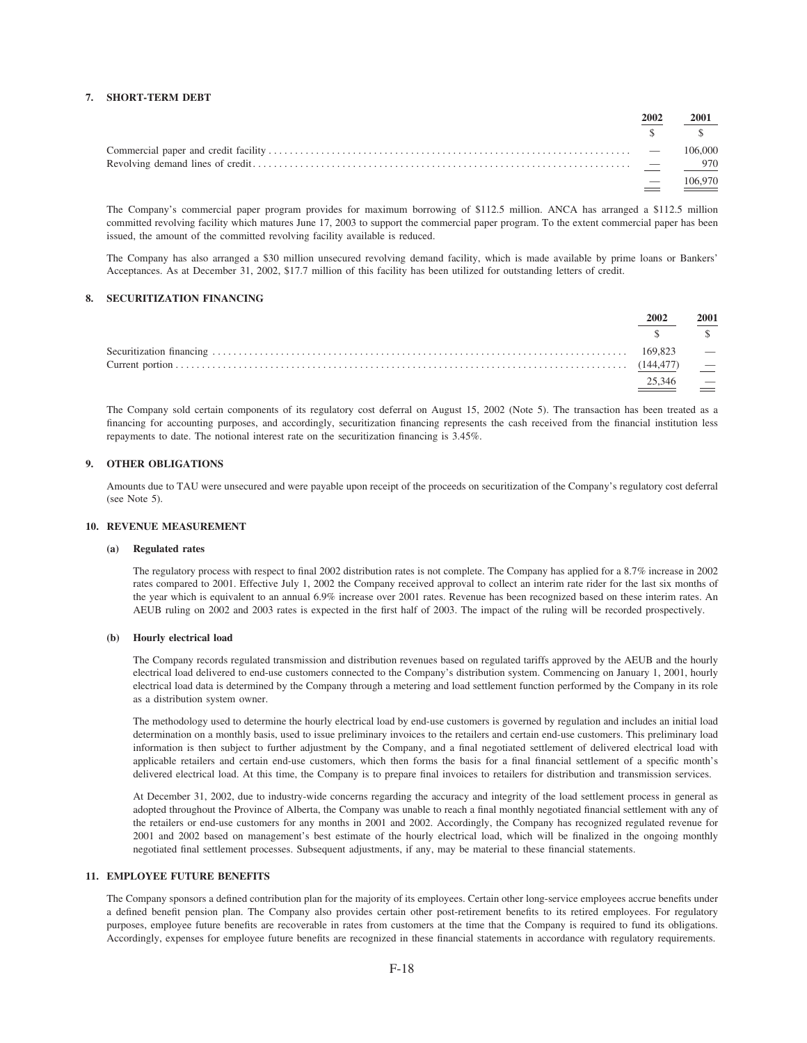## 7. SHORT-TERM DEBT

| 2002 | 2001    |
|------|---------|
|      |         |
|      |         |
|      |         |
|      | 106.970 |

The Company's commercial paper program provides for maximum borrowing of \$112.5 million. ANCA has arranged a \$112.5 million committed revolving facility which matures June 17, 2003 to support the commercial paper program. To the extent commercial paper has been issued, the amount of the committed revolving facility available is reduced.

The Company has also arranged a \$30 million unsecured revolving demand facility, which is made available by prime loans or Bankers' Acceptances. As at December 31, 2002, \$17.7 million of this facility has been utilized for outstanding letters of credit.

#### 8. SECURITIZATION FINANCING

| $-2002$    | 2001 |
|------------|------|
|            |      |
|            |      |
|            |      |
| $25,346$ — |      |

The Company sold certain components of its regulatory cost deferral on August 15, 2002 (Note 5). The transaction has been treated as a financing for accounting purposes, and accordingly, securitization financing represents the cash received from the financial institution less repayments to date. The notional interest rate on the securitization financing is 3.45%.

# 9. OTHER OBLIGATIONS

Amounts due to TAU were unsecured and were payable upon receipt of the proceeds on securitization of the Company's regulatory cost deferral (see Note  $5$ ).

#### 10. REVENUE MEASUREMENT

#### (a) Regulated rates

The regulatory process with respect to final 2002 distribution rates is not complete. The Company has applied for a 8.7% increase in 2002 rates compared to 2001. Effective July 1, 2002 the Company received approval to collect an interim rate rider for the last six months of the year which is equivalent to an annual 6.9% increase over 2001 rates. Revenue has been recognized based on these interim rates. An AEUB ruling on 2002 and 2003 rates is expected in the first half of 2003. The impact of the ruling will be recorded prospectively.

#### (b) Hourly electrical load

The Company records regulated transmission and distribution revenues based on regulated tariffs approved by the AEUB and the hourly electrical load delivered to end-use customers connected to the Company's distribution system. Commencing on January 1, 2001, hourly electrical load data is determined by the Company through a metering and load settlement function performed by the Company in its role as a distribution system owner.

The methodology used to determine the hourly electrical load by end-use customers is governed by regulation and includes an initial load determination on a monthly basis, used to issue preliminary invoices to the retailers and certain end-use customers. This preliminary load information is then subject to further adjustment by the Company, and a final negotiated settlement of delivered electrical load with applicable retailers and certain end-use customers, which then forms the basis for a final financial settlement of a specific month's delivered electrical load. At this time, the Company is to prepare final invoices to retailers for distribution and transmission services.

At December 31, 2002, due to industry-wide concerns regarding the accuracy and integrity of the load settlement process in general as adopted throughout the Province of Alberta, the Company was unable to reach a final monthly negotiated financial settlement with any of the retailers or end-use customers for any months in 2001 and 2002. Accordingly, the Company has recognized regulated revenue for 2001 and 2002 based on management's best estimate of the hourly electrical load, which will be finalized in the ongoing monthly negotiated final settlement processes. Subsequent adjustments, if any, may be material to these financial statements.

#### 11. EMPLOYEE FUTURE BENEFITS

The Company sponsors a defined contribution plan for the majority of its employees. Certain other long-service employees accrue benefits under a defined benefit pension plan. The Company also provides certain other post-retirement benefits to its retired employees. For regulatory purposes, employee future benefits are recoverable in rates from customers at the time that the Company is required to fund its obligations. Accordingly, expenses for employee future benefits are recognized in these financial statements in accordance with regulatory requirements.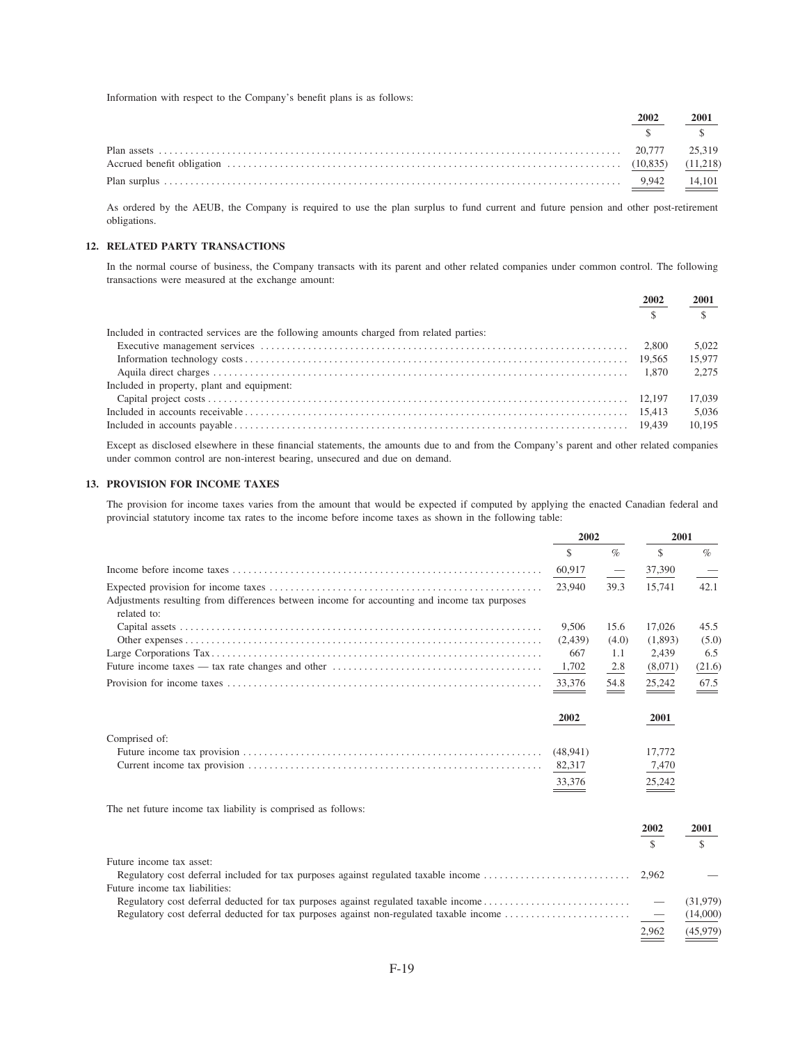Information with respect to the Company's benefit plans is as follows:

|                                              | 2002                        | 2001 |
|----------------------------------------------|-----------------------------|------|
|                                              | $\mathcal{S}$ $\mathcal{S}$ |      |
|                                              |                             |      |
| Accrued benefit obligation (11,218) (11,218) |                             |      |
|                                              |                             |      |

As ordered by the AEUB, the Company is required to use the plan surplus to fund current and future pension and other post-retirement obligations.

# 12. RELATED PARTY TRANSACTIONS

In the normal course of business, the Company transacts with its parent and other related companies under common control. The following transactions were measured at the exchange amount:

|                                                                                         | 2002<br>$\mathbb{S}$ $\mathbb{S}$ | 2001   |
|-----------------------------------------------------------------------------------------|-----------------------------------|--------|
|                                                                                         |                                   |        |
| Included in contracted services are the following amounts charged from related parties: |                                   |        |
|                                                                                         |                                   | 5.022  |
|                                                                                         |                                   | 15,977 |
|                                                                                         |                                   | 2.275  |
| Included in property, plant and equipment:                                              |                                   |        |
|                                                                                         |                                   | 17.039 |
|                                                                                         |                                   | 5.036  |
|                                                                                         |                                   | 10.195 |

Except as disclosed elsewhere in these financial statements, the amounts due to and from the Company's parent and other related companies under common control are non-interest bearing, unsecured and due on demand.

## 13. PROVISION FOR INCOME TAXES

The provision for income taxes varies from the amount that would be expected if computed by applying the enacted Canadian federal and provincial statutory income tax rates to the income before income taxes as shown in the following table:

 $\mathbf{a} \mathbf{a} \mathbf{a} \mathbf{a}$ 

 $\frac{1}{2}$ 

2,962

 $(45,979)$ 

|                                                                                                                       | 2002      |                  |         | 2001.    |
|-----------------------------------------------------------------------------------------------------------------------|-----------|------------------|---------|----------|
|                                                                                                                       | \$        | $\%$             | \$      | $\%$     |
|                                                                                                                       | 60,917    | $\hspace{0.1mm}$ | 37,390  |          |
| Adjustments resulting from differences between income for accounting and income tax purposes<br>related to:           | 23,940    | 39.3             | 15,741  | 42.1     |
|                                                                                                                       | 9.506     | 15.6             | 17,026  | 45.5     |
|                                                                                                                       | (2,439)   | (4.0)            | (1,893) | (5.0)    |
|                                                                                                                       | 667       | 1.1              | 2,439   | 6.5      |
|                                                                                                                       | 1,702     | 2.8              | (8,071) | (21.6)   |
|                                                                                                                       | 33,376    | 54.8             | 25,242  | 67.5     |
|                                                                                                                       | 2002      |                  | 2001    |          |
| Comprised of:                                                                                                         |           |                  |         |          |
|                                                                                                                       | (48, 941) |                  | 17,772  |          |
|                                                                                                                       | 82,317    |                  | 7,470   |          |
|                                                                                                                       | 33,376    |                  | 25,242  |          |
| The net future income tax liability is comprised as follows:                                                          |           |                  |         |          |
|                                                                                                                       |           |                  | 2002    | 2001     |
|                                                                                                                       |           |                  | \$      | \$       |
| Future income tax asset:                                                                                              |           |                  |         |          |
| Regulatory cost deferral included for tax purposes against regulated taxable income<br>Future income tax liabilities: |           |                  | 2.962   |          |
| Regulatory cost deferral deducted for tax purposes against regulated taxable income                                   |           |                  |         | (31,979) |
| Regulatory cost deferral deducted for tax purposes against non-regulated taxable income                               |           |                  |         | (14,000) |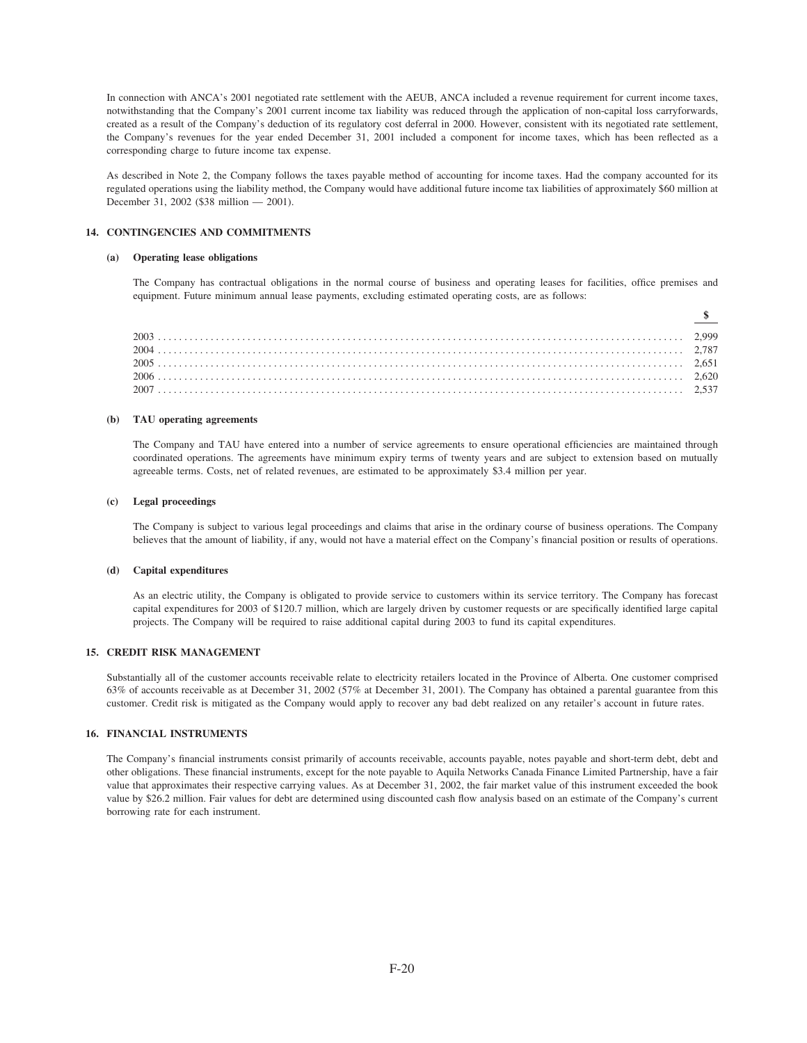In connection with ANCA's 2001 negotiated rate settlement with the AEUB, ANCA included a revenue requirement for current income taxes, notwithstanding that the Company's 2001 current income tax liability was reduced through the application of non-capital loss carryforwards, created as a result of the Company's deduction of its regulatory cost deferral in 2000. However, consistent with its negotiated rate settlement, the Company's revenues for the year ended December 31, 2001 included a component for income taxes, which has been reflected as a corresponding charge to future income tax expense.

As described in Note 2, the Company follows the taxes payable method of accounting for income taxes. Had the company accounted for its regulated operations using the liability method, the Company would have additional future income tax liabilities of approximately \$60 million at December 31, 2002 (\$38 million - 2001).

#### 14. CONTINGENCIES AND COMMITMENTS

#### (a) Operating lease obligations

The Company has contractual obligations in the normal course of business and operating leases for facilities, office premises and equipment. Future minimum annual lease payments, excluding estimated operating costs, are as follows:

 $\hat{\mathbf{S}}$ 

#### (b) TAU operating agreements

The Company and TAU have entered into a number of service agreements to ensure operational efficiencies are maintained through coordinated operations. The agreements have minimum expiry terms of twenty years and are subject to extension based on mutually agreeable terms. Costs, net of related revenues, are estimated to be approximately \$3.4 million per year.

#### (c) Legal proceedings

The Company is subject to various legal proceedings and claims that arise in the ordinary course of business operations. The Company believes that the amount of liability, if any, would not have a material effect on the Company's financial position or results of operations.

#### (d) Capital expenditures

As an electric utility, the Company is obligated to provide service to customers within its service territory. The Company has forecast capital expenditures for 2003 of \$120.7 million, which are largely driven by customer requests or are specifically identified large capital projects. The Company will be required to raise additional capital during 2003 to fund its capital expenditures.

### **15. CREDIT RISK MANAGEMENT**

Substantially all of the customer accounts receivable relate to electricity retailers located in the Province of Alberta. One customer comprised 63% of accounts receivable as at December 31, 2002 (57% at December 31, 2001). The Company has obtained a parental guarantee from this customer. Credit risk is mitigated as the Company would apply to recover any bad debt realized on any retailer's account in future rates.

### **16. FINANCIAL INSTRUMENTS**

The Company's financial instruments consist primarily of accounts receivable, accounts payable, notes payable and short-term debt, debt and other obligations. These financial instruments, except for the note payable to Aquila Networks Canada Finance Limited Partnership, have a fair value that approximates their respective carrying values. As at December 31, 2002, the fair market value of this instrument exceeded the book value by \$26.2 million. Fair values for debt are determined using discounted cash flow analysis based on an estimate of the Company's current borrowing rate for each instrument.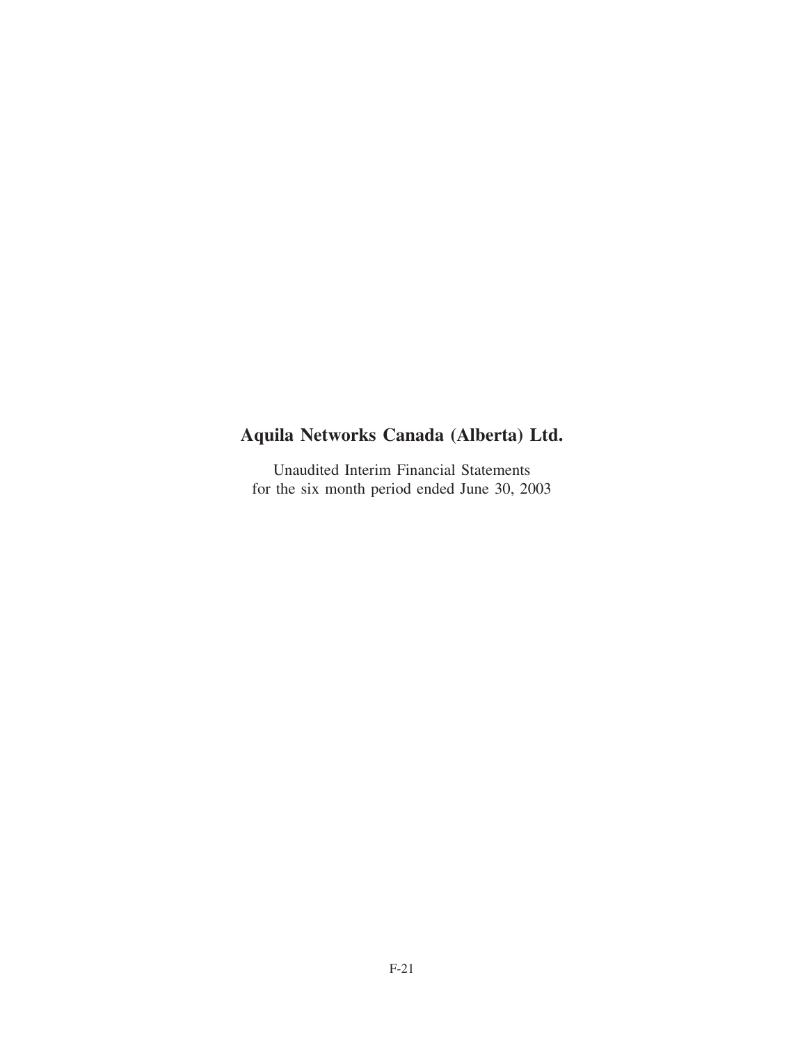Unaudited Interim Financial Statements for the six month period ended June 30, 2003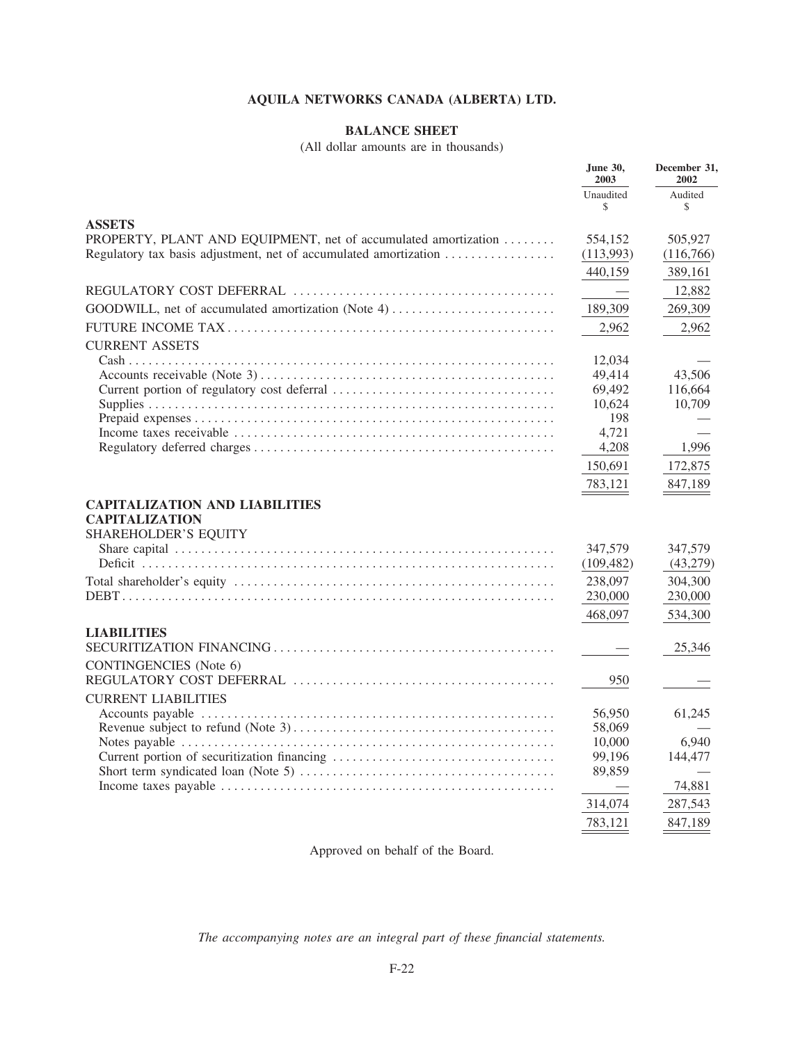# **BALANCE SHEET**

(All dollar amounts are in thousands)

|                                                                  | June 30,<br>2003                | December 31,<br>2002 |
|------------------------------------------------------------------|---------------------------------|----------------------|
|                                                                  | Unaudited<br>\$                 | Audited<br>\$        |
| <b>ASSETS</b>                                                    |                                 |                      |
| PROPERTY, PLANT AND EQUIPMENT, net of accumulated amortization   | 554,152                         | 505,927              |
| Regulatory tax basis adjustment, net of accumulated amortization | (113,993)                       | (116,766)            |
|                                                                  | 440,159                         | 389,161              |
|                                                                  |                                 | 12,882               |
| GOODWILL, net of accumulated amortization (Note 4)               | 189,309                         | 269,309              |
|                                                                  | 2,962                           | 2,962                |
| <b>CURRENT ASSETS</b>                                            |                                 |                      |
|                                                                  | 12,034                          |                      |
|                                                                  | 49,414                          | 43,506               |
|                                                                  | 69,492                          | 116,664              |
|                                                                  | 10,624                          | 10,709               |
|                                                                  | 198                             |                      |
|                                                                  | 4,721                           |                      |
|                                                                  | 4,208                           | 1,996                |
|                                                                  | 150,691                         | 172,875              |
|                                                                  | 783,121                         | 847,189              |
| <b>CAPITALIZATION AND LIABILITIES</b>                            |                                 |                      |
| <b>CAPITALIZATION</b>                                            |                                 |                      |
| <b>SHAREHOLDER'S EQUITY</b>                                      |                                 |                      |
|                                                                  | 347,579<br>(109, 482)           | 347,579<br>(43,279)  |
|                                                                  |                                 |                      |
|                                                                  | 238,097<br>230,000              | 304,300<br>230,000   |
|                                                                  |                                 |                      |
|                                                                  | 468,097                         | 534,300              |
| <b>LIABILITIES</b>                                               |                                 |                      |
|                                                                  |                                 | 25,346               |
| CONTINGENCIES (Note 6)                                           | 950                             |                      |
| <b>CURRENT LIABILITIES</b>                                       |                                 |                      |
|                                                                  | 56,950                          | 61,245               |
|                                                                  | 58,069                          |                      |
|                                                                  | 10,000                          | 6,940                |
|                                                                  | 99,196                          | 144,477              |
|                                                                  | 89,859                          |                      |
|                                                                  | $\hspace{0.1mm}-\hspace{0.1mm}$ | 74,881               |
|                                                                  | 314,074                         | 287,543              |
|                                                                  | 783,121                         | 847,189              |

Approved on behalf of the Board.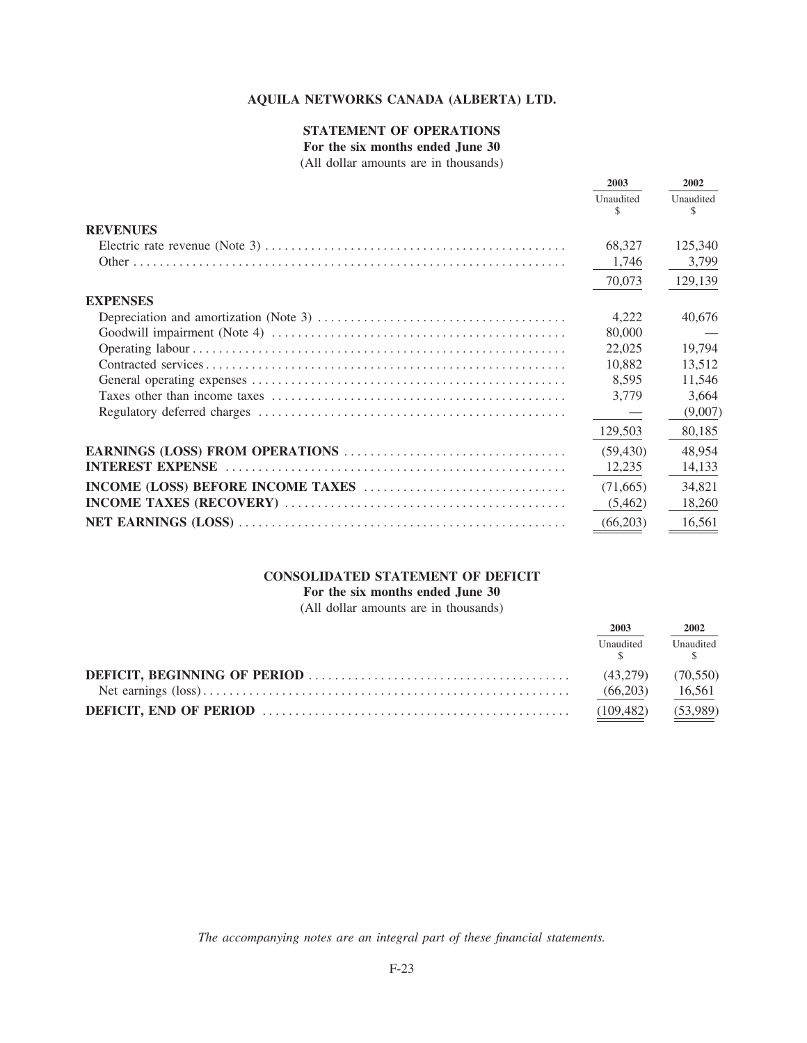# STATEMENT OF OPERATIONS

For the six months ended June 30

(All dollar amounts are in thousands)

|                         | 2003                     | 2002      |
|-------------------------|--------------------------|-----------|
|                         | Unaudited<br>\$          | Unaudited |
| <b>REVENUES</b>         |                          |           |
|                         | 68,327                   | 125,340   |
|                         | 1,746                    | 3,799     |
|                         | 70,073                   | 129,139   |
| <b>EXPENSES</b>         |                          |           |
|                         | 4,222                    | 40,676    |
|                         | 80,000                   |           |
|                         | 22,025                   | 19,794    |
|                         | 10,882                   | 13,512    |
|                         | 8,595                    | 11,546    |
|                         | 3,779                    | 3,664     |
|                         | $\overline{\phantom{m}}$ | (9,007)   |
|                         | 129,503                  | 80,185    |
|                         | (59, 430)                | 48,954    |
| <b>INTEREST EXPENSE</b> | 12,235                   | 14,133    |
|                         | (71,665)                 | 34,821    |
|                         | (5,462)                  | 18,260    |
|                         | (66,203)                 | 16,561    |

# **CONSOLIDATED STATEMENT OF DEFICIT**

# For the six months ended June 30

(All dollar amounts are in thousands)

| 2003             | 2002      |
|------------------|-----------|
| <b>Unaudited</b> | Unaudited |
|                  | (70.550)  |
| (66,203)         | 16,561    |
| (109.482)        | (53,989)  |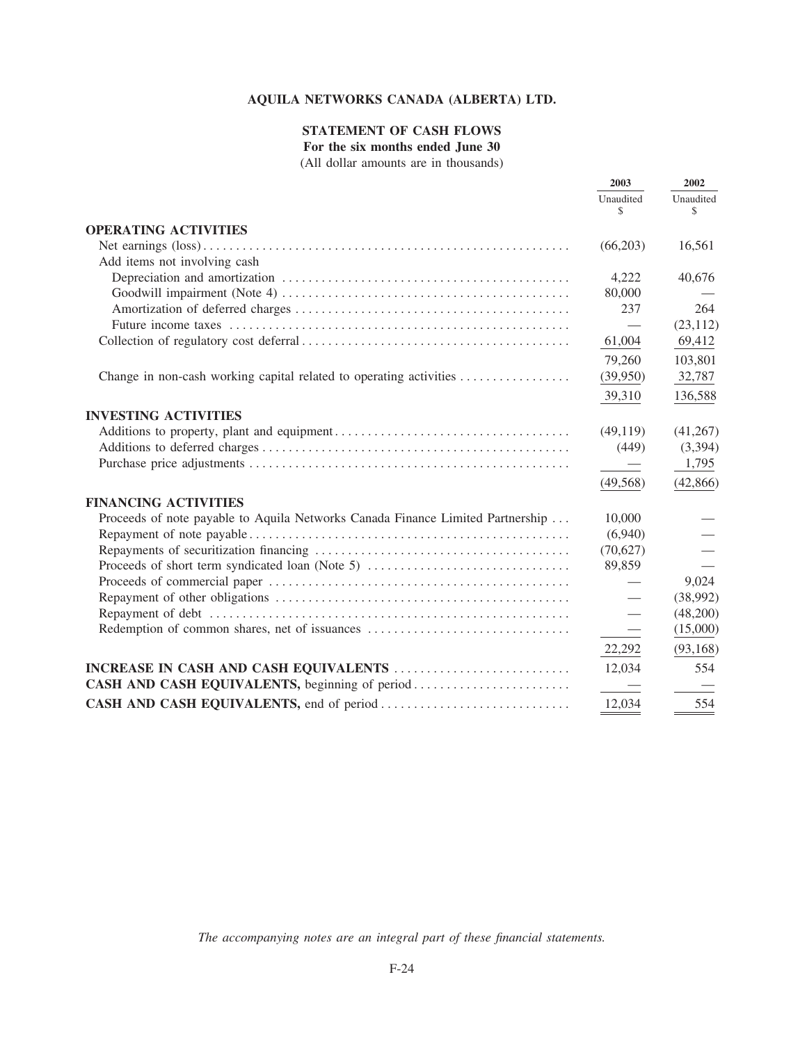# STATEMENT OF CASH FLOWS

For the six months ended June 30

(All dollar amounts are in thousands)

|                                                                                | 2003            | 2002             |
|--------------------------------------------------------------------------------|-----------------|------------------|
|                                                                                | Unaudited<br>\$ | Unaudited<br>\$. |
| <b>OPERATING ACTIVITIES</b>                                                    |                 |                  |
| Add items not involving cash                                                   | (66,203)        | 16,561           |
|                                                                                | 4,222           | 40,676           |
|                                                                                | 80,000          |                  |
|                                                                                | 237             | 264              |
|                                                                                |                 | (23, 112)        |
|                                                                                | 61,004          | 69,412           |
|                                                                                | 79,260          | 103,801          |
| Change in non-cash working capital related to operating activities             | (39,950)        | 32,787           |
|                                                                                | 39,310          | 136,588          |
| <b>INVESTING ACTIVITIES</b>                                                    |                 |                  |
|                                                                                | (49,119)        | (41,267)         |
|                                                                                | (449)           | (3,394)          |
|                                                                                |                 | 1,795            |
|                                                                                | (49, 568)       | (42, 866)        |
| <b>FINANCING ACTIVITIES</b>                                                    |                 |                  |
| Proceeds of note payable to Aquila Networks Canada Finance Limited Partnership | 10,000          |                  |
|                                                                                | (6,940)         |                  |
|                                                                                | (70,627)        |                  |
| Proceeds of short term syndicated loan (Note 5)                                | 89,859          |                  |
|                                                                                |                 | 9,024            |
|                                                                                |                 | (38,992)         |
|                                                                                |                 | (48,200)         |
| Redemption of common shares, net of issuances                                  |                 | (15,000)         |
|                                                                                | 22,292          | (93, 168)        |
|                                                                                | 12,034          | 554              |
| CASH AND CASH EQUIVALENTS, beginning of period                                 | $\sim$          |                  |
|                                                                                | 12,034          | 554              |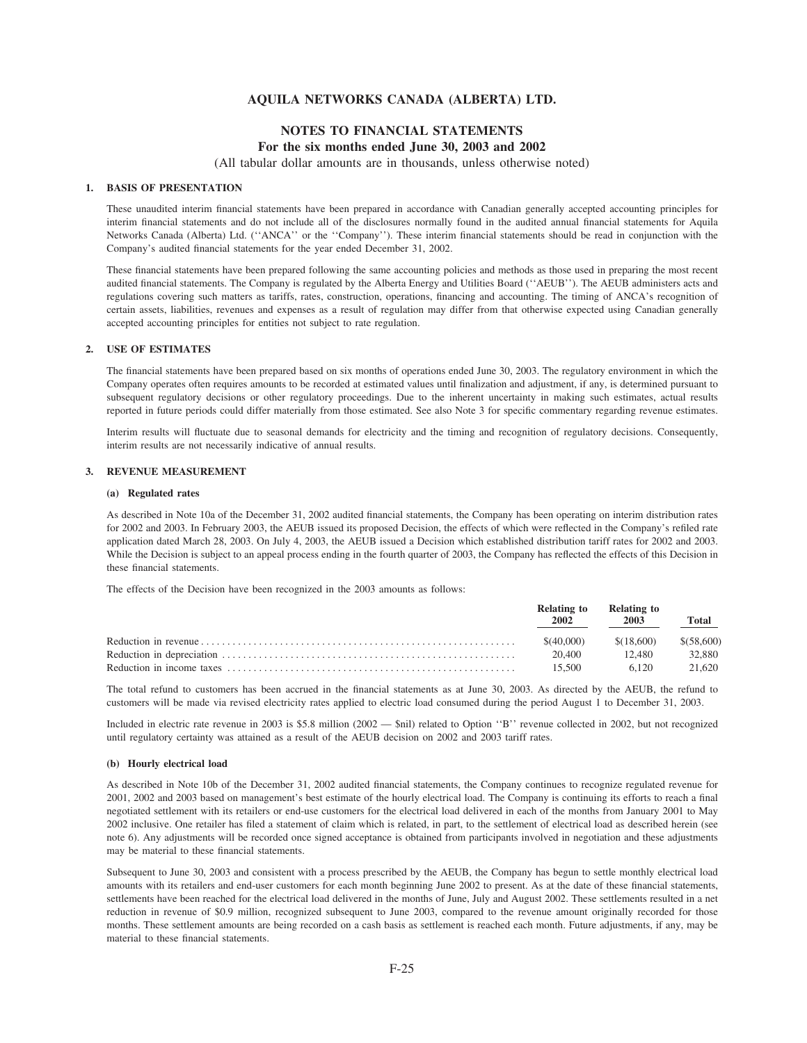# **NOTES TO FINANCIAL STATEMENTS**

#### **For the six months ended June 30, 2003 and 2002**

(All tabular dollar amounts are in thousands, unless otherwise noted)

#### **1. BASIS OF PRESENTATION**

These unaudited interim financial statements have been prepared in accordance with Canadian generally accepted accounting principles for interim financial statements and do not include all of the disclosures normally found in the audited annual financial statements for Aquila Networks Canada (Alberta) Ltd. (''ANCA'' or the ''Company''). These interim financial statements should be read in conjunction with the Company's audited financial statements for the year ended December 31, 2002.

These financial statements have been prepared following the same accounting policies and methods as those used in preparing the most recent audited financial statements. The Company is regulated by the Alberta Energy and Utilities Board (''AEUB''). The AEUB administers acts and regulations covering such matters as tariffs, rates, construction, operations, financing and accounting. The timing of ANCA's recognition of certain assets, liabilities, revenues and expenses as a result of regulation may differ from that otherwise expected using Canadian generally accepted accounting principles for entities not subject to rate regulation.

#### **2. USE OF ESTIMATES**

The financial statements have been prepared based on six months of operations ended June 30, 2003. The regulatory environment in which the Company operates often requires amounts to be recorded at estimated values until finalization and adjustment, if any, is determined pursuant to subsequent regulatory decisions or other regulatory proceedings. Due to the inherent uncertainty in making such estimates, actual results reported in future periods could differ materially from those estimated. See also Note 3 for specific commentary regarding revenue estimates.

Interim results will fluctuate due to seasonal demands for electricity and the timing and recognition of regulatory decisions. Consequently, interim results are not necessarily indicative of annual results.

#### **3. REVENUE MEASUREMENT**

#### **(a) Regulated rates**

As described in Note 10a of the December 31, 2002 audited financial statements, the Company has been operating on interim distribution rates for 2002 and 2003. In February 2003, the AEUB issued its proposed Decision, the effects of which were reflected in the Company's refiled rate application dated March 28, 2003. On July 4, 2003, the AEUB issued a Decision which established distribution tariff rates for 2002 and 2003. While the Decision is subject to an appeal process ending in the fourth quarter of 2003, the Company has reflected the effects of this Decision in these financial statements.

The effects of the Decision have been recognized in the 2003 amounts as follows:

| Relating to<br>2002 | Relating to<br>2003 | Total       |
|---------------------|---------------------|-------------|
| \$(40.000)          | \$(18,600)          | \$ (58,600) |
| 20.400              | 12.480              | 32,880      |
| 15.500              | 6.120               | 21.620      |

The total refund to customers has been accrued in the financial statements as at June 30, 2003. As directed by the AEUB, the refund to customers will be made via revised electricity rates applied to electric load consumed during the period August 1 to December 31, 2003.

Included in electric rate revenue in 2003 is \$5.8 million (2002 — \$nil) related to Option ''B'' revenue collected in 2002, but not recognized until regulatory certainty was attained as a result of the AEUB decision on 2002 and 2003 tariff rates.

#### **(b) Hourly electrical load**

As described in Note 10b of the December 31, 2002 audited financial statements, the Company continues to recognize regulated revenue for 2001, 2002 and 2003 based on management's best estimate of the hourly electrical load. The Company is continuing its efforts to reach a final negotiated settlement with its retailers or end-use customers for the electrical load delivered in each of the months from January 2001 to May 2002 inclusive. One retailer has filed a statement of claim which is related, in part, to the settlement of electrical load as described herein (see note 6). Any adjustments will be recorded once signed acceptance is obtained from participants involved in negotiation and these adjustments may be material to these financial statements.

Subsequent to June 30, 2003 and consistent with a process prescribed by the AEUB, the Company has begun to settle monthly electrical load amounts with its retailers and end-user customers for each month beginning June 2002 to present. As at the date of these financial statements, settlements have been reached for the electrical load delivered in the months of June, July and August 2002. These settlements resulted in a net reduction in revenue of \$0.9 million, recognized subsequent to June 2003, compared to the revenue amount originally recorded for those months. These settlement amounts are being recorded on a cash basis as settlement is reached each month. Future adjustments, if any, may be material to these financial statements.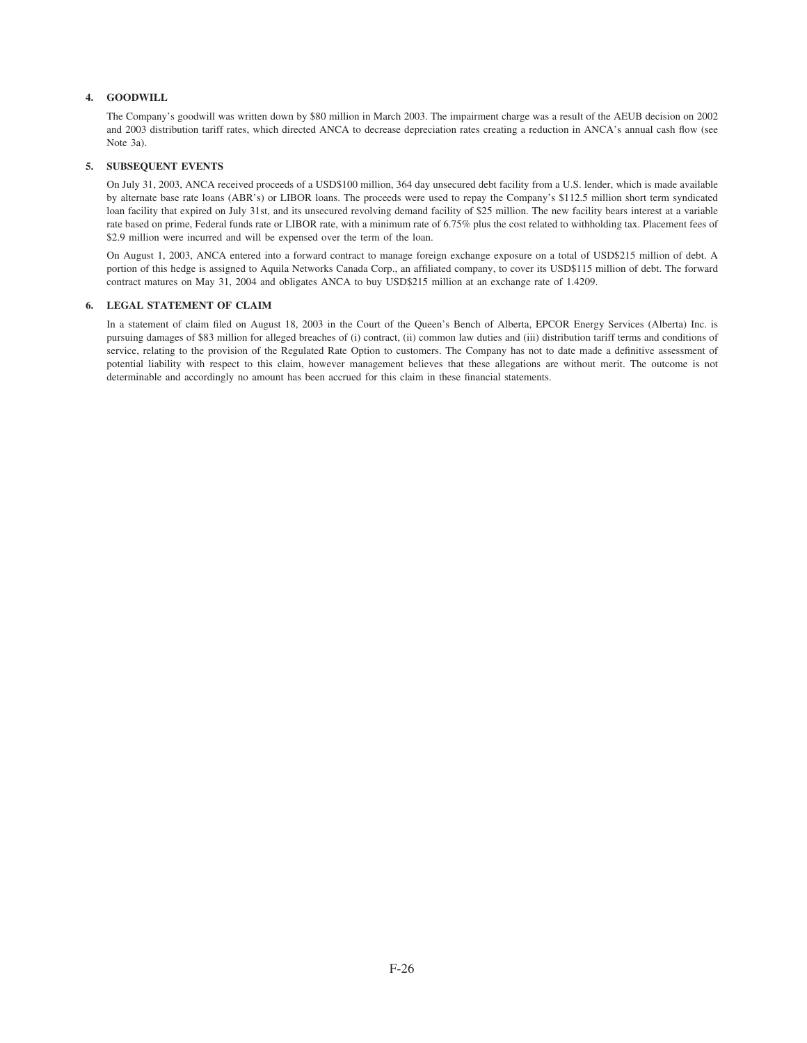## **4. GOODWILL**

The Company's goodwill was written down by \$80 million in March 2003. The impairment charge was a result of the AEUB decision on 2002 and 2003 distribution tariff rates, which directed ANCA to decrease depreciation rates creating a reduction in ANCA's annual cash flow (see Note 3a).

## **5. SUBSEQUENT EVENTS**

On July 31, 2003, ANCA received proceeds of a USD\$100 million, 364 day unsecured debt facility from a U.S. lender, which is made available by alternate base rate loans (ABR's) or LIBOR loans. The proceeds were used to repay the Company's \$112.5 million short term syndicated loan facility that expired on July 31st, and its unsecured revolving demand facility of \$25 million. The new facility bears interest at a variable rate based on prime, Federal funds rate or LIBOR rate, with a minimum rate of 6.75% plus the cost related to withholding tax. Placement fees of \$2.9 million were incurred and will be expensed over the term of the loan.

On August 1, 2003, ANCA entered into a forward contract to manage foreign exchange exposure on a total of USD\$215 million of debt. A portion of this hedge is assigned to Aquila Networks Canada Corp., an affiliated company, to cover its USD\$115 million of debt. The forward contract matures on May 31, 2004 and obligates ANCA to buy USD\$215 million at an exchange rate of 1.4209.

#### **6. LEGAL STATEMENT OF CLAIM**

In a statement of claim filed on August 18, 2003 in the Court of the Queen's Bench of Alberta, EPCOR Energy Services (Alberta) Inc. is pursuing damages of \$83 million for alleged breaches of (i) contract, (ii) common law duties and (iii) distribution tariff terms and conditions of service, relating to the provision of the Regulated Rate Option to customers. The Company has not to date made a definitive assessment of potential liability with respect to this claim, however management believes that these allegations are without merit. The outcome is not determinable and accordingly no amount has been accrued for this claim in these financial statements.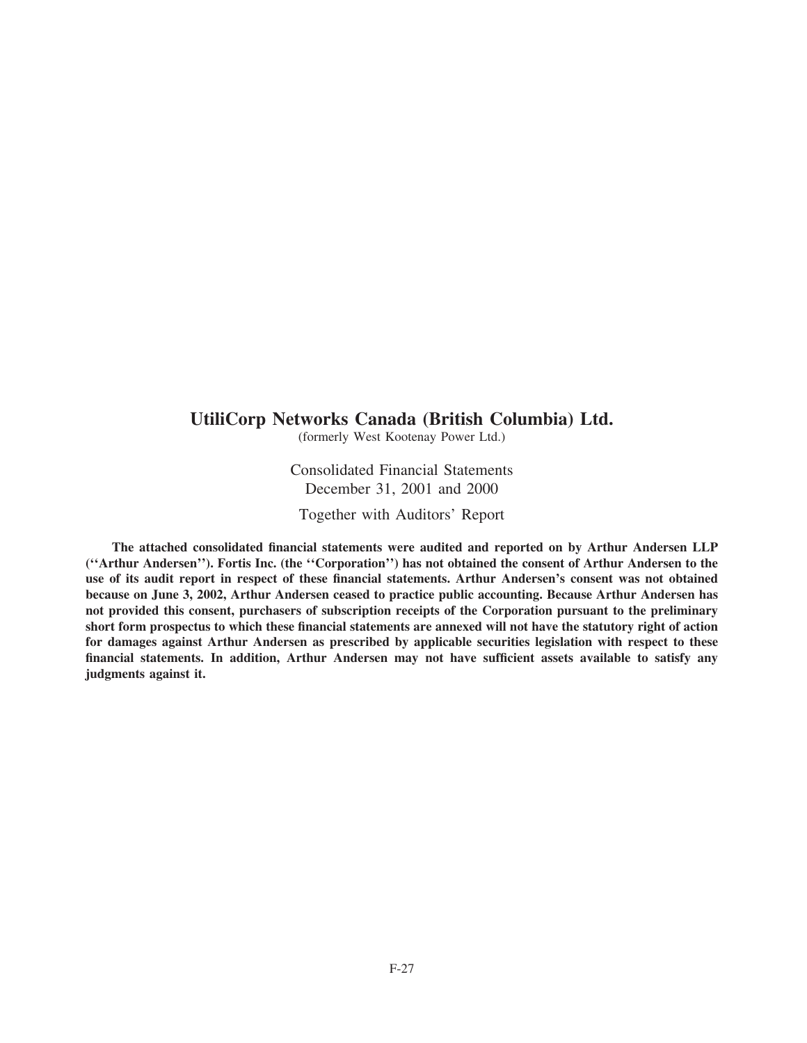# **UtiliCorp Networks Canada (British Columbia) Ltd.**

(formerly West Kootenay Power Ltd.)

Consolidated Financial Statements December 31, 2001 and 2000

Together with Auditors' Report

**The attached consolidated financial statements were audited and reported on by Arthur Andersen LLP (''Arthur Andersen''). Fortis Inc. (the ''Corporation'') has not obtained the consent of Arthur Andersen to the use of its audit report in respect of these financial statements. Arthur Andersen's consent was not obtained because on June 3, 2002, Arthur Andersen ceased to practice public accounting. Because Arthur Andersen has not provided this consent, purchasers of subscription receipts of the Corporation pursuant to the preliminary short form prospectus to which these financial statements are annexed will not have the statutory right of action for damages against Arthur Andersen as prescribed by applicable securities legislation with respect to these financial statements. In addition, Arthur Andersen may not have sufficient assets available to satisfy any judgments against it.**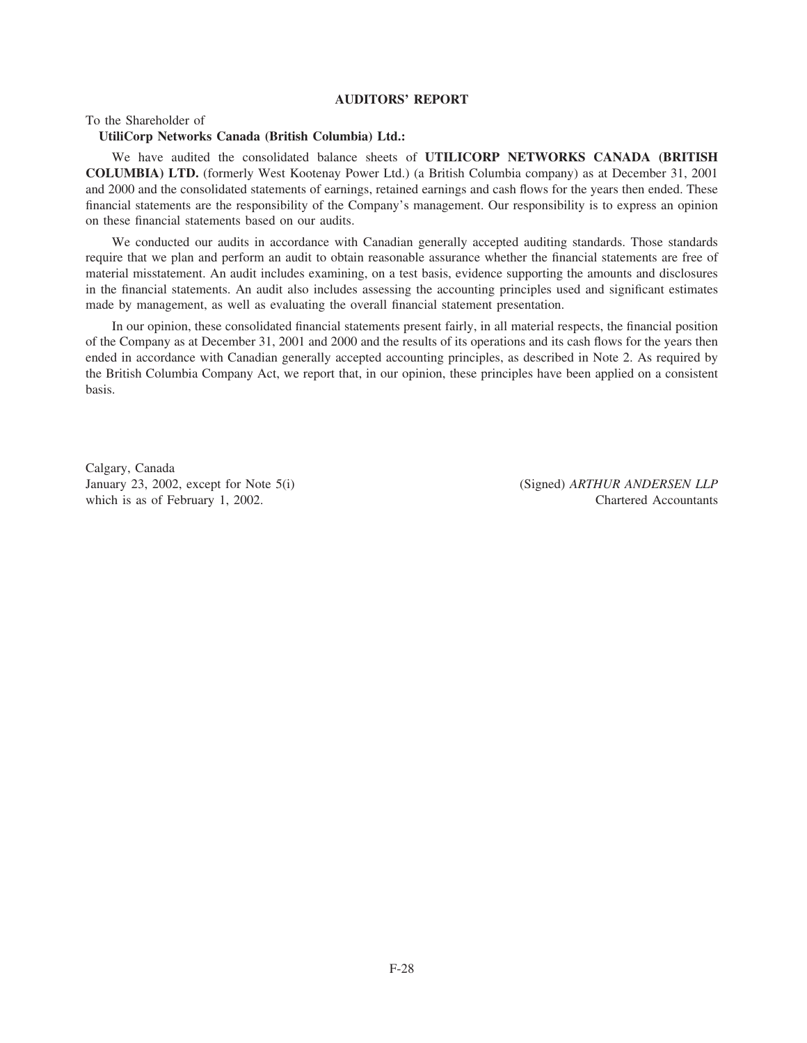# **AUDITORS' REPORT**

To the Shareholder of

# **UtiliCorp Networks Canada (British Columbia) Ltd.:**

We have audited the consolidated balance sheets of **UTILICORP NETWORKS CANADA (BRITISH COLUMBIA) LTD.** (formerly West Kootenay Power Ltd.) (a British Columbia company) as at December 31, 2001 and 2000 and the consolidated statements of earnings, retained earnings and cash flows for the years then ended. These financial statements are the responsibility of the Company's management. Our responsibility is to express an opinion on these financial statements based on our audits.

We conducted our audits in accordance with Canadian generally accepted auditing standards. Those standards require that we plan and perform an audit to obtain reasonable assurance whether the financial statements are free of material misstatement. An audit includes examining, on a test basis, evidence supporting the amounts and disclosures in the financial statements. An audit also includes assessing the accounting principles used and significant estimates made by management, as well as evaluating the overall financial statement presentation.

In our opinion, these consolidated financial statements present fairly, in all material respects, the financial position of the Company as at December 31, 2001 and 2000 and the results of its operations and its cash flows for the years then ended in accordance with Canadian generally accepted accounting principles, as described in Note 2. As required by the British Columbia Company Act, we report that, in our opinion, these principles have been applied on a consistent basis.

Calgary, Canada January 23, 2002, except for Note 5(i) (Signed) *ARTHUR ANDERSEN LLP* which is as of February 1, 2002. Chartered Accountants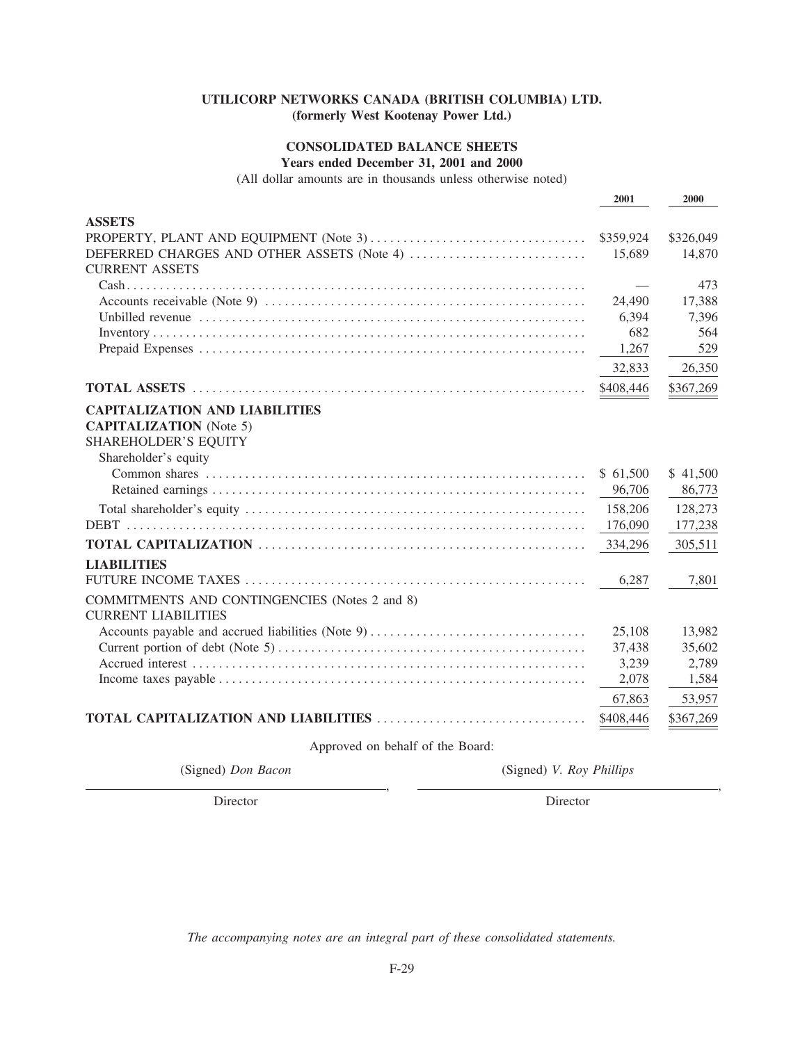# **CONSOLIDATED BALANCE SHEETS** Years ended December 31, 2001 and 2000

(All dollar amounts are in thousands unless otherwise noted)

|                                               | 2001      | 2000      |
|-----------------------------------------------|-----------|-----------|
| <b>ASSETS</b>                                 |           |           |
|                                               | \$359,924 | \$326,049 |
|                                               | 15,689    | 14,870    |
| <b>CURRENT ASSETS</b>                         |           |           |
|                                               |           | 473       |
|                                               | 24,490    | 17,388    |
|                                               | 6.394     | 7,396     |
|                                               | 682       | 564       |
|                                               | 1,267     | 529       |
|                                               | 32,833    | 26,350    |
|                                               | \$408,446 | \$367,269 |
| <b>CAPITALIZATION AND LIABILITIES</b>         |           |           |
| <b>CAPITALIZATION</b> (Note 5)                |           |           |
| <b>SHAREHOLDER'S EQUITY</b>                   |           |           |
| Shareholder's equity                          |           |           |
|                                               | \$61,500  | \$41,500  |
|                                               | 96,706    | 86,773    |
|                                               | 158,206   | 128,273   |
|                                               | 176,090   | 177,238   |
|                                               | 334,296   | 305,511   |
| <b>LIABILITIES</b>                            |           |           |
|                                               | 6,287     | 7,801     |
| COMMITMENTS AND CONTINGENCIES (Notes 2 and 8) |           |           |
| <b>CURRENT LIABILITIES</b>                    |           |           |
|                                               | 25,108    | 13,982    |
|                                               | 37,438    | 35,602    |
|                                               | 3,239     | 2,789     |
|                                               | 2,078     | 1,584     |
|                                               | 67,863    | 53,957    |
|                                               | \$408,446 | \$367,269 |
| Approved on bobolf of the Doord.              |           |           |

Approved on behalf of the Board:

(Signed) Don Bacon

(Signed) V. Roy Phillips

Director

Director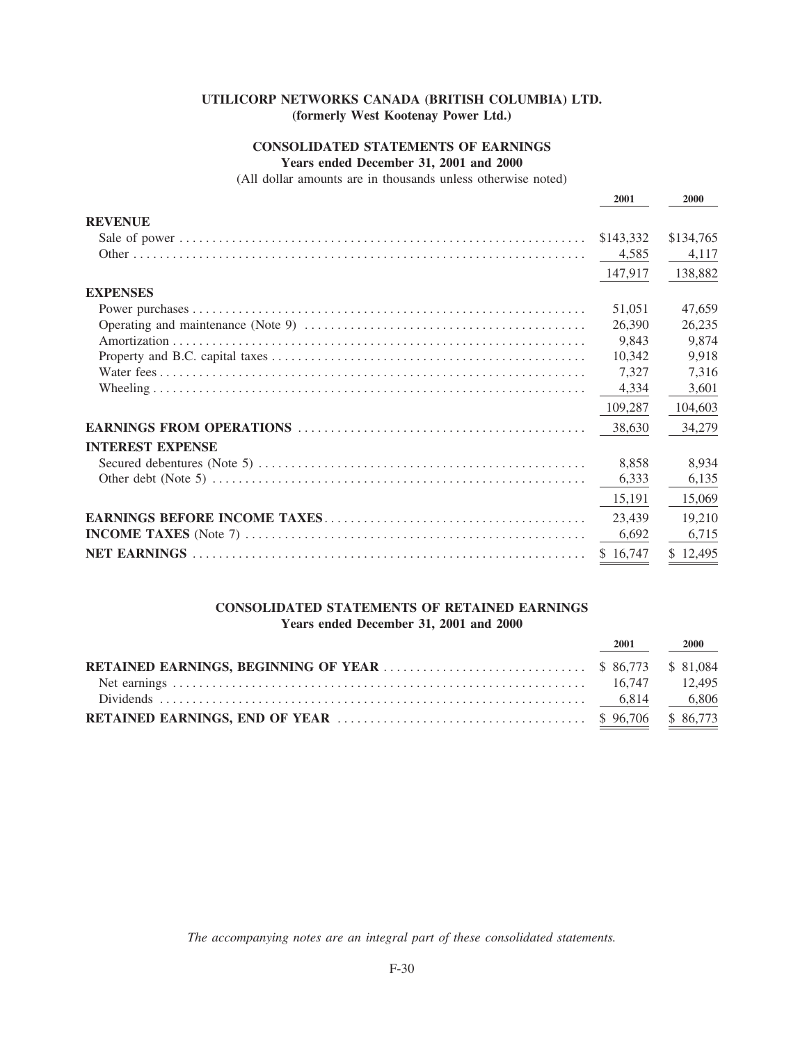# **CONSOLIDATED STATEMENTS OF EARNINGS**

# Years ended December 31, 2001 and 2000

(All dollar amounts are in thousands unless otherwise noted)

|                         | 2001      | 2000      |
|-------------------------|-----------|-----------|
| <b>REVENUE</b>          |           |           |
|                         | \$143,332 | \$134,765 |
|                         | 4,585     | 4,117     |
|                         | 147,917   | 138,882   |
| <b>EXPENSES</b>         |           |           |
|                         | 51,051    | 47,659    |
|                         | 26,390    | 26,235    |
|                         | 9.843     | 9,874     |
|                         | 10.342    | 9.918     |
|                         | 7,327     | 7,316     |
|                         | 4,334     | 3,601     |
|                         | 109,287   | 104,603   |
|                         | 38,630    | 34,279    |
| <b>INTEREST EXPENSE</b> |           |           |
|                         | 8,858     | 8,934     |
|                         | 6,333     | 6,135     |
|                         | 15,191    | 15,069    |
|                         | 23.439    | 19,210    |
|                         | 6,692     | 6,715     |
|                         | \$16,747  | \$12,495  |

# **CONSOLIDATED STATEMENTS OF RETAINED EARNINGS** Years ended December 31, 2001 and 2000

|  | 2001 2000 |
|--|-----------|
|  |           |
|  |           |
|  |           |
|  |           |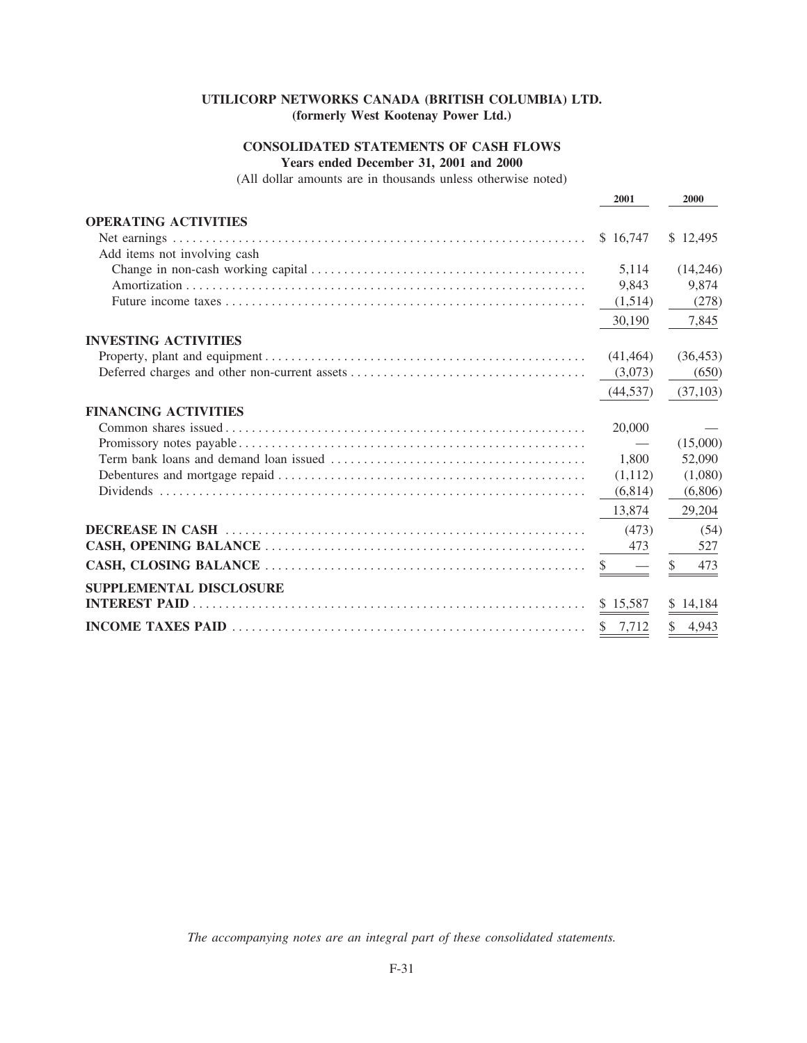# **CONSOLIDATED STATEMENTS OF CASH FLOWS**

**Years ended December 31, 2001 and 2000**

(All dollar amounts are in thousands unless otherwise noted)

|                                                                                                                                                                                                                                  | 2001              | 2000                  |
|----------------------------------------------------------------------------------------------------------------------------------------------------------------------------------------------------------------------------------|-------------------|-----------------------|
| <b>OPERATING ACTIVITIES</b>                                                                                                                                                                                                      |                   |                       |
|                                                                                                                                                                                                                                  | \$16,747          | \$12,495              |
| Add items not involving cash                                                                                                                                                                                                     |                   |                       |
|                                                                                                                                                                                                                                  | 5.114             | (14,246)              |
|                                                                                                                                                                                                                                  | 9,843             | 9,874                 |
|                                                                                                                                                                                                                                  | (1,514)           | (278)                 |
|                                                                                                                                                                                                                                  | 30,190            | 7,845                 |
| <b>INVESTING ACTIVITIES</b>                                                                                                                                                                                                      |                   |                       |
|                                                                                                                                                                                                                                  | (41, 464)         | (36, 453)             |
|                                                                                                                                                                                                                                  | (3,073)           | (650)                 |
|                                                                                                                                                                                                                                  | (44, 537)         | (37,103)              |
| <b>FINANCING ACTIVITIES</b>                                                                                                                                                                                                      |                   |                       |
|                                                                                                                                                                                                                                  | 20,000            |                       |
|                                                                                                                                                                                                                                  | $\hspace{0.05cm}$ | (15,000)              |
|                                                                                                                                                                                                                                  | 1,800             | 52,090                |
|                                                                                                                                                                                                                                  | (1,112)           | (1,080)               |
|                                                                                                                                                                                                                                  | (6,814)           | (6,806)               |
|                                                                                                                                                                                                                                  | 13,874            | 29,204                |
|                                                                                                                                                                                                                                  | (473)             | (54)                  |
|                                                                                                                                                                                                                                  | 473               | 527                   |
|                                                                                                                                                                                                                                  |                   | 473                   |
| <b>SUPPLEMENTAL DISCLOSURE</b>                                                                                                                                                                                                   |                   |                       |
|                                                                                                                                                                                                                                  |                   | \$14,184              |
| INCOME TAXES PAID $\ldots$ $\ldots$ $\ldots$ $\ldots$ $\ldots$ $\ldots$ $\ldots$ $\ldots$ $\ldots$ $\ldots$ $\ldots$ $\ldots$ $\ldots$ $\ldots$ $\ldots$ $\ldots$ $\ldots$ $\ldots$ $\ldots$ $\ldots$ $\ldots$ $\ldots$ $\ldots$ |                   | 4,943<br>$\mathbb{S}$ |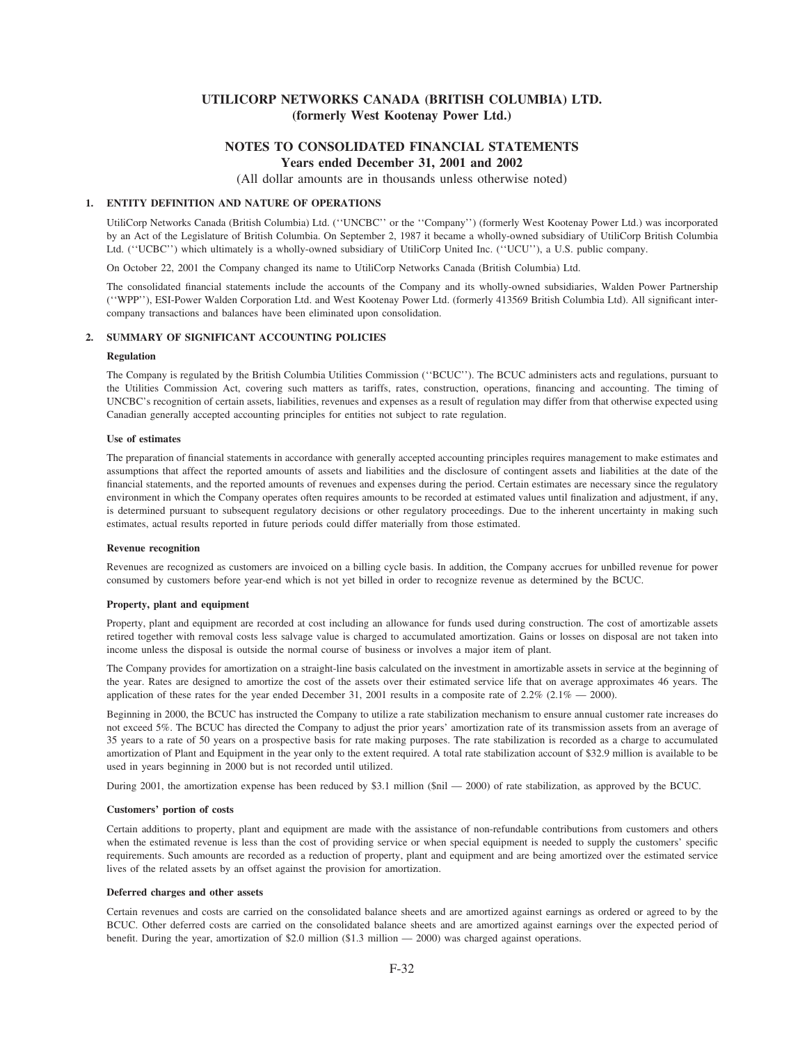# **NOTES TO CONSOLIDATED FINANCIAL STATEMENTS Years ended December 31, 2001 and 2002**

(All dollar amounts are in thousands unless otherwise noted)

### **1. ENTITY DEFINITION AND NATURE OF OPERATIONS**

UtiliCorp Networks Canada (British Columbia) Ltd. (''UNCBC'' or the ''Company'') (formerly West Kootenay Power Ltd.) was incorporated by an Act of the Legislature of British Columbia. On September 2, 1987 it became a wholly-owned subsidiary of UtiliCorp British Columbia Ltd. (''UCBC'') which ultimately is a wholly-owned subsidiary of UtiliCorp United Inc. (''UCU''), a U.S. public company.

On October 22, 2001 the Company changed its name to UtiliCorp Networks Canada (British Columbia) Ltd.

The consolidated financial statements include the accounts of the Company and its wholly-owned subsidiaries, Walden Power Partnership (''WPP''), ESI-Power Walden Corporation Ltd. and West Kootenay Power Ltd. (formerly 413569 British Columbia Ltd). All significant intercompany transactions and balances have been eliminated upon consolidation.

### **2. SUMMARY OF SIGNIFICANT ACCOUNTING POLICIES**

### **Regulation**

The Company is regulated by the British Columbia Utilities Commission (''BCUC''). The BCUC administers acts and regulations, pursuant to the Utilities Commission Act, covering such matters as tariffs, rates, construction, operations, financing and accounting. The timing of UNCBC's recognition of certain assets, liabilities, revenues and expenses as a result of regulation may differ from that otherwise expected using Canadian generally accepted accounting principles for entities not subject to rate regulation.

#### **Use of estimates**

The preparation of financial statements in accordance with generally accepted accounting principles requires management to make estimates and assumptions that affect the reported amounts of assets and liabilities and the disclosure of contingent assets and liabilities at the date of the financial statements, and the reported amounts of revenues and expenses during the period. Certain estimates are necessary since the regulatory environment in which the Company operates often requires amounts to be recorded at estimated values until finalization and adjustment, if any, is determined pursuant to subsequent regulatory decisions or other regulatory proceedings. Due to the inherent uncertainty in making such estimates, actual results reported in future periods could differ materially from those estimated.

#### **Revenue recognition**

Revenues are recognized as customers are invoiced on a billing cycle basis. In addition, the Company accrues for unbilled revenue for power consumed by customers before year-end which is not yet billed in order to recognize revenue as determined by the BCUC.

#### **Property, plant and equipment**

Property, plant and equipment are recorded at cost including an allowance for funds used during construction. The cost of amortizable assets retired together with removal costs less salvage value is charged to accumulated amortization. Gains or losses on disposal are not taken into income unless the disposal is outside the normal course of business or involves a major item of plant.

The Company provides for amortization on a straight-line basis calculated on the investment in amortizable assets in service at the beginning of the year. Rates are designed to amortize the cost of the assets over their estimated service life that on average approximates 46 years. The application of these rates for the year ended December 31, 2001 results in a composite rate of  $2.2\%$  ( $2.1\%$  — 2000).

Beginning in 2000, the BCUC has instructed the Company to utilize a rate stabilization mechanism to ensure annual customer rate increases do not exceed 5%. The BCUC has directed the Company to adjust the prior years' amortization rate of its transmission assets from an average of 35 years to a rate of 50 years on a prospective basis for rate making purposes. The rate stabilization is recorded as a charge to accumulated amortization of Plant and Equipment in the year only to the extent required. A total rate stabilization account of \$32.9 million is available to be used in years beginning in 2000 but is not recorded until utilized.

During 2001, the amortization expense has been reduced by \$3.1 million (\$nil  $-$  2000) of rate stabilization, as approved by the BCUC.

#### **Customers' portion of costs**

Certain additions to property, plant and equipment are made with the assistance of non-refundable contributions from customers and others when the estimated revenue is less than the cost of providing service or when special equipment is needed to supply the customers' specific requirements. Such amounts are recorded as a reduction of property, plant and equipment and are being amortized over the estimated service lives of the related assets by an offset against the provision for amortization.

#### **Deferred charges and other assets**

Certain revenues and costs are carried on the consolidated balance sheets and are amortized against earnings as ordered or agreed to by the BCUC. Other deferred costs are carried on the consolidated balance sheets and are amortized against earnings over the expected period of benefit. During the year, amortization of \$2.0 million (\$1.3 million — 2000) was charged against operations.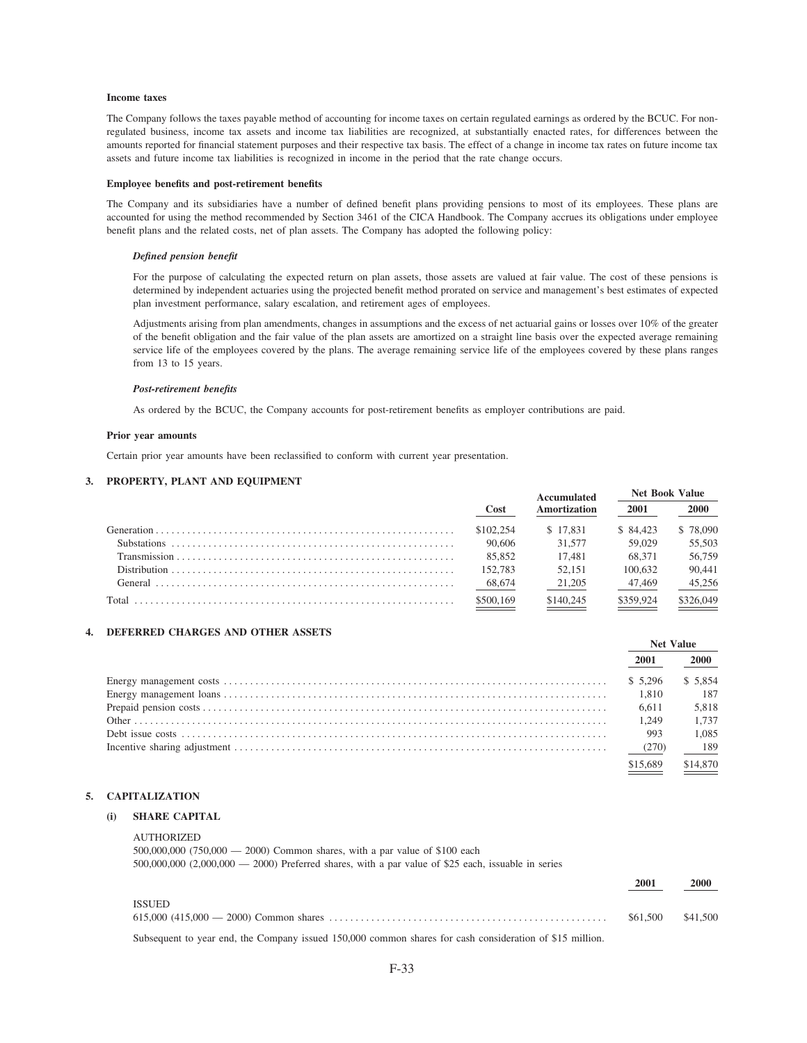### **Income taxes**

The Company follows the taxes payable method of accounting for income taxes on certain regulated earnings as ordered by the BCUC. For nonregulated business, income tax assets and income tax liabilities are recognized, at substantially enacted rates, for differences between the amounts reported for financial statement purposes and their respective tax basis. The effect of a change in income tax rates on future income tax assets and future income tax liabilities is recognized in income in the period that the rate change occurs.

#### Employee benefits and post-retirement benefits

The Company and its subsidiaries have a number of defined benefit plans providing pensions to most of its employees. These plans are accounted for using the method recommended by Section 3461 of the CICA Handbook. The Company accrues its obligations under employee benefit plans and the related costs, net of plan assets. The Company has adopted the following policy:

#### Defined pension benefit

For the purpose of calculating the expected return on plan assets, those assets are valued at fair value. The cost of these pensions is determined by independent actuaries using the projected benefit method prorated on service and management's best estimates of expected plan investment performance, salary escalation, and retirement ages of employees.

Adjustments arising from plan amendments, changes in assumptions and the excess of net actuarial gains or losses over  $10\%$  of the greater of the benefit obligation and the fair value of the plan assets are amortized on a straight line basis over the expected average remaining service life of the employees covered by the plans. The average remaining service life of the employees covered by these plans ranges from 13 to 15 years.

### **Post-retirement benefits**

As ordered by the BCUC, the Company accounts for post-retirement benefits as employer contributions are paid.

### Prior year amounts

Certain prior year amounts have been reclassified to conform with current year presentation.

### 3. PROPERTY, PLANT AND EQUIPMENT

|                    |           | Accumulated  |           | TVEL DOOR VAIUE |
|--------------------|-----------|--------------|-----------|-----------------|
|                    | Cost      | Amortization | 2001      | 2000            |
|                    | \$102.254 | \$17.831     | \$ 84.423 | \$78,090        |
| <b>Substations</b> | 90.606    | 31.577       | 59.029    | 55.503          |
|                    | 85.852    | 17.481       | 68.371    | 56,759          |
|                    | 152.783   | 52.151       | 100.632   | 90.441          |
|                    | 68,674    | 21,205       | 47,469    | 45,256          |
|                    | \$500,169 | \$140,245    | \$359.924 | \$326,049       |

 $N_{\rm tot}$  Deale  $N_{\rm c}$ les

### 4. DEFERRED CHARGES AND OTHER ASSETS

| <b>Net Value</b> |             |
|------------------|-------------|
| 2001             | <b>2000</b> |
| \$5.296          | \$5.854     |
| 1.810            | 187         |
| 6.611            | 5.818       |
| 1.249            | 1.737       |
| 993              | 1.085       |
| (270)            | 189         |
| 41560            | Q1AQ70      |

### 5. CAPITALIZATION

#### **SHARE CAPITAL**  $(i)$

#### **AUTHORIZED**

| $500,000,000$ (750,000 — 2000) Common shares, with a par value of \$100 each                           |  |
|--------------------------------------------------------------------------------------------------------|--|
| $500,000,000$ $(2,000,000 - 2000)$ Preferred shares, with a par value of \$25 each, issuable in series |  |

|         | 2001              | <b>2000</b> |
|---------|-------------------|-------------|
| ISSUED. |                   |             |
|         | \$61,500 \$41,500 |             |
|         |                   |             |

Subsequent to year end, the Company issued 150,000 common shares for cash consideration of \$15 million.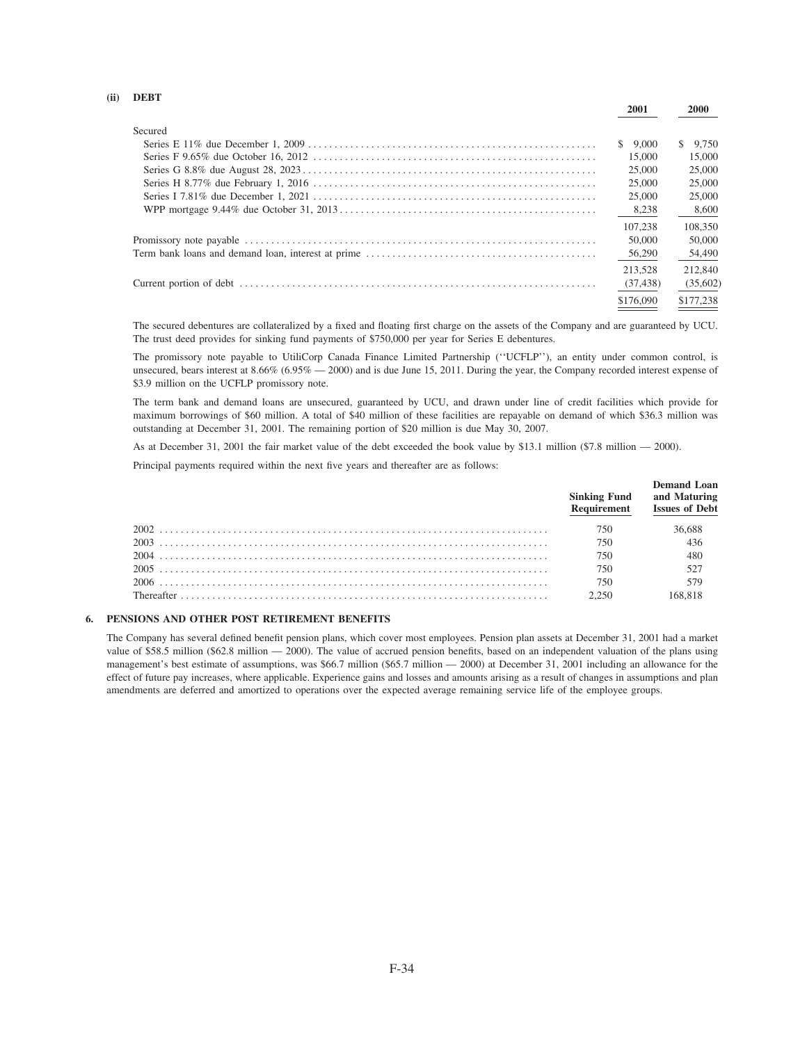### $(ii)$  DEBT

|         | 2001        | 2000      |
|---------|-------------|-----------|
| Secured |             |           |
|         | 9.000<br>S. | \$9.750   |
|         | 15,000      | 15,000    |
|         | 25,000      | 25,000    |
|         | 25,000      | 25,000    |
|         | 25,000      | 25,000    |
|         | 8,238       | 8,600     |
|         | 107.238     | 108,350   |
|         | 50,000      | 50,000    |
|         | 56,290      | 54,490    |
|         | 213.528     | 212,840   |
|         | (37, 438)   | (35,602)  |
|         | \$176,090   | \$177,238 |

The secured debentures are collateralized by a fixed and floating first charge on the assets of the Company and are guaranteed by UCU. The trust deed provides for sinking fund payments of \$750,000 per year for Series E debentures.

The promissory note payable to UtiliCorp Canada Finance Limited Partnership ("UCFLP"), an entity under common control, is unsecured, bears interest at  $8.66\%$   $(6.95\% - 2000)$  and is due June 15, 2011. During the year, the Company recorded interest expense of \$3.9 million on the UCFLP promissory note.

The term bank and demand loans are unsecured, guaranteed by UCU, and drawn under line of credit facilities which provide for maximum borrowings of \$60 million. A total of \$40 million of these facilities are repayable on demand of which \$36.3 million was outstanding at December 31, 2001. The remaining portion of \$20 million is due May 30, 2007.

As at December 31, 2001 the fair market value of the debt exceeded the book value by \$13.1 million (\$7.8 million - 2000).

Principal payments required within the next five years and thereafter are as follows:

| <b>Sinking Fund</b><br>Requirement | Demand Loan<br>and Maturing<br><b>Issues of Debt</b> |
|------------------------------------|------------------------------------------------------|
| 750                                | 36,688                                               |
| 750                                | 436                                                  |
| 750                                | 480                                                  |
| 750                                | 527                                                  |
| 750                                | 579                                                  |
| 2.250                              |                                                      |

## 6. PENSIONS AND OTHER POST RETIREMENT BENEFITS

The Company has several defined benefit pension plans, which cover most employees. Pension plan assets at December 31, 2001 had a market value of \$58.5 million (\$62.8 million - 2000). The value of accrued pension benefits, based on an independent valuation of the plans using management's best estimate of assumptions, was \$66.7 million (\$65.7 million  $-$  2000) at December 31, 2001 including an allowance for the effect of future pay increases, where applicable. Experience gains and losses and amounts arising as a result of changes in assumptions and plan amendments are deferred and amortized to operations over the expected average remaining service life of the employee groups.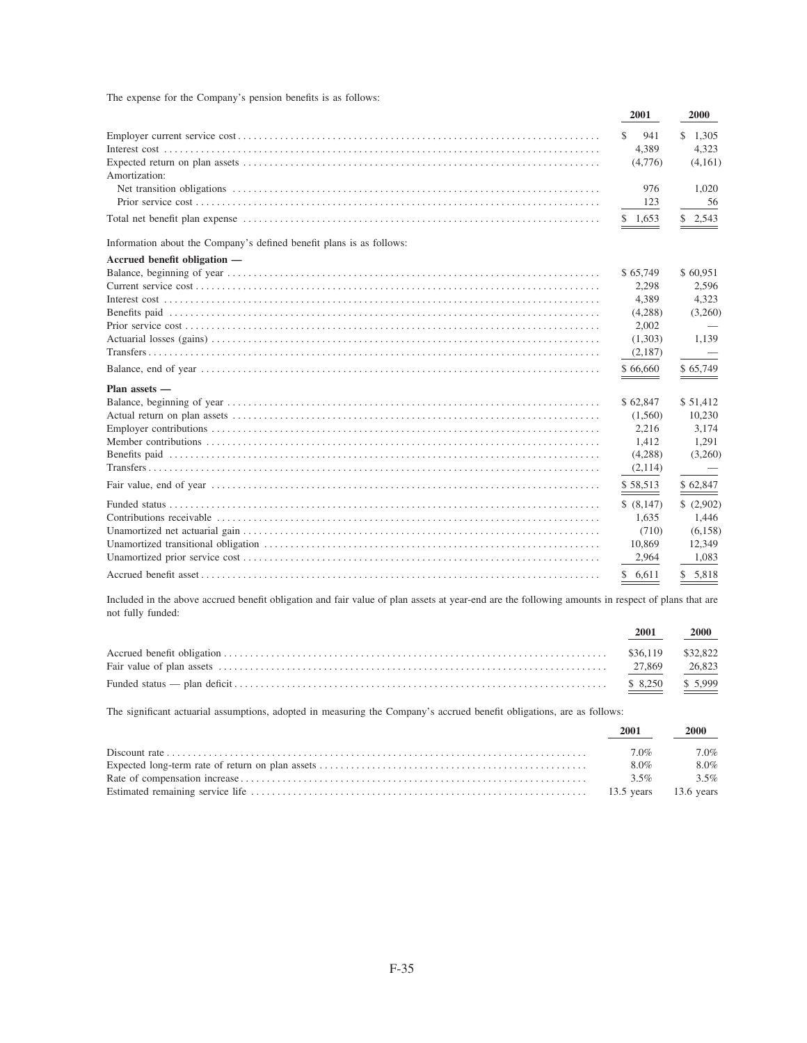The expense for the Company's pension benefits is as follows:

|                                                                      | 2001               | 2000             |
|----------------------------------------------------------------------|--------------------|------------------|
|                                                                      | S.<br>941<br>4,389 | \$1,305<br>4,323 |
| Amortization:                                                        | (4,776)            | (4,161)          |
|                                                                      | 976<br>123         | 1,020<br>56      |
|                                                                      | \$1,653            | 2,543<br>S.      |
| Information about the Company's defined benefit plans is as follows: |                    |                  |
| Accrued benefit obligation -                                         |                    |                  |
|                                                                      | \$65,749           | \$60,951         |
|                                                                      | 2,298              | 2,596            |
|                                                                      | 4,389              | 4,323            |
|                                                                      | (4,288)            | (3,260)          |
|                                                                      | 2,002              |                  |
|                                                                      | (1,303)            | 1,139            |
|                                                                      | (2,187)            |                  |
|                                                                      | \$66,660           | \$65,749         |
| Plan assets -                                                        |                    |                  |
|                                                                      | \$62,847           | \$51,412         |
|                                                                      | (1,560)            | 10,230           |
|                                                                      | 2,216              | 3,174            |
|                                                                      | 1,412              | 1,291            |
|                                                                      | (4,288)            | (3,260)          |
|                                                                      | (2,114)            |                  |
|                                                                      | \$58,513           | \$62,847         |
|                                                                      | \$ (8,147)         | \$(2,902)        |
|                                                                      | 1,635              | 1,446            |
|                                                                      | (710)              | (6,158)          |
|                                                                      | 10,869             | 12,349           |
|                                                                      | 2,964              | 1,083            |
|                                                                      | \$6,611            | \$5,818          |

Included in the above accrued benefit obligation and fair value of plan assets at year-end are the following amounts in respect of plans that are not fully funded:

| 2001              | 2000 |
|-------------------|------|
| \$36,119 \$32,822 |      |
|                   |      |
|                   |      |

The significant actuarial assumptions, adopted in measuring the Company's accrued benefit obligations, are as follows:

| 2001    | 2000    |
|---------|---------|
| $7.0\%$ | 7.0%    |
| 8.0%    | 8.0%    |
| 3.5%    | $3.5\%$ |
|         |         |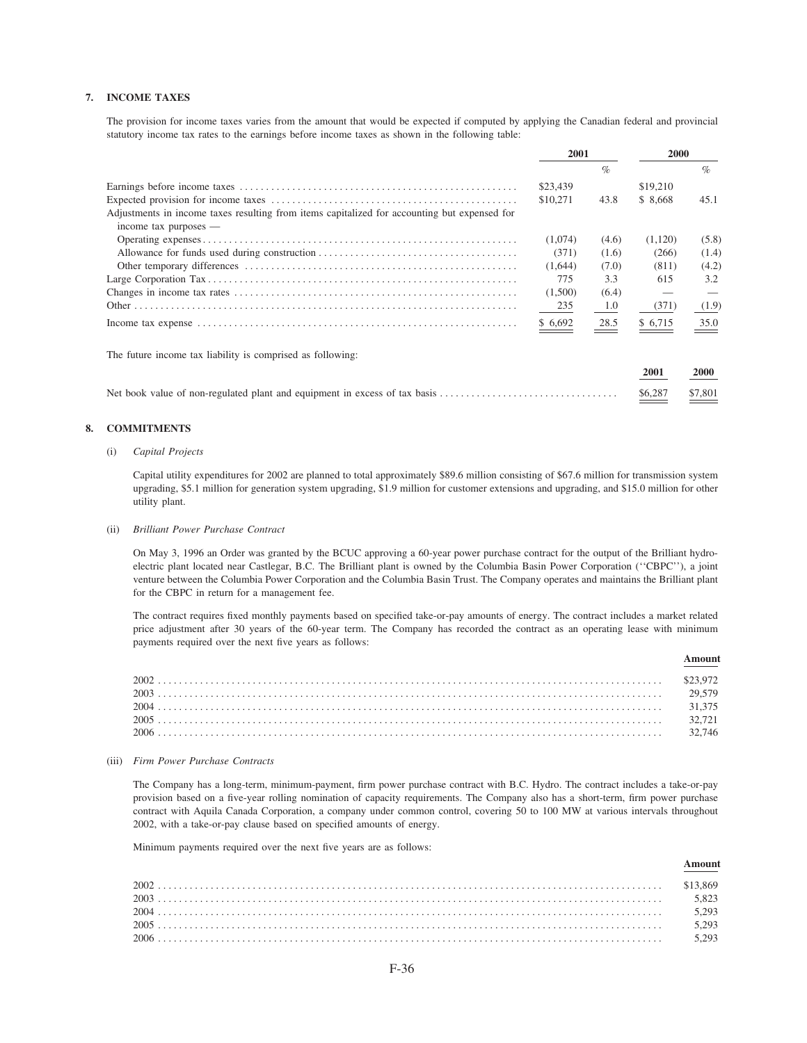## 7. INCOME TAXES

The provision for income taxes varies from the amount that would be expected if computed by applying the Canadian federal and provincial statutory income tax rates to the earnings before income taxes as shown in the following table:

|                                                                                              | 2001     |       | 2000     |             |
|----------------------------------------------------------------------------------------------|----------|-------|----------|-------------|
|                                                                                              |          | $\%$  |          | $\%$        |
|                                                                                              | \$23,439 |       | \$19,210 |             |
|                                                                                              | \$10,271 | 43.8  | \$8.668  | 45.1        |
| Adjustments in income taxes resulting from items capitalized for accounting but expensed for |          |       |          |             |
| income tax purposes —                                                                        |          |       |          |             |
|                                                                                              | (1,074)  | (4.6) | (1,120)  | (5.8)       |
|                                                                                              | (371)    | (1.6) | (266)    | (1.4)       |
|                                                                                              | (1.644)  | (7.0) | (811)    | (4.2)       |
|                                                                                              | 775      | 3.3   | 615      | 3.2         |
|                                                                                              | (1,500)  | (6.4) |          |             |
|                                                                                              | 235      | 1.0   | (371)    | (1.9)       |
|                                                                                              | \$ 6,692 | 28.5  | \$6,715  | 35.0        |
| The future income tax liability is comprised as following:                                   |          |       |          |             |
|                                                                                              |          |       | 2001     | <b>2000</b> |
|                                                                                              |          |       | \$6,287  | \$7,801     |

#### **COMMITMENTS**  $\overline{\mathbf{8}}$ .

#### Capital Projects  $(i)$

Capital utility expenditures for 2002 are planned to total approximately \$89.6 million consisting of \$67.6 million for transmission system upgrading, \$5.1 million for generation system upgrading, \$1.9 million for customer extensions and upgrading, and \$15.0 million for other utility plant.

#### (ii) Brilliant Power Purchase Contract

On May 3, 1996 an Order was granted by the BCUC approving a 60-year power purchase contract for the output of the Brilliant hydroelectric plant located near Castlegar, B.C. The Brilliant plant is owned by the Columbia Basin Power Corporation ("CBPC"), a joint venture between the Columbia Power Corporation and the Columbia Basin Trust. The Company operates and maintains the Brilliant plant for the CBPC in return for a management fee.

The contract requires fixed monthly payments based on specified take-or-pay amounts of energy. The contract includes a market related price adjustment after 30 years of the 60-year term. The Company has recorded the contract as an operating lease with minimum payments required over the next five years as follows:

| 32.746 |
|--------|

#### (iii) Firm Power Purchase Contracts

The Company has a long-term, minimum-payment, firm power purchase contract with B.C. Hydro. The contract includes a take-or-pay provision based on a five-year rolling nomination of capacity requirements. The Company also has a short-term, firm power purchase contract with Aquila Canada Corporation, a company under common control, covering 50 to 100 MW at various intervals throughout 2002, with a take-or-pay clause based on specified amounts of energy.

Minimum payments required over the next five years are as follows: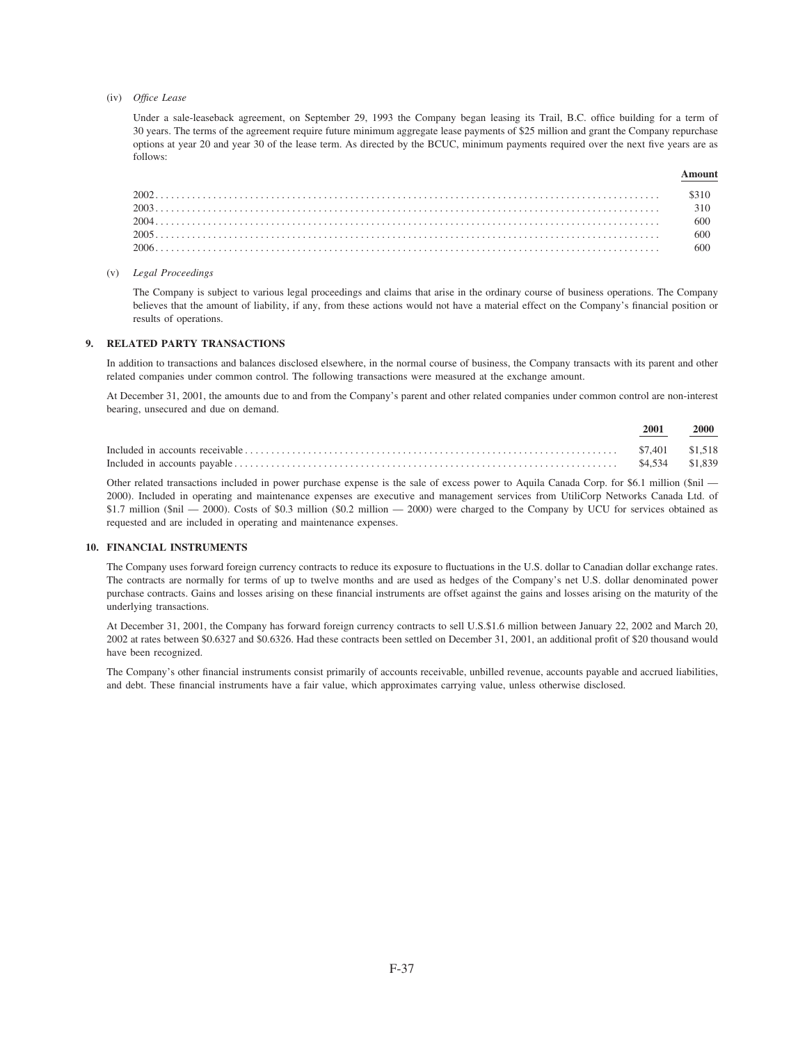### (iv) Office Lease

Under a sale-leaseback agreement, on September 29, 1993 the Company began leasing its Trail, B.C. office building for a term of 30 years. The terms of the agreement require future minimum aggregate lease payments of \$25 million and grant the Company repurchase options at year 20 and year 30 of the lease term. As directed by the BCUC, minimum payments required over the next five years are as follows:

| 600 |
|-----|
|     |

### (v) Legal Proceedings

The Company is subject to various legal proceedings and claims that arise in the ordinary course of business operations. The Company believes that the amount of liability, if any, from these actions would not have a material effect on the Company's financial position or results of operations.

#### 9. RELATED PARTY TRANSACTIONS

In addition to transactions and balances disclosed elsewhere, in the normal course of business, the Company transacts with its parent and other related companies under common control. The following transactions were measured at the exchange amount.

At December 31, 2001, the amounts due to and from the Company's parent and other related companies under common control are non-interest bearing, unsecured and due on demand.

|                                                              | <b>2001</b> | 2000 -<br>the contract of the contract of |
|--------------------------------------------------------------|-------------|-------------------------------------------|
|                                                              |             |                                           |
| $\frac{\text{Enculated in accounts payable}}{\text{St.839}}$ |             |                                           |

 $0.001$ 

 $\mathbf{a} \mathbf{a} \mathbf{a} \mathbf{a}$ 

Other related transactions included in power purchase expense is the sale of excess power to Aquila Canada Corp. for \$6.1 million (\$nil — 2000). Included in operating and maintenance expenses are executive and management services from UtiliCorp Networks Canada Ltd. of \$1.7 million (\$nil - 2000). Costs of \$0.3 million (\$0.2 million - 2000) were charged to the Company by UCU for services obtained as requested and are included in operating and maintenance expenses.

### 10. FINANCIAL INSTRUMENTS

The Company uses forward foreign currency contracts to reduce its exposure to fluctuations in the U.S. dollar to Canadian dollar exchange rates. The contracts are normally for terms of up to twelve months and are used as hedges of the Company's net U.S. dollar denominated power purchase contracts. Gains and losses arising on these financial instruments are offset against the gains and losses arising on the maturity of the underlying transactions.

At December 31, 2001, the Company has forward foreign currency contracts to sell U.S.\$1.6 million between January 22, 2002 and March 20, 2002 at rates between \$0.6327 and \$0.6326. Had these contracts been settled on December 31, 2001, an additional profit of \$20 thousand would have been recognized.

The Company's other financial instruments consist primarily of accounts receivable, unbilled revenue, accounts payable and accrued liabilities, and debt. These financial instruments have a fair value, which approximates carrying value, unless otherwise disclosed.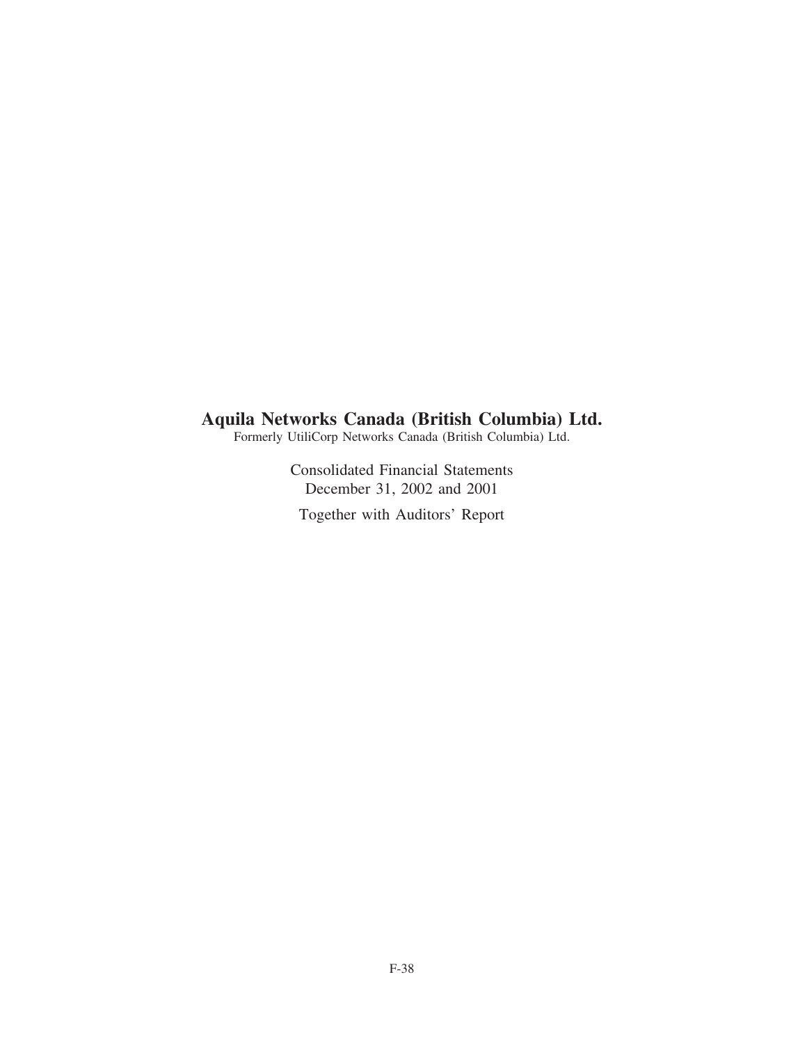Formerly UtiliCorp Networks Canada (British Columbia) Ltd.

Consolidated Financial Statements December 31, 2002 and 2001

Together with Auditors' Report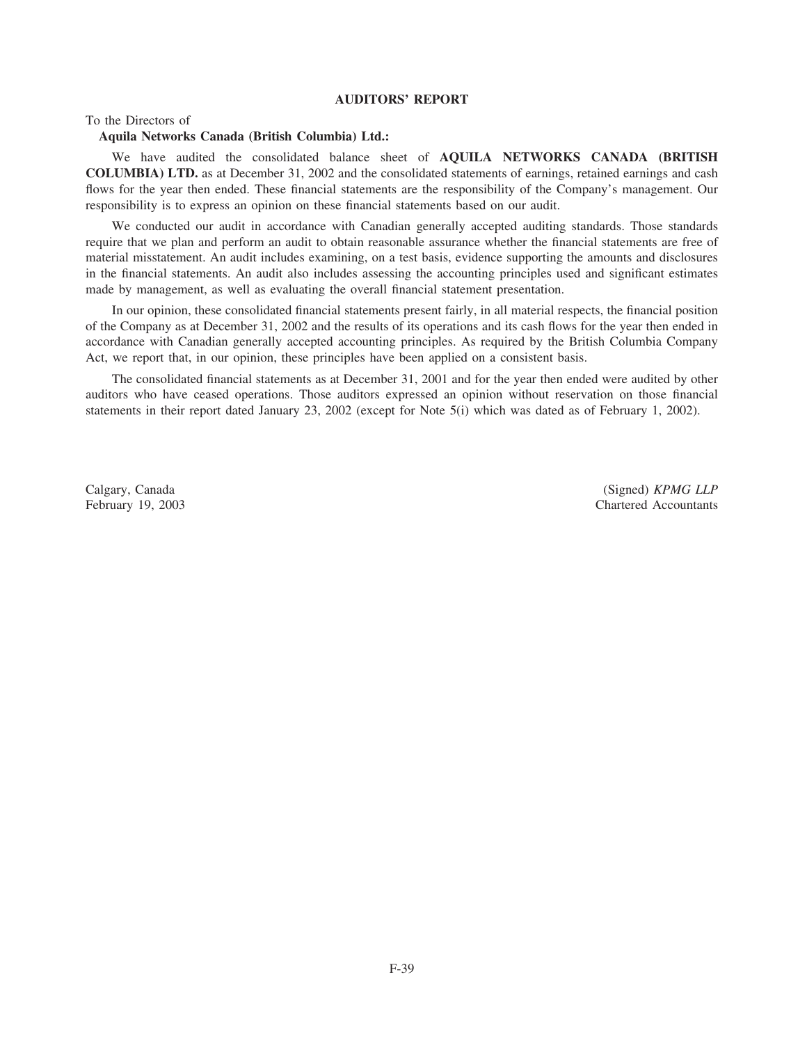## **AUDITORS' REPORT**

To the Directors of

# **Aquila Networks Canada (British Columbia) Ltd.:**

We have audited the consolidated balance sheet of **AQUILA NETWORKS CANADA (BRITISH COLUMBIA) LTD.** as at December 31, 2002 and the consolidated statements of earnings, retained earnings and cash flows for the year then ended. These financial statements are the responsibility of the Company's management. Our responsibility is to express an opinion on these financial statements based on our audit.

We conducted our audit in accordance with Canadian generally accepted auditing standards. Those standards require that we plan and perform an audit to obtain reasonable assurance whether the financial statements are free of material misstatement. An audit includes examining, on a test basis, evidence supporting the amounts and disclosures in the financial statements. An audit also includes assessing the accounting principles used and significant estimates made by management, as well as evaluating the overall financial statement presentation.

In our opinion, these consolidated financial statements present fairly, in all material respects, the financial position of the Company as at December 31, 2002 and the results of its operations and its cash flows for the year then ended in accordance with Canadian generally accepted accounting principles. As required by the British Columbia Company Act, we report that, in our opinion, these principles have been applied on a consistent basis.

The consolidated financial statements as at December 31, 2001 and for the year then ended were audited by other auditors who have ceased operations. Those auditors expressed an opinion without reservation on those financial statements in their report dated January 23, 2002 (except for Note 5(i) which was dated as of February 1, 2002).

Calgary, Canada (Signed) *KPMG LLP* February 19, 2003 Chartered Accountants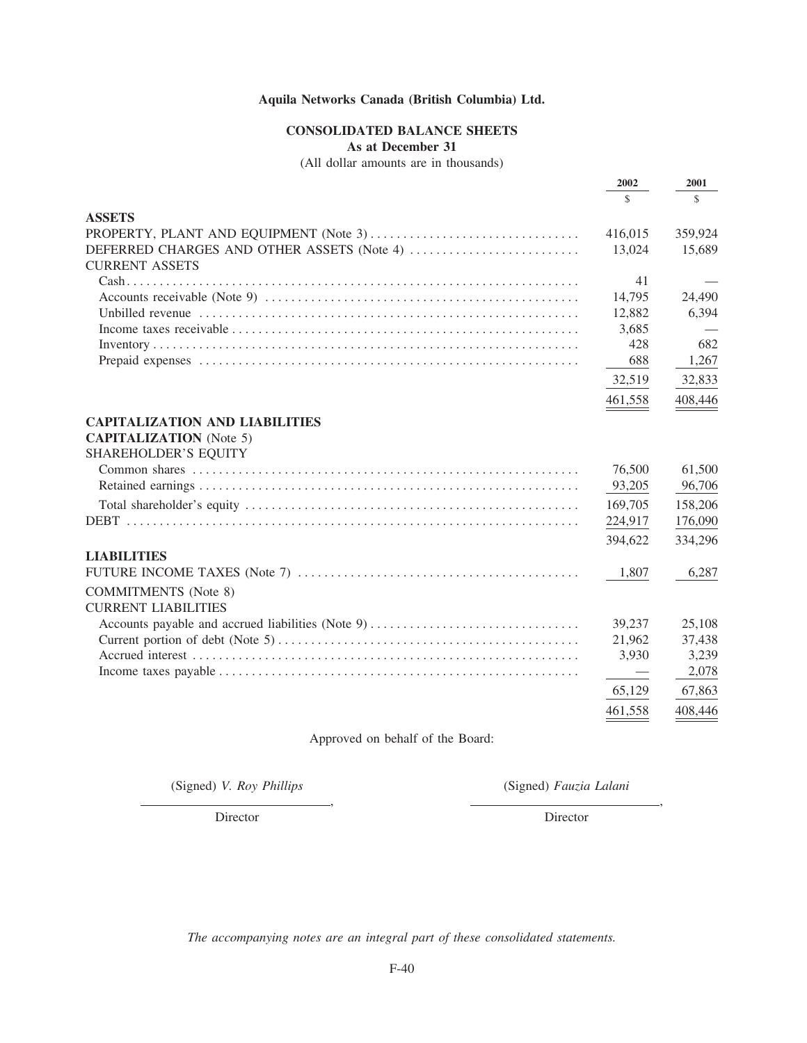# **CONSOLIDATED BALANCE SHEETS**

As at December 31

(All dollar amounts are in thousands)

|                                                                     | 2002    | 2001    |
|---------------------------------------------------------------------|---------|---------|
|                                                                     |         | \$      |
| <b>ASSETS</b>                                                       |         |         |
|                                                                     | 416,015 | 359,924 |
| DEFERRED CHARGES AND OTHER ASSETS (Note 4)<br><b>CURRENT ASSETS</b> | 13,024  | 15,689  |
|                                                                     | 41      |         |
|                                                                     | 14,795  | 24,490  |
|                                                                     | 12,882  | 6,394   |
|                                                                     | 3,685   |         |
|                                                                     | 428     | 682     |
|                                                                     | 688     | 1,267   |
|                                                                     | 32,519  | 32,833  |
|                                                                     | 461,558 | 408,446 |
| <b>CAPITALIZATION AND LIABILITIES</b>                               |         |         |
| <b>CAPITALIZATION</b> (Note 5)                                      |         |         |
| <b>SHAREHOLDER'S EQUITY</b>                                         |         |         |
|                                                                     | 76,500  | 61,500  |
|                                                                     | 93,205  | 96,706  |
|                                                                     | 169,705 | 158,206 |
|                                                                     | 224,917 | 176,090 |
|                                                                     | 394,622 | 334,296 |
| <b>LIABILITIES</b>                                                  |         |         |
|                                                                     | 1,807   | 6,287   |
| <b>COMMITMENTS</b> (Note 8)                                         |         |         |
| <b>CURRENT LIABILITIES</b>                                          |         |         |
|                                                                     | 39,237  | 25,108  |
|                                                                     | 21,962  | 37,438  |
|                                                                     | 3,930   | 3,239   |
|                                                                     |         | 2,078   |
|                                                                     | 65,129  | 67,863  |
|                                                                     | 461,558 | 408,446 |
|                                                                     |         |         |

Approved on behalf of the Board:

(Signed) V. Roy Phillips

(Signed) Fauzia Lalani

Director

Director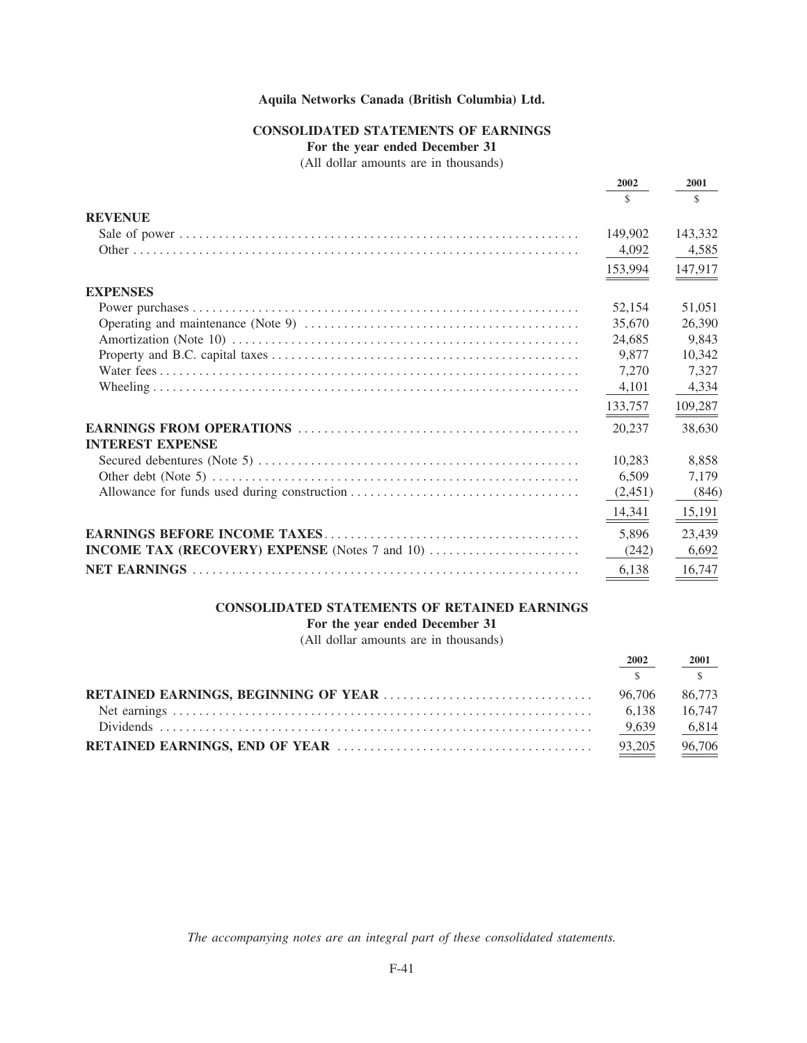# **CONSOLIDATED STATEMENTS OF EARNINGS**

For the year ended December 31

(All dollar amounts are in thousands)

|                         | 2002          | 2001               |
|-------------------------|---------------|--------------------|
|                         | $\mathcal{S}$ | $\mathcal{S}$      |
| <b>REVENUE</b>          |               |                    |
|                         | 149,902       | 143,332            |
|                         | 4,092         | 4,585              |
|                         | 153,994       | 147,917            |
| <b>EXPENSES</b>         |               |                    |
|                         | 52,154        | 51,051             |
|                         | 35,670        | 26,390             |
|                         | 24,685        | 9,843              |
|                         | 9,877         | 10,342             |
|                         | 7,270         | 7,327              |
|                         | 4,101         | 4,334              |
|                         | 133,757       | 109,287            |
|                         | 20,237        | 38,630             |
| <b>INTEREST EXPENSE</b> |               |                    |
|                         | 10,283        | 8,858              |
|                         | 6,509         | 7,179              |
|                         | (2,451)       | (846)              |
|                         | 14,341        | $\frac{15,191}{2}$ |
|                         | 5,896         | 23,439             |
|                         | (242)         | 6,692              |
|                         | 6,138         | 16,747             |

# CONSOLIDATED STATEMENTS OF RETAINED EARNINGS

For the year ended December 31

(All dollar amounts are in thousands)

| 2002   | $-2001$ |
|--------|---------|
|        |         |
| 96.706 | 86.773  |
| 6.138  | 16.747  |
| 9,639  | 6,814   |
| 93,205 | 96,706  |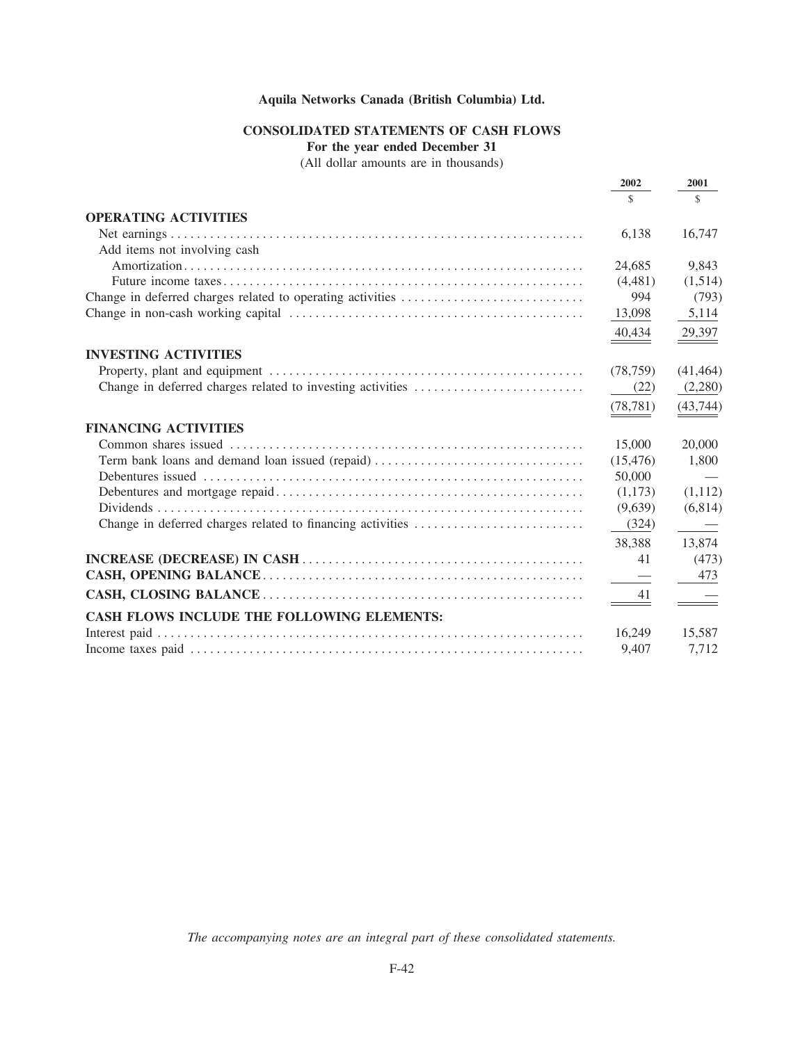# **CONSOLIDATED STATEMENTS OF CASH FLOWS**

**For the year ended December 31**

(All dollar amounts are in thousands)

|                                                 | 2002          | 2001          |
|-------------------------------------------------|---------------|---------------|
|                                                 | $\mathcal{S}$ | $\mathcal{S}$ |
| <b>OPERATING ACTIVITIES</b>                     |               |               |
|                                                 | 6,138         | 16,747        |
| Add items not involving cash                    |               |               |
|                                                 | 24,685        | 9.843         |
|                                                 | (4,481)       | (1,514)       |
|                                                 | 994           | (793)         |
|                                                 | 13,098        | 5,114         |
|                                                 | 40,434        | 29,397        |
| <b>INVESTING ACTIVITIES</b>                     |               |               |
|                                                 | (78, 759)     | (41, 464)     |
|                                                 | (22)          | (2,280)       |
|                                                 | (78, 781)     | (43, 744)     |
| <b>FINANCING ACTIVITIES</b>                     |               |               |
|                                                 | 15,000        | 20,000        |
| Term bank loans and demand loan issued (repaid) | (15, 476)     | 1,800         |
|                                                 | 50,000        |               |
|                                                 | (1,173)       | (1,112)       |
|                                                 | (9,639)       | (6, 814)      |
|                                                 | (324)         |               |
|                                                 | 38,388        | 13,874        |
|                                                 | 41            | (473)         |
|                                                 |               | 473           |
|                                                 | 41            |               |
| CASH FLOWS INCLUDE THE FOLLOWING ELEMENTS:      |               |               |
|                                                 | 16,249        | 15,587        |
|                                                 | 9.407         | 7,712         |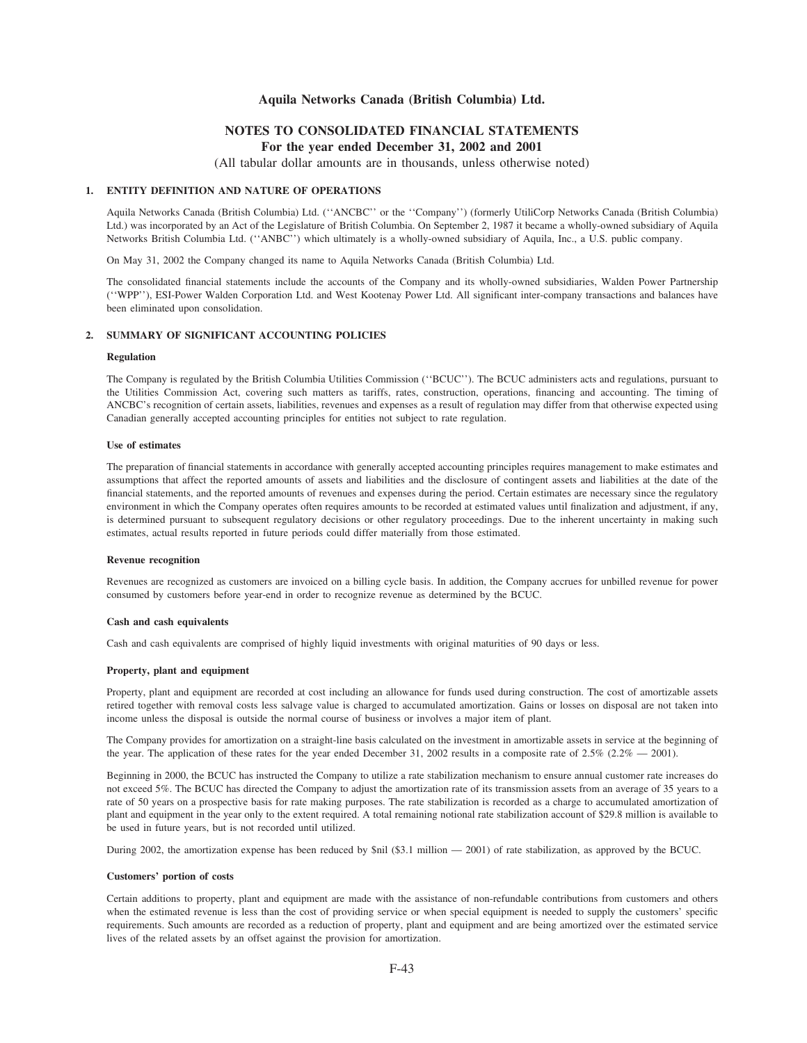# **NOTES TO CONSOLIDATED FINANCIAL STATEMENTS**

**For the year ended December 31, 2002 and 2001**

(All tabular dollar amounts are in thousands, unless otherwise noted)

#### **1. ENTITY DEFINITION AND NATURE OF OPERATIONS**

Aquila Networks Canada (British Columbia) Ltd. (''ANCBC'' or the ''Company'') (formerly UtiliCorp Networks Canada (British Columbia) Ltd.) was incorporated by an Act of the Legislature of British Columbia. On September 2, 1987 it became a wholly-owned subsidiary of Aquila Networks British Columbia Ltd. (''ANBC'') which ultimately is a wholly-owned subsidiary of Aquila, Inc., a U.S. public company.

On May 31, 2002 the Company changed its name to Aquila Networks Canada (British Columbia) Ltd.

The consolidated financial statements include the accounts of the Company and its wholly-owned subsidiaries, Walden Power Partnership (''WPP''), ESI-Power Walden Corporation Ltd. and West Kootenay Power Ltd. All significant inter-company transactions and balances have been eliminated upon consolidation.

### **2. SUMMARY OF SIGNIFICANT ACCOUNTING POLICIES**

#### **Regulation**

The Company is regulated by the British Columbia Utilities Commission (''BCUC''). The BCUC administers acts and regulations, pursuant to the Utilities Commission Act, covering such matters as tariffs, rates, construction, operations, financing and accounting. The timing of ANCBC's recognition of certain assets, liabilities, revenues and expenses as a result of regulation may differ from that otherwise expected using Canadian generally accepted accounting principles for entities not subject to rate regulation.

#### **Use of estimates**

The preparation of financial statements in accordance with generally accepted accounting principles requires management to make estimates and assumptions that affect the reported amounts of assets and liabilities and the disclosure of contingent assets and liabilities at the date of the financial statements, and the reported amounts of revenues and expenses during the period. Certain estimates are necessary since the regulatory environment in which the Company operates often requires amounts to be recorded at estimated values until finalization and adjustment, if any, is determined pursuant to subsequent regulatory decisions or other regulatory proceedings. Due to the inherent uncertainty in making such estimates, actual results reported in future periods could differ materially from those estimated.

#### **Revenue recognition**

Revenues are recognized as customers are invoiced on a billing cycle basis. In addition, the Company accrues for unbilled revenue for power consumed by customers before year-end in order to recognize revenue as determined by the BCUC.

### **Cash and cash equivalents**

Cash and cash equivalents are comprised of highly liquid investments with original maturities of 90 days or less.

### **Property, plant and equipment**

Property, plant and equipment are recorded at cost including an allowance for funds used during construction. The cost of amortizable assets retired together with removal costs less salvage value is charged to accumulated amortization. Gains or losses on disposal are not taken into income unless the disposal is outside the normal course of business or involves a major item of plant.

The Company provides for amortization on a straight-line basis calculated on the investment in amortizable assets in service at the beginning of the year. The application of these rates for the year ended December 31, 2002 results in a composite rate of 2.5% (2.2% — 2001).

Beginning in 2000, the BCUC has instructed the Company to utilize a rate stabilization mechanism to ensure annual customer rate increases do not exceed 5%. The BCUC has directed the Company to adjust the amortization rate of its transmission assets from an average of 35 years to a rate of 50 years on a prospective basis for rate making purposes. The rate stabilization is recorded as a charge to accumulated amortization of plant and equipment in the year only to the extent required. A total remaining notional rate stabilization account of \$29.8 million is available to be used in future years, but is not recorded until utilized.

During 2002, the amortization expense has been reduced by \$nil (\$3.1 million — 2001) of rate stabilization, as approved by the BCUC.

#### **Customers' portion of costs**

Certain additions to property, plant and equipment are made with the assistance of non-refundable contributions from customers and others when the estimated revenue is less than the cost of providing service or when special equipment is needed to supply the customers' specific requirements. Such amounts are recorded as a reduction of property, plant and equipment and are being amortized over the estimated service lives of the related assets by an offset against the provision for amortization.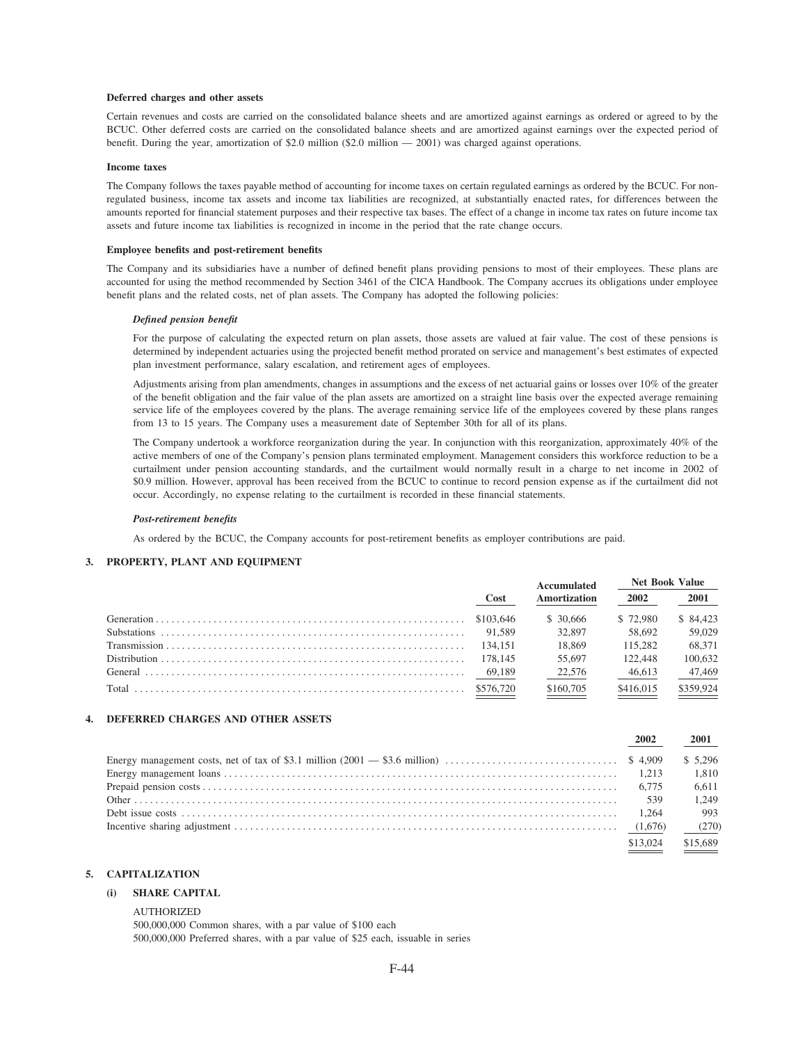#### **Deferred charges and other assets**

Certain revenues and costs are carried on the consolidated balance sheets and are amortized against earnings as ordered or agreed to by the BCUC. Other deferred costs are carried on the consolidated balance sheets and are amortized against earnings over the expected period of benefit. During the year, amortization of \$2.0 million (\$2.0 million — 2001) was charged against operations.

#### **Income taxes**

The Company follows the taxes payable method of accounting for income taxes on certain regulated earnings as ordered by the BCUC. For nonregulated business, income tax assets and income tax liabilities are recognized, at substantially enacted rates, for differences between the amounts reported for financial statement purposes and their respective tax bases. The effect of a change in income tax rates on future income tax assets and future income tax liabilities is recognized in income in the period that the rate change occurs.

#### **Employee benefits and post-retirement benefits**

The Company and its subsidiaries have a number of defined benefit plans providing pensions to most of their employees. These plans are accounted for using the method recommended by Section 3461 of the CICA Handbook. The Company accrues its obligations under employee benefit plans and the related costs, net of plan assets. The Company has adopted the following policies:

#### *Defined pension benefit*

For the purpose of calculating the expected return on plan assets, those assets are valued at fair value. The cost of these pensions is determined by independent actuaries using the projected benefit method prorated on service and management's best estimates of expected plan investment performance, salary escalation, and retirement ages of employees.

Adjustments arising from plan amendments, changes in assumptions and the excess of net actuarial gains or losses over 10% of the greater of the benefit obligation and the fair value of the plan assets are amortized on a straight line basis over the expected average remaining service life of the employees covered by the plans. The average remaining service life of the employees covered by these plans ranges from 13 to 15 years. The Company uses a measurement date of September 30th for all of its plans.

The Company undertook a workforce reorganization during the year. In conjunction with this reorganization, approximately 40% of the active members of one of the Company's pension plans terminated employment. Management considers this workforce reduction to be a curtailment under pension accounting standards, and the curtailment would normally result in a charge to net income in 2002 of \$0.9 million. However, approval has been received from the BCUC to continue to record pension expense as if the curtailment did not occur. Accordingly, no expense relating to the curtailment is recorded in these financial statements.

### *Post-retirement benefits*

As ordered by the BCUC, the Company accounts for post-retirement benefits as employer contributions are paid.

### **3. PROPERTY, PLANT AND EQUIPMENT**

|  | Cost      | Accumulated         |           | <b>Net Book Value</b> |
|--|-----------|---------------------|-----------|-----------------------|
|  |           | <b>Amortization</b> | 2002      | 2001                  |
|  | \$103,646 | \$30.666            | \$72.980  | \$84,423              |
|  | 91.589    | 32.897              | 58.692    | 59,029                |
|  | 134.151   | 18.869              | 115.282   | 68.371                |
|  | 178.145   | 55.697              | 122.448   | 100.632               |
|  | 69,189    | 22,576              | 46,613    | 47,469                |
|  | \$576.720 | \$160,705           | \$416,015 | \$359.924             |

### **4. DEFERRED CHARGES AND OTHER ASSETS**

|          | 2001     |
|----------|----------|
|          | \$5.296  |
|          | 1.810    |
|          | 6.611    |
| 539      | 1.249    |
| 1.264    | 993      |
|          | (270)    |
| \$13.024 | \$15,689 |

# **5. CAPITALIZATION**

#### **(i) SHARE CAPITAL**

#### AUTHORIZED

500,000,000 Common shares, with a par value of \$100 each 500,000,000 Preferred shares, with a par value of \$25 each, issuable in series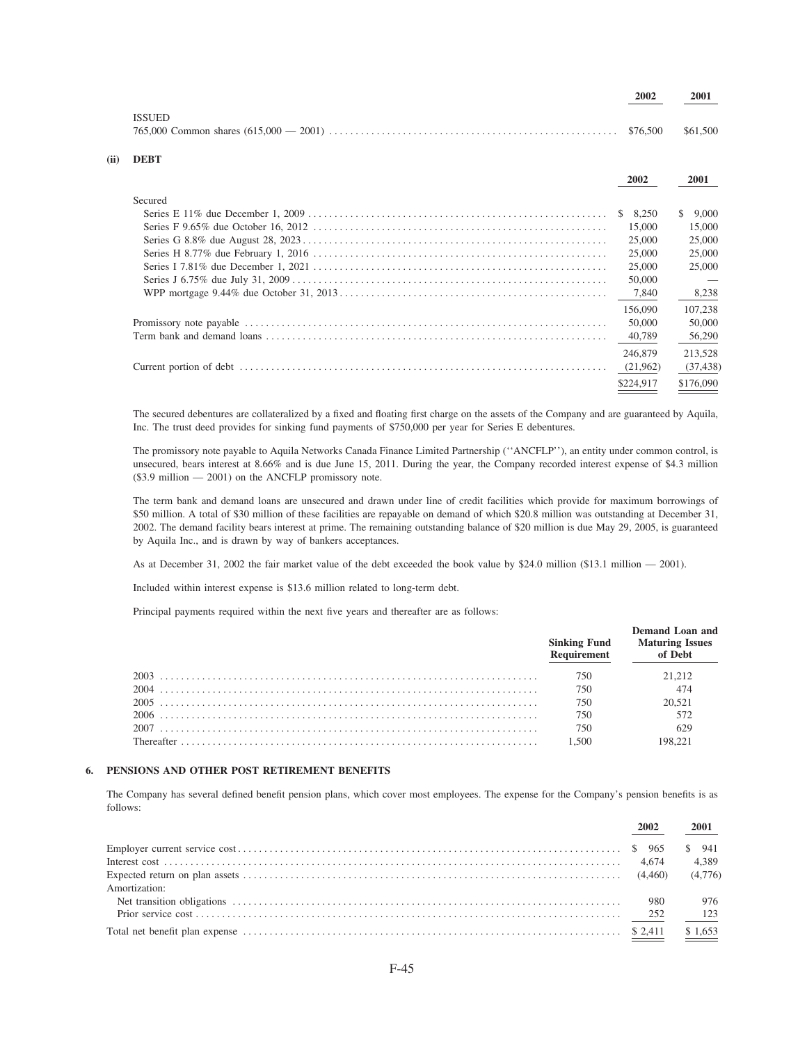|      |               | 2002        | 2001        |
|------|---------------|-------------|-------------|
|      | <b>ISSUED</b> | \$76,500    | \$61,500    |
| (ii) | <b>DEBT</b>   |             |             |
|      |               | 2002        | 2001        |
|      | Secured       |             |             |
|      |               | 8,250<br>-S | 9,000<br>S. |
|      |               | 15,000      | 15,000      |
|      |               | 25,000      | 25,000      |
|      |               | 25,000      | 25,000      |
|      |               | 25,000      | 25,000      |
|      |               | 50,000      |             |
|      |               | 7,840       | 8,238       |
|      |               | 156,090     | 107.238     |
|      |               | 50,000      | 50,000      |
|      |               | 40,789      | 56,290      |
|      |               | 246,879     | 213.528     |
|      |               | (21,962)    | (37, 438)   |
|      |               | \$224,917   | \$176,090   |

The secured debentures are collateralized by a fixed and floating first charge on the assets of the Company and are guaranteed by Aquila, Inc. The trust deed provides for sinking fund payments of \$750,000 per year for Series E debentures.

The promissory note payable to Aquila Networks Canada Finance Limited Partnership ("ANCFLP"), an entity under common control, is unsecured, bears interest at 8.66% and is due June 15, 2011. During the year, the Company recorded interest expense of \$4.3 million  $(\$3.9$  million  $-$  2001) on the ANCFLP promissory note.

The term bank and demand loans are unsecured and drawn under line of credit facilities which provide for maximum borrowings of \$50 million. A total of \$30 million of these facilities are repayable on demand of which \$20.8 million was outstanding at December 31, 2002. The demand facility bears interest at prime. The remaining outstanding balance of \$20 million is due May 29, 2005, is guaranteed by Aquila Inc., and is drawn by way of bankers acceptances.

As at December 31, 2002 the fair market value of the debt exceeded the book value by \$24.0 million (\$13.1 million - 2001).

Included within interest expense is \$13.6 million related to long-term debt.

Principal payments required within the next five years and thereafter are as follows:

| <b>Sinking Fund</b><br><b>Requirement</b> | Demand Loan and<br><b>Maturing Issues</b><br>of Debt |
|-------------------------------------------|------------------------------------------------------|
| 750                                       | 21.212                                               |
| 750                                       | 474                                                  |
| 750                                       | 20.521                                               |
| 750                                       | 572                                                  |
| 750                                       | 629                                                  |
| 500                                       |                                                      |

### 6. PENSIONS AND OTHER POST RETIREMENT BENEFITS

The Company has several defined benefit pension plans, which cover most employees. The expense for the Company's pension benefits is as follows:

|               | 2002 | 2001    |
|---------------|------|---------|
|               |      | \$941   |
|               |      | 4.389   |
|               |      | (4,776) |
| Amortization: |      |         |
|               | 980  | 976     |
|               |      | 123     |
|               |      | \$1,653 |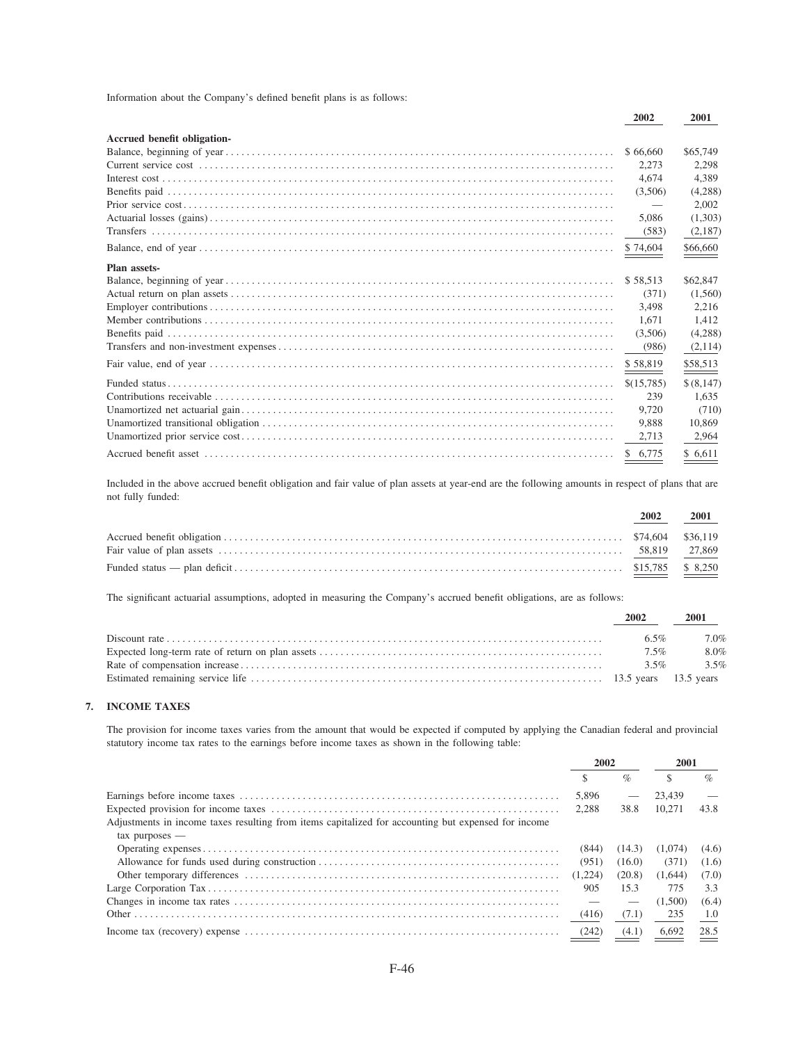|                             | 2002       | 2001       |
|-----------------------------|------------|------------|
| Accrued benefit obligation- |            |            |
|                             | \$66,660   | \$65,749   |
|                             | 2,273      | 2,298      |
|                             | 4.674      | 4.389      |
|                             | (3,506)    | (4,288)    |
|                             |            | 2,002      |
|                             | 5.086      | (1,303)    |
|                             | (583)      | (2,187)    |
|                             | \$74,604   | \$66,660   |
| Plan assets-                |            |            |
|                             | \$58,513   | \$62,847   |
|                             | (371)      | (1,560)    |
|                             | 3.498      | 2,216      |
|                             | 1.671      | 1.412      |
|                             | (3,506)    | (4,288)    |
|                             | (986)      | (2,114)    |
|                             | \$58,819   | \$58,513   |
|                             | \$(15,785) | \$ (8,147) |
|                             | 239        | 1.635      |
|                             | 9,720      | (710)      |
|                             | 9,888      | 10.869     |
|                             | 2,713      | 2,964      |
|                             | \$ 6,775   | \$6,611    |

Included in the above accrued benefit obligation and fair value of plan assets at year-end are the following amounts in respect of plans that are not fully funded:

|  | $\frac{2002}{2001}$ $\frac{2001}{2001}$ |
|--|-----------------------------------------|
|  |                                         |
|  |                                         |
|  |                                         |

The significant actuarial assumptions, adopted in measuring the Company's accrued benefit obligations, are as follows:

| 2002    | 2001    |
|---------|---------|
| 6.5%    | 7.0%    |
| 7.5%    | 8.0%    |
| $3.5\%$ | $3.5\%$ |
|         |         |

### 7. INCOME TAXES

The provision for income taxes varies from the amount that would be expected if computed by applying the Canadian federal and provincial statutory income tax rates to the earnings before income taxes as shown in the following table:

|                                                                                                     | 2002    |                          | 2001    |       |  |
|-----------------------------------------------------------------------------------------------------|---------|--------------------------|---------|-------|--|
|                                                                                                     | S       | $\mathcal{O}_0$          |         | $\%$  |  |
|                                                                                                     | 5.896   | $\overline{\phantom{m}}$ | 23.439  |       |  |
|                                                                                                     | 2.288   | 38.8                     | 10.271  | 43.8  |  |
| Adjustments in income taxes resulting from items capitalized for accounting but expensed for income |         |                          |         |       |  |
| tax purposes —                                                                                      |         |                          |         |       |  |
|                                                                                                     | (844)   | (14.3)                   | (1.074) | (4.6) |  |
|                                                                                                     | (951)   | (16.0)                   | (371)   | (1.6) |  |
|                                                                                                     | (1,224) | (20.8)                   | (1.644) | (7.0) |  |
|                                                                                                     | 905     | 15.3                     | 775     | 3.3   |  |
|                                                                                                     |         |                          | (1.500) | (6.4) |  |
|                                                                                                     | (416)   | (7.1)                    | 235     | - 1.0 |  |
|                                                                                                     |         | (4.1)                    | 6.692   | 28.5  |  |

Information about the Company's defined benefit plans is as follows: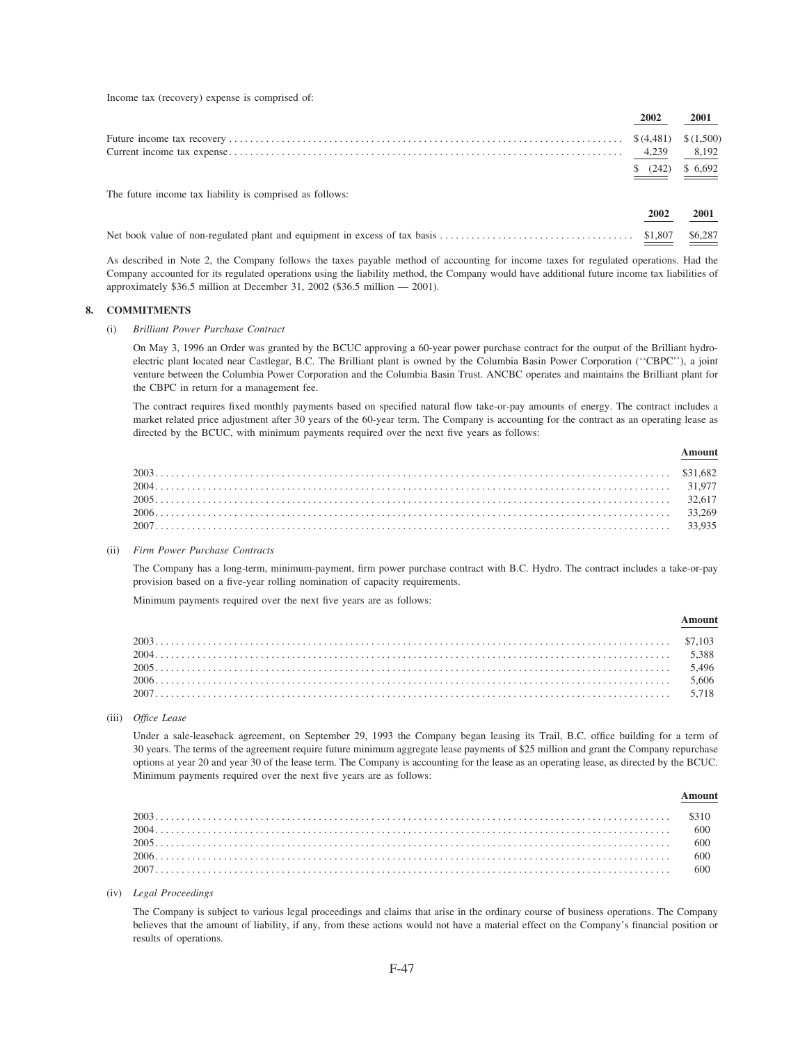Income tax (recovery) expense is comprised of:

|                                                          | 2002       | 2001              |
|----------------------------------------------------------|------------|-------------------|
|                                                          | \$ (4,481) | \$(1,500)         |
|                                                          | 4,239      | 8,192             |
|                                                          | (242)      | \$6,692           |
| The future income tax liability is comprised as follows: |            |                   |
|                                                          | 2002       | 2001              |
|                                                          | \$1,807    | $\frac{$6,287}{}$ |

As described in Note 2, the Company follows the taxes payable method of accounting for income taxes for regulated operations. Had the Company accounted for its regulated operations using the liability method, the Company would have additional future income tax liabilities of approximately \$36.5 million at December 31, 2002 (\$36.5 million — 2001).

### **8. COMMITMENTS**

#### (i) *Brilliant Power Purchase Contract*

On May 3, 1996 an Order was granted by the BCUC approving a 60-year power purchase contract for the output of the Brilliant hydroelectric plant located near Castlegar, B.C. The Brilliant plant is owned by the Columbia Basin Power Corporation (''CBPC''), a joint venture between the Columbia Power Corporation and the Columbia Basin Trust. ANCBC operates and maintains the Brilliant plant for the CBPC in return for a management fee.

The contract requires fixed monthly payments based on specified natural flow take-or-pay amounts of energy. The contract includes a market related price adjustment after 30 years of the 60-year term. The Company is accounting for the contract as an operating lease as directed by the BCUC, with minimum payments required over the next five years as follows:

#### (ii) *Firm Power Purchase Contracts*

The Company has a long-term, minimum-payment, firm power purchase contract with B.C. Hydro. The contract includes a take-or-pay provision based on a five-year rolling nomination of capacity requirements.

Minimum payments required over the next five years are as follows:

#### (iii) *Office Lease*

Under a sale-leaseback agreement, on September 29, 1993 the Company began leasing its Trail, B.C. office building for a term of 30 years. The terms of the agreement require future minimum aggregate lease payments of \$25 million and grant the Company repurchase options at year 20 and year 30 of the lease term. The Company is accounting for the lease as an operating lease, as directed by the BCUC. Minimum payments required over the next five years are as follows:

|--|

(iv) *Legal Proceedings*

The Company is subject to various legal proceedings and claims that arise in the ordinary course of business operations. The Company believes that the amount of liability, if any, from these actions would not have a material effect on the Company's financial position or results of operations.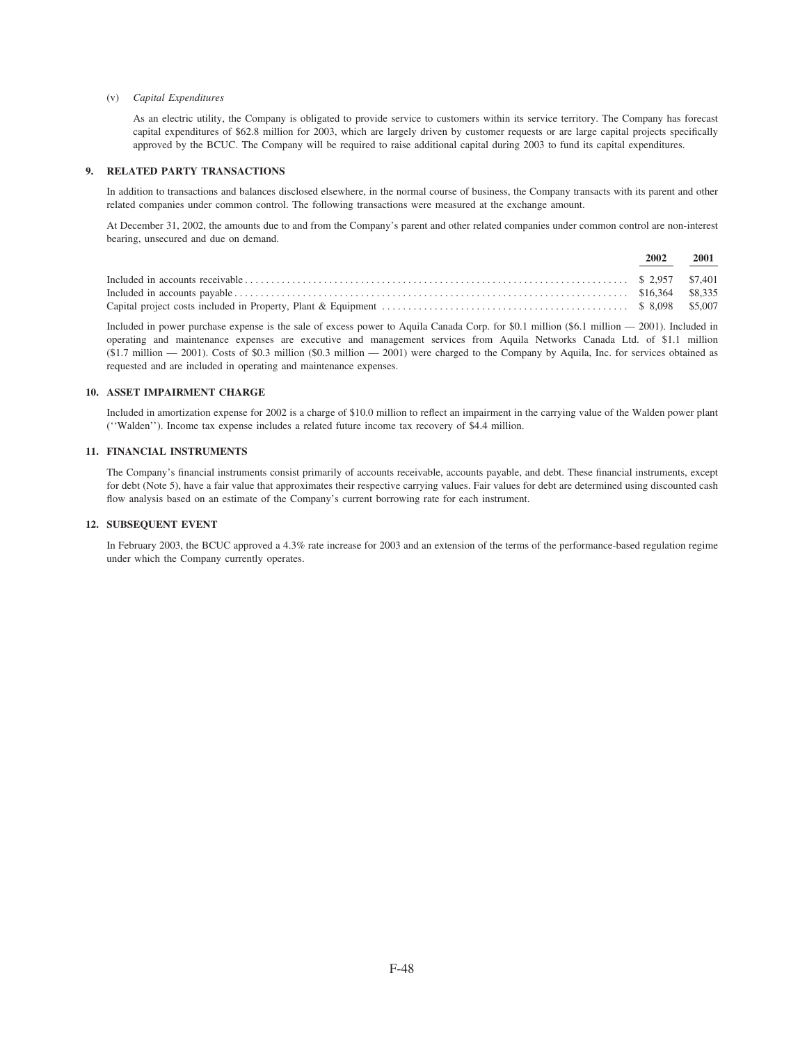## (v) Capital Expenditures

As an electric utility, the Company is obligated to provide service to customers within its service territory. The Company has forecast capital expenditures of \$62.8 million for 2003, which are largely driven by customer requests or are large capital projects specifically approved by the BCUC. The Company will be required to raise additional capital during 2003 to fund its capital expenditures.

#### 9. RELATED PARTY TRANSACTIONS

In addition to transactions and balances disclosed elsewhere, in the normal course of business, the Company transacts with its parent and other related companies under common control. The following transactions were measured at the exchange amount.

At December 31, 2002, the amounts due to and from the Company's parent and other related companies under common control are non-interest bearing, unsecured and due on demand.

| 2002 | 2001 |
|------|------|
|      |      |
|      |      |
|      |      |

Included in power purchase expense is the sale of excess power to Aquila Canada Corp. for \$0.1 million (\$6.1 million - 2001). Included in operating and maintenance expenses are executive and management services from Aquila Networks Canada Ltd. of \$1.1 million (\$1.7 million - 2001). Costs of \$0.3 million (\$0.3 million - 2001) were charged to the Company by Aquila, Inc. for services obtained as requested and are included in operating and maintenance expenses.

#### 10. ASSET IMPAIRMENT CHARGE

Included in amortization expense for 2002 is a charge of \$10.0 million to reflect an impairment in the carrying value of the Walden power plant ("Walden"). Income tax expense includes a related future income tax recovery of \$4.4 million.

### 11. FINANCIAL INSTRUMENTS

The Company's financial instruments consist primarily of accounts receivable, accounts payable, and debt. These financial instruments, except for debt (Note 5), have a fair value that approximates their respective carrying values. Fair values for debt are determined using discounted cash flow analysis based on an estimate of the Company's current borrowing rate for each instrument.

#### 12. SUBSEQUENT EVENT

In February 2003, the BCUC approved a 4.3% rate increase for 2003 and an extension of the terms of the performance-based regulation regime under which the Company currently operates.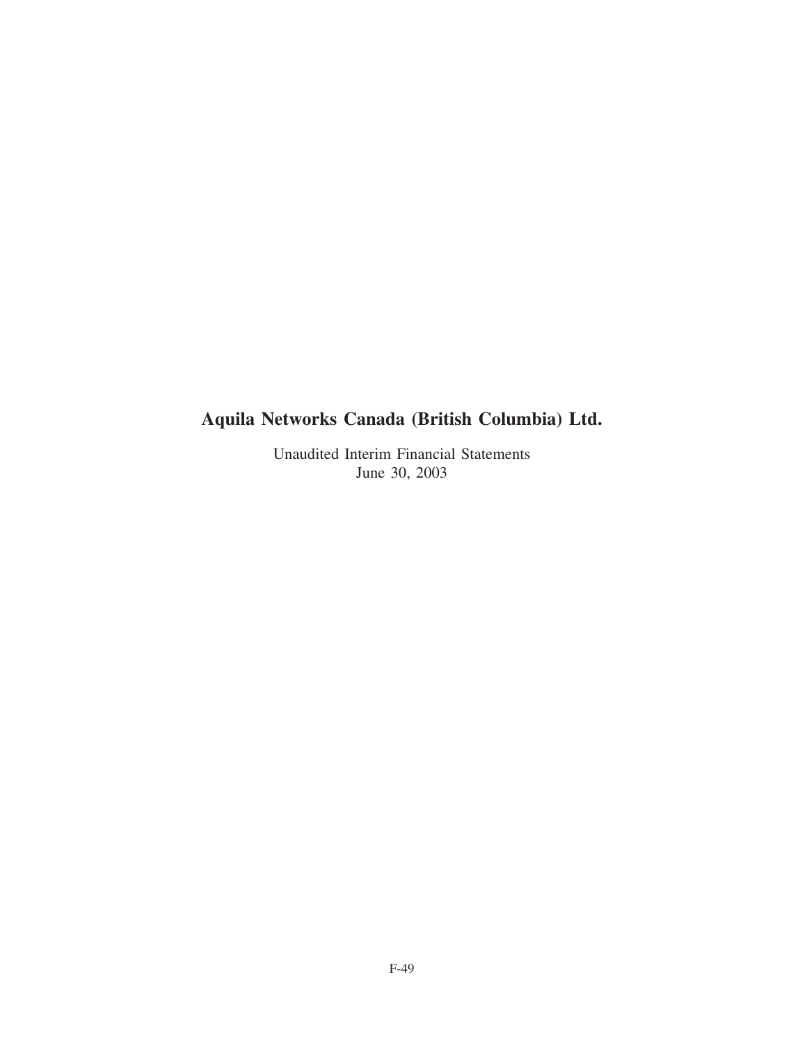Unaudited Interim Financial Statements June 30, 2003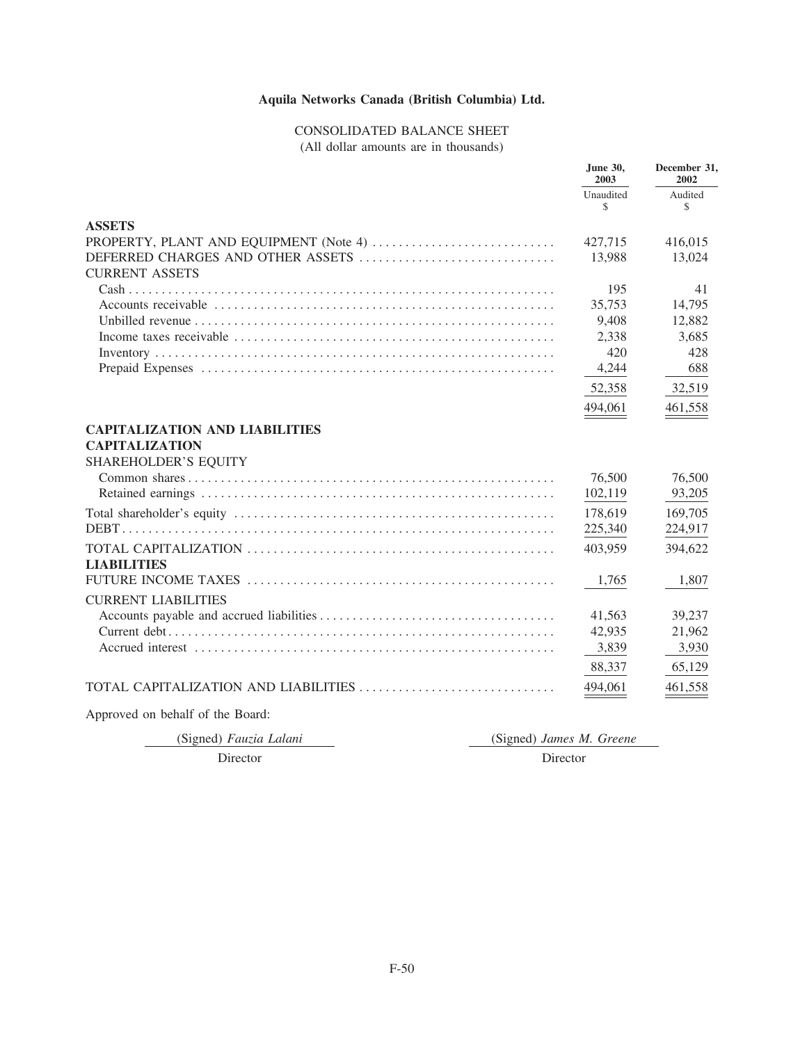# CONSOLIDATED BALANCE SHEET

(All dollar amounts are in thousands)

|                                                                                                                                   | June 30,<br>2003         | December 31,<br>2002 |
|-----------------------------------------------------------------------------------------------------------------------------------|--------------------------|----------------------|
|                                                                                                                                   | Unaudited<br>\$          | Audited<br>\$.       |
| <b>ASSETS</b>                                                                                                                     |                          |                      |
|                                                                                                                                   | 427,715                  | 416,015              |
|                                                                                                                                   | 13,988                   | 13,024               |
| <b>CURRENT ASSETS</b>                                                                                                             |                          |                      |
|                                                                                                                                   | 195                      | 41                   |
| Accounts receivable $\dots \dots \dots \dots \dots \dots \dots \dots \dots \dots \dots \dots \dots \dots \dots \dots \dots \dots$ | 35,753                   | 14,795               |
|                                                                                                                                   | 9,408                    | 12,882               |
|                                                                                                                                   | 2,338                    | 3,685                |
|                                                                                                                                   | 420                      | 428                  |
|                                                                                                                                   | 4,244                    | 688                  |
|                                                                                                                                   | 52,358                   | 32,519               |
|                                                                                                                                   | 494,061                  | 461,558              |
| <b>CAPITALIZATION AND LIABILITIES</b><br><b>CAPITALIZATION</b><br><b>SHAREHOLDER'S EQUITY</b>                                     |                          |                      |
|                                                                                                                                   | 76,500                   | 76,500               |
|                                                                                                                                   | 102,119                  | 93,205               |
|                                                                                                                                   | 178,619                  | 169,705              |
|                                                                                                                                   | 225,340                  | 224,917              |
| <b>LIABILITIES</b>                                                                                                                | 403,959                  | 394,622              |
|                                                                                                                                   | 1,765                    | 1,807                |
| <b>CURRENT LIABILITIES</b>                                                                                                        |                          |                      |
|                                                                                                                                   | 41,563<br>42,935         | 39,237<br>21,962     |
|                                                                                                                                   | 3,839                    | 3,930                |
|                                                                                                                                   |                          |                      |
|                                                                                                                                   | 88,337                   | 65,129               |
| TOTAL CAPITALIZATION AND LIABILITIES                                                                                              | 494,061                  | 461,558              |
| Approved on behalf of the Board:                                                                                                  |                          |                      |
| (Signed) Fauzia Lalani                                                                                                            | (Signed) James M. Greene |                      |

Director

Director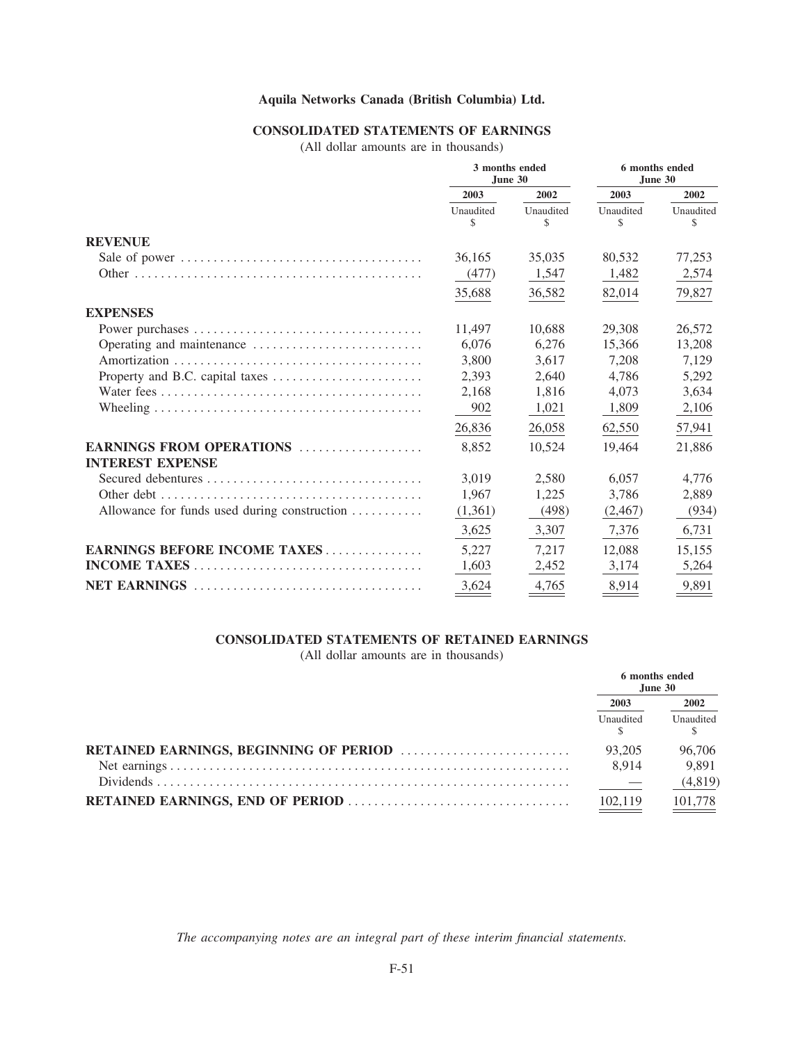# **CONSOLIDATED STATEMENTS OF EARNINGS**

(All dollar amounts are in thousands)

|                                              | 3 months ended<br>June 30 |                 | 6 months ended<br>June 30 |                  |
|----------------------------------------------|---------------------------|-----------------|---------------------------|------------------|
|                                              | 2003                      | 2002            | 2003                      | 2002             |
|                                              | Unaudited<br>S.           | Unaudited<br>\$ | Unaudited<br>\$           | Unaudited<br>\$. |
| <b>REVENUE</b>                               |                           |                 |                           |                  |
|                                              | 36,165                    | 35,035          | 80,532                    | 77,253           |
|                                              | (477)                     | 1,547           | 1,482                     | 2,574            |
|                                              | 35,688                    | 36,582          | 82,014                    | 79,827           |
| <b>EXPENSES</b>                              |                           |                 |                           |                  |
|                                              | 11,497                    | 10.688          | 29.308                    | 26,572           |
|                                              | 6,076                     | 6,276           | 15,366                    | 13,208           |
|                                              | 3.800                     | 3,617           | 7,208                     | 7,129            |
|                                              | 2,393                     | 2.640           | 4.786                     | 5,292            |
|                                              | 2,168                     | 1,816           | 4,073                     | 3,634            |
|                                              | 902                       | 1,021           | 1,809                     | 2,106            |
|                                              | 26,836                    | 26,058          | 62,550                    | 57,941           |
| EARNINGS FROM OPERATIONS                     | 8,852                     | 10,524          | 19,464                    | 21,886           |
| <b>INTEREST EXPENSE</b>                      |                           |                 |                           |                  |
|                                              | 3.019                     | 2,580           | 6,057                     | 4,776            |
|                                              | 1,967                     | 1,225           | 3,786                     | 2,889            |
| Allowance for funds used during construction | (1,361)                   | (498)           | (2,467)                   | (934)            |
|                                              | 3,625                     | 3,307           | 7,376                     | 6,731            |
| EARNINGS BEFORE INCOME TAXES                 | 5,227                     | 7.217           | 12,088                    | 15.155           |
|                                              | 1,603                     | 2,452           | 3,174                     | 5,264            |
|                                              | 3,624                     | 4,765           | 8,914                     | 9,891            |

# **CONSOLIDATED STATEMENTS OF RETAINED EARNINGS**

(All dollar amounts are in thousands)

|                  | 6 months ended<br>June $30$ |           |
|------------------|-----------------------------|-----------|
|                  | 2003                        | 2002      |
|                  | Unaudited                   | Unaudited |
|                  | 93.205                      | 96,706    |
|                  | 8.914                       | 9.891     |
| <b>Dividends</b> |                             | (4,819)   |
|                  | 102,119                     | 101,778   |

*The accompanying notes are an integral part of these interim financial statements.*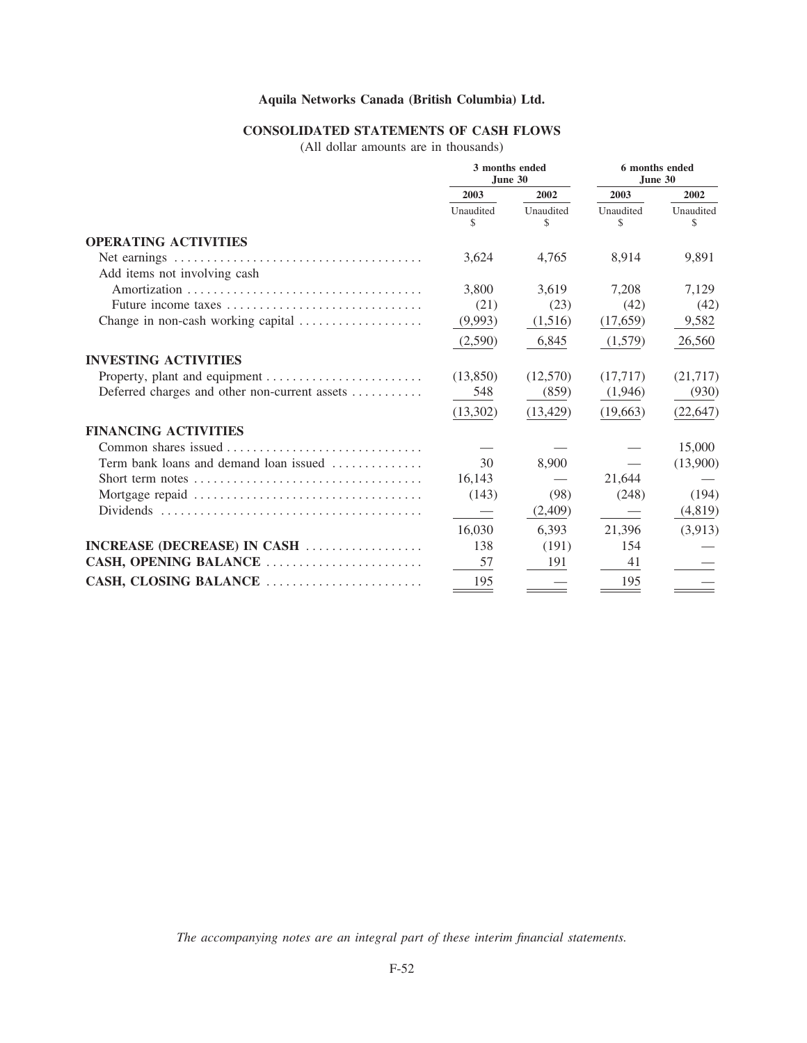# **CONSOLIDATED STATEMENTS OF CASH FLOWS**

(All dollar amounts are in thousands)

|                                               | 3 months ended<br>June 30 |                 | 6 months ended<br>June 30 |                 |
|-----------------------------------------------|---------------------------|-----------------|---------------------------|-----------------|
|                                               | 2003                      | 2002            | 2003                      | 2002            |
|                                               | Unaudited<br>\$           | Unaudited<br>\$ | Unaudited<br>\$           | Unaudited<br>S. |
| <b>OPERATING ACTIVITIES</b>                   |                           |                 |                           |                 |
| Add items not involving cash                  | 3,624                     | 4,765           | 8,914                     | 9,891           |
|                                               | 3.800                     | 3,619           | 7,208                     | 7,129           |
| Future income taxes                           | (21)                      | (23)            | (42)                      | (42)            |
| Change in non-cash working capital            | (9,993)                   | (1,516)         | (17,659)                  | 9,582           |
|                                               | (2,590)                   | 6,845           | (1,579)                   | 26,560          |
| <b>INVESTING ACTIVITIES</b>                   |                           |                 |                           |                 |
|                                               | (13,850)                  | (12,570)        | (17,717)                  | (21,717)        |
| Deferred charges and other non-current assets | 548                       | (859)           | (1,946)                   | (930)           |
|                                               | (13,302)                  | (13, 429)       | (19,663)                  | (22, 647)       |
| <b>FINANCING ACTIVITIES</b>                   |                           |                 |                           |                 |
| Common shares issued                          |                           |                 |                           | 15,000          |
| Term bank loans and demand loan issued        | 30                        | 8,900           |                           | (13,900)        |
|                                               | 16,143                    |                 | 21,644                    |                 |
|                                               | (143)                     | (98)            | (248)                     | (194)           |
|                                               |                           | (2,409)         |                           | (4,819)         |
|                                               | 16,030                    | 6,393           | 21,396                    | (3,913)         |
| INCREASE (DECREASE) IN CASH                   | 138                       | (191)           | 154                       |                 |
| CASH, OPENING BALANCE                         | 57                        | 191             | 41                        |                 |
| CASH, CLOSING BALANCE                         | 195                       |                 | 195                       |                 |

*The accompanying notes are an integral part of these interim financial statements.*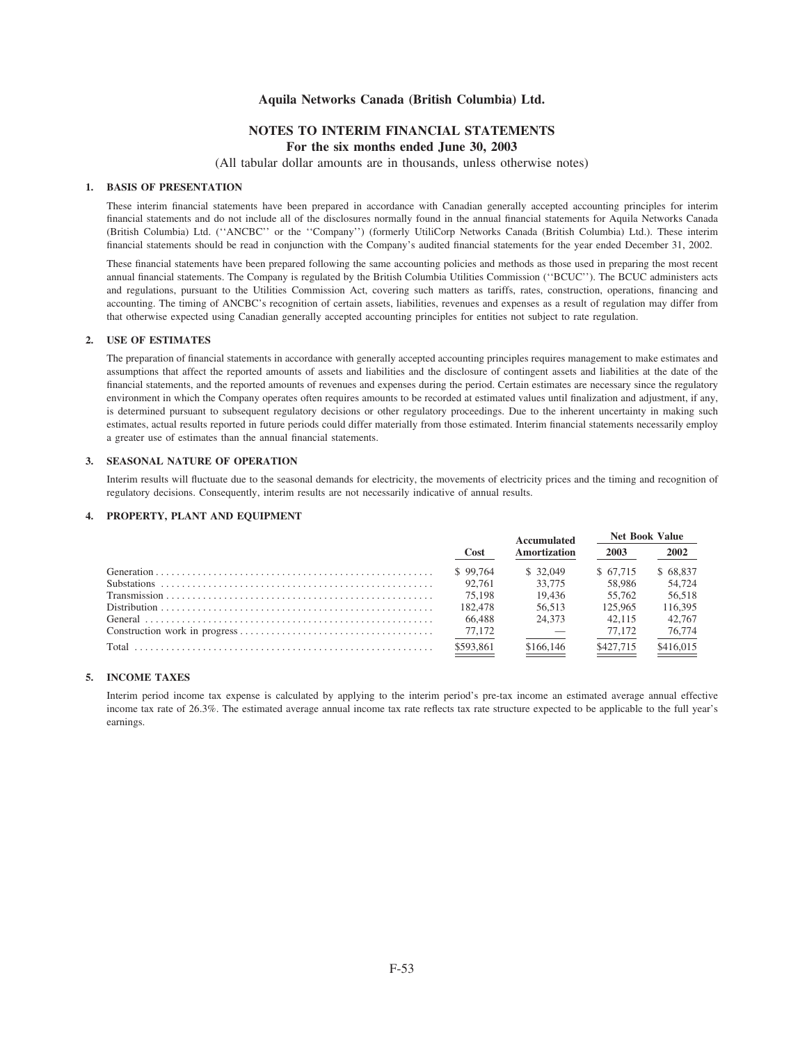# **NOTES TO INTERIM FINANCIAL STATEMENTS**

**For the six months ended June 30, 2003**

(All tabular dollar amounts are in thousands, unless otherwise notes)

### **1. BASIS OF PRESENTATION**

These interim financial statements have been prepared in accordance with Canadian generally accepted accounting principles for interim financial statements and do not include all of the disclosures normally found in the annual financial statements for Aquila Networks Canada (British Columbia) Ltd. (''ANCBC'' or the ''Company'') (formerly UtiliCorp Networks Canada (British Columbia) Ltd.). These interim financial statements should be read in conjunction with the Company's audited financial statements for the year ended December 31, 2002.

These financial statements have been prepared following the same accounting policies and methods as those used in preparing the most recent annual financial statements. The Company is regulated by the British Columbia Utilities Commission (''BCUC''). The BCUC administers acts and regulations, pursuant to the Utilities Commission Act, covering such matters as tariffs, rates, construction, operations, financing and accounting. The timing of ANCBC's recognition of certain assets, liabilities, revenues and expenses as a result of regulation may differ from that otherwise expected using Canadian generally accepted accounting principles for entities not subject to rate regulation.

### **2. USE OF ESTIMATES**

The preparation of financial statements in accordance with generally accepted accounting principles requires management to make estimates and assumptions that affect the reported amounts of assets and liabilities and the disclosure of contingent assets and liabilities at the date of the financial statements, and the reported amounts of revenues and expenses during the period. Certain estimates are necessary since the regulatory environment in which the Company operates often requires amounts to be recorded at estimated values until finalization and adjustment, if any, is determined pursuant to subsequent regulatory decisions or other regulatory proceedings. Due to the inherent uncertainty in making such estimates, actual results reported in future periods could differ materially from those estimated. Interim financial statements necessarily employ a greater use of estimates than the annual financial statements.

### **3. SEASONAL NATURE OF OPERATION**

Interim results will fluctuate due to the seasonal demands for electricity, the movements of electricity prices and the timing and recognition of regulatory decisions. Consequently, interim results are not necessarily indicative of annual results.

#### **4. PROPERTY, PLANT AND EQUIPMENT**

|                    | Cost      | Accumulated  | <b>Net Book Value</b> |           |
|--------------------|-----------|--------------|-----------------------|-----------|
|                    |           | Amortization | 2003                  | 2002      |
|                    | \$99.764  | \$ 32,049    | \$67,715              | \$68,837  |
| <b>Substations</b> | 92.761    | 33,775       | 58.986                | 54,724    |
|                    | 75.198    | 19.436       | 55.762                | 56.518    |
|                    | 182,478   | 56.513       | 125,965               | 116.395   |
|                    | 66.488    | 24.373       | 42.115                | 42,767    |
|                    | 77,172    |              | 77.172                | 76,774    |
| Total              | \$593.861 | \$166.146    | \$427.715             | \$416.015 |

### **5. INCOME TAXES**

Interim period income tax expense is calculated by applying to the interim period's pre-tax income an estimated average annual effective income tax rate of 26.3%. The estimated average annual income tax rate reflects tax rate structure expected to be applicable to the full year's earnings.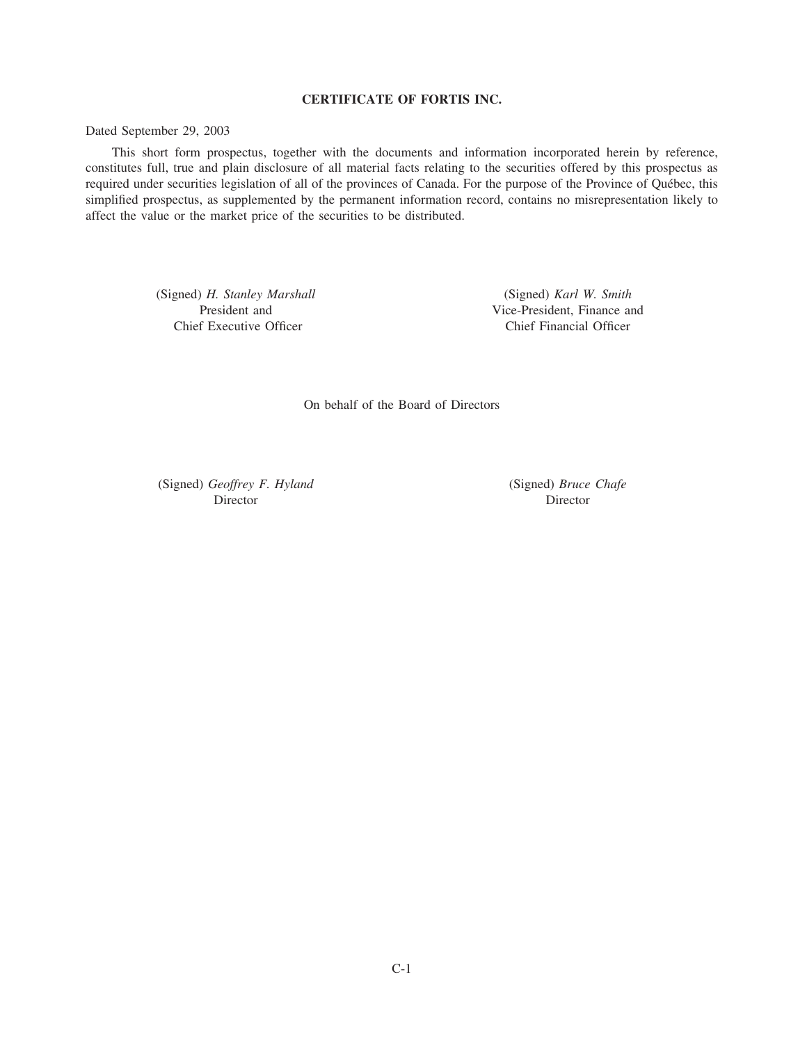# **CERTIFICATE OF FORTIS INC.**

Dated September 29, 2003

This short form prospectus, together with the documents and information incorporated herein by reference, constitutes full, true and plain disclosure of all material facts relating to the securities offered by this prospectus as required under securities legislation of all of the provinces of Canada. For the purpose of the Province of Québec, this simplified prospectus, as supplemented by the permanent information record, contains no misrepresentation likely to affect the value or the market price of the securities to be distributed.

> (Signed) *H. Stanley Marshall* (Signed) *Karl W. Smith* Chief Executive Officer Chief Financial Officer

President and Vice-President, Finance and

On behalf of the Board of Directors

(Signed) *Geoffrey F. Hyland* (Signed) *Bruce Chafe* Director Director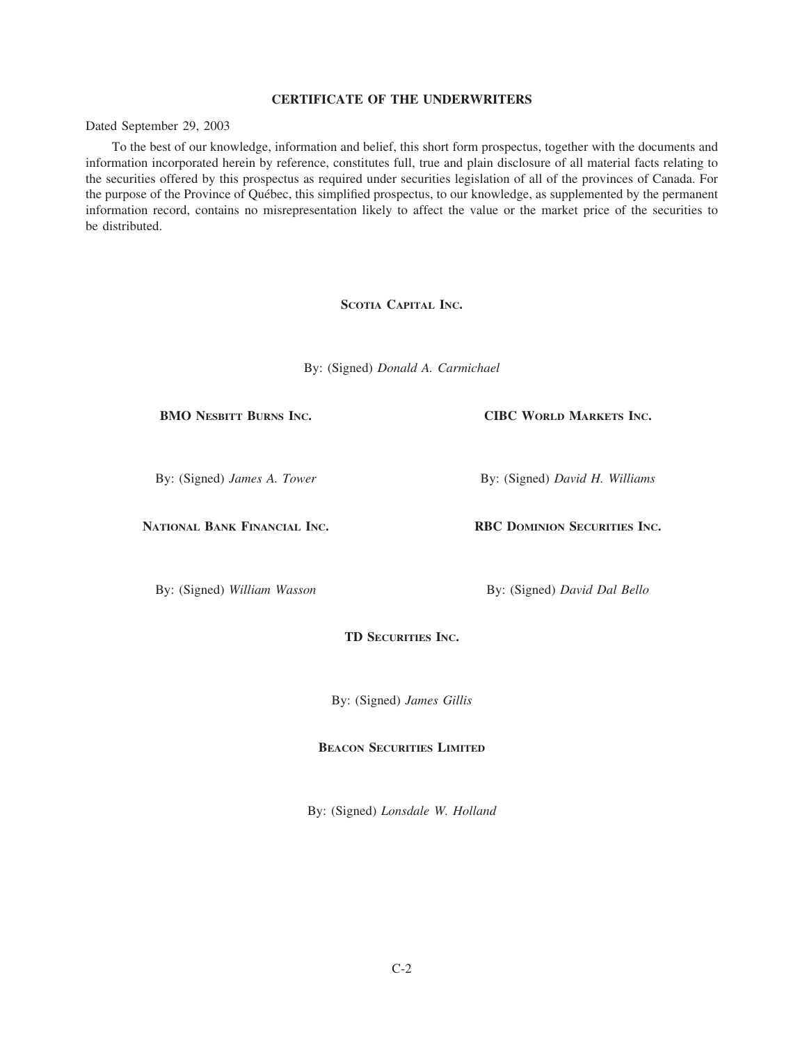## **CERTIFICATE OF THE UNDERWRITERS**

Dated September 29, 2003

To the best of our knowledge, information and belief, this short form prospectus, together with the documents and information incorporated herein by reference, constitutes full, true and plain disclosure of all material facts relating to the securities offered by this prospectus as required under securities legislation of all of the provinces of Canada. For the purpose of the Province of Québec, this simplified prospectus, to our knowledge, as supplemented by the permanent information record, contains no misrepresentation likely to affect the value or the market price of the securities to be distributed.

# **SCOTIA CAPITAL INC.**

By: (Signed) *Donald A. Carmichael*

**BMO NESBITT BURNS INC.** CIBC WORLD MARKETS INC.

By: (Signed) *James A. Tower* By: (Signed) *David H. Williams* 

**NATIONAL BANK FINANCIAL INC. RBC DOMINION SECURITIES INC.**

By: (Signed) *William Wasson* By: (Signed) *David Dal Bello*

**TD SECURITIES INC.**

By: (Signed) *James Gillis*

**BEACON SECURITIES LIMITED**

By: (Signed) *Lonsdale W. Holland*